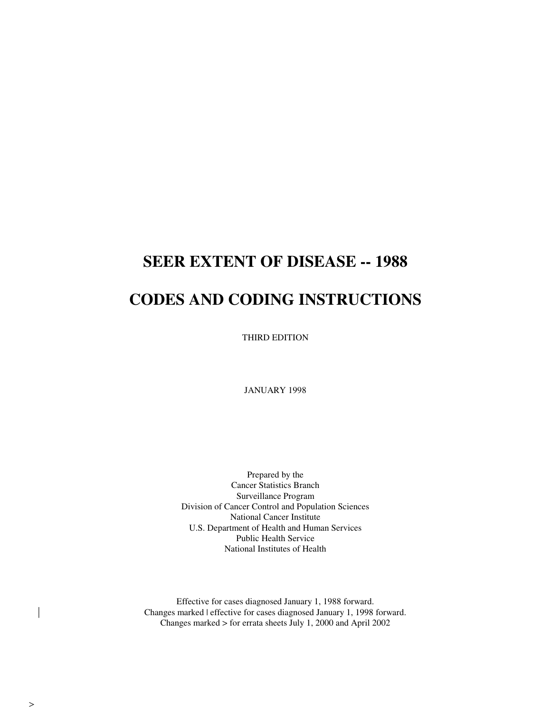## **SEER EXTENT OF DISEASE -- 1988**

# **CODES AND CODING INSTRUCTIONS**

THIRD EDITION

JANUARY 1998

Prepared by the Cancer Statistics Branch Surveillance Program Division of Cancer Control and Population Sciences National Cancer Institute U.S. Department of Health and Human Services Public Health Service National Institutes of Health

Effective for cases diagnosed January 1, 1988 forward. | Changes marked | effective for cases diagnosed January 1, 1998 forward. Changes marked > for errata sheets July 1, 2000 and April 2002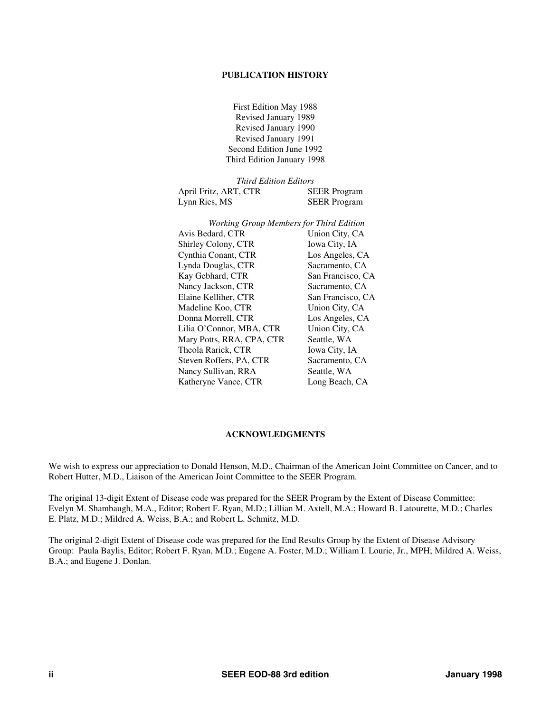#### **PUBLICATION HISTORY**

First Edition May 1988 Revised January 1989 Revised January 1990 Revised January 1991 Second Edition June 1992 Third Edition January 1998

| <b>Third Edition Editors</b> |                     |  |
|------------------------------|---------------------|--|
| April Fritz, ART, CTR        | <b>SEER Program</b> |  |
| Lynn Ries, MS                | <b>SEER</b> Program |  |

| Working Group Members for Third Edition |                   |
|-----------------------------------------|-------------------|
| Avis Bedard, CTR                        | Union City, CA    |
| Shirley Colony, CTR                     | Iowa City, IA     |
| Cynthia Conant, CTR                     | Los Angeles, CA   |
| Lynda Douglas, CTR                      | Sacramento, CA    |
| Kay Gebhard, CTR                        | San Francisco, CA |
| Nancy Jackson, CTR                      | Sacramento, CA    |
| Elaine Kelliher, CTR                    | San Francisco, CA |
| Madeline Koo, CTR                       | Union City, CA    |
| Donna Morrell, CTR                      | Los Angeles, CA   |
| Lilia O'Connor, MBA, CTR                | Union City, CA    |
| Mary Potts, RRA, CPA, CTR               | Seattle, WA       |
| Theola Rarick, CTR                      | Iowa City, IA     |
| Steven Roffers, PA, CTR                 | Sacramento, CA    |
| Nancy Sullivan, RRA                     | Seattle, WA       |
| Katheryne Vance, CTR                    | Long Beach, CA    |

#### **ACKNOWLEDGMENTS**

We wish to express our appreciation to Donald Henson, M.D., Chairman of the American Joint Committee on Cancer, and to Robert Hutter, M.D., Liaison of the American Joint Committee to the SEER Program.

The original 13-digit Extent of Disease code was prepared for the SEER Program by the Extent of Disease Committee: Evelyn M. Shambaugh, M.A., Editor; Robert F. Ryan, M.D.; Lillian M. Axtell, M.A.; Howard B. Latourette, M.D.; Charles E. Platz, M.D.; Mildred A. Weiss, B.A.; and Robert L. Schmitz, M.D.

The original 2-digit Extent of Disease code was prepared for the End Results Group by the Extent of Disease Advisory Group: Paula Baylis, Editor; Robert F. Ryan, M.D.; Eugene A. Foster, M.D.; William I. Lourie, Jr., MPH; Mildred A. Weiss, B.A.; and Eugene J. Donlan.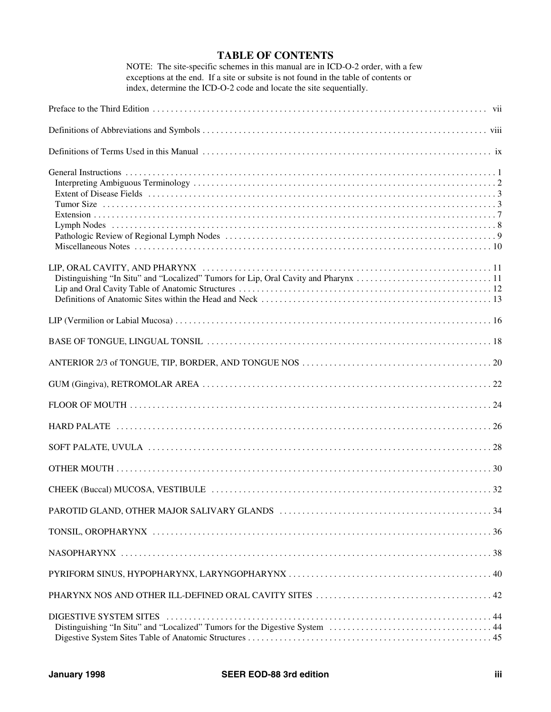### **TABLE OF CONTENTS**

NOTE: The site-specific schemes in this manual are in ICD-O-2 order, with a few exceptions at the end. If a site or subsite is not found in the table of contents or index, determine the ICD-O-2 code and locate the site sequentially.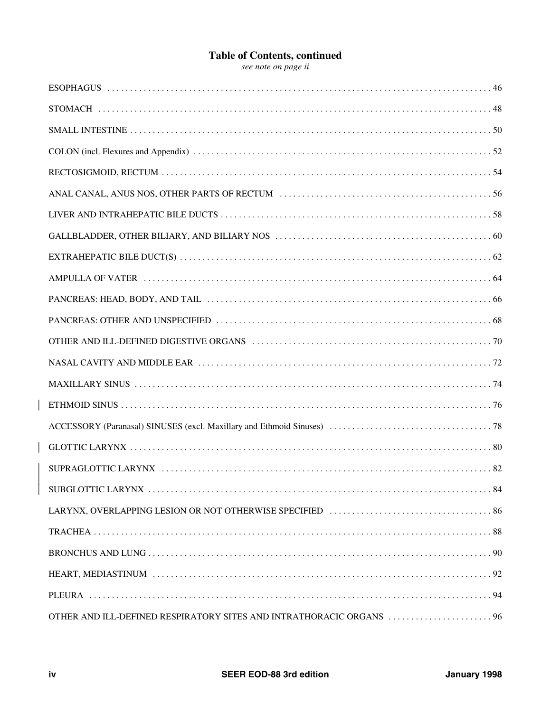### **Table of Contents, continued**

see note on page ii

| OTHER AND ILL-DEFINED RESPIRATORY SITES AND INTRATHORACIC ORGANS  96 |
|----------------------------------------------------------------------|

 $\overline{\phantom{a}}$ 

 $\overline{\phantom{a}}$  $\overline{1}$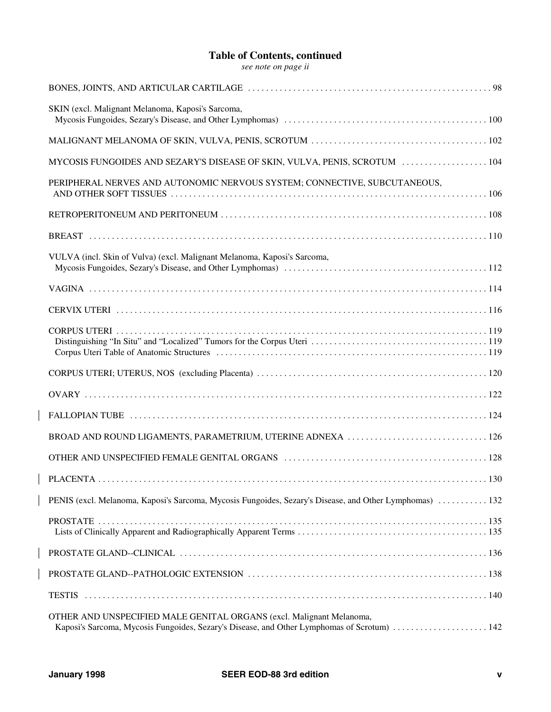### **Table of Contents, continued**

*see note on page ii*

| SKIN (excl. Malignant Melanoma, Kaposi's Sarcoma,                                                                                                                   |
|---------------------------------------------------------------------------------------------------------------------------------------------------------------------|
|                                                                                                                                                                     |
| MYCOSIS FUNGOIDES AND SEZARY'S DISEASE OF SKIN, VULVA, PENIS, SCROTUM  104                                                                                          |
| PERIPHERAL NERVES AND AUTONOMIC NERVOUS SYSTEM; CONNECTIVE, SUBCUTANEOUS,                                                                                           |
|                                                                                                                                                                     |
|                                                                                                                                                                     |
| VULVA (incl. Skin of Vulva) (excl. Malignant Melanoma, Kaposi's Sarcoma,                                                                                            |
|                                                                                                                                                                     |
|                                                                                                                                                                     |
|                                                                                                                                                                     |
|                                                                                                                                                                     |
|                                                                                                                                                                     |
|                                                                                                                                                                     |
| BROAD AND ROUND LIGAMENTS, PARAMETRIUM, UTERINE ADNEXA  126                                                                                                         |
|                                                                                                                                                                     |
|                                                                                                                                                                     |
| PENIS (excl. Melanoma, Kaposi's Sarcoma, Mycosis Fungoides, Sezary's Disease, and Other Lymphomas)  132                                                             |
|                                                                                                                                                                     |
|                                                                                                                                                                     |
|                                                                                                                                                                     |
|                                                                                                                                                                     |
| OTHER AND UNSPECIFIED MALE GENITAL ORGANS (excl. Malignant Melanoma,<br>Kaposi's Sarcoma, Mycosis Fungoides, Sezary's Disease, and Other Lymphomas of Scrotum)  142 |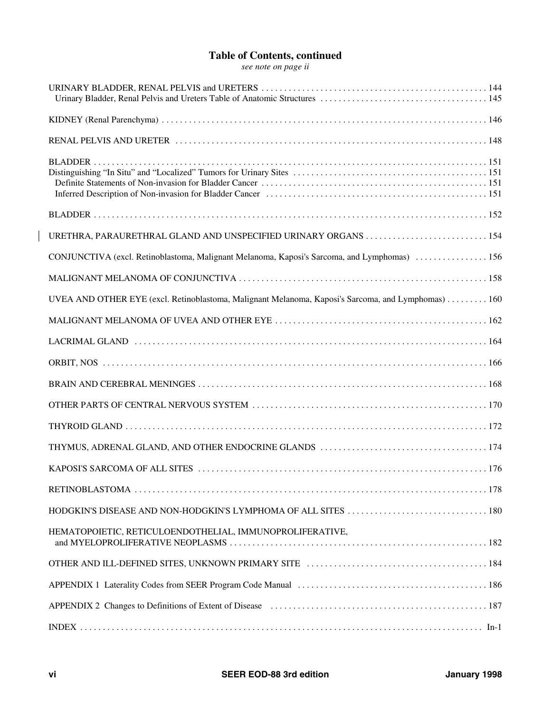### **Table of Contents, continued**

*see note on page ii*

| URETHRA, PARAURETHRAL GLAND AND UNSPECIFIED URINARY ORGANS  154                                    |  |
|----------------------------------------------------------------------------------------------------|--|
| CONJUNCTIVA (excl. Retinoblastoma, Malignant Melanoma, Kaposi's Sarcoma, and Lymphomas) 156        |  |
|                                                                                                    |  |
| UVEA AND OTHER EYE (excl. Retinoblastoma, Malignant Melanoma, Kaposi's Sarcoma, and Lymphomas) 160 |  |
|                                                                                                    |  |
|                                                                                                    |  |
|                                                                                                    |  |
|                                                                                                    |  |
|                                                                                                    |  |
|                                                                                                    |  |
|                                                                                                    |  |
|                                                                                                    |  |
|                                                                                                    |  |
| HODGKIN'S DISEASE AND NON-HODGKIN'S LYMPHOMA OF ALL SITES  180                                     |  |
| HEMATOPOIETIC, RETICULOENDOTHELIAL, IMMUNOPROLIFERATIVE,                                           |  |
|                                                                                                    |  |
|                                                                                                    |  |
|                                                                                                    |  |
|                                                                                                    |  |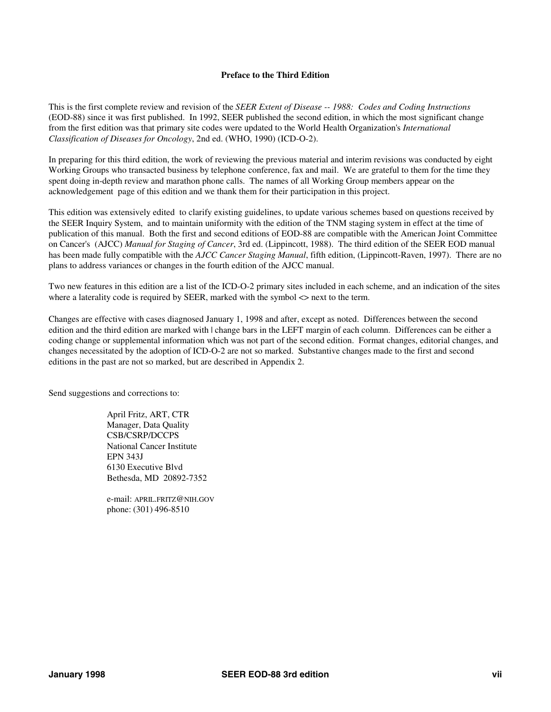#### **Preface to the Third Edition**

This is the first complete review and revision of the *SEER Extent of Disease -- 1988: Codes and Coding Instructions* (EOD-88) since it was first published. In 1992, SEER published the second edition, in which the most significant change from the first edition was that primary site codes were updated to the World Health Organization's *International Classification of Diseases for Oncology*, 2nd ed. (WHO, 1990) (ICD-O-2).

In preparing for this third edition, the work of reviewing the previous material and interim revisions was conducted by eight Working Groups who transacted business by telephone conference, fax and mail. We are grateful to them for the time they spent doing in-depth review and marathon phone calls. The names of all Working Group members appear on the acknowledgement page of this edition and we thank them for their participation in this project.

This edition was extensively edited to clarify existing guidelines, to update various schemes based on questions received by the SEER Inquiry System, and to maintain uniformity with the edition of the TNM staging system in effect at the time of publication of this manual. Both the first and second editions of EOD-88 are compatible with the American Joint Committee on Cancer's (AJCC) *Manual for Staging of Cancer*, 3rd ed. (Lippincott, 1988). The third edition of the SEER EOD manual has been made fully compatible with the *AJCC Cancer Staging Manual*, fifth edition, (Lippincott-Raven, 1997). There are no plans to address variances or changes in the fourth edition of the AJCC manual.

Two new features in this edition are a list of the ICD-O-2 primary sites included in each scheme, and an indication of the sites where a laterality code is required by SEER, marked with the symbol  $\leq$  next to the term.

Changes are effective with cases diagnosed January 1, 1998 and after, except as noted. Differences between the second edition and the third edition are marked with | change bars in the LEFT margin of each column. Differences can be either a coding change or supplemental information which was not part of the second edition. Format changes, editorial changes, and changes necessitated by the adoption of ICD-O-2 are not so marked. Substantive changes made to the first and second editions in the past are not so marked, but are described in Appendix 2.

Send suggestions and corrections to:

April Fritz, ART, CTR Manager, Data Quality CSB/CSRP/DCCPS National Cancer Institute EPN 343J 6130 Executive Blvd Bethesda, MD 20892-7352

e-mail: APRIL.FRITZ@NIH.GOV phone: (301) 496-8510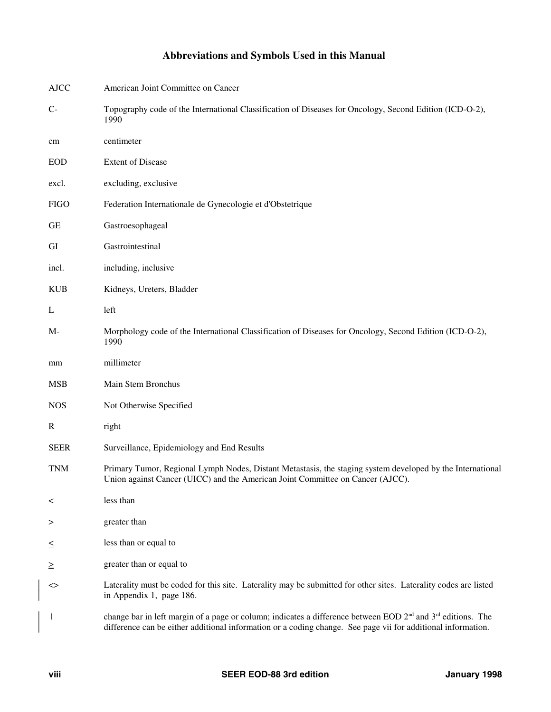### **Abbreviations and Symbols Used in this Manual**

| <b>AJCC</b> | American Joint Committee on Cancer                                                                                                                                                                                                                  |
|-------------|-----------------------------------------------------------------------------------------------------------------------------------------------------------------------------------------------------------------------------------------------------|
| $C-$        | Topography code of the International Classification of Diseases for Oncology, Second Edition (ICD-O-2),<br>1990                                                                                                                                     |
| cm          | centimeter                                                                                                                                                                                                                                          |
| <b>EOD</b>  | <b>Extent of Disease</b>                                                                                                                                                                                                                            |
| excl.       | excluding, exclusive                                                                                                                                                                                                                                |
| <b>FIGO</b> | Federation Internationale de Gynecologie et d'Obstetrique                                                                                                                                                                                           |
| <b>GE</b>   | Gastroesophageal                                                                                                                                                                                                                                    |
| GI          | Gastrointestinal                                                                                                                                                                                                                                    |
| incl.       | including, inclusive                                                                                                                                                                                                                                |
| <b>KUB</b>  | Kidneys, Ureters, Bladder                                                                                                                                                                                                                           |
| L           | left                                                                                                                                                                                                                                                |
| $M-$        | Morphology code of the International Classification of Diseases for Oncology, Second Edition (ICD-O-2),<br>1990                                                                                                                                     |
| mm          | millimeter                                                                                                                                                                                                                                          |
| <b>MSB</b>  | Main Stem Bronchus                                                                                                                                                                                                                                  |
| <b>NOS</b>  | Not Otherwise Specified                                                                                                                                                                                                                             |
| $\mathbf R$ | right                                                                                                                                                                                                                                               |
| <b>SEER</b> | Surveillance, Epidemiology and End Results                                                                                                                                                                                                          |
| <b>TNM</b>  | Primary Tumor, Regional Lymph Nodes, Distant Metastasis, the staging system developed by the International<br>Union against Cancer (UICC) and the American Joint Committee on Cancer (AJCC).                                                        |
| $\,<\,$     | less than                                                                                                                                                                                                                                           |
| >           | greater than                                                                                                                                                                                                                                        |
| $\leq$      | less than or equal to                                                                                                                                                                                                                               |
| $\geq$      | greater than or equal to                                                                                                                                                                                                                            |
|             | Laterality must be coded for this site. Laterality may be submitted for other sites. Laterality codes are listed<br>in Appendix 1, page 186.                                                                                                        |
|             | change bar in left margin of a page or column; indicates a difference between EOD 2 <sup>nd</sup> and 3 <sup>rd</sup> editions. The<br>difference can be either additional information or a coding change. See page vii for additional information. |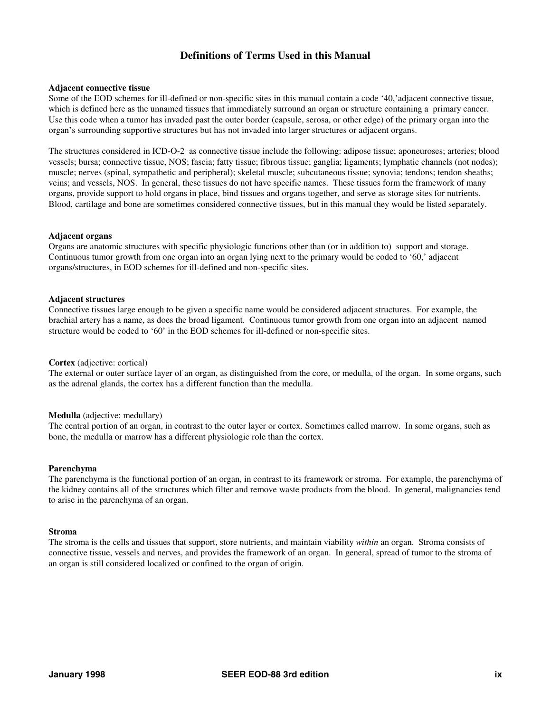### **Definitions of Terms Used in this Manual**

#### **Adjacent connective tissue**

Some of the EOD schemes for ill-defined or non-specific sites in this manual contain a code '40,'adjacent connective tissue, which is defined here as the unnamed tissues that immediately surround an organ or structure containing a primary cancer. Use this code when a tumor has invaded past the outer border (capsule, serosa, or other edge) of the primary organ into the organ's surrounding supportive structures but has not invaded into larger structures or adjacent organs.

The structures considered in ICD-O-2 as connective tissue include the following: adipose tissue; aponeuroses; arteries; blood vessels; bursa; connective tissue, NOS; fascia; fatty tissue; fibrous tissue; ganglia; ligaments; lymphatic channels (not nodes); muscle; nerves (spinal, sympathetic and peripheral); skeletal muscle; subcutaneous tissue; synovia; tendons; tendon sheaths; veins; and vessels, NOS. In general, these tissues do not have specific names. These tissues form the framework of many organs, provide support to hold organs in place, bind tissues and organs together, and serve as storage sites for nutrients. Blood, cartilage and bone are sometimes considered connective tissues, but in this manual they would be listed separately.

#### **Adjacent organs**

Organs are anatomic structures with specific physiologic functions other than (or in addition to) support and storage. Continuous tumor growth from one organ into an organ lying next to the primary would be coded to '60,' adjacent organs/structures, in EOD schemes for ill-defined and non-specific sites.

#### **Adjacent structures**

Connective tissues large enough to be given a specific name would be considered adjacent structures. For example, the brachial artery has a name, as does the broad ligament. Continuous tumor growth from one organ into an adjacent named structure would be coded to '60' in the EOD schemes for ill-defined or non-specific sites.

#### **Cortex** (adjective: cortical)

The external or outer surface layer of an organ, as distinguished from the core, or medulla, of the organ. In some organs, such as the adrenal glands, the cortex has a different function than the medulla.

#### **Medulla** (adjective: medullary)

The central portion of an organ, in contrast to the outer layer or cortex. Sometimes called marrow. In some organs, such as bone, the medulla or marrow has a different physiologic role than the cortex.

#### **Parenchyma**

The parenchyma is the functional portion of an organ, in contrast to its framework or stroma. For example, the parenchyma of the kidney contains all of the structures which filter and remove waste products from the blood. In general, malignancies tend to arise in the parenchyma of an organ.

#### **Stroma**

The stroma is the cells and tissues that support, store nutrients, and maintain viability *within* an organ. Stroma consists of connective tissue, vessels and nerves, and provides the framework of an organ. In general, spread of tumor to the stroma of an organ is still considered localized or confined to the organ of origin.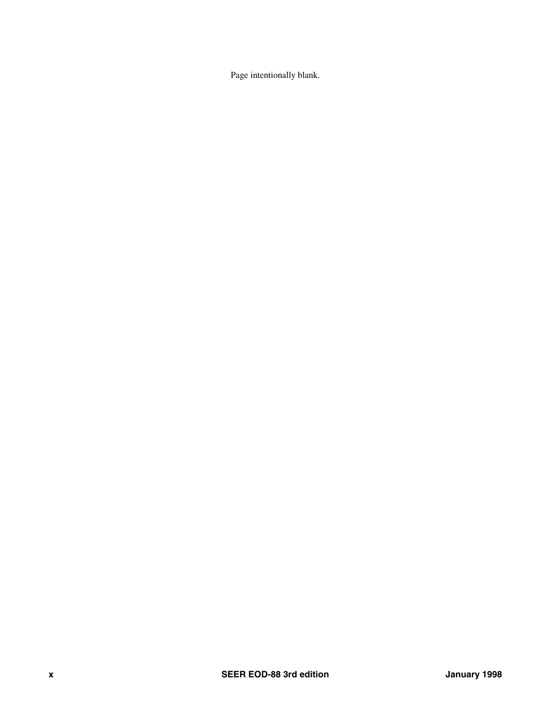Page intentionally blank.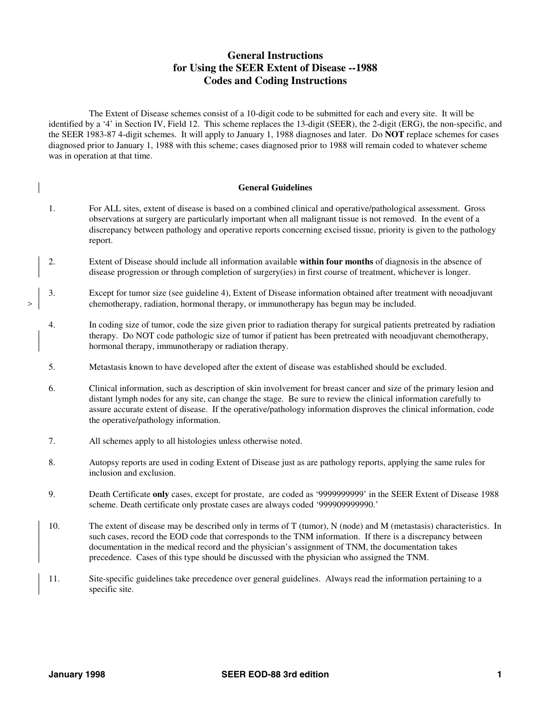### **General Instructions for Using the SEER Extent of Disease --1988 Codes and Coding Instructions**

The Extent of Disease schemes consist of a 10-digit code to be submitted for each and every site. It will be identified by a '4' in Section IV, Field 12. This scheme replaces the 13-digit (SEER), the 2-digit (ERG), the non-specific, and the SEER 1983-87 4-digit schemes. It will apply to January 1, 1988 diagnoses and later. Do **NOT** replace schemes for cases diagnosed prior to January 1, 1988 with this scheme; cases diagnosed prior to 1988 will remain coded to whatever scheme was in operation at that time.

#### | **General Guidelines**

- 1. For ALL sites, extent of disease is based on a combined clinical and operative/pathological assessment. Gross observations at surgery are particularly important when all malignant tissue is not removed. In the event of a discrepancy between pathology and operative reports concerning excised tissue, priority is given to the pathology report.
- | 2. Extent of Disease should include all information available **within four months** of diagnosis in the absence of | disease progression or through completion of surgery(ies) in first course of treatment, whichever is longer.
- | 3. Except for tumor size (see guideline 4), Extent of Disease information obtained after treatment with neoadjuvant | chemotherapy, radiation, hormonal therapy, or immunotherapy has begun may be included.
	- 4. In coding size of tumor, code the size given prior to radiation therapy for surgical patients pretreated by radiation | therapy. Do NOT code pathologic size of tumor if patient has been pretreated with neoadjuvant chemotherapy, hormonal therapy, immunotherapy or radiation therapy.
	- 5. Metastasis known to have developed after the extent of disease was established should be excluded.
	- 6. Clinical information, such as description of skin involvement for breast cancer and size of the primary lesion and distant lymph nodes for any site, can change the stage. Be sure to review the clinical information carefully to assure accurate extent of disease. If the operative/pathology information disproves the clinical information, code the operative/pathology information.
	- 7. All schemes apply to all histologies unless otherwise noted.
	- 8. Autopsy reports are used in coding Extent of Disease just as are pathology reports, applying the same rules for inclusion and exclusion.
	- 9. Death Certificate **only** cases, except for prostate, are coded as '9999999999' in the SEER Extent of Disease 1988 scheme. Death certificate only prostate cases are always coded '999909999990.'
	- | 10. The extent of disease may be described only in terms of T (tumor), N (node) and M (metastasis) characteristics. In such cases, record the EOD code that corresponds to the TNM information. If there is a discrepancy between | documentation in the medical record and the physician's assignment of TNM, the documentation takes | precedence. Cases of this type should be discussed with the physician who assigned the TNM.
	- | 11. Site-specific guidelines take precedence over general guidelines. Always read the information pertaining to a specific site.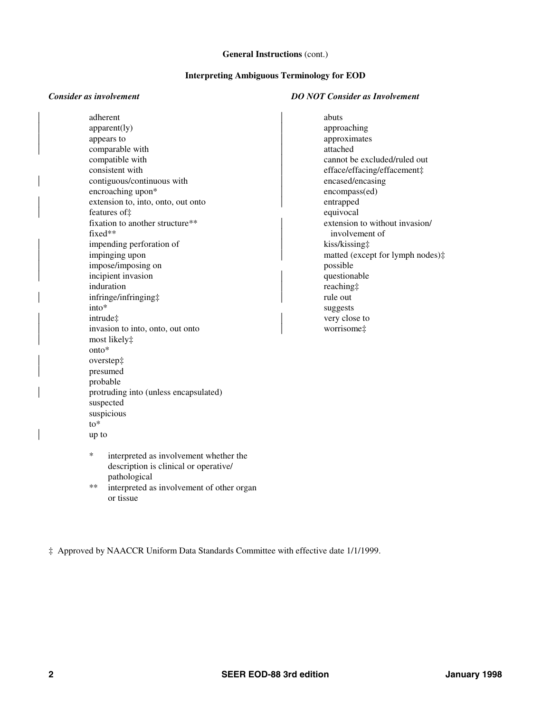### **Interpreting Ambiguous Terminology for EOD**

#### *Consider as involvement*

#### *DO NOT Consider as Involvement*

| adherent                                          | abuts                            |
|---------------------------------------------------|----------------------------------|
| apparent(ly)                                      | approaching                      |
| appears to                                        | approximates                     |
| comparable with                                   | attached                         |
| compatible with                                   | cannot be excluded/ruled out     |
| consistent with                                   | efface/effacing/effacement‡      |
| contiguous/continuous with                        | encased/encasing                 |
| encroaching upon*                                 | encompass(ed)                    |
| extension to, into, onto, out onto                | entrapped                        |
| features of:                                      | equivocal                        |
| fixation to another structure**                   | extension to without invasion/   |
| fixed**                                           | involvement of                   |
| impending perforation of                          | kiss/kissing‡                    |
| impinging upon                                    | matted (except for lymph nodes)‡ |
| impose/imposing on                                | possible                         |
| incipient invasion                                | questionable                     |
| induration                                        | reaching:                        |
| infringe/infringing‡                              | rule out                         |
| into*                                             | suggests                         |
| intrude‡                                          | very close to                    |
| invasion to into, onto, out onto                  | worrisome‡                       |
| most likely‡                                      |                                  |
| $\text{onto}^*$                                   |                                  |
| overstep‡                                         |                                  |
| presumed                                          |                                  |
| probable                                          |                                  |
| protruding into (unless encapsulated)             |                                  |
| suspected                                         |                                  |
| suspicious                                        |                                  |
| $to^*$                                            |                                  |
| up to                                             |                                  |
|                                                   |                                  |
| $\ast$<br>interpreted as involvement whether the  |                                  |
| description is clinical or operative/             |                                  |
| pathological                                      |                                  |
| $**$<br>interpreted as involvement of other organ |                                  |
| or tissue                                         |                                  |

‡ Approved by NAACCR Uniform Data Standards Committee with effective date 1/1/1999.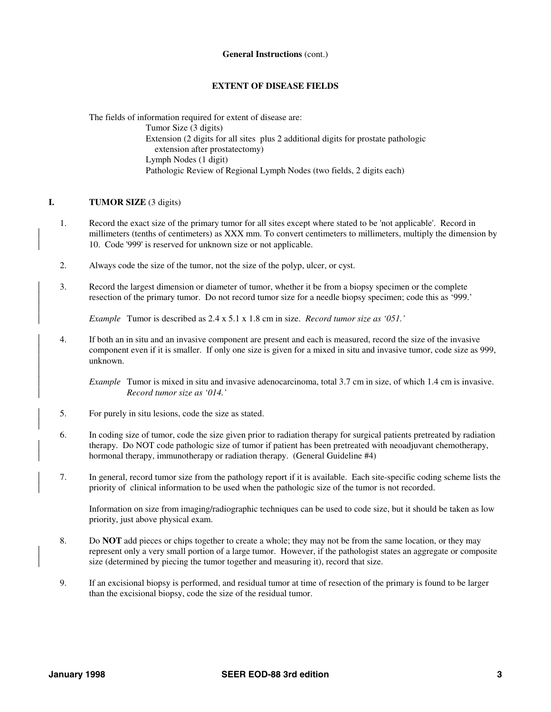#### **EXTENT OF DISEASE FIELDS**

The fields of information required for extent of disease are: Tumor Size (3 digits) Extension (2 digits for all sites plus 2 additional digits for prostate pathologic extension after prostatectomy) Lymph Nodes (1 digit) Pathologic Review of Regional Lymph Nodes (two fields, 2 digits each)

#### **I.** TUMOR SIZE (3 digits)

|

|

|

- 1. Record the exact size of the primary tumor for all sites except where stated to be 'not applicable'. Record in millimeters (tenths of centimeters) as XXX mm. To convert centimeters to millimeters, multiply the dimension by 10. Code '999' is reserved for unknown size or not applicable.
- 2. Always code the size of the tumor, not the size of the polyp, ulcer, or cyst.
- | 3. Record the largest dimension or diameter of tumor, whether it be from a biopsy specimen or the complete | resection of the primary tumor. Do not record tumor size for a needle biopsy specimen; code this as '999.'

| *Example* Tumor is described as 2.4 x 5.1 x 1.8 cm in size. *Record tumor size as '051.'*

| 4. If both an in situ and an invasive component are present and each is measured, record the size of the invasive | component even if it is smaller. If only one size is given for a mixed in situ and invasive tumor, code size as 999, unknown.

| *Example* Tumor is mixed in situ and invasive adenocarcinoma, total 3.7 cm in size, of which 1.4 cm is invasive. | *Record tumor size as '014.'*

- | 5. For purely in situ lesions, code the size as stated.
- 6. In coding size of tumor, code the size given prior to radiation therapy for surgical patients pretreated by radiation | therapy. Do NOT code pathologic size of tumor if patient has been pretreated with neoadjuvant chemotherapy, hormonal therapy, immunotherapy or radiation therapy. (General Guideline #4)
- | 7. In general, record tumor size from the pathology report if it is available. Each site-specific coding scheme lists the | priority of clinical information to be used when the pathologic size of the tumor is not recorded.

Information on size from imaging/radiographic techniques can be used to code size, but it should be taken as low priority, just above physical exam.

- 8. Do **NOT** add pieces or chips together to create a whole; they may not be from the same location, or they may | represent only a very small portion of a large tumor. However, if the pathologist states an aggregate or composite size (determined by piecing the tumor together and measuring it), record that size.
- 9. If an excisional biopsy is performed, and residual tumor at time of resection of the primary is found to be larger than the excisional biopsy, code the size of the residual tumor.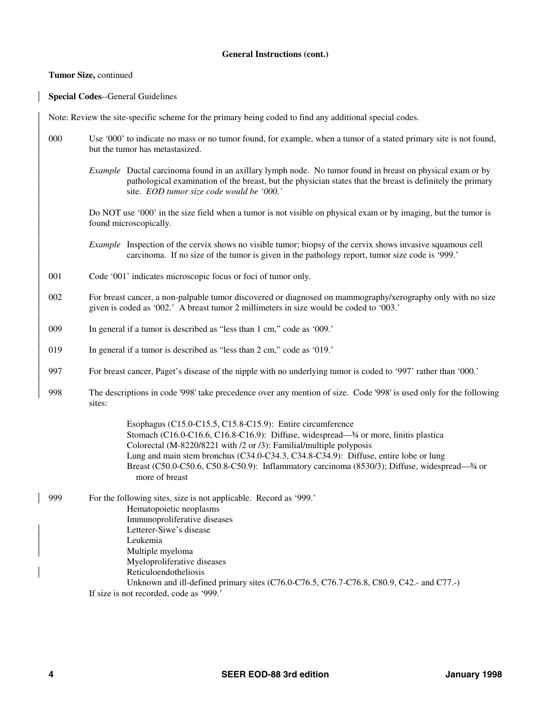#### **Tumor Size,** continued

|

|

|

 $\overline{\phantom{a}}$ 

 $\overline{\phantom{a}}$ 

|

|

|

 $\overline{\phantom{a}}$ 

 $\overline{\phantom{a}}$ 

#### | **Special Codes**--General Guidelines

Note: Review the site-specific scheme for the primary being coded to find any additional special codes.

- 000 Use '000' to indicate no mass or no tumor found, for example, when a tumor of a stated primary site is not found, but the tumor has metastasized.
	- | *Example* Ductal carcinoma found in an axillary lymph node. No tumor found in breast on physical exam or by | pathological examination of the breast, but the physician states that the breast is definitely the primary | site. *EOD tumor size code would be '000.'*

Do NOT use '000' in the size field when a tumor is not visible on physical exam or by imaging, but the tumor is found microscopically.

| *Example* Inspection of the cervix shows no visible tumor; biopsy of the cervix shows invasive squamous cell | carcinoma. If no size of the tumor is given in the pathology report, tumor size code is '999.'

- 001 Code '001' indicates microscopic focus or foci of tumor only.
- | 002 For breast cancer, a non-palpable tumor discovered or diagnosed on mammography/xerography only with no size | given is coded as '002.' A breast tumor 2 millimeters in size would be coded to '003.'
- | 009 In general if a tumor is described as "less than 1 cm," code as '009.'
- | 019 In general if a tumor is described as "less than 2 cm," code as '019.'
- | 997 For breast cancer, Paget's disease of the nipple with no underlying tumor is coded to '997' rather than '000.'
- | 998 The descriptions in code '998' take precedence over any mention of size. Code '998' is used only for the following sites:

Esophagus (C15.0-C15.5, C15.8-C15.9): Entire circumference Stomach (C16.0-C16.6, C16.8-C16.9): Diffuse, widespread—¾ or more, linitis plastica Colorectal (M-8220/8221 with /2 or /3): Familial/multiple polyposis Lung and main stem bronchus (C34.0-C34.3, C34.8-C34.9): Diffuse, entire lobe or lung Breast (C50.0-C50.6, C50.8-C50.9): Inflammatory carcinoma (8530/3); Diffuse, widespread— $\frac{3}{4}$  or more of breast

| 999 For the following sites, size is not applicable. Record as '999.' Hematopoietic neoplasms Immunoproliferative diseases Letterer-Siwe's disease | Leukemia | Multiple myeloma Myeloproliferative diseases | Reticuloendotheliosis Unknown and ill-defined primary sites (C76.0-C76.5, C76.7-C76.8, C80.9, C42.- and C77.-) If size is not recorded, code as '999.'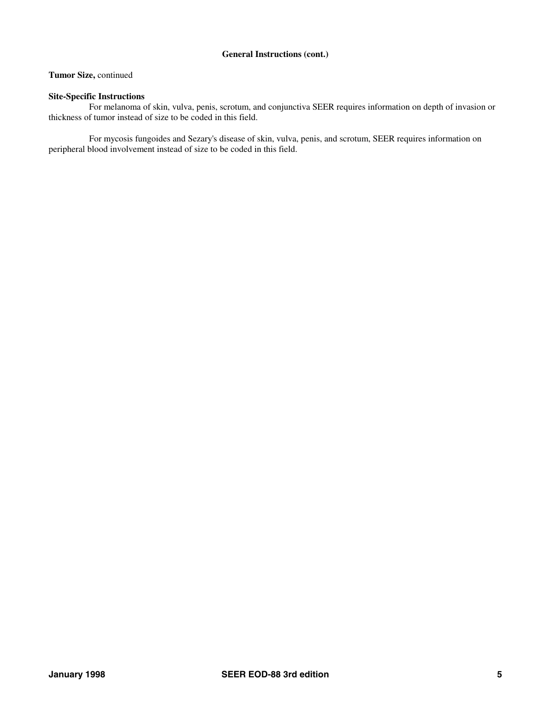#### **Tumor Size,** continued

#### **Site-Specific Instructions**

For melanoma of skin, vulva, penis, scrotum, and conjunctiva SEER requires information on depth of invasion or thickness of tumor instead of size to be coded in this field.

For mycosis fungoides and Sezary's disease of skin, vulva, penis, and scrotum, SEER requires information on peripheral blood involvement instead of size to be coded in this field.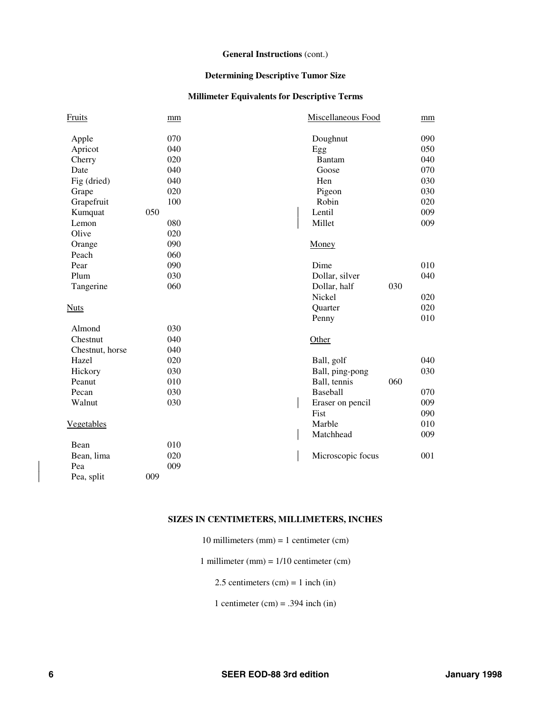#### **Determining Descriptive Tumor Size**

#### **Millimeter Equivalents for Descriptive Terms**

| Fruits          | mm  | Miscellaneous Food  | mm  |
|-----------------|-----|---------------------|-----|
| Apple           | 070 | Doughnut            | 090 |
| Apricot         | 040 | Egg                 | 050 |
| Cherry          | 020 | Bantam              | 040 |
| Date            | 040 | Goose               | 070 |
| Fig (dried)     | 040 | Hen                 | 030 |
| Grape           | 020 | Pigeon              | 030 |
| Grapefruit      | 100 | Robin               | 020 |
| Kumquat         | 050 | Lentil              | 009 |
| Lemon           | 080 | Millet              | 009 |
| Olive           | 020 |                     |     |
| Orange          | 090 | Money               |     |
| Peach           | 060 |                     |     |
| Pear            | 090 | Dime                | 010 |
| Plum            | 030 | Dollar, silver      | 040 |
| Tangerine       | 060 | Dollar, half<br>030 |     |
|                 |     | Nickel              | 020 |
| <b>Nuts</b>     |     | Quarter             | 020 |
|                 |     | Penny               | 010 |
| Almond          | 030 |                     |     |
| Chestnut        | 040 | Other               |     |
| Chestnut, horse | 040 |                     |     |
| Hazel           | 020 | Ball, golf          | 040 |
| Hickory         | 030 | Ball, ping-pong     | 030 |
| Peanut          | 010 | Ball, tennis<br>060 |     |
| Pecan           | 030 | Baseball            | 070 |
| Walnut          | 030 | Eraser on pencil    | 009 |
|                 |     | Fist                | 090 |
| Vegetables      |     | Marble              | 010 |
|                 |     | Matchhead           | 009 |
| Bean            | 010 |                     |     |
| Bean, lima      | 020 | Microscopic focus   | 001 |
| Pea             | 009 |                     |     |
| Pea, split      | 009 |                     |     |

#### **SIZES IN CENTIMETERS, MILLIMETERS, INCHES**

| 10 millimeters (mm) = 1 centimeter (cm) |  |  |
|-----------------------------------------|--|--|
|-----------------------------------------|--|--|

1 millimeter (mm) =  $1/10$  centimeter (cm)

2.5 centimeters  $(cm) = 1$  inch  $(in)$ 

1 centimeter (cm) = .394 inch (in)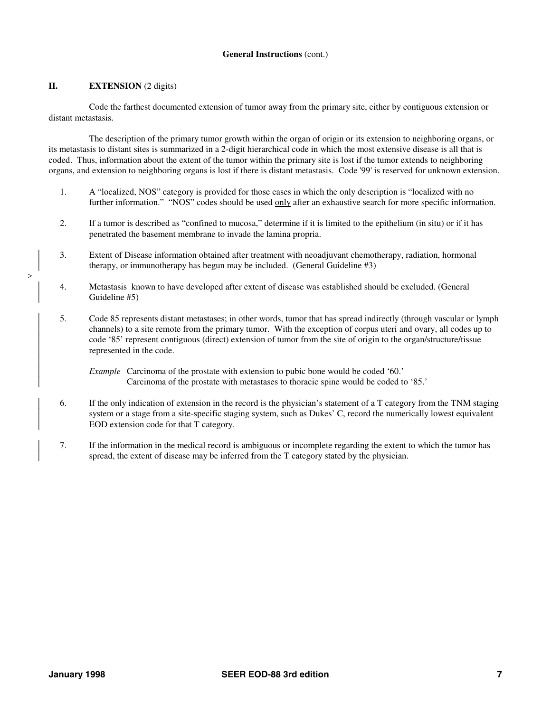#### **II. EXTENSION** (2 digits)

>

|

Code the farthest documented extension of tumor away from the primary site, either by contiguous extension or distant metastasis.

The description of the primary tumor growth within the organ of origin or its extension to neighboring organs, or its metastasis to distant sites is summarized in a 2-digit hierarchical code in which the most extensive disease is all that is coded. Thus, information about the extent of the tumor within the primary site is lost if the tumor extends to neighboring organs, and extension to neighboring organs is lost if there is distant metastasis. Code '99' is reserved for unknown extension.

- 1. A "localized, NOS" category is provided for those cases in which the only description is "localized with no further information." "NOS" codes should be used only after an exhaustive search for more specific information.
- 2. If a tumor is described as "confined to mucosa," determine if it is limited to the epithelium (in situ) or if it has penetrated the basement membrane to invade the lamina propria.
- | 3. Extent of Disease information obtained after treatment with neoadjuvant chemotherapy, radiation, hormonal | therapy, or immunotherapy has begun may be included. (General Guideline #3)
- | 4. Metastasis known to have developed after extent of disease was established should be excluded. (General Guideline #5)
- | 5. Code 85 represents distant metastases; in other words, tumor that has spread indirectly (through vascular or lymph | channels) to a site remote from the primary tumor. With the exception of corpus uteri and ovary, all codes up to | code '85' represent contiguous (direct) extension of tumor from the site of origin to the organ/structure/tissue | represented in the code.

*Example* Carcinoma of the prostate with extension to pubic bone would be coded '60.' Carcinoma of the prostate with metastases to thoracic spine would be coded to '85.'

- | 6. If the only indication of extension in the record is the physician's statement of a T category from the TNM staging system or a stage from a site-specific staging system, such as Dukes' C, record the numerically lowest equivalent | EOD extension code for that T category.
- | 7. If the information in the medical record is ambiguous or incomplete regarding the extent to which the tumor has | spread, the extent of disease may be inferred from the T category stated by the physician.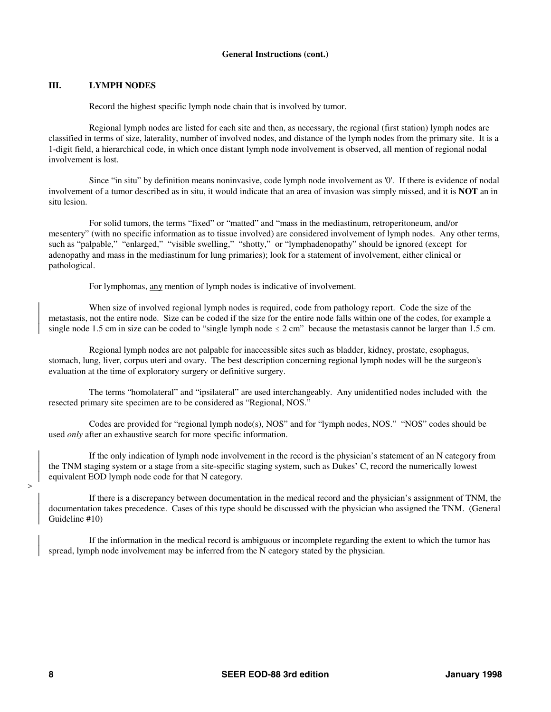#### **III. LYMPH NODES**

Record the highest specific lymph node chain that is involved by tumor.

Regional lymph nodes are listed for each site and then, as necessary, the regional (first station) lymph nodes are classified in terms of size, laterality, number of involved nodes, and distance of the lymph nodes from the primary site. It is a 1-digit field, a hierarchical code, in which once distant lymph node involvement is observed, all mention of regional nodal involvement is lost.

Since "in situ" by definition means noninvasive, code lymph node involvement as '0'. If there is evidence of nodal involvement of a tumor described as in situ, it would indicate that an area of invasion was simply missed, and it is **NOT** an in situ lesion.

For solid tumors, the terms "fixed" or "matted" and "mass in the mediastinum, retroperitoneum, and/or mesentery" (with no specific information as to tissue involved) are considered involvement of lymph nodes. Any other terms, such as "palpable," "enlarged," "visible swelling," "shotty," or "lymphadenopathy" should be ignored (except for adenopathy and mass in the mediastinum for lung primaries); look for a statement of involvement, either clinical or pathological.

For lymphomas, any mention of lymph nodes is indicative of involvement.

| When size of involved regional lymph nodes is required, code from pathology report. Code the size of the metastasis, not the entire node. Size can be coded if the size for the entire node falls within one of the codes, for example a single node 1.5 cm in size can be coded to "single lymph node  $\leq$  2 cm" because the metastasis cannot be larger than 1.5 cm.

Regional lymph nodes are not palpable for inaccessible sites such as bladder, kidney, prostate, esophagus, stomach, lung, liver, corpus uteri and ovary. The best description concerning regional lymph nodes will be the surgeon's evaluation at the time of exploratory surgery or definitive surgery.

The terms "homolateral" and "ipsilateral" are used interchangeably. Any unidentified nodes included with the resected primary site specimen are to be considered as "Regional, NOS."

Codes are provided for "regional lymph node(s), NOS" and for "lymph nodes, NOS." "NOS" codes should be used *only* after an exhaustive search for more specific information.

| If the only indication of lymph node involvement in the record is the physician's statement of an N category from | the TNM staging system or a stage from a site-specific staging system, such as Dukes' C, record the numerically lowest equivalent EOD lymph node code for that N category.

If there is a discrepancy between documentation in the medical record and the physician's assignment of TNM, the | documentation takes precedence. Cases of this type should be discussed with the physician who assigned the TNM. (General Guideline #10)

If the information in the medical record is ambiguous or incomplete regarding the extent to which the tumor has spread, lymph node involvement may be inferred from the N category stated by the physician.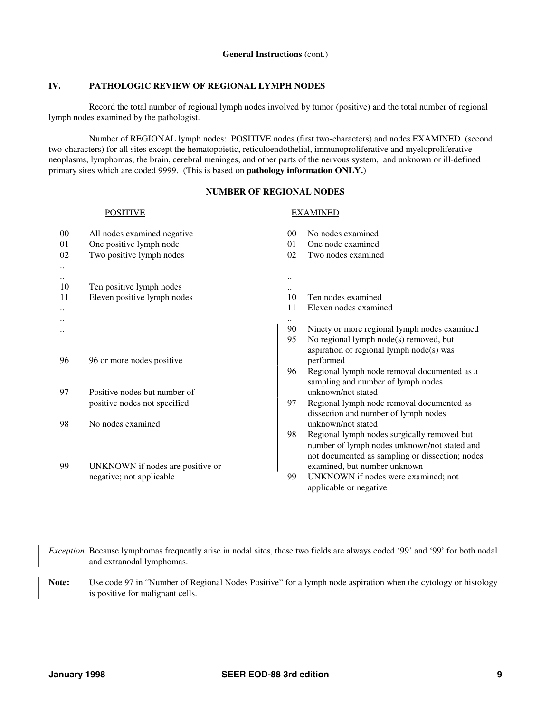#### **IV. PATHOLOGIC REVIEW OF REGIONAL LYMPH NODES**

Record the total number of regional lymph nodes involved by tumor (positive) and the total number of regional lymph nodes examined by the pathologist.

Number of REGIONAL lymph nodes: POSITIVE nodes (first two-characters) and nodes EXAMINED (second two-characters) for all sites except the hematopoietic, reticuloendothelial, immunoproliferative and myeloproliferative neoplasms, lymphomas, the brain, cerebral meninges, and other parts of the nervous system, and unknown or ill-defined primary sites which are coded 9999. (This is based on **pathology information ONLY.**)

#### **NUMBER OF REGIONAL NODES**

#### **POSITIVE**

#### EXAMINED

| $00\,$ | All nodes examined negative      | 00        | No nodes examined                               |
|--------|----------------------------------|-----------|-------------------------------------------------|
| 01     | One positive lymph node          | 01        | One node examined                               |
| 02     | Two positive lymph nodes         | 02        | Two nodes examined                              |
|        |                                  |           |                                                 |
| ٠.     |                                  | $\ddotsc$ |                                                 |
| 10     | Ten positive lymph nodes         | $\ddotsc$ |                                                 |
| 11     | Eleven positive lymph nodes      | 10        | Ten nodes examined                              |
|        |                                  | 11        | Eleven nodes examined                           |
|        |                                  | $\ddotsc$ |                                                 |
|        |                                  | 90        | Ninety or more regional lymph nodes examined    |
|        |                                  | 95        | No regional lymph node(s) removed, but          |
|        |                                  |           | aspiration of regional lymph node(s) was        |
| 96     | 96 or more nodes positive        |           | performed                                       |
|        |                                  | 96        | Regional lymph node removal documented as a     |
|        |                                  |           | sampling and number of lymph nodes              |
| 97     | Positive nodes but number of     |           | unknown/not stated                              |
|        | positive nodes not specified     | 97        | Regional lymph node removal documented as       |
|        |                                  |           | dissection and number of lymph nodes            |
| 98     | No nodes examined                |           | unknown/not stated                              |
|        |                                  | 98        |                                                 |
|        |                                  |           | Regional lymph nodes surgically removed but     |
|        |                                  |           | number of lymph nodes unknown/not stated and    |
|        |                                  |           | not documented as sampling or dissection; nodes |
| 99     | UNKNOWN if nodes are positive or |           | examined, but number unknown                    |
|        | negative; not applicable         | 99        | UNKNOWN if nodes were examined; not             |
|        |                                  |           | applicable or negative                          |

| *Exception* Because lymphomas frequently arise in nodal sites, these two fields are always coded '99' and '99' for both nodal and extranodal lymphomas.

Note: Use code 97 in "Number of Regional Nodes Positive" for a lymph node aspiration when the cytology or histology is positive for malignant cells.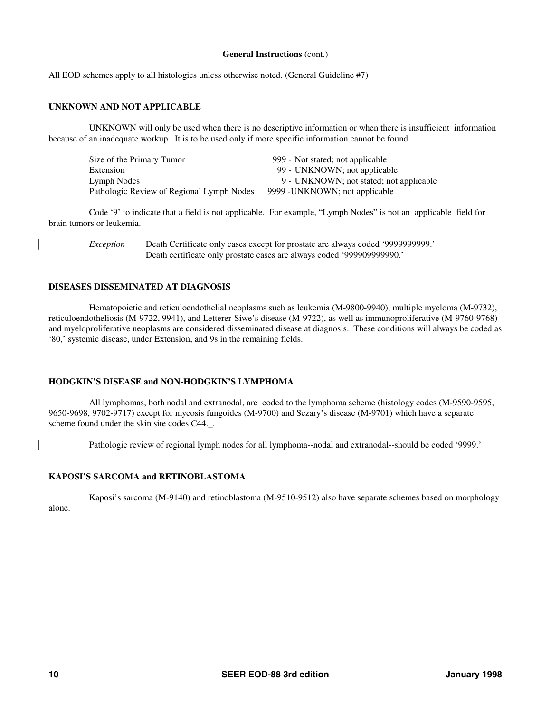All EOD schemes apply to all histologies unless otherwise noted. (General Guideline #7)

#### **UNKNOWN AND NOT APPLICABLE**

UNKNOWN will only be used when there is no descriptive information or when there is insufficient information because of an inadequate workup. It is to be used only if more specific information cannot be found.

| Size of the Primary Tumor                 | 999 - Not stated; not applicable        |
|-------------------------------------------|-----------------------------------------|
| Extension                                 | 99 - UNKNOWN; not applicable            |
| Lymph Nodes                               | 9 - UNKNOWN; not stated; not applicable |
| Pathologic Review of Regional Lymph Nodes | 9999 - UNKNOWN; not applicable          |

Code '9' to indicate that a field is not applicable. For example, "Lymph Nodes" is not an applicable field for brain tumors or leukemia.

| *Exception* Death Certificate only cases except for prostate are always coded '9999999999.' Death certificate only prostate cases are always coded '999909999990.'

#### **DISEASES DISSEMINATED AT DIAGNOSIS**

Hematopoietic and reticuloendothelial neoplasms such as leukemia (M-9800-9940), multiple myeloma (M-9732), reticuloendotheliosis (M-9722, 9941), and Letterer-Siwe's disease (M-9722), as well as immunoproliferative (M-9760-9768) and myeloproliferative neoplasms are considered disseminated disease at diagnosis. These conditions will always be coded as '80,' systemic disease, under Extension, and 9s in the remaining fields.

#### **HODGKIN'S DISEASE and NON-HODGKIN'S LYMPHOMA**

All lymphomas, both nodal and extranodal, are coded to the lymphoma scheme (histology codes (M-9590-9595, 9650-9698, 9702-9717) except for mycosis fungoides (M-9700) and Sezary's disease (M-9701) which have a separate scheme found under the skin site codes C44...

| Pathologic review of regional lymph nodes for all lymphoma--nodal and extranodal--should be coded '9999.'

#### **KAPOSI'S SARCOMA and RETINOBLASTOMA**

Kaposi's sarcoma (M-9140) and retinoblastoma (M-9510-9512) also have separate schemes based on morphology alone.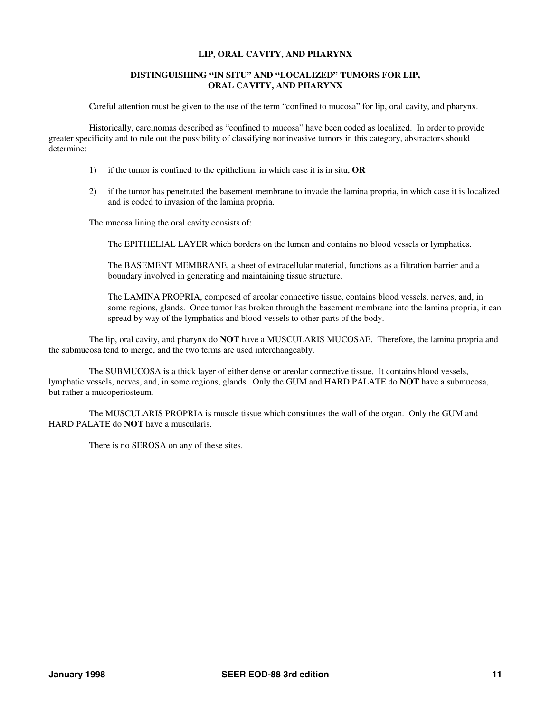#### **LIP, ORAL CAVITY, AND PHARYNX**

#### **DISTINGUISHING "IN SITU" AND "LOCALIZED" TUMORS FOR LIP, ORAL CAVITY, AND PHARYNX**

Careful attention must be given to the use of the term "confined to mucosa" for lip, oral cavity, and pharynx.

Historically, carcinomas described as "confined to mucosa" have been coded as localized. In order to provide greater specificity and to rule out the possibility of classifying noninvasive tumors in this category, abstractors should determine:

- 1) if the tumor is confined to the epithelium, in which case it is in situ, **OR**
- 2) if the tumor has penetrated the basement membrane to invade the lamina propria, in which case it is localized and is coded to invasion of the lamina propria.

The mucosa lining the oral cavity consists of:

The EPITHELIAL LAYER which borders on the lumen and contains no blood vessels or lymphatics.

The BASEMENT MEMBRANE, a sheet of extracellular material, functions as a filtration barrier and a boundary involved in generating and maintaining tissue structure.

The LAMINA PROPRIA, composed of areolar connective tissue, contains blood vessels, nerves, and, in some regions, glands. Once tumor has broken through the basement membrane into the lamina propria, it can spread by way of the lymphatics and blood vessels to other parts of the body.

The lip, oral cavity, and pharynx do **NOT** have a MUSCULARIS MUCOSAE. Therefore, the lamina propria and the submucosa tend to merge, and the two terms are used interchangeably.

The SUBMUCOSA is a thick layer of either dense or areolar connective tissue. It contains blood vessels, lymphatic vessels, nerves, and, in some regions, glands. Only the GUM and HARD PALATE do **NOT** have a submucosa, but rather a mucoperiosteum.

The MUSCULARIS PROPRIA is muscle tissue which constitutes the wall of the organ. Only the GUM and HARD PALATE do **NOT** have a muscularis.

There is no SEROSA on any of these sites.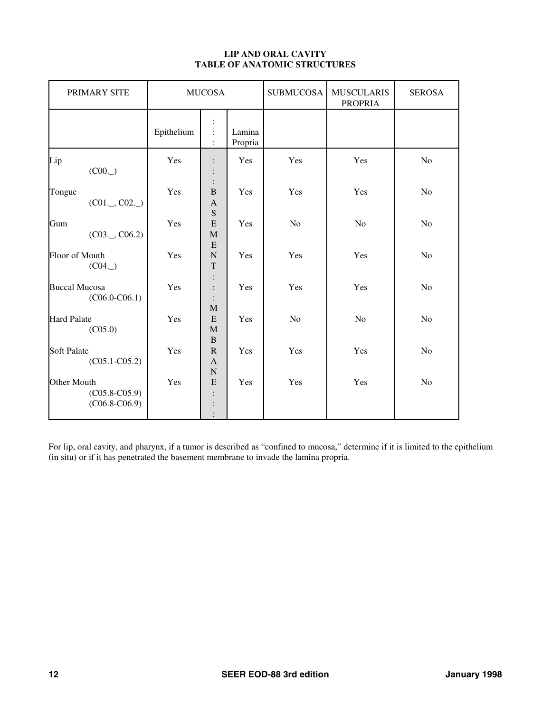#### **LIP AND ORAL CAVITY TABLE OF ANATOMIC STRUCTURES**

| PRIMARY SITE                                             |            | <b>MUCOSA</b>                                   |                   | <b>SUBMUCOSA</b> | <b>MUSCULARIS</b><br><b>PROPRIA</b> | <b>SEROSA</b>  |
|----------------------------------------------------------|------------|-------------------------------------------------|-------------------|------------------|-------------------------------------|----------------|
|                                                          | Epithelium |                                                 | Lamina<br>Propria |                  |                                     |                |
| Lip<br>$(C00.$ )                                         | Yes        |                                                 | Yes               | Yes              | Yes                                 | No             |
| Tongue<br>$(C01$ , $C02$                                 | Yes        | $\bf{B}$<br>$\mathbf{A}$<br>S                   | Yes               | Yes              | Yes                                 | N <sub>o</sub> |
| Gum<br>$(C03$ , $C06.2)$                                 | Yes        | E<br>$\mathbf{M}$                               | Yes               | N <sub>o</sub>   | N <sub>o</sub>                      | N <sub>o</sub> |
| Floor of Mouth<br>(C04.                                  | Yes        | E<br>$\mathbf N$<br>$\mathbf T$                 | Yes               | Yes              | Yes                                 | N <sub>o</sub> |
| <b>Buccal Mucosa</b><br>$(C06.0-C06.1)$                  | Yes        |                                                 | Yes               | Yes              | Yes                                 | N <sub>o</sub> |
| <b>Hard Palate</b><br>(C05.0)                            | Yes        | M<br>E<br>M                                     | Yes               | No               | No                                  | N <sub>o</sub> |
| Soft Palate<br>$(C05.1-C05.2)$                           | Yes        | B<br>$\mathbf R$<br>$\mathbf{A}$<br>$\mathbf N$ | Yes               | Yes              | Yes                                 | No             |
| <b>Other Mouth</b><br>$(C05.8-C05.9)$<br>$(C06.8-C06.9)$ | Yes        | E                                               | Yes               | Yes              | Yes                                 | N <sub>o</sub> |

For lip, oral cavity, and pharynx, if a tumor is described as "confined to mucosa," determine if it is limited to the epithelium (in situ) or if it has penetrated the basement membrane to invade the lamina propria.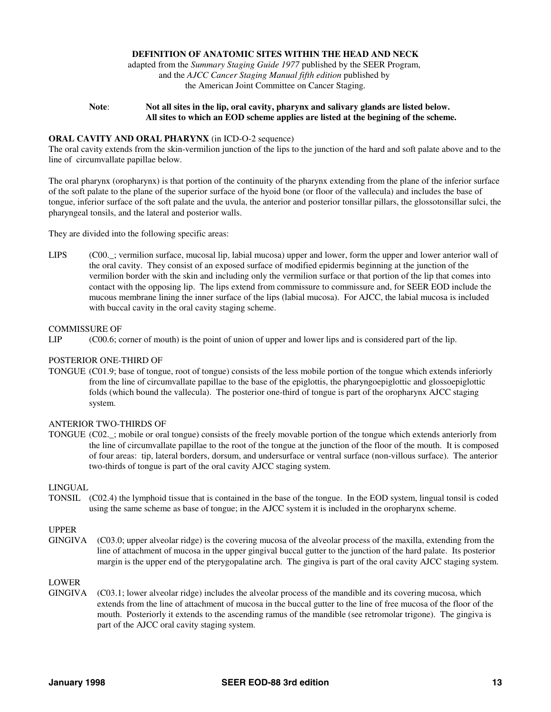#### **DEFINITION OF ANATOMIC SITES WITHIN THE HEAD AND NECK**

adapted from the *Summary Staging Guide 1977* published by the SEER Program, and the *AJCC Cancer Staging Manual fifth edition* published by the American Joint Committee on Cancer Staging.

#### **Note**: **Not all sites in the lip, oral cavity, pharynx and salivary glands are listed below. All sites to which an EOD scheme applies are listed at the begining of the scheme.**

#### **ORAL CAVITY AND ORAL PHARYNX** (in ICD-O-2 sequence)

The oral cavity extends from the skin-vermilion junction of the lips to the junction of the hard and soft palate above and to the line of circumvallate papillae below.

The oral pharynx (oropharynx) is that portion of the continuity of the pharynx extending from the plane of the inferior surface of the soft palate to the plane of the superior surface of the hyoid bone (or floor of the vallecula) and includes the base of tongue, inferior surface of the soft palate and the uvula, the anterior and posterior tonsillar pillars, the glossotonsillar sulci, the pharyngeal tonsils, and the lateral and posterior walls.

They are divided into the following specific areas:

LIPS (C00.\_; vermilion surface, mucosal lip, labial mucosa) upper and lower, form the upper and lower anterior wall of the oral cavity. They consist of an exposed surface of modified epidermis beginning at the junction of the vermilion border with the skin and including only the vermilion surface or that portion of the lip that comes into contact with the opposing lip. The lips extend from commissure to commissure and, for SEER EOD include the mucous membrane lining the inner surface of the lips (labial mucosa). For AJCC, the labial mucosa is included with buccal cavity in the oral cavity staging scheme.

#### COMMISSURE OF

LIP (C00.6; corner of mouth) is the point of union of upper and lower lips and is considered part of the lip.

#### POSTERIOR ONE-THIRD OF

TONGUE (C01.9; base of tongue, root of tongue) consists of the less mobile portion of the tongue which extends inferiorly from the line of circumvallate papillae to the base of the epiglottis, the pharyngoepiglottic and glossoepiglottic folds (which bound the vallecula). The posterior one-third of tongue is part of the oropharynx AJCC staging system.

#### ANTERIOR TWO-THIRDS OF

TONGUE (C02. ; mobile or oral tongue) consists of the freely movable portion of the tongue which extends anteriorly from the line of circumvallate papillae to the root of the tongue at the junction of the floor of the mouth. It is composed of four areas: tip, lateral borders, dorsum, and undersurface or ventral surface (non-villous surface). The anterior two-thirds of tongue is part of the oral cavity AJCC staging system.

#### LINGUAL.

TONSIL (C02.4) the lymphoid tissue that is contained in the base of the tongue. In the EOD system, lingual tonsil is coded using the same scheme as base of tongue; in the AJCC system it is included in the oropharynx scheme.

#### UPPER

GINGIVA (C03.0; upper alveolar ridge) is the covering mucosa of the alveolar process of the maxilla, extending from the line of attachment of mucosa in the upper gingival buccal gutter to the junction of the hard palate. Its posterior margin is the upper end of the pterygopalatine arch. The gingiva is part of the oral cavity AJCC staging system.

#### LOWER

GINGIVA (C03.1; lower alveolar ridge) includes the alveolar process of the mandible and its covering mucosa, which extends from the line of attachment of mucosa in the buccal gutter to the line of free mucosa of the floor of the mouth. Posteriorly it extends to the ascending ramus of the mandible (see retromolar trigone). The gingiva is part of the AJCC oral cavity staging system.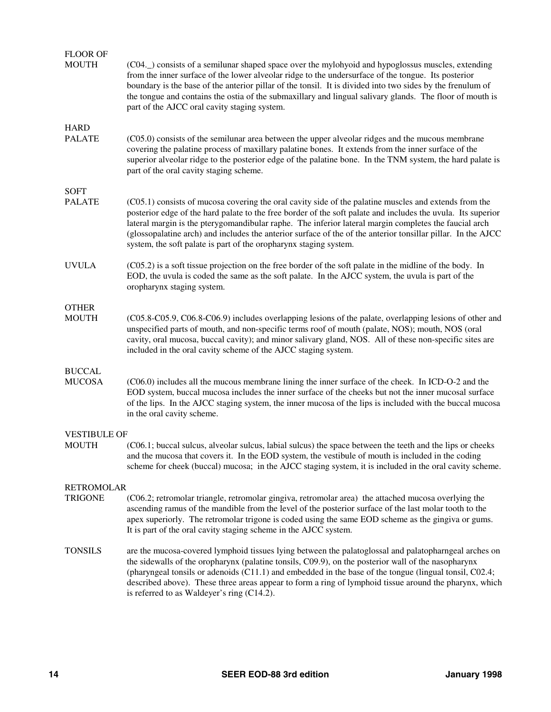| <b>FLOOR OF</b><br><b>MOUTH</b>     | (C04.) consists of a semilunar shaped space over the mylohyoid and hypoglossus muscles, extending<br>from the inner surface of the lower alveolar ridge to the undersurface of the tongue. Its posterior<br>boundary is the base of the anterior pillar of the tonsil. It is divided into two sides by the frenulum of<br>the tongue and contains the ostia of the submaxillary and lingual salivary glands. The floor of mouth is<br>part of the AJCC oral cavity staging system.                                  |
|-------------------------------------|---------------------------------------------------------------------------------------------------------------------------------------------------------------------------------------------------------------------------------------------------------------------------------------------------------------------------------------------------------------------------------------------------------------------------------------------------------------------------------------------------------------------|
| <b>HARD</b><br><b>PALATE</b>        | (C05.0) consists of the semilunar area between the upper alveolar ridges and the mucous membrane<br>covering the palatine process of maxillary palatine bones. It extends from the inner surface of the<br>superior alveolar ridge to the posterior edge of the palatine bone. In the TNM system, the hard palate is<br>part of the oral cavity staging scheme.                                                                                                                                                     |
| <b>SOFT</b>                         |                                                                                                                                                                                                                                                                                                                                                                                                                                                                                                                     |
| <b>PALATE</b>                       | (C05.1) consists of mucosa covering the oral cavity side of the palatine muscles and extends from the<br>posterior edge of the hard palate to the free border of the soft palate and includes the uvula. Its superior<br>lateral margin is the pterygomandibular raphe. The inferior lateral margin completes the faucial arch<br>(glossopalatine arch) and includes the anterior surface of the of the anterior tonsillar pillar. In the AJCC<br>system, the soft palate is part of the oropharynx staging system. |
| <b>UVULA</b>                        | (C05.2) is a soft tissue projection on the free border of the soft palate in the midline of the body. In<br>EOD, the uvula is coded the same as the soft palate. In the AJCC system, the uvula is part of the<br>oropharynx staging system.                                                                                                                                                                                                                                                                         |
| <b>OTHER</b><br><b>MOUTH</b>        | (C05.8-C05.9, C06.8-C06.9) includes overlapping lesions of the palate, overlapping lesions of other and<br>unspecified parts of mouth, and non-specific terms roof of mouth (palate, NOS); mouth, NOS (oral<br>cavity, oral mucosa, buccal cavity); and minor salivary gland, NOS. All of these non-specific sites are<br>included in the oral cavity scheme of the AJCC staging system.                                                                                                                            |
| <b>BUCCAL</b>                       |                                                                                                                                                                                                                                                                                                                                                                                                                                                                                                                     |
| <b>MUCOSA</b>                       | (C06.0) includes all the mucous membrane lining the inner surface of the cheek. In ICD-O-2 and the<br>EOD system, buccal mucosa includes the inner surface of the cheeks but not the inner mucosal surface<br>of the lips. In the AJCC staging system, the inner mucosa of the lips is included with the buccal mucosa<br>in the oral cavity scheme.                                                                                                                                                                |
|                                     |                                                                                                                                                                                                                                                                                                                                                                                                                                                                                                                     |
| <b>VESTIBULE OF</b><br><b>MOUTH</b> | (C06.1; buccal sulcus, alveolar sulcus, labial sulcus) the space between the teeth and the lips or cheeks<br>and the mucosa that covers it. In the EOD system, the vestibule of mouth is included in the coding<br>scheme for cheek (buccal) mucosa; in the AJCC staging system, it is included in the oral cavity scheme.                                                                                                                                                                                          |
| <b>RETROMOLAR</b>                   |                                                                                                                                                                                                                                                                                                                                                                                                                                                                                                                     |
| <b>TRIGONE</b>                      | (C06.2; retromolar triangle, retromolar gingiva, retromolar area) the attached mucosa overlying the<br>ascending ramus of the mandible from the level of the posterior surface of the last molar tooth to the<br>apex superiorly. The retromolar trigone is coded using the same EOD scheme as the gingiva or gums.<br>It is part of the oral cavity staging scheme in the AJCC system.                                                                                                                             |
| <b>TONSILS</b>                      | are the mucosa-covered lymphoid tissues lying between the palatoglossal and palatopharngeal arches on<br>the sidewalls of the oropharynx (palatine tonsils, C09.9), on the posterior wall of the nasopharynx<br>(pharyngeal tonsils or adenoids $(C11.1)$ ) and embedded in the base of the tongue (lingual tonsil, $C02.4$ ;<br>described above). These three areas appear to form a ring of lymphoid tissue around the pharynx, which<br>is referred to as Waldeyer's ring $(C14.2)$ .                            |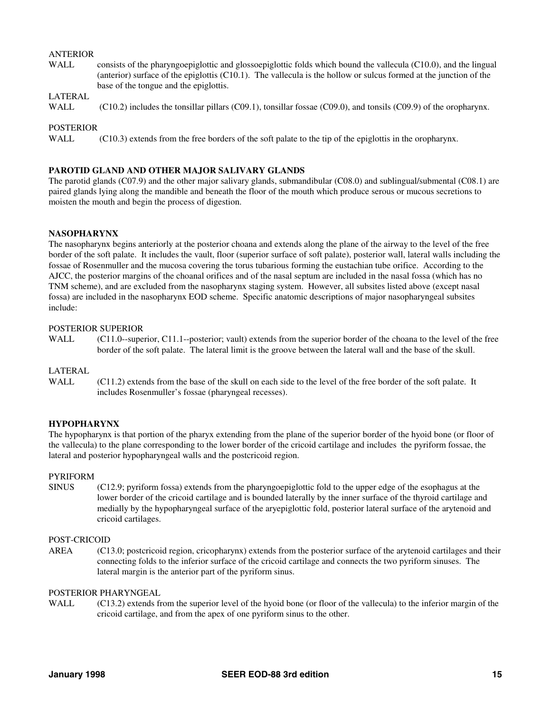#### ANTERIOR

WALL consists of the pharyngoepiglottic and glossoepiglottic folds which bound the vallecula (C10.0), and the lingual (anterior) surface of the epiglottis (C10.1). The vallecula is the hollow or sulcus formed at the junction of the base of the tongue and the epiglottis.

LATERAL

WALL (C10.2) includes the tonsillar pillars (C09.1), tonsillar fossae (C09.0), and tonsils (C09.9) of the oropharynx.

#### POSTERIOR

WALL (C10.3) extends from the free borders of the soft palate to the tip of the epiglottis in the oropharynx.

#### **PAROTID GLAND AND OTHER MAJOR SALIVARY GLANDS**

The parotid glands (C07.9) and the other major salivary glands, submandibular (C08.0) and sublingual/submental (C08.1) are paired glands lying along the mandible and beneath the floor of the mouth which produce serous or mucous secretions to moisten the mouth and begin the process of digestion.

#### **NASOPHARYNX**

The nasopharynx begins anteriorly at the posterior choana and extends along the plane of the airway to the level of the free border of the soft palate. It includes the vault, floor (superior surface of soft palate), posterior wall, lateral walls including the fossae of Rosenmuller and the mucosa covering the torus tubarious forming the eustachian tube orifice. According to the AJCC, the posterior margins of the choanal orifices and of the nasal septum are included in the nasal fossa (which has no TNM scheme), and are excluded from the nasopharynx staging system. However, all subsites listed above (except nasal fossa) are included in the nasopharynx EOD scheme. Specific anatomic descriptions of major nasopharyngeal subsites include:

#### POSTERIOR SUPERIOR

WALL (C11.0--superior, C11.1--posterior; vault) extends from the superior border of the choana to the level of the free border of the soft palate. The lateral limit is the groove between the lateral wall and the base of the skull.

#### LATERAL

WALL (C11.2) extends from the base of the skull on each side to the level of the free border of the soft palate. It includes Rosenmuller's fossae (pharyngeal recesses).

#### **HYPOPHARYNX**

The hypopharynx is that portion of the pharyx extending from the plane of the superior border of the hyoid bone (or floor of the vallecula) to the plane corresponding to the lower border of the cricoid cartilage and includes the pyriform fossae, the lateral and posterior hypopharyngeal walls and the postcricoid region.

#### PYRIFORM

SINUS (C12.9; pyriform fossa) extends from the pharyngoepiglottic fold to the upper edge of the esophagus at the lower border of the cricoid cartilage and is bounded laterally by the inner surface of the thyroid cartilage and medially by the hypopharyngeal surface of the aryepiglottic fold, posterior lateral surface of the arytenoid and cricoid cartilages.

#### POST-CRICOID

AREA (C13.0; postcricoid region, cricopharynx) extends from the posterior surface of the arytenoid cartilages and their connecting folds to the inferior surface of the cricoid cartilage and connects the two pyriform sinuses. The lateral margin is the anterior part of the pyriform sinus.

#### POSTERIOR PHARYNGEAL

WALL (C13.2) extends from the superior level of the hyoid bone (or floor of the vallecula) to the inferior margin of the cricoid cartilage, and from the apex of one pyriform sinus to the other.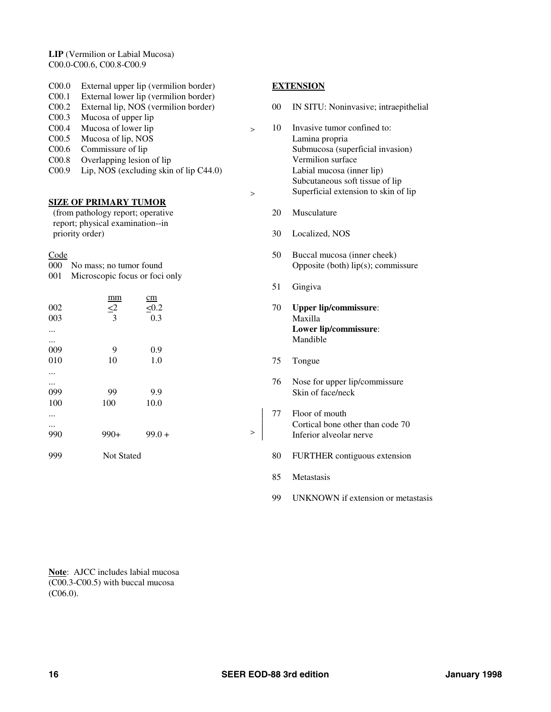**LIP** (Vermilion or Labial Mucosa) C00.0-C00.6, C00.8-C00.9

| C <sub>00.0</sub> |                                       | External upper lip (vermilion border)  |          |    | <b>EXTENSION</b>                                   |
|-------------------|---------------------------------------|----------------------------------------|----------|----|----------------------------------------------------|
| C <sub>00.1</sub> | External lower lip (vermilion border) |                                        |          |    |                                                    |
| C <sub>00.2</sub> |                                       | External lip, NOS (vermilion border)   |          | 00 | IN SITU: Noninvasive; intraepithelial              |
| C <sub>00.3</sub> | Mucosa of upper lip                   |                                        |          |    |                                                    |
| C <sub>00.4</sub> | Mucosa of lower lip                   |                                        | $\geq$   | 10 | Invasive tumor confined to:                        |
| C <sub>00.5</sub> | Mucosa of lip, NOS                    |                                        |          |    | Lamina propria                                     |
| C <sub>00.6</sub> | Commissure of lip                     |                                        |          |    | Submucosa (superficial invasion)                   |
| C <sub>00.8</sub> | Overlapping lesion of lip             |                                        |          |    | Vermilion surface                                  |
| C <sub>00.9</sub> |                                       | Lip, NOS (excluding skin of lip C44.0) |          |    | Labial mucosa (inner lip)                          |
|                   |                                       |                                        |          |    | Subcutaneous soft tissue of lip                    |
|                   |                                       |                                        | $\rm{>}$ |    | Superficial extension to skin of lip               |
|                   | <b>SIZE OF PRIMARY TUMOR</b>          |                                        |          |    |                                                    |
|                   | (from pathology report; operative     |                                        |          | 20 | Musculature                                        |
|                   | report; physical examination--in      |                                        |          |    |                                                    |
|                   | priority order)                       |                                        |          | 30 | Localized, NOS                                     |
| Code              |                                       |                                        |          | 50 | Buccal mucosa (inner cheek)                        |
| 000               | No mass; no tumor found               |                                        |          |    | Opposite (both) $lip(s)$ ; commissure              |
| 001               | Microscopic focus or foci only        |                                        |          |    |                                                    |
|                   |                                       |                                        |          | 51 | Gingiva                                            |
|                   | $\frac{mm}{ }$                        | $\mathbf{cm}$                          |          |    |                                                    |
| 002               | $\leq$ 2                              | $\leq 0.2$                             |          | 70 | <b>Upper lip/commissure:</b>                       |
| 003               | $\overline{3}$                        | 0.3                                    |          |    | Maxilla                                            |
|                   |                                       |                                        |          |    | Lower lip/commissure:                              |
| $\cdots$          |                                       |                                        |          |    | Mandible                                           |
| 009               | 9                                     | 0.9                                    |          |    |                                                    |
| 010               | 10                                    | 1.0                                    |          | 75 | Tongue                                             |
|                   |                                       |                                        |          |    |                                                    |
| $\cdots$          | 99                                    | 9.9                                    |          | 76 | Nose for upper lip/commissure<br>Skin of face/neck |
| 099               |                                       |                                        |          |    |                                                    |
| 100               | 100                                   | 10.0                                   |          |    |                                                    |
|                   |                                       |                                        |          | 77 | Floor of mouth                                     |
| $\cdots$          |                                       |                                        | $\rm{>}$ |    | Cortical bone other than code 70                   |
| 990               | $990+$                                | $99.0 +$                               |          |    | Inferior alveolar nerve                            |
| 999               | Not Stated                            |                                        |          | 80 | FURTHER contiguous extension                       |
|                   |                                       |                                        |          | 85 | Metastasis                                         |
|                   |                                       |                                        |          |    |                                                    |

99 UNKNOWN if extension or metastasis

**Note**: AJCC includes labial mucosa (C00.3-C00.5) with buccal mucosa (C06.0).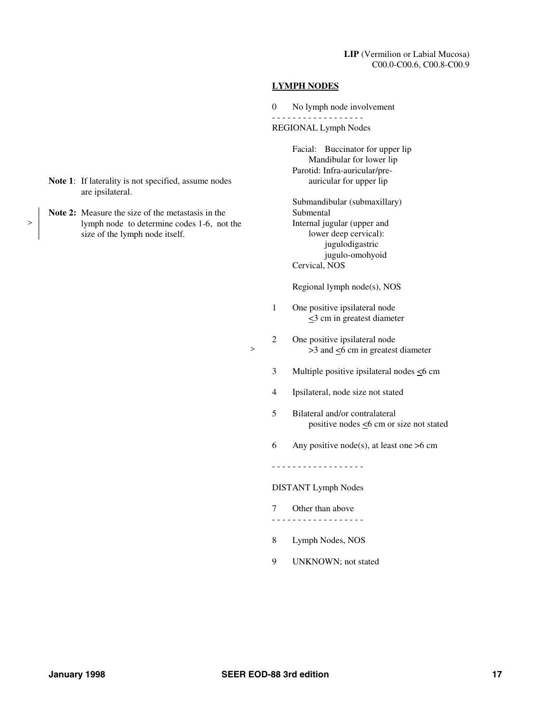#### **LYMPH NODES**

0 No lymph node involvement - - - - - - - - - - - - - - - - - - REGIONAL Lymph Nodes

> Facial: Buccinator for upper lip Mandibular for lower lip Parotid: Infra-auricular/preauricular for upper lip

Submandibular (submaxillary) Submental Internal jugular (upper and lower deep cervical): jugulodigastric jugulo-omohyoid Cervical, NOS

Regional lymph node(s), NOS

1 One positive ipsilateral node  $\leq$ 3 cm in greatest diameter

- 2 One positive ipsilateral node  $>$ 3 and  $\leq$ 6 cm in greatest diameter
- 3 Multiple positive ipsilateral nodes  $\leq 6$  cm
- 4 Ipsilateral, node size not stated
- 5 Bilateral and/or contralateral positive nodes <6 cm or size not stated
- 6 Any positive node(s), at least one  $>6$  cm

- - - - - - - - - - - - - - - - - -

#### DISTANT Lymph Nodes

- 7 Other than above - - - - - - - - - - - - - - - - - -
- 
- 8 Lymph Nodes, NOS
- 9 UNKNOWN; not stated
- **Note 1**: If laterality is not specified, assume nodes are ipsilateral.
- Note 2: Measure the size of the metastasis in the | lymph node to determine codes 1-6, not the size of the lymph node itself.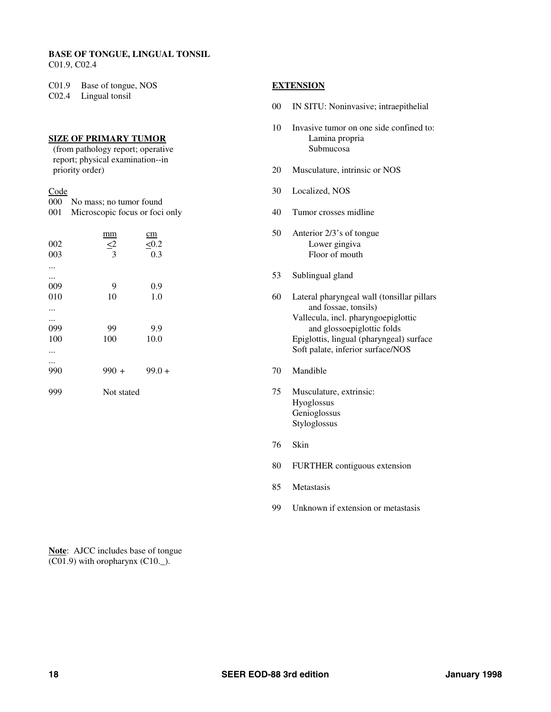#### **BASE OF TONGUE, LINGUAL TONSIL** C01.9, C02.4

C01.9 Base of tongue, NOS C02.4 Lingual tonsil **SIZE OF PRIMARY TUMOR** (from pathology report; operative report; physical examination--in priority order) Code 000 No mass; no tumor found 001 Microscopic focus or foci only mm cm 002  $\leq 2$   $\leq 0.2$ 003 3 0.3 ... ... 009 9 0.9 010 10 1.0 ... ... 099 99 9.9 100 100 10.0 ... 990  $990 + 99.0 +$ 999 Not stated **EXTENSION** 00 IN SITU: Noninvasive; intraepithelial 10 Invasive tumor on one side confined to: Lamina propria Submucosa 20 Musculature, intrinsic or NOS 30 Localized, NOS 40 Tumor crosses midline 50 Anterior 2/3's of tongue Lower gingiva Floor of mouth 53 Sublingual gland 60 Lateral pharyngeal wall (tonsillar pillars and fossae, tonsils) Vallecula, incl. pharyngoepiglottic and glossoepiglottic folds Epiglottis, lingual (pharyngeal) surface Soft palate, inferior surface/NOS 70 Mandible 75 Musculature, extrinsic: Hyoglossus Genioglossus Styloglossus 76 Skin 80 FURTHER contiguous extension 85 Metastasis

99 Unknown if extension or metastasis

**Note**: AJCC includes base of tongue (C01.9) with oropharynx (C10.\_).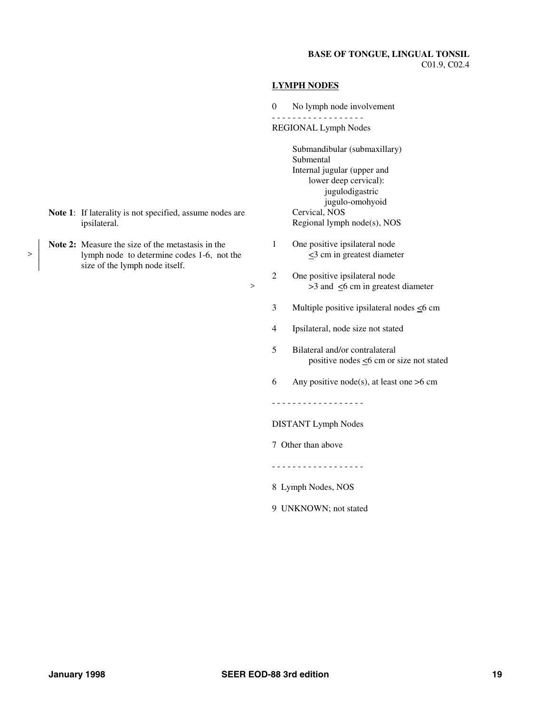### **BASE OF TONGUE, LINGUAL TONSIL**

#### **LYMPH NODES**

- 0 No lymph node involvement
- - - - - - - - - - REGIONAL Lymph Nodes

Submandibular (submaxillary) Submental Internal jugular (upper and lower deep cervical): jugulodigastric jugulo-omohyoid Cervical, NOS Regional lymph node(s), NOS

- 1 One positive ipsilateral node  $\leq$ 3 cm in greatest diameter
- 2 One positive ipsilateral node  $>$ 3 and  $\leq$ 6 cm in greatest diameter
- 3 Multiple positive ipsilateral nodes  $\leq 6$  cm
- 4 Ipsilateral, node size not stated
- 5 Bilateral and/or contralateral positive nodes  $\leq 6$  cm or size not stated
- 6 Any positive node(s), at least one  $>6$  cm

- - - - - - - - - - - - - - - - - -

DISTANT Lymph Nodes

7 Other than above

- - - - - - - - - - - - - - - - - -

- 8 Lymph Nodes, NOS
- 9 UNKNOWN; not stated
- **Note 1**: If laterality is not specified, assume nodes are ipsilateral.
- Note 2: Measure the size of the metastasis in the lymph node to determine codes 1-6, not the size of the lymph node itself.

>

 $\ddot{\phantom{1}}$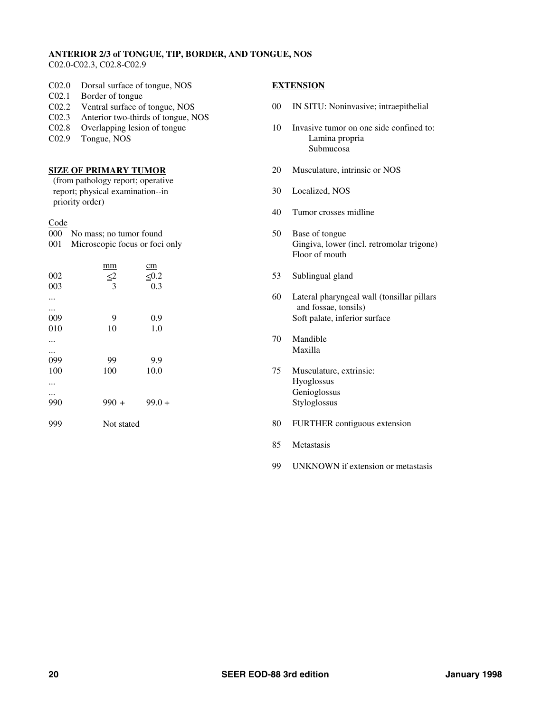#### **ANTERIOR 2/3 of TONGUE, TIP, BORDER, AND TONGUE, NOS**

C02.0-C02.3, C02.8-C02.9

| C <sub>02.0</sub>                     | Dorsal surface of tongue, NOS     |                                    | <b>EXTENSION</b> |                                            |  |
|---------------------------------------|-----------------------------------|------------------------------------|------------------|--------------------------------------------|--|
| CO <sub>2.1</sub>                     | Border of tongue                  |                                    |                  |                                            |  |
| C <sub>02.2</sub>                     | Ventral surface of tongue, NOS    |                                    | $00\,$           | IN SITU: Noninvasive; intraepithelial      |  |
| C <sub>02.3</sub>                     |                                   | Anterior two-thirds of tongue, NOS |                  |                                            |  |
| CO <sub>2.8</sub>                     |                                   | Overlapping lesion of tongue       | 10               | Invasive tumor on one side confined to:    |  |
| C <sub>02.9</sub>                     | Tongue, NOS                       |                                    |                  | Lamina propria<br>Submucosa                |  |
|                                       |                                   |                                    |                  |                                            |  |
| <b>SIZE OF PRIMARY TUMOR</b>          |                                   |                                    | 20               | Musculature, intrinsic or NOS              |  |
|                                       | (from pathology report; operative |                                    |                  |                                            |  |
|                                       | report; physical examination--in  |                                    | 30               | Localized, NOS                             |  |
|                                       | priority order)                   |                                    |                  |                                            |  |
|                                       |                                   |                                    | 40               | Tumor crosses midline                      |  |
| Code                                  |                                   |                                    |                  |                                            |  |
| 000                                   | No mass; no tumor found           |                                    | 50               | Base of tongue                             |  |
| Microscopic focus or foci only<br>001 |                                   |                                    |                  | Gingiva, lower (incl. retromolar trigone)  |  |
|                                       |                                   |                                    |                  | Floor of mouth                             |  |
|                                       | mm                                | $\mathbf{cm}$                      |                  |                                            |  |
| 002                                   | $\frac{2}{3}$                     | $\leq 0.2$                         | 53               | Sublingual gland                           |  |
| 003                                   |                                   | 0.3                                |                  |                                            |  |
| $\cdots$                              |                                   |                                    | 60               | Lateral pharyngeal wall (tonsillar pillars |  |
|                                       |                                   |                                    |                  | and fossae, tonsils)                       |  |
| 009                                   | 9                                 | 0.9                                |                  | Soft palate, inferior surface              |  |
| 010                                   | 10                                | 1.0                                |                  |                                            |  |
| $\cdots$                              |                                   |                                    | 70               | Mandible                                   |  |
|                                       |                                   |                                    |                  | Maxilla                                    |  |
| 099                                   | 99                                | 9.9                                |                  |                                            |  |
| 100                                   | 100                               | 10.0                               | 75               | Musculature, extrinsic:                    |  |
|                                       |                                   |                                    |                  | Hyoglossus                                 |  |
|                                       |                                   |                                    |                  | Genioglossus                               |  |
| 990                                   | $990 +$                           | $99.0 +$                           |                  | Styloglossus                               |  |
| 999                                   | Not stated                        |                                    | 80               | FURTHER contiguous extension               |  |
|                                       |                                   |                                    | 85               | Metastasis                                 |  |

99 UNKNOWN if extension or metastasis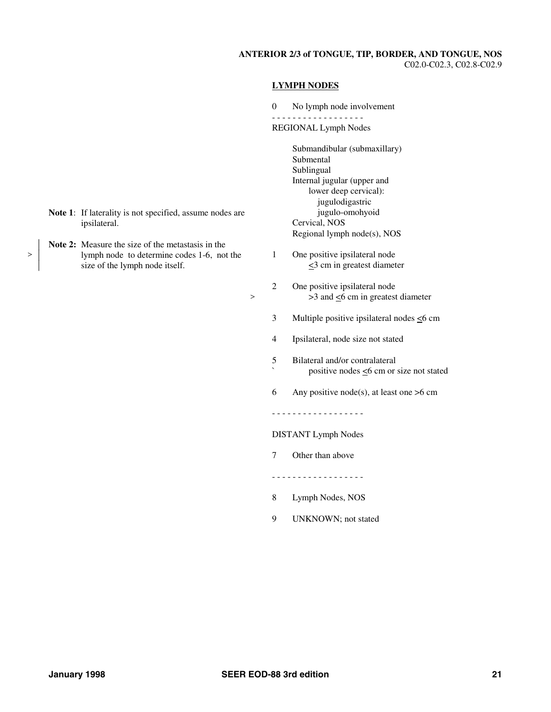#### **LYMPH NODES**

- 0 No lymph node involvement - - - - - - - - - - - - - - - - - -
- REGIONAL Lymph Nodes

Submandibular (submaxillary) Submental Sublingual Internal jugular (upper and lower deep cervical): jugulodigastric jugulo-omohyoid Cervical, NOS Regional lymph node(s), NOS

- 1 One positive ipsilateral node  $\leq$ 3 cm in greatest diameter
- 2 One positive ipsilateral node  $>$ 3 and  $\leq$ 6 cm in greatest diameter
- 3 Multiple positive ipsilateral nodes <6 cm
- 4 Ipsilateral, node size not stated
- 5 Bilateral and/or contralateral positive nodes  $\leq 6$  cm or size not stated
- 6 Any positive node(s), at least one  $>6$  cm

- - - - - - - - - - - - - - - - - -

>

#### DISTANT Lymph Nodes

7 Other than above

- - - - - - - - - - - - - - - - - -

- 8 Lymph Nodes, NOS
- 9 UNKNOWN; not stated
- **Note 1**: If laterality is not specified, assume nodes are ipsilateral.
- Note 2: Measure the size of the metastasis in the lymph node to determine codes 1-6, not the size of the lymph node itself.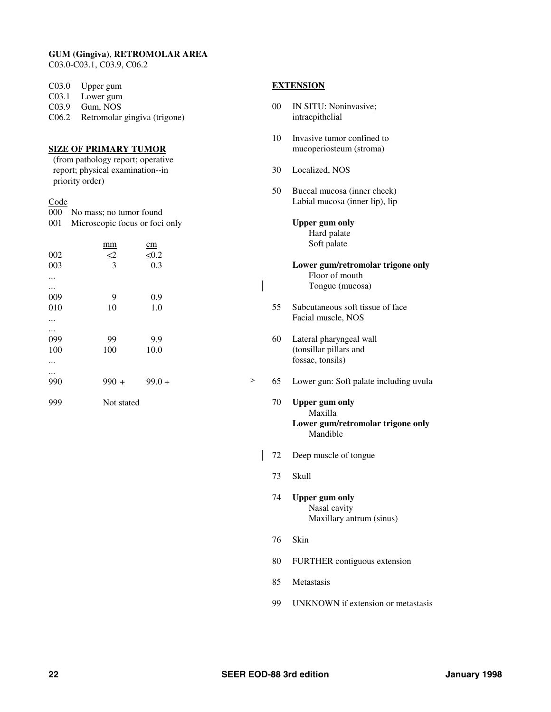### **GUM (Gingiva)**, **RETROMOLAR AREA**

C03.0-C03.1, C03.9, C06.2

| C <sub>03.0</sub>                               | Upper gum                                                                                |                             |           |        | <b>EXTENSION</b>                                                     |
|-------------------------------------------------|------------------------------------------------------------------------------------------|-----------------------------|-----------|--------|----------------------------------------------------------------------|
| CO3.1<br>C <sub>03.9</sub><br>C <sub>06.2</sub> | Lower gum<br>Gum, NOS<br>Retromolar gingiva (trigone)                                    |                             |           | $00\,$ | IN SITU: Noninvasive;<br>intraepithelial                             |
|                                                 | <b>SIZE OF PRIMARY TUMOR</b>                                                             |                             |           | 10     | Invasive tumor confined<br>mucoperiosteum (stroma                    |
|                                                 | (from pathology report; operative<br>report; physical examination--in<br>priority order) |                             |           | 30     | Localized, NOS                                                       |
| Code                                            |                                                                                          |                             |           | 50     | Buccal mucosa (inner cl<br>Labial mucosa (inner lip                  |
| 000<br>001                                      | No mass; no tumor found<br>Microscopic focus or foci only                                |                             |           |        | <b>Upper gum only</b><br>Hard palate                                 |
| 002                                             | mm<br>$\leq$ 2                                                                           | $\mathbf{cm}$<br>$\leq 0.2$ |           |        | Soft palate                                                          |
| 003<br>                                         | $\overline{3}$                                                                           | 0.3                         |           |        | Lower gum/retromolar<br>Floor of mouth<br>Tongue (mucosa)            |
| <br>009<br>010                                  | 9<br>10                                                                                  | 0.9<br>1.0                  |           | 55     | Subcutaneous soft tissue                                             |
| <br>                                            |                                                                                          |                             |           |        | Facial muscle, NOS                                                   |
| 099<br>100                                      | 99<br>100                                                                                | 9.9<br>10.0                 |           | 60     | Lateral pharyngeal wall<br>(tonsillar pillars and                    |
| <br>                                            |                                                                                          |                             |           |        | fossae, tonsils)                                                     |
| 990                                             | $990 +$                                                                                  | $99.0 +$                    | $\, > \,$ | 65     | Lower gun: Soft palate i                                             |
| 999                                             | Not stated                                                                               |                             |           | 70     | <b>Upper gum only</b><br>Maxilla<br>Lower gum/retromolar<br>Mandible |
|                                                 |                                                                                          |                             |           | 72     | Deep muscle of tongue                                                |
|                                                 |                                                                                          |                             |           | 73     | <b>Skull</b>                                                         |

- confined to (stroma)
- 
- (inner cheek) inner lip), lip
	- **Upper gum only**
	- **Lower complementary** outh  $icosa)$
- oft tissue of face **IOS**
- eal wall and
- palate including uvula
	- 70 **Upper gum only** romolar trigone only
	- tongue
	- 74 **Upper gum only** Nasal cavity Maxillary antrum (sinus)
	- 76 Skin
	- 80 FURTHER contiguous extension
	- 85 Metastasis
	- 99 UNKNOWN if extension or metastasis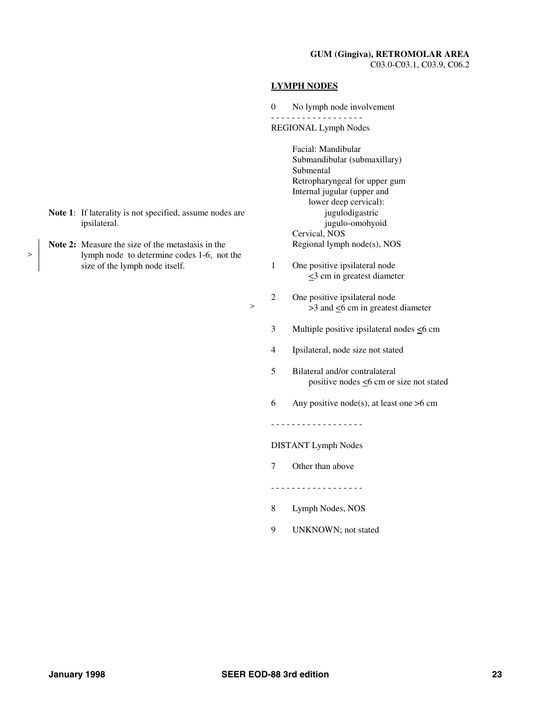# **GUM (Gingiva), RETROMOLAR AREA**

C03.0-C03.1, C03.9, C06.2

#### **LYMPH NODES**

 $\geq$ 0 No lymph node involvement - - - - - - - - - - - - - - - - - - REGIONAL Lymph Nodes Facial: Mandibular Submandibular (submaxillary) Submental Retropharyngeal for upper gum Internal jugular (upper and lower deep cervical): jugulodigastric jugulo-omohyoid Cervical, NOS Regional lymph node(s), NOS 1 One positive ipsilateral node  $\leq$ 3 cm in greatest diameter 2 One positive ipsilateral node >3 and <6 cm in greatest diameter 3 Multiple positive ipsilateral nodes  $\leq 6$  cm 4 Ipsilateral, node size not stated 5 Bilateral and/or contralateral positive nodes  $\leq 6$  cm or size not stated 6 Any positive node(s), at least one  $>6$  cm - - - - - - - - - - - - - - - - - - DISTANT Lymph Nodes 7 Other than above - - - - - - - - - - - - - - - - - - 8 Lymph Nodes, NOS 9 UNKNOWN; not stated

- **Note 1**: If laterality is not specified, assume nodes are ipsilateral.
- Note 2: Measure the size of the metastasis in the lymph node to determine codes 1-6, not the size of the lymph node itself.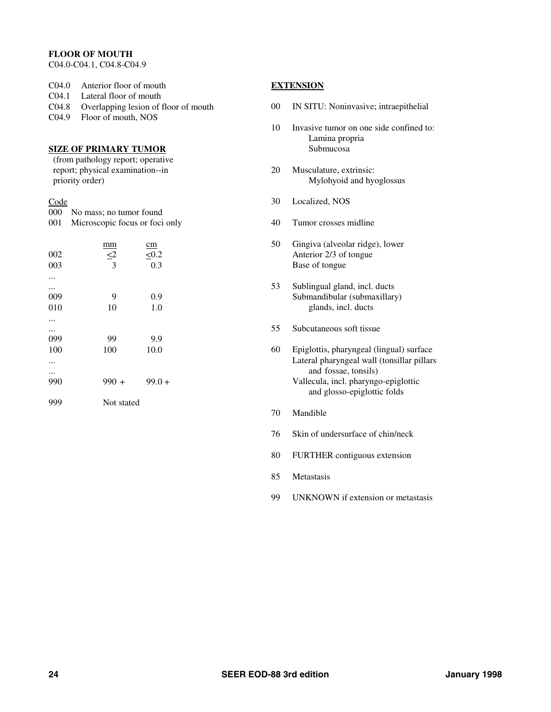#### **FLOOR OF MOUTH**

C04.0-C04.1, C04.8-C04.9

| C <sub>04.0</sub> | Anterior floor of mouth              |            |                |  |  |
|-------------------|--------------------------------------|------------|----------------|--|--|
| C <sub>04.1</sub> | Lateral floor of mouth               |            |                |  |  |
| C <sub>04.8</sub> | Overlapping lesion of floor of mouth |            |                |  |  |
| C <sub>04.9</sub> | Floor of mouth, NOS                  |            |                |  |  |
|                   |                                      |            | 1              |  |  |
|                   |                                      |            |                |  |  |
|                   | <b>SIZE OF PRIMARY TUMOR</b>         |            |                |  |  |
|                   | (from pathology report; operative    |            |                |  |  |
|                   | report; physical examination--in     |            | $\tilde{ }$    |  |  |
|                   | priority order)                      |            |                |  |  |
| Code              |                                      |            | Ê              |  |  |
| 000               | No mass; no tumor found              |            |                |  |  |
| 001               | Microscopic focus or foci only       |            |                |  |  |
|                   |                                      |            |                |  |  |
|                   | mm                                   | cm         | Ŝ              |  |  |
| 002               |                                      | $\leq 0.2$ |                |  |  |
| 003               | $\frac{2}{3}$                        | 0.3        |                |  |  |
|                   |                                      |            |                |  |  |
|                   |                                      |            | Ŝ              |  |  |
| 009               | 9                                    | 0.9        |                |  |  |
| 010               | 10                                   | 1.0        |                |  |  |
|                   |                                      |            |                |  |  |
|                   |                                      |            | $\ddot{\cdot}$ |  |  |
| 099               | 99                                   | 9.9        |                |  |  |
| 100               | 100                                  | 10.0       | $\epsilon$     |  |  |
|                   |                                      |            |                |  |  |
|                   |                                      |            |                |  |  |
| 990               | $990 +$                              | $99.0 +$   |                |  |  |
|                   |                                      |            |                |  |  |
| 999               | Not stated                           |            |                |  |  |
|                   |                                      |            |                |  |  |
|                   |                                      |            |                |  |  |

#### **EXTENSION**

- 00 IN SITU: Noninvasive; intraepithelial
- 10 Invasive tumor on one side confined to: Lamina propria Submucosa
- 20 Musculature, extrinsic: Mylohyoid and hyoglossus
- 30 Localized, NOS
- 40 Tumor crosses midline
- 50 Gingiva (alveolar ridge), lower Anterior 2/3 of tongue Base of tongue
- 53 Sublingual gland, incl. ducts Submandibular (submaxillary) glands, incl. ducts
- 55 Subcutaneous soft tissue
- 60 Epiglottis, pharyngeal (lingual) surface Lateral pharyngeal wall (tonsillar pillars and fossae, tonsils) Vallecula, incl. pharyngo-epiglottic and glosso-epiglottic folds
- 70 Mandible
- 76 Skin of undersurface of chin/neck
- 80 FURTHER contiguous extension
- 85 Metastasis
- 99 UNKNOWN if extension or metastasis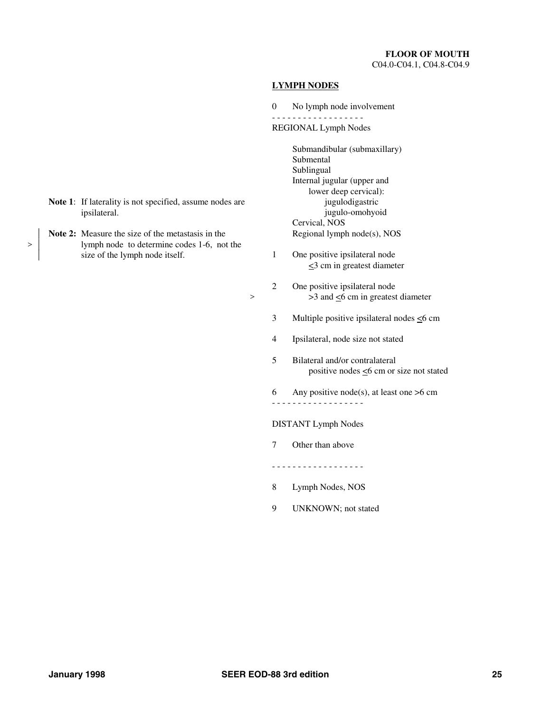#### **LYMPH NODES**

- 0 No lymph node involvement
- - - - - - - - - - REGIONAL Lymph Nodes

 Submandibular (submaxillary) Submental Sublingual Internal jugular (upper and lower deep cervical): jugulodigastric jugulo-omohyoid Cervical, NOS Regional lymph node(s), NOS

- 1 One positive ipsilateral node  $\leq$ 3 cm in greatest diameter
- 2 One positive ipsilateral node  $>$ 3 and  $\leq$ 6 cm in greatest diameter
- 3 Multiple positive ipsilateral nodes  $\leq 6$  cm
- 4 Ipsilateral, node size not stated
- 5 Bilateral and/or contralateral positive nodes  $\leq 6$  cm or size not stated
- 6 Any positive node(s), at least one  $>6$  cm

- - - - - - - - - - - - - - - - - -

>

#### DISTANT Lymph Nodes

7 Other than above

#### - - - - - - - - - - - - - - - - - -

- 8 Lymph Nodes, NOS
- 9 UNKNOWN; not stated
- **Note 1**: If laterality is not specified, assume nodes are ipsilateral.
- Note 2: Measure the size of the metastasis in the lymph node to determine codes 1-6, not the size of the lymph node itself.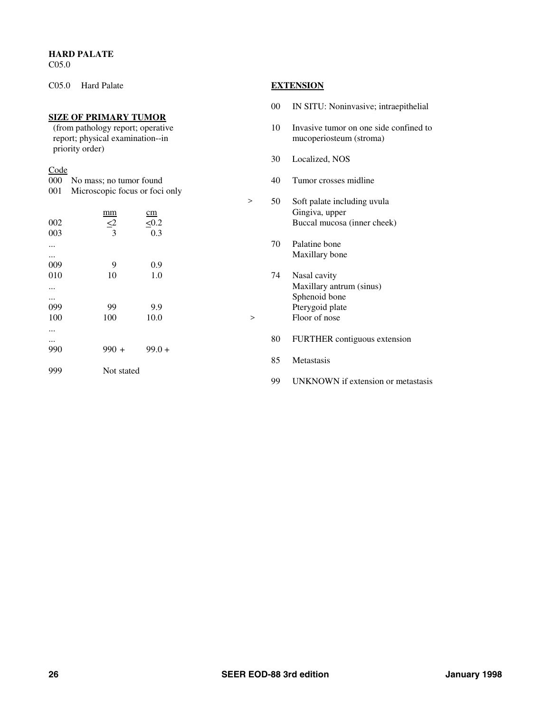### **HARD PALATE**

C05.0

C05.0 Hard Palate

### **SIZE OF PRIMARY TUMOR**

#### (from pathology report; operative report; physical examination--in priority order)

|           |                                |               |           | 30 | Localized, NOS                     |
|-----------|--------------------------------|---------------|-----------|----|------------------------------------|
| Code      |                                |               |           |    |                                    |
| 000       | No mass; no tumor found        |               |           | 40 | Tumor crosses midline              |
| 001       | Microscopic focus or foci only |               |           |    |                                    |
|           |                                |               | $\, > \,$ | 50 | Soft palate including uvula        |
|           | $\mathbf{mm}$                  | $\mathbf{cm}$ |           |    | Gingiva, upper                     |
| 002       | $\leq\!\!2$                    | $\leq 0.2$    |           |    | Buccal mucosa (inner cheek)        |
| 003       | 3                              | 0.3           |           |    |                                    |
| $\ddotsc$ |                                |               |           | 70 | Palatine bone                      |
| $\cdots$  |                                |               |           |    | Maxillary bone                     |
| 009       | 9                              | 0.9           |           |    |                                    |
| 010       | 10                             | 1.0           |           | 74 | Nasal cavity                       |
| $\ddotsc$ |                                |               |           |    | Maxillary antrum (sinus)           |
| $\ddotsc$ |                                |               |           |    | Sphenoid bone                      |
| 099       | 99                             | 9.9           |           |    | Pterygoid plate                    |
| 100       | 100                            | 10.0          | $\rm{>}$  |    | Floor of nose                      |
| $\ddotsc$ |                                |               |           |    |                                    |
| $\cdots$  |                                |               |           | 80 | FURTHER contiguous extension       |
| 990       | $990 +$                        | $99.0 +$      |           |    |                                    |
|           |                                |               |           | 85 | Metastasis                         |
| 999       | Not stated                     |               |           |    |                                    |
|           |                                |               |           | 99 | UNKNOWN if extension or metastasis |
|           |                                |               |           |    |                                    |

#### **EXTENSION**

00 IN SITU: Noninvasive; intraepithelial

10 Invasive tumor on one side confined to mucoperiosteum (stroma)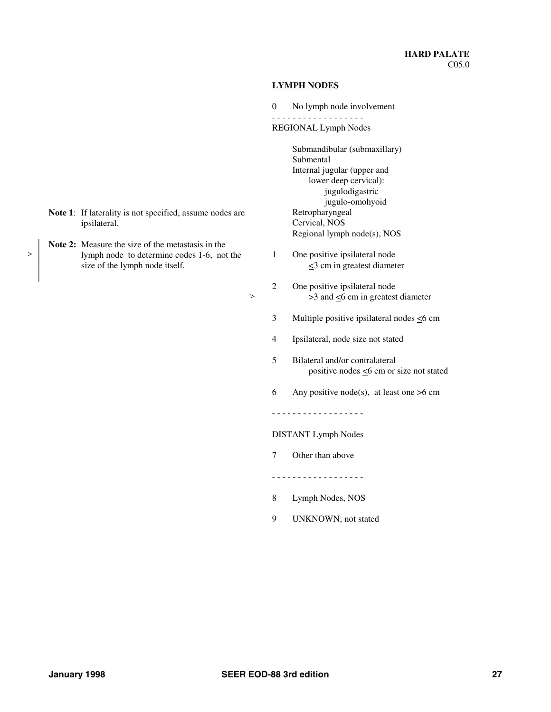## **LYMPH NODES**

- > 0 No lymph node involvement - - - - - - - - - - - - - - - - - - REGIONAL Lymph Nodes Submandibular (submaxillary) Submental Internal jugular (upper and lower deep cervical): jugulodigastric jugulo-omohyoid Retropharyngeal Cervical, NOS Regional lymph node(s), NOS 1 One positive ipsilateral node  $\leq$ 3 cm in greatest diameter 2 One positive ipsilateral node  $>$ 3 and  $\leq$ 6 cm in greatest diameter 3 Multiple positive ipsilateral nodes  $\leq 6$  cm 4 Ipsilateral, node size not stated 5 Bilateral and/or contralateral positive nodes  $\leq 6$  cm or size not stated 6 Any positive node(s), at least one  $>6$  cm - - - - - - - - - - - - - - - - - - DISTANT Lymph Nodes 7 Other than above - - - - - - - - - - - - - - - - - - 8 Lymph Nodes, NOS 9 UNKNOWN; not stated
- **Note 1**: If laterality is not specified, assume nodes are ipsilateral.
- **Note 2:** Measure the size of the metastasis in the lymph node to determine codes 1-6, not the size of the lymph node itself.

>

|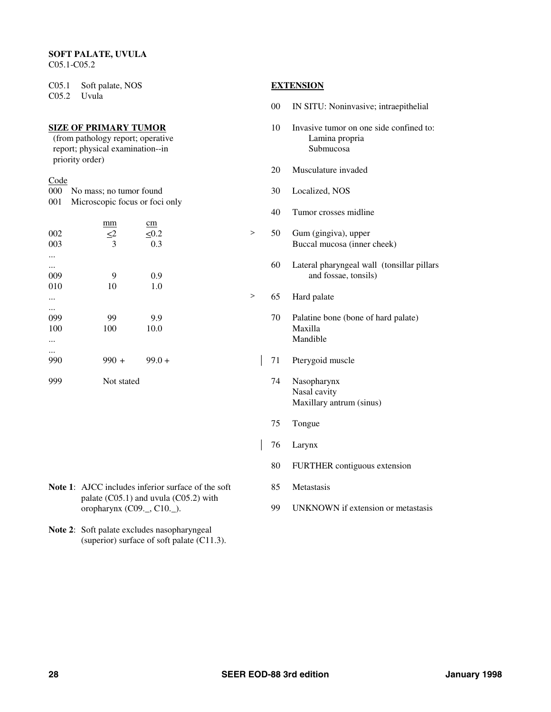## **SOFT PALATE, UVULA**

C05.1 Soft palate, NOS

C05.1-C05.2

| C <sub>05.2</sub>           | Uvula                                                                                                                    |                                                    |       |        |                                                                        |
|-----------------------------|--------------------------------------------------------------------------------------------------------------------------|----------------------------------------------------|-------|--------|------------------------------------------------------------------------|
|                             |                                                                                                                          |                                                    |       | $00\,$ | IN SITU: Noninvasive; intraepithelial                                  |
|                             | <b>SIZE OF PRIMARY TUMOR</b><br>(from pathology report; operative<br>report; physical examination--in<br>priority order) |                                                    |       | 10     | Invasive tumor on one side confined to:<br>Lamina propria<br>Submucosa |
|                             |                                                                                                                          |                                                    |       | 20     | Musculature invaded                                                    |
| Code<br>000                 | No mass; no tumor found                                                                                                  |                                                    |       | 30     | Localized, NOS                                                         |
| 001                         | Microscopic focus or foci only                                                                                           |                                                    |       |        |                                                                        |
|                             |                                                                                                                          |                                                    |       | 40     | Tumor crosses midline                                                  |
| 002<br>003                  | mm<br>$\leq$ 2<br>$\overline{3}$                                                                                         | cm<br>< 0.2<br>0.3                                 | $\,>$ | 50     | Gum (gingiva), upper<br>Buccal mucosa (inner cheek)                    |
| $\cdots$<br>$\cdots$<br>009 | 9                                                                                                                        | 0.9                                                |       | 60     | Lateral pharyngeal wall (tonsillar pillars<br>and fossae, tonsils)     |
| 010<br>$\cdots$             | 10                                                                                                                       | 1.0                                                | $\,>$ | 65     | Hard palate                                                            |
| $\cdots$<br>099<br>100<br>  | 99<br>100                                                                                                                | 9.9<br>10.0                                        |       | 70     | Palatine bone (bone of hard palate)<br>Maxilla<br>Mandible             |
| $\cdots$<br>990             | $990 +$                                                                                                                  | $99.0 +$                                           |       | 71     | Pterygoid muscle                                                       |
| 999                         | Not stated                                                                                                               |                                                    |       | 74     | Nasopharynx<br>Nasal cavity<br>Maxillary antrum (sinus)                |
|                             |                                                                                                                          |                                                    |       | 75     | Tongue                                                                 |
|                             |                                                                                                                          |                                                    |       | 76     | Larynx                                                                 |
|                             |                                                                                                                          |                                                    |       | 80     | FURTHER contiguous extension                                           |
|                             |                                                                                                                          | Note 1: AJCC includes inferior surface of the soft |       | 85     | Metastasis                                                             |
|                             | palate $(C05.1)$ and uvula $(C05.2)$ with<br>oropharynx (C09._, C10._).                                                  |                                                    |       |        | UNKNOWN if extension or metastasis                                     |

**EXTENSION**

**Note 2**: Soft palate excludes nasopharyngeal (superior) surface of soft palate (C11.3).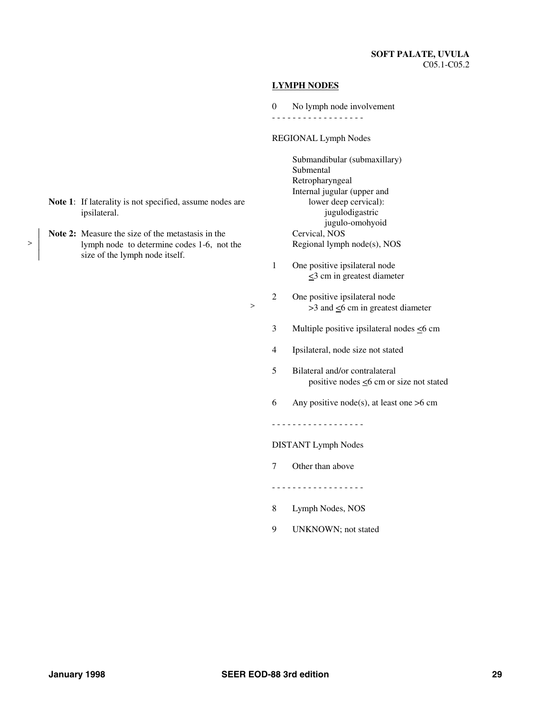## **LYMPH NODES**

0 No lymph node involvement - - - - - - - - - - - - - - - - - -

# REGIONAL Lymph Nodes

 Submandibular (submaxillary) Submental Retropharyngeal Internal jugular (upper and lower deep cervical): jugulodigastric jugulo-omohyoid Cervical, NOS Regional lymph node(s), NOS

- 1 One positive ipsilateral node  $\leq$ 3 cm in greatest diameter
- 2 One positive ipsilateral node >3 and <6 cm in greatest diameter
- 3 Multiple positive ipsilateral nodes  $\leq 6$  cm
- 4 Ipsilateral, node size not stated
- 5 Bilateral and/or contralateral positive nodes  $\leq 6$  cm or size not stated
- 6 Any positive node(s), at least one  $>6$  cm

#### - - - - - - - - - - - - - - - - - -

 $\ddot{\phantom{1}}$ 

## DISTANT Lymph Nodes

7 Other than above

- - - - - - - - - - - - - - - - - -

- 8 Lymph Nodes, NOS
- 9 UNKNOWN; not stated
- **Note 1**: If laterality is not specified, assume nodes are ipsilateral.
- **Note 2:** Measure the size of the metastasis in the lymph node to determine codes 1-6, not the size of the lymph node itself.

 $\rm{>}$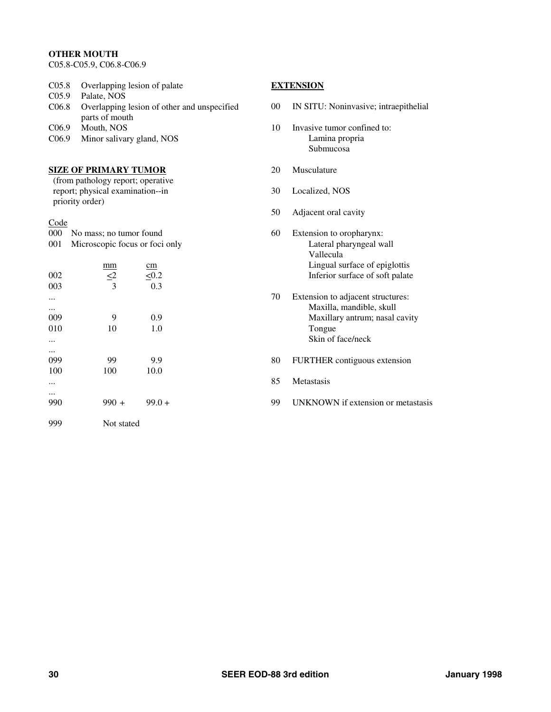## **OTHER MOUTH**

C05.8-C05.9, C06.8-C06.9

| C <sub>05.8</sub><br>C <sub>05.9</sub> | Overlapping lesion of palate<br>Palate, NOS |                                             | <b>EXTENSION</b> |                                       |  |  |
|----------------------------------------|---------------------------------------------|---------------------------------------------|------------------|---------------------------------------|--|--|
| C <sub>06.8</sub>                      | parts of mouth                              | Overlapping lesion of other and unspecified | 00               | IN SITU: Noninvasive; intraepithelial |  |  |
| C <sub>06.9</sub>                      | Mouth, NOS                                  |                                             | 10               | Invasive tumor confined to:           |  |  |
| C <sub>06.9</sub>                      | Minor salivary gland, NOS                   |                                             |                  | Lamina propria<br>Submucosa           |  |  |
|                                        | <b>SIZE OF PRIMARY TUMOR</b>                |                                             | 20               | Musculature                           |  |  |
|                                        | (from pathology report; operative           |                                             |                  |                                       |  |  |
|                                        | report; physical examination--in            |                                             | 30               | Localized, NOS                        |  |  |
|                                        | priority order)                             |                                             | 50               |                                       |  |  |
| Code                                   |                                             |                                             |                  | Adjacent oral cavity                  |  |  |
| 000                                    | No mass; no tumor found                     |                                             | 60               | Extension to oropharynx:              |  |  |
| 001                                    | Microscopic focus or foci only              |                                             |                  | Lateral pharyngeal wall<br>Vallecula  |  |  |
|                                        | $\underline{mm}$                            | $\mathbf{cm}$                               |                  | Lingual surface of epiglottis         |  |  |
| 002                                    | $\frac{2}{3}$                               | $\leq 0.2$                                  |                  | Inferior surface of soft palate       |  |  |
| 003                                    |                                             | 0.3                                         |                  |                                       |  |  |
|                                        |                                             |                                             | 70               | Extension to adjacent structures:     |  |  |
|                                        |                                             |                                             |                  | Maxilla, mandible, skull              |  |  |
| 009                                    | 9                                           | 0.9                                         |                  | Maxillary antrum; nasal cavity        |  |  |
| 010                                    | 10                                          | 1.0                                         |                  | Tongue                                |  |  |
|                                        |                                             |                                             |                  | Skin of face/neck                     |  |  |
| $\cdots$                               |                                             |                                             |                  |                                       |  |  |
| 099<br>100                             | 99<br>100                                   | 9.9<br>10.0                                 | 80               | FURTHER contiguous extension          |  |  |
|                                        |                                             |                                             | 85               | Metastasis                            |  |  |
|                                        |                                             |                                             |                  |                                       |  |  |
| 990                                    | $990 +$                                     | $99.0 +$                                    | 99               | UNKNOWN if extension or metastasis    |  |  |
| 999                                    | Not stated                                  |                                             |                  |                                       |  |  |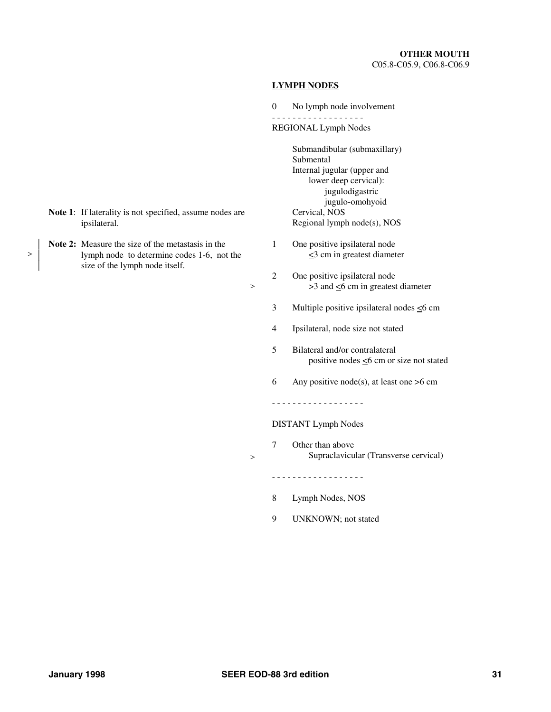## **LYMPH NODES**

>

>

- 0 No lymph node involvement
- - - - - - - - - - REGIONAL Lymph Nodes

 Submandibular (submaxillary) Submental Internal jugular (upper and lower deep cervical): jugulodigastric jugulo-omohyoid Cervical, NOS Regional lymph node(s), NOS

- 1 One positive ipsilateral node  $\leq$ 3 cm in greatest diameter
- 2 One positive ipsilateral node  $>$ 3 and  $\leq$ 6 cm in greatest diameter
- 3 Multiple positive ipsilateral nodes  $\leq$ 6 cm
- 4 Ipsilateral, node size not stated
- 5 Bilateral and/or contralateral positive nodes  $\leq 6$  cm or size not stated
- 6 Any positive node(s), at least one  $>6$  cm

- - - - - - - - - - - - - - - - - -

## DISTANT Lymph Nodes

7 Other than above Supraclavicular (Transverse cervical)

- - - - - - - - - - - - - - - - - -

- 8 Lymph Nodes, NOS
- 9 UNKNOWN; not stated
- **Note 1**: If laterality is not specified, assume nodes are ipsilateral.
- Note 2: Measure the size of the metastasis in the lymph node to determine codes 1-6, not the size of the lymph node itself.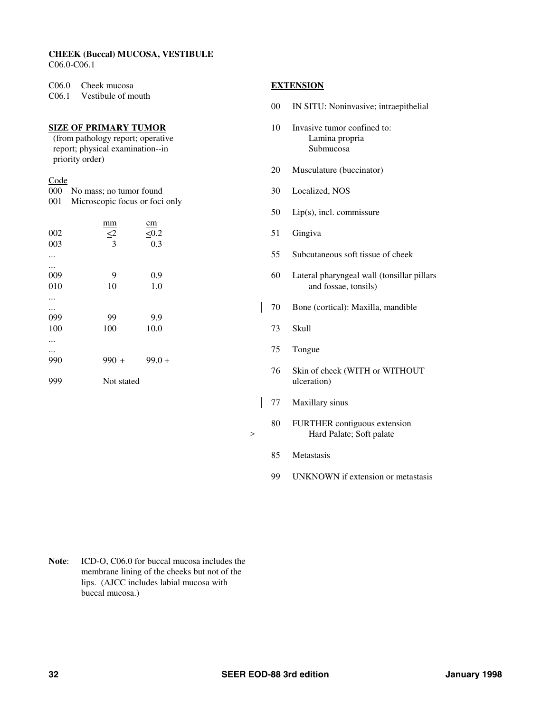#### **CHEEK (Buccal) MUCOSA, VESTIBULE** C06.0-C06.1

C06.0 Cheek mucosa

| C <sub>06.1</sub> | Vestibule of mouth                                                                                                       |                   |          |    |                                                            |
|-------------------|--------------------------------------------------------------------------------------------------------------------------|-------------------|----------|----|------------------------------------------------------------|
|                   |                                                                                                                          |                   |          | 00 | IN SITU: Noninvasive; intraepithelial                      |
|                   | <b>SIZE OF PRIMARY TUMOR</b><br>(from pathology report; operative<br>report; physical examination--in<br>priority order) |                   |          | 10 | Invasive tumor confined to:<br>Lamina propria<br>Submucosa |
|                   |                                                                                                                          |                   |          | 20 | Musculature (buccinator)                                   |
| Code              |                                                                                                                          |                   |          |    |                                                            |
| 000               | No mass; no tumor found                                                                                                  |                   |          | 30 | Localized, NOS                                             |
| 001               | Microscopic focus or foci only                                                                                           |                   |          | 50 | $Lip(s)$ , incl. commissure                                |
|                   | mm                                                                                                                       | cm                |          |    |                                                            |
| 002<br>003        | $\frac{2}{3}$                                                                                                            | $\leq 0.2$<br>0.3 |          | 51 | Gingiva                                                    |
|                   |                                                                                                                          |                   |          | 55 | Subcutaneous soft tissue of cheek                          |
| $\cdots$          |                                                                                                                          |                   |          |    |                                                            |
| 009               | 9                                                                                                                        | 0.9               |          | 60 | Lateral pharyngeal wall (tonsillar pillars                 |
| 010               | 10                                                                                                                       | 1.0               |          |    | and fossae, tonsils)                                       |
| <br>              |                                                                                                                          |                   |          | 70 | Bone (cortical): Maxilla, mandible                         |
| 099               | 99                                                                                                                       | 9.9               |          |    |                                                            |
| 100               | 100                                                                                                                      | 10.0              |          | 73 | Skull                                                      |
|                   |                                                                                                                          |                   |          |    |                                                            |
| $\cdots$<br>990   | $990 +$                                                                                                                  | $99.0 +$          |          | 75 | Tongue                                                     |
|                   |                                                                                                                          |                   |          | 76 | Skin of cheek (WITH or WITHOUT                             |
| 999               | Not stated                                                                                                               |                   |          |    | ulceration)                                                |
|                   |                                                                                                                          |                   |          | 77 | Maxillary sinus                                            |
|                   |                                                                                                                          |                   | $\rm{>}$ | 80 | FURTHER contiguous extension<br>Hard Palate; Soft palate   |
|                   |                                                                                                                          |                   |          |    |                                                            |

85 Metastasis

**EXTENSION**

99 UNKNOWN if extension or metastasis

**Note**: ICD-O, C06.0 for buccal mucosa includes the membrane lining of the cheeks but not of the lips. (AJCC includes labial mucosa with buccal mucosa.)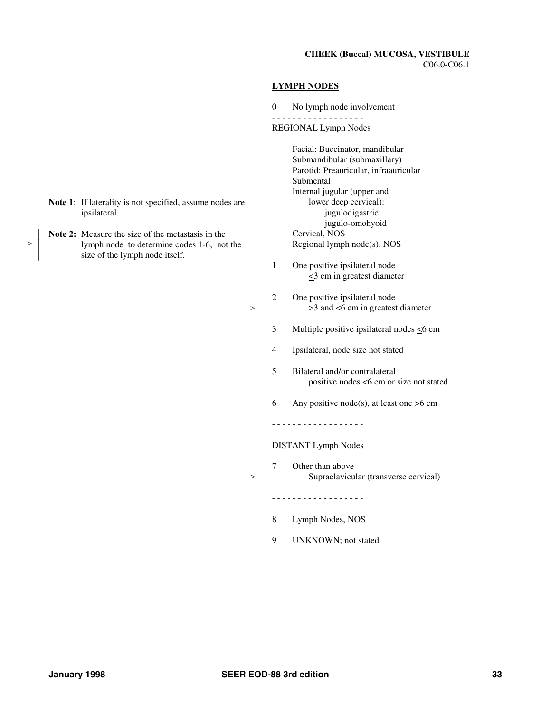## **CHEEK (Buccal) MUCOSA, VESTIBULE** C06.0-C06.1

## **LYMPH NODES**

0 No lymph node involvement - - - - - - - - - - - - - - - - - - REGIONAL Lymph Nodes Facial: Buccinator, mandibular Submandibular (submaxillary) Parotid: Preauricular, infraauricular Submental

> Internal jugular (upper and lower deep cervical): jugulodigastric jugulo-omohyoid Cervical, NOS Regional lymph node(s), NOS

- 1 One positive ipsilateral node  $\leq$ 3 cm in greatest diameter
- 2 One positive ipsilateral node >3 and <6 cm in greatest diameter
- 3 Multiple positive ipsilateral nodes  $\leq 6$  cm
- 4 Ipsilateral, node size not stated
- 5 Bilateral and/or contralateral positive nodes  $\leq 6$  cm or size not stated
- 6 Any positive node(s), at least one  $>6$  cm

#### - - - - - - - - - - - - - - - - - -

>

>

## DISTANT Lymph Nodes

7 Other than above Supraclavicular (transverse cervical)

- - - - - - - - - - - - - - - - - -

- 8 Lymph Nodes, NOS
- 9 UNKNOWN; not stated
- **Note 1**: If laterality is not specified, assume nodes are ipsilateral.
- **Note 2:** Measure the size of the metastasis in the | lymph node to determine codes 1-6, not the size of the lymph node itself.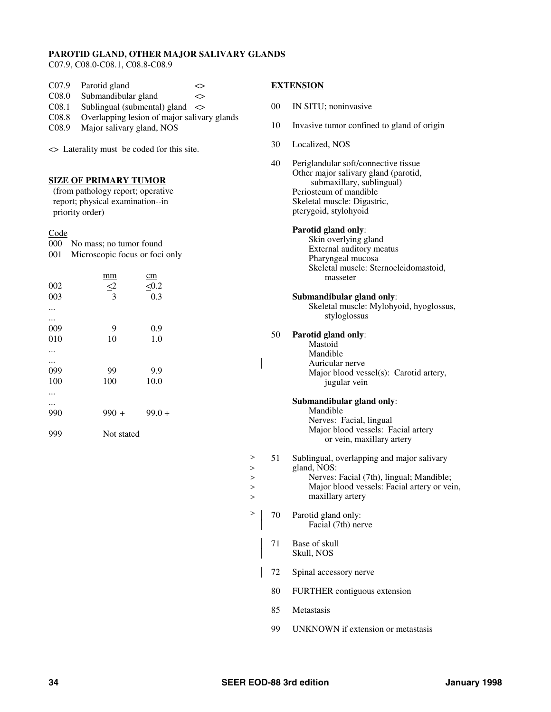### **PAROTID GLAND, OTHER MAJOR SALIVARY GLANDS**

C07.9, C08.0-C08.1, C08.8-C08.9

| C <sub>07.9</sub> | Parotid gland                                                                                                            |               | <>            |                      |    | <b>EXTENSION</b>                                                                                                                                                                            |
|-------------------|--------------------------------------------------------------------------------------------------------------------------|---------------|---------------|----------------------|----|---------------------------------------------------------------------------------------------------------------------------------------------------------------------------------------------|
| C <sub>08.0</sub> | Submandibular gland                                                                                                      |               | <>            |                      |    |                                                                                                                                                                                             |
| C <sub>08.1</sub> | Sublingual (submental) gland                                                                                             |               | $\mathrel{<}$ |                      | 00 | IN SITU; noninvasive                                                                                                                                                                        |
| C <sub>08.8</sub> | Overlapping lesion of major salivary glands                                                                              |               |               |                      |    |                                                                                                                                                                                             |
| C08.9             | Major salivary gland, NOS                                                                                                |               |               |                      | 10 | Invasive tumor confined to gland of origin                                                                                                                                                  |
|                   | <> Laterality must be coded for this site.                                                                               |               |               |                      | 30 | Localized, NOS                                                                                                                                                                              |
|                   | <b>SIZE OF PRIMARY TUMOR</b><br>(from pathology report; operative<br>report; physical examination--in<br>priority order) |               |               |                      | 40 | Periglandular soft/connective tissue<br>Other major salivary gland (parotid,<br>submaxillary, sublingual)<br>Periosteum of mandible<br>Skeletal muscle: Digastric,<br>pterygoid, stylohyoid |
| Code              |                                                                                                                          |               |               |                      |    | Parotid gland only:                                                                                                                                                                         |
| 000               | No mass; no tumor found                                                                                                  |               |               |                      |    | Skin overlying gland                                                                                                                                                                        |
| 001               | Microscopic focus or foci only                                                                                           |               |               |                      |    | External auditory meatus                                                                                                                                                                    |
|                   |                                                                                                                          |               |               |                      |    | Pharyngeal mucosa<br>Skeletal muscle: Sternocleidomastoid,                                                                                                                                  |
|                   | mm                                                                                                                       | $\mathbf{cm}$ |               |                      |    | masseter                                                                                                                                                                                    |
| 002               | $\leq$ 2                                                                                                                 | $\leq 0.2$    |               |                      |    |                                                                                                                                                                                             |
| 003               | 3                                                                                                                        | 0.3           |               |                      |    | Submandibular gland only:                                                                                                                                                                   |
| $\cdots$          |                                                                                                                          |               |               |                      |    | Skeletal muscle: Mylohyoid, hyoglossus,<br>styloglossus                                                                                                                                     |
| 009               | 9                                                                                                                        | 0.9           |               |                      |    |                                                                                                                                                                                             |
| 010               | 10                                                                                                                       | 1.0           |               |                      | 50 | Parotid gland only:                                                                                                                                                                         |
|                   |                                                                                                                          |               |               |                      |    | Mastoid                                                                                                                                                                                     |
| $\cdots$          |                                                                                                                          |               |               |                      |    | Mandible                                                                                                                                                                                    |
| 099               | 99                                                                                                                       | 9.9           |               |                      |    | Auricular nerve<br>Major blood vessel(s): Carotid artery,                                                                                                                                   |
| 100               | 100                                                                                                                      | 10.0          |               |                      |    | jugular vein                                                                                                                                                                                |
|                   |                                                                                                                          |               |               |                      |    |                                                                                                                                                                                             |
|                   |                                                                                                                          |               |               |                      |    | Submandibular gland only:<br>Mandible                                                                                                                                                       |
| 990               | $990 +$                                                                                                                  | $99.0 +$      |               |                      |    | Nerves: Facial, lingual                                                                                                                                                                     |
|                   |                                                                                                                          |               |               |                      |    | Major blood vessels: Facial artery                                                                                                                                                          |
| 999               | Not stated                                                                                                               |               |               |                      |    | or vein, maxillary artery                                                                                                                                                                   |
|                   |                                                                                                                          |               |               | $\rm{>}$             | 51 | Sublingual, overlapping and major salivary                                                                                                                                                  |
|                   |                                                                                                                          |               |               | $\rm{>}$             |    | gland, NOS:                                                                                                                                                                                 |
|                   |                                                                                                                          |               |               | $\rm{>}$             |    | Nerves: Facial (7th), lingual; Mandible;                                                                                                                                                    |
|                   |                                                                                                                          |               |               | $\rm{>}$<br>$\rm{>}$ |    | Major blood vessels: Facial artery or vein,<br>maxillary artery                                                                                                                             |
|                   |                                                                                                                          |               |               | >                    | 70 | Parotid gland only:                                                                                                                                                                         |
|                   |                                                                                                                          |               |               |                      |    | Facial (7th) nerve                                                                                                                                                                          |
|                   |                                                                                                                          |               |               |                      | 71 | Base of skull<br>Skull, NOS                                                                                                                                                                 |
|                   |                                                                                                                          |               |               |                      | 72 | Spinal accessory nerve                                                                                                                                                                      |
|                   |                                                                                                                          |               |               |                      | 80 | FURTHER contiguous extension                                                                                                                                                                |
|                   |                                                                                                                          |               |               |                      | 85 | Metastasis                                                                                                                                                                                  |
|                   |                                                                                                                          |               |               |                      | 99 | UNKNOWN if extension or metastasis                                                                                                                                                          |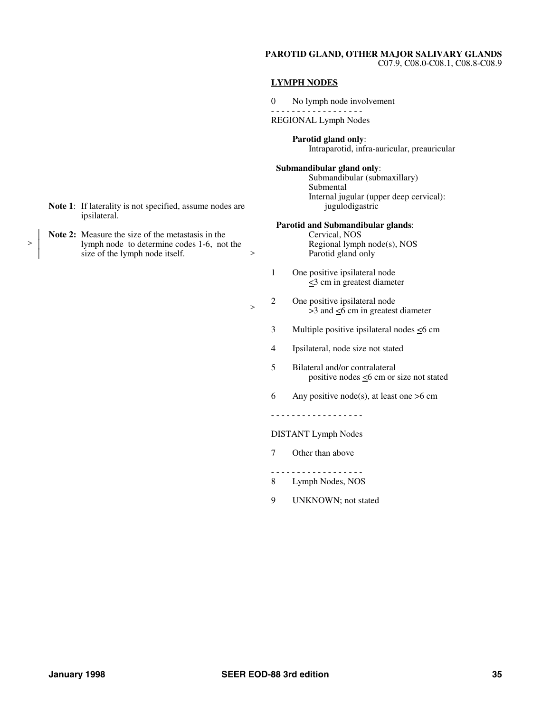|                                                                                                             |        |              | REGIONAL Lymph Nodes                                                                                                                 |
|-------------------------------------------------------------------------------------------------------------|--------|--------------|--------------------------------------------------------------------------------------------------------------------------------------|
|                                                                                                             |        |              | Parotid gland only:<br>Intraparotid, infra-auricular, preauricular                                                                   |
| rality is not specified, assume nodes are<br>teral.                                                         |        |              | Submandibular gland only:<br>Submandibular (submaxillary)<br>Submental<br>Internal jugular (upper deep cervical):<br>jugulodigastric |
| ure the size of the metastasis in the<br>n node to determine codes 1-6, not the<br>f the lymph node itself. | >      |              | Parotid and Submandibular glands:<br>Cervical, NOS<br>Regional lymph node(s), NOS<br>Parotid gland only                              |
|                                                                                                             |        | $\mathbf{1}$ | One positive ipsilateral node<br>$\leq$ 3 cm in greatest diameter                                                                    |
|                                                                                                             | $\geq$ | 2            | One positive ipsilateral node<br>$>3$ and $\leq 6$ cm in greatest diameter                                                           |
|                                                                                                             |        | 3            | Multiple positive ipsilateral nodes <6 cm                                                                                            |
|                                                                                                             |        | 4            | Ipsilateral, node size not stated                                                                                                    |
|                                                                                                             |        | 5            | Bilateral and/or contralateral<br>positive nodes $\leq 6$ cm or size not stated                                                      |
|                                                                                                             |        | 6            | Any positive node(s), at least one $>6$ cm                                                                                           |
|                                                                                                             |        |              | .                                                                                                                                    |

## DISTANT Lymph Nodes

7 Other than above

#### - - - - - - - - - - - - - - - - - - 8 Lymph Nodes, NOS

9 UNKNOWN; not stated

- **Note 1:** If later ipsilat
- **Note 2: Measure** | lymph node to determine codes 1-6, not the | size of the lymph node itself.

>

#### **PAROTID GLAND, OTHER MAJOR SALIVARY GLANDS** C07.9, C08.0-C08.1, C08.8-C08.9

## **LYMPH NODES**

0 No lymph node involvement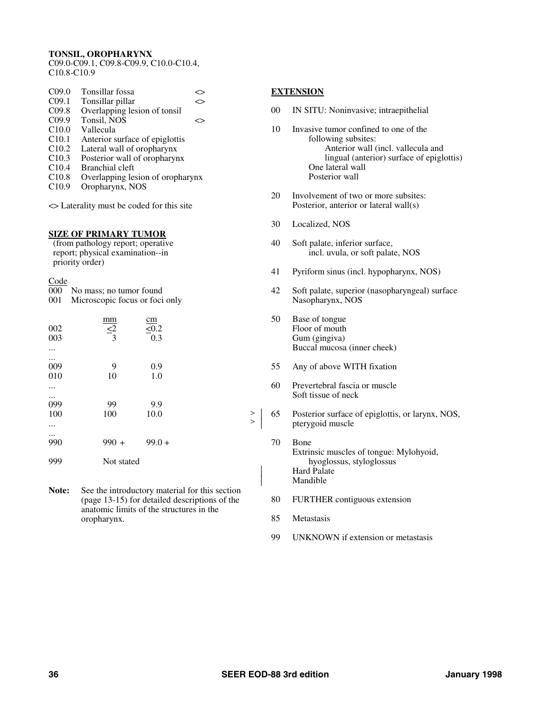#### **TONSIL, OROPHARYNX**

C09.0-C09.1, C09.8-C09.9, C10.0-C10.4, C10.8-C10.9

| C <sub>09.0</sub> | Tonsillar fossa                  |                   |
|-------------------|----------------------------------|-------------------|
| C <sub>09.1</sub> | Tonsillar pillar                 | $\Leftrightarrow$ |
| C <sub>09.8</sub> | Overlapping lesion of tonsil     |                   |
| C <sub>09.9</sub> | Tonsil, NOS                      |                   |
| C10.0             | Vallecula                        |                   |
| C10.1             | Anterior surface of epiglottis   |                   |
| C10.2             | Lateral wall of oropharynx       |                   |
| C10.3             | Posterior wall of oropharynx     |                   |
| C10.4             | Branchial cleft                  |                   |
| C10.8             | Overlapping lesion of oropharynx |                   |
| C10.9             | Oropharynx, NOS                  |                   |
|                   |                                  |                   |

<> Laterality must be coded for this site

#### **SIZE OF PRIMARY TUMOR**

## (from pathology report; operative report; physical examination--in priority order)

**Code** 

- 000 No mass; no tumor found
- 001 Microscopic focus or foci only

| 002<br>003 | <u>mm</u><br>$\frac{1}{3}$ | <u>cm</u><br>$\leq 0.2$<br>0.3 |  |
|------------|----------------------------|--------------------------------|--|
|            |                            |                                |  |
| <br>009    | 9                          | 0.9                            |  |
| 010        | 10                         | 1.0                            |  |
|            |                            |                                |  |
|            |                            |                                |  |
| 099        | 99                         | 9.9                            |  |
| 100        | 100                        | 10.0                           |  |
|            |                            |                                |  |
|            |                            |                                |  |
| 990        | $990 +$                    | $99.0 +$                       |  |
| 999        | Not stated                 |                                |  |
|            |                            |                                |  |

**Note:** See the introductory material for this section (page 13-15) for detailed descriptions of the anatomic limits of the structures in the oropharynx.

## **EXTENSION**

- 00 IN SITU: Noninvasive; intraepithelial
- 10 Invasive tumor confined to one of the following subsites: Anterior wall (incl. vallecula and lingual (anterior) surface of epiglottis) One lateral wall Posterior wall
- 20 Involvement of two or more subsites: Posterior, anterior or lateral wall(s)
- 30 Localized, NOS
- 40 Soft palate, inferior surface, incl. uvula, or soft palate, NOS
- 41 Pyriform sinus (incl. hypopharynx, NOS)
- 42 Soft palate, superior (nasopharyngeal) surface Nasopharynx, NOS
- 50 Base of tongue Floor of mouth Gum (gingiva) Buccal mucosa (inner cheek)
- 55 Any of above WITH fixation
- 60 Prevertebral fascia or muscle Soft tissue of neck
- | 65 Posterior surface of epiglottis, or larynx, NOS, pterygoid muscle
- 70 Bone Extrinsic muscles of tongue: Mylohyoid, hyoglossus, styloglossus Hard Palate **Mandible**
- 80 FURTHER contiguous extension
- 85 Metastasis

> >

99 UNKNOWN if extension or metastasis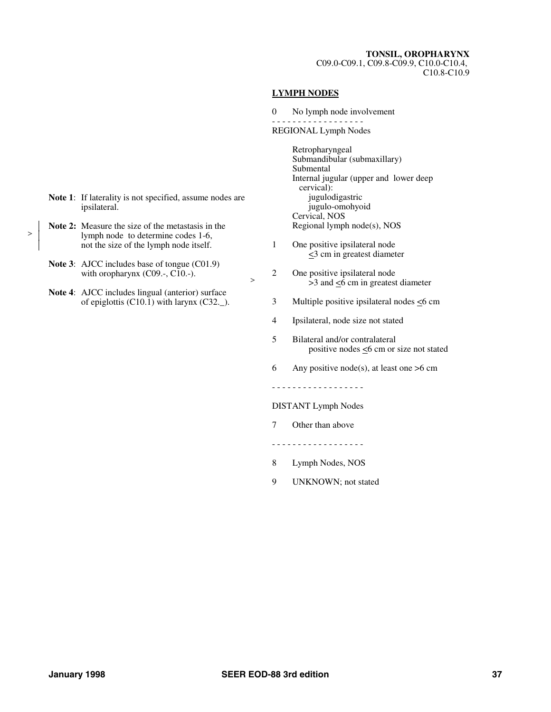#### **TONSIL, OROPHARYNX** C09.0-C09.1, C09.8-C09.9, C10.0-C10.4, C10.8-C10.9

## **LYMPH NODES**

- 0 No lymph node involvement
- - - - - - - - - -
- REGIONAL Lymph Nodes

 Retropharyngeal Submandibular (submaxillary) Submental Internal jugular (upper and lower deep cervical): jugulodigastric jugulo-omohyoid Cervical, NOS Regional lymph node(s), NOS

- 1 One positive ipsilateral node <3 cm in greatest diameter
- 2 One positive ipsilateral node  $>$ 3 and  $\leq$ 6 cm in greatest diameter
- 3 Multiple positive ipsilateral nodes  $\leq 6$  cm
- 4 Ipsilateral, node size not stated
- 5 Bilateral and/or contralateral positive nodes  $\leq 6$  cm or size not stated
- 6 Any positive node(s), at least one  $>6$  cm

- - - - - - - - - - - - - - - - - -

 $\rightarrow$ 

DISTANT Lymph Nodes

7 Other than above

- - - - - - - - - - - - - - - - - -

- 8 Lymph Nodes, NOS
- 9 UNKNOWN; not stated
- **Note 1**: If laterality is not specified, assume nodes are ipsilateral.
- Note 2: Measure the size of the metastasis in the lymph node to determine codes 1-6, not the size of the lymph node itself.

- **Note 3**: AJCC includes base of tongue (C01.9) with oropharynx  $(C09.-, C10.-)$ .
- **Note 4**: AJCC includes lingual (anterior) surface of epiglottis  $(C10.1)$  with larynx  $(C32.$ ....).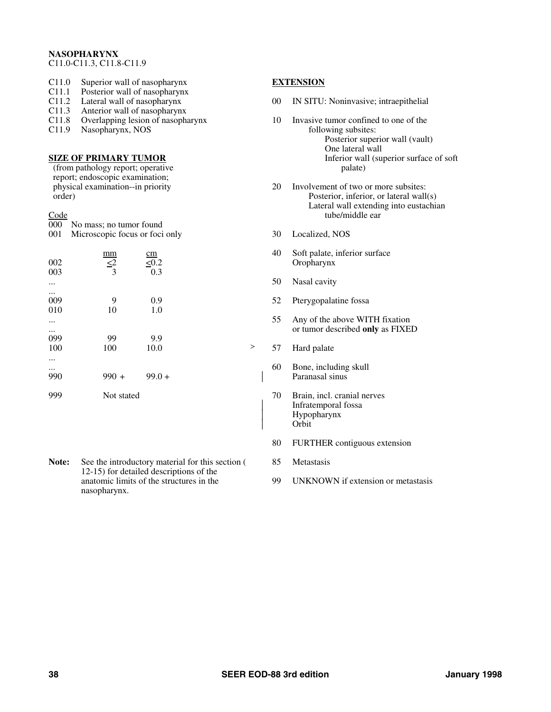## **NASOPHARYNX**

C11.0-C11.3, C11.8-C11.9

- C11.0 Superior wall of nasopharynx
- C11.1 Posterior wall of nasopharynx
- C11.2 Lateral wall of nasopharynx
- C11.3 Anterior wall of nasopharynx
- C11.8 Overlapping lesion of nasopharynx
- C11.9 Nasopharynx, NOS

## **SIZE OF PRIMARY TUMOR**

 (from pathology report; operative report; endoscopic examination; physical examination--in priority order)

## Code

- 000 No mass; no tumor found
- 001 Microscopic focus or foci only

|     |                            | $\mathbf{cm}$ |  |
|-----|----------------------------|---------------|--|
| 002 | $\frac{\text{mm}}{\leq 2}$ | $\leq 0.2$    |  |
| 003 |                            | 0.3           |  |
|     |                            |               |  |
|     |                            |               |  |
| 009 | 9                          | 0.9           |  |
| 010 | 10                         | 1.0           |  |
| .   |                            |               |  |
|     |                            |               |  |
| 099 | 99                         | 9.9           |  |
| 100 | 100                        | 10.0          |  |
| .   |                            |               |  |
|     |                            |               |  |
| 990 | $990 +$                    | $99.0 +$      |  |
|     |                            |               |  |
| 999 | Not stated                 |               |  |

**Note:** See the introductory material for this section ( 12-15) for detailed descriptions of the anatomic limits of the structures in the nasopharynx.

## **EXTENSION**

- 00 IN SITU: Noninvasive; intraepithelial
- 10 Invasive tumor confined to one of the following subsites: Posterior superior wall (vault) One lateral wall Inferior wall (superior surface of soft palate)
- 20 Involvement of two or more subsites: Posterior, inferior, or lateral wall(s) Lateral wall extending into eustachian tube/middle ear
- 30 Localized, NOS
- 40 Soft palate, inferior surface Oropharynx
- 50 Nasal cavity
- 52 Pterygopalatine fossa
- 55 Any of the above WITH fixation or tumor described **only** as FIXED
- 57 Hard palate

- 60 Bone, including skull Paranasal sinus
- 70 Brain, incl. cranial nerves | Infratemporal fossa | Hypopharynx Orbit
- 80 FURTHER contiguous extension
- 85 Metastasis
- 99 UNKNOWN if extension or metastasis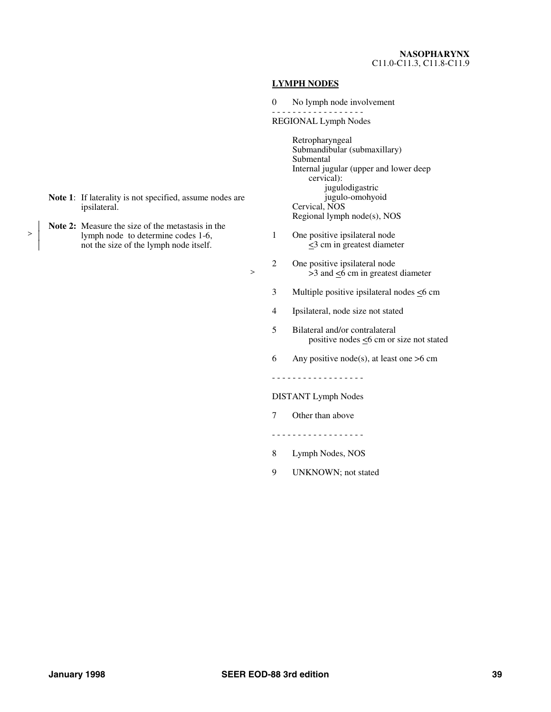## **LYMPH NODES**

0 No lymph node involvement

- - - - - - - - - - - - - - - - - -

REGIONAL Lymph Nodes

 Retropharyngeal Submandibular (submaxillary) Submental Internal jugular (upper and lower deep cervical): jugulodigastric jugulo-omohyoid Cervical, NOS Regional lymph node(s), NOS

- 1 One positive ipsilateral node  $\leq$ 3 cm in greatest diameter
- 2 One positive ipsilateral node  $>$ 3 and  $\leq$ 6 cm in greatest diameter
- 3 Multiple positive ipsilateral nodes  $\leq 6$  cm
- 4 Ipsilateral, node size not stated
- 5 Bilateral and/or contralateral positive nodes  $\leq 6$  cm or size not stated
- 6 Any positive node(s), at least one  $>6$  cm

- - - - - - - - - - - - - - - - - -

 $\rightarrow$ 

## DISTANT Lymph Nodes

7 Other than above

#### - - - - - - - - - - - - - - - - - -

- 8 Lymph Nodes, NOS
- 9 UNKNOWN; not stated
- **Note 1**: If laterality is not specified, assume nodes are ipsilateral.
- Note 2: Measure the size of the metastasis in the lymph node to determine codes 1-6, not the size of the lymph node itself.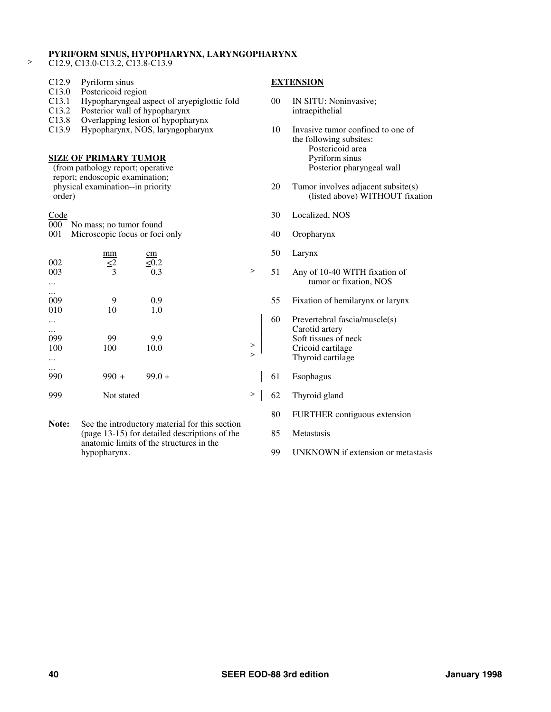#### **PYRIFORM SINUS, HYPOPHARYNX, LARYNGOPHARYNX** C12.9, C13.0-C13.2, C13.8-C13.9

anatomic limits of the structures in the

hypopharynx.

- > >  $\geq$  $>$ C12.9 Pyriform sinus C13.0 Postcricoid region C13.1 Hypopharyngeal aspect of aryepiglottic fold C13.2 Posterior wall of hypopharynx C13.8 Overlapping lesion of hypopharynx<br>C13.9 Hypopharynx, NOS, laryngopharyn: Hypopharynx, NOS, laryngopharynx **SIZE OF PRIMARY TUMOR** (from pathology report; operative report; endoscopic examination; physical examination--in priority order) **Code** 000 No mass; no tumor found 001 Microscopic focus or foci only mm cm  $\begin{array}{ccc} 002 & \leq 2 & \leq 0.2 \\ 003 & 3 & 0.3 \end{array}$ 003 ... ... 009 9 0.9<br>010 10 1.0 010 ... 099 099 99 9.9 100 100 10.0 ... ... 990  $990 + 99.0 +$ 999 Not stated **Note:** See the introductory material for this section (page 13-15) for detailed descriptions of the **EXTENSION** 00 IN SITU: Noninvasive; intraepithelial 10 Invasive tumor confined to one of the following subsites: Postcricoid area Pyriform sinus Posterior pharyngeal wall 20 Tumor involves adjacent subsite(s) (listed above) WITHOUT fixation 30 Localized, NOS 40 Oropharynx 50 Larynx 51 Any of 10-40 WITH fixation of tumor or fixation, NOS 55 Fixation of hemilarynx or larynx | 60 Prevertebral fascia/muscle(s) Carotid artery Soft tissues of neck | Cricoid cartilage Thyroid cartilage | 61 Esophagus | 62 Thyroid gland 80 FURTHER contiguous extension 85 Metastasis
	- 99 UNKNOWN if extension or metastasis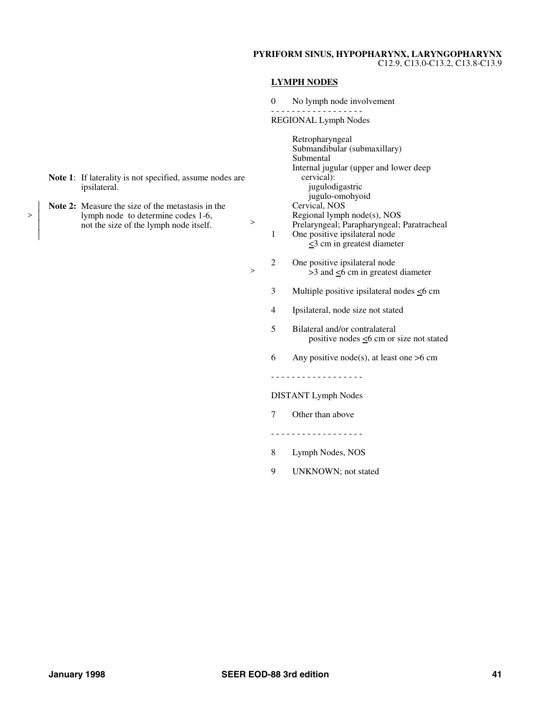#### **PYRIFORM SINUS, HYPOPHARYNX, LARYNGOPHARYNX** C12.9, C13.0-C13.2, C13.8-C13.9

## **LYMPH NODES**

|        |                                                                                                                                   |        | $\boldsymbol{0}$ | No lymph node involvement                                                                                                                                       |
|--------|-----------------------------------------------------------------------------------------------------------------------------------|--------|------------------|-----------------------------------------------------------------------------------------------------------------------------------------------------------------|
|        |                                                                                                                                   |        |                  | REGIONAL Lymph Nodes                                                                                                                                            |
|        | <b>Note 1:</b> If laterality is not specified, assume nodes are<br>ipsilateral.                                                   |        |                  | Retropharyngeal<br>Submandibular (submaxillary)<br>Submental<br>Internal jugular (upper and lower deep<br>cervical):<br>jugulodigastric<br>jugulo-omohyoid      |
| $\geq$ | Note 2: Measure the size of the metastasis in the<br>lymph node to determine codes 1-6,<br>not the size of the lymph node itself. | $\,>$  | 1                | Cervical, NOS<br>Regional lymph node(s), NOS<br>Prelaryngeal; Parapharyngeal; Paratracheal<br>One positive ipsilateral node<br>$\leq$ 3 cm in greatest diameter |
|        |                                                                                                                                   | $\geq$ | $\overline{2}$   | One positive ipsilateral node<br>$>3$ and $\leq 6$ cm in greatest diameter                                                                                      |
|        |                                                                                                                                   |        | 3                | Multiple positive ipsilateral nodes $\leq 6$ cm                                                                                                                 |
|        |                                                                                                                                   |        | $\overline{4}$   | Ipsilateral, node size not stated                                                                                                                               |
|        |                                                                                                                                   |        | 5                | Bilateral and/or contralateral<br>positive nodes $\leq 6$ cm or size not stated                                                                                 |
|        |                                                                                                                                   |        | 6                | Any positive node(s), at least one $>6$ cm                                                                                                                      |
|        |                                                                                                                                   |        |                  | ---------------                                                                                                                                                 |
|        |                                                                                                                                   |        |                  | <b>DISTANT</b> Lymph Nodes                                                                                                                                      |
|        |                                                                                                                                   |        | $\overline{7}$   | Other than above                                                                                                                                                |
|        |                                                                                                                                   |        |                  |                                                                                                                                                                 |
|        |                                                                                                                                   |        | 8                | Lymph Nodes, NOS                                                                                                                                                |
|        |                                                                                                                                   |        | 9                | UNKNOWN; not stated                                                                                                                                             |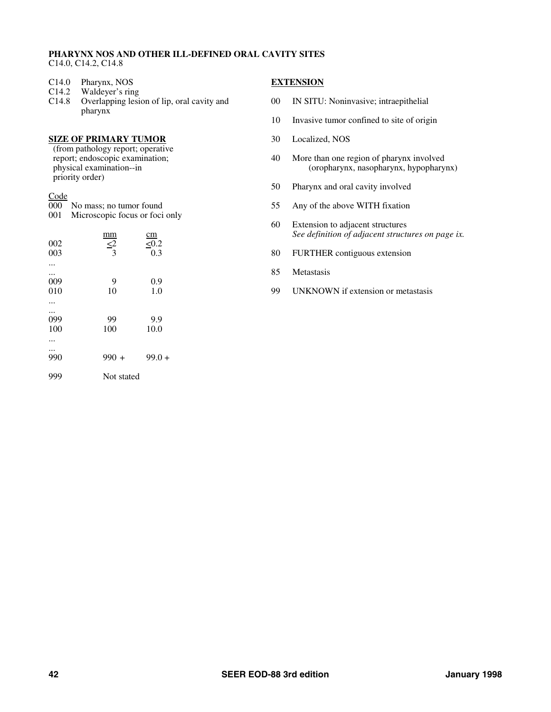## **PHARYNX NOS AND OTHER ILL-DEFINED ORAL CAVITY SITES**

C14.0, C14.2, C14.8

| C14.0<br>C <sub>14.2</sub><br>C14.8                                                                                                                 | Pharynx, NOS<br>Waldeyer's ring<br>Overlapping lesion of lip, oral cavity and<br>pharynx |                                |  |  |  |  |  |
|-----------------------------------------------------------------------------------------------------------------------------------------------------|------------------------------------------------------------------------------------------|--------------------------------|--|--|--|--|--|
| <b>SIZE OF PRIMARY TUMOR</b><br>(from pathology report; operative<br>report; endoscopic examination;<br>physical examination--in<br>priority order) |                                                                                          |                                |  |  |  |  |  |
| Code<br>000<br>001                                                                                                                                  | No mass; no tumor found<br>Microscopic focus or foci only                                |                                |  |  |  |  |  |
| 002<br>003                                                                                                                                          | mm<br>$\frac{2}{3}$                                                                      | <u>cm</u><br>$\leq 0.2$<br>0.3 |  |  |  |  |  |
| <br>009<br>010<br>                                                                                                                                  | 9<br>10                                                                                  | 0.9<br>1.0                     |  |  |  |  |  |
| .<br>099<br>100                                                                                                                                     | 99<br>100                                                                                | 9.9<br>10.0                    |  |  |  |  |  |
| 990                                                                                                                                                 | $990 +$                                                                                  | $99.0 +$                       |  |  |  |  |  |
| 999                                                                                                                                                 | Not stated                                                                               |                                |  |  |  |  |  |

## **EXTENSION**

- 00 IN SITU: Noninvasive; intraepithelial
- 10 Invasive tumor confined to site of origin
- 30 Localized, NOS
- 40 More than one region of pharynx involved (oropharynx, nasopharynx, hypopharynx)
- 50 Pharynx and oral cavity involved
- 55 Any of the above WITH fixation
- 60 Extension to adjacent structures *See definition of adjacent structures on page ix.*
- 80 FURTHER contiguous extension
- 85 Metastasis
- 99 UNKNOWN if extension or metastasis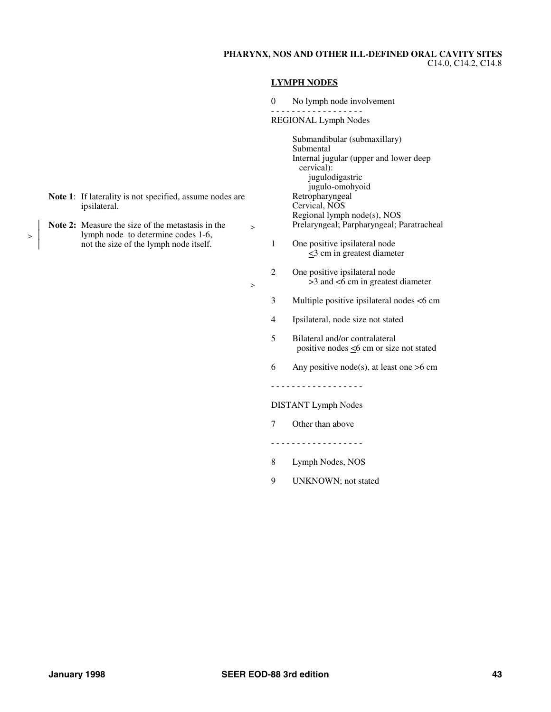## **PHARYNX, NOS AND OTHER ILL-DEFINED ORAL CAVITY SITES** C14.0, C14.2, C14.8

#### **LYMPH NODES**

- > > 0 No lymph node involvement - - - - - - - - - - - - - - - - - - REGIONAL Lymph Nodes Submandibular (submaxillary) Submental Internal jugular (upper and lower deep cervical): jugulodigastric jugulo-omohyoid Retropharyngeal Cervical, NOS Regional lymph node(s), NOS Prelaryngeal; Parpharyngeal; Paratracheal 1 One positive ipsilateral node  $\leq$ 3 cm in greatest diameter  $\overline{2}$ One positive ipsilateral node  $>$ 3 and  $\leq$ 6 cm in greatest diameter  $\overline{3}$ Multiple positive ipsilateral nodes  $\leq 6$  cm  $\overline{4}$ Ipsilateral, node size not stated 5 Bilateral and/or contralateral positive nodes <6 cm or size not stated 6 Any positive node(s), at least one  $>6$  cm - - - - - - - - - - - - - - - - - - DISTANT Lymph Nodes 7 Other than above - - - - - - - - - - - - - - - - - - 8 Lymph Nodes, NOS 9 UNKNOWN; not stated
- **Note 1**: If laterality is not specified, assume nodes are ipsilateral.

**Note 2:** Measure the size of the metastasis in the lymph node to determine codes 1-6, not the size of the lymph node itself.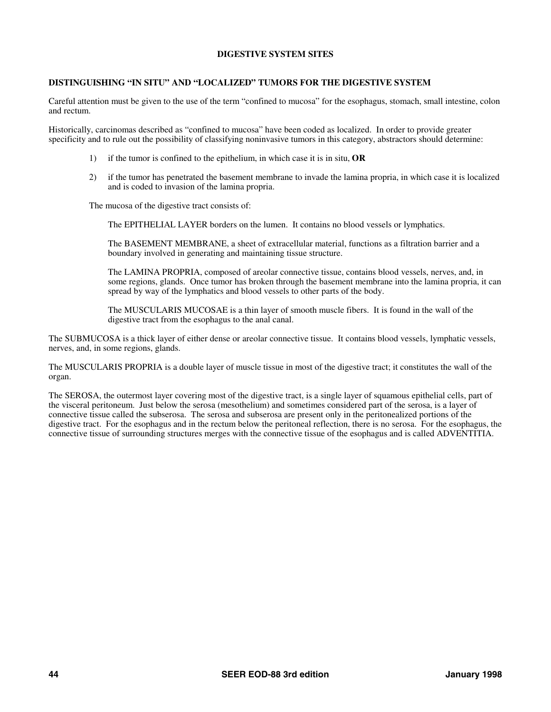## **DIGESTIVE SYSTEM SITES**

#### **DISTINGUISHING "IN SITU" AND "LOCALIZED" TUMORS FOR THE DIGESTIVE SYSTEM**

Careful attention must be given to the use of the term "confined to mucosa" for the esophagus, stomach, small intestine, colon and rectum.

Historically, carcinomas described as "confined to mucosa" have been coded as localized. In order to provide greater specificity and to rule out the possibility of classifying noninvasive tumors in this category, abstractors should determine:

- 1) if the tumor is confined to the epithelium, in which case it is in situ, **OR**
- 2) if the tumor has penetrated the basement membrane to invade the lamina propria, in which case it is localized and is coded to invasion of the lamina propria.

The mucosa of the digestive tract consists of:

The EPITHELIAL LAYER borders on the lumen. It contains no blood vessels or lymphatics.

 The BASEMENT MEMBRANE, a sheet of extracellular material, functions as a filtration barrier and a boundary involved in generating and maintaining tissue structure.

The LAMINA PROPRIA, composed of areolar connective tissue, contains blood vessels, nerves, and, in some regions, glands. Once tumor has broken through the basement membrane into the lamina propria, it can spread by way of the lymphatics and blood vessels to other parts of the body.

The MUSCULARIS MUCOSAE is a thin layer of smooth muscle fibers. It is found in the wall of the digestive tract from the esophagus to the anal canal.

The SUBMUCOSA is a thick layer of either dense or areolar connective tissue. It contains blood vessels, lymphatic vessels, nerves, and, in some regions, glands.

The MUSCULARIS PROPRIA is a double layer of muscle tissue in most of the digestive tract; it constitutes the wall of the organ.

The SEROSA, the outermost layer covering most of the digestive tract, is a single layer of squamous epithelial cells, part of the visceral peritoneum. Just below the serosa (mesothelium) and sometimes considered part of the serosa, is a layer of connective tissue called the subserosa. The serosa and subserosa are present only in the peritonealized portions of the digestive tract. For the esophagus and in the rectum below the peritoneal reflection, there is no serosa. For the esophagus, the connective tissue of surrounding structures merges with the connective tissue of the esophagus and is called ADVENTITIA.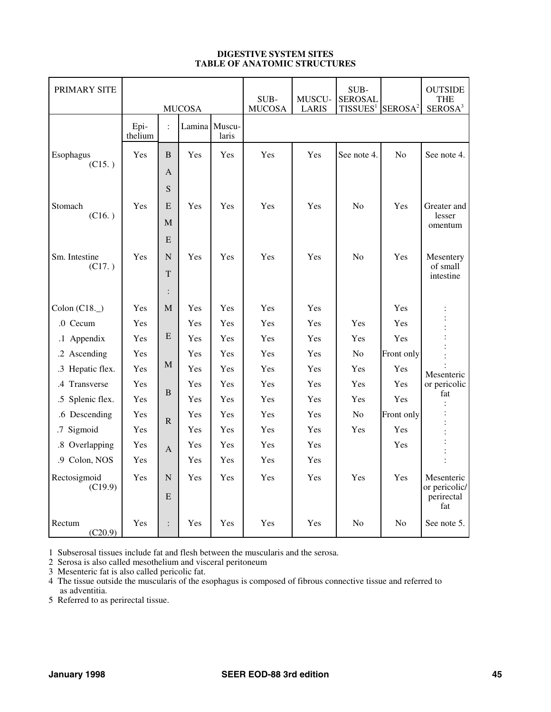## **DIGESTIVE SYSTEM SITES TABLE OF ANATOMIC STRUCTURES**

| PRIMARY SITE               | <b>MUCOSA</b>   |                | SUB-<br><b>MUCOSA</b> | MUSCU-<br><b>LARIS</b> | SUB-<br><b>SEROSAL</b><br>TISSUES <sup>1</sup> | SEROSA <sup>2</sup> | <b>OUTSIDE</b><br><b>THE</b><br>SEROSA <sup>3</sup> |                |                                    |
|----------------------------|-----------------|----------------|-----------------------|------------------------|------------------------------------------------|---------------------|-----------------------------------------------------|----------------|------------------------------------|
|                            | Epi-<br>thelium | $\ddot{\cdot}$ | Lamina Muscu-         | laris                  |                                                |                     |                                                     |                |                                    |
| Esophagus                  | Yes             | B              | Yes                   | Yes                    | Yes                                            | Yes                 | See note 4.                                         | N <sub>o</sub> | See note 4.                        |
| (C15.)                     |                 | A              |                       |                        |                                                |                     |                                                     |                |                                    |
|                            |                 | S              |                       |                        |                                                |                     |                                                     |                |                                    |
| Stomach                    | Yes             | E              | Yes                   | Yes                    | Yes                                            | Yes                 | No                                                  | Yes            | Greater and                        |
| (C16. )                    |                 | M              |                       |                        |                                                |                     |                                                     |                | lesser<br>omentum                  |
|                            |                 | E              |                       |                        |                                                |                     |                                                     |                |                                    |
| Sm. Intestine              | Yes             | $\overline{N}$ | Yes                   | Yes                    | Yes                                            | Yes                 | No                                                  | Yes            | Mesentery                          |
| (C17.)                     |                 | T              |                       |                        |                                                |                     |                                                     |                | of small<br>intestine              |
|                            |                 |                |                       |                        |                                                |                     |                                                     |                |                                    |
| Colon $(C18.$ <sub>)</sub> | Yes             | M              | Yes                   | Yes                    | Yes                                            | Yes                 |                                                     | Yes            |                                    |
| .0 Cecum                   | Yes             |                | Yes                   | Yes                    | Yes                                            | Yes                 | Yes                                                 | Yes            |                                    |
| .1 Appendix                | Yes             | E              | Yes                   | Yes                    | Yes                                            | Yes                 | Yes                                                 | Yes            |                                    |
| .2 Ascending               | Yes             |                | Yes                   | Yes                    | Yes                                            | Yes                 | N <sub>o</sub>                                      | Front only     |                                    |
| .3 Hepatic flex.           | Yes             | M              | Yes                   | Yes                    | Yes                                            | Yes                 | Yes                                                 | Yes            | Mesenteric                         |
| .4 Transverse              | Yes             | B              | Yes                   | Yes                    | Yes                                            | Yes                 | Yes                                                 | Yes            | or pericolic                       |
| .5 Splenic flex.           | Yes             |                | Yes                   | Yes                    | Yes                                            | Yes                 | Yes                                                 | Yes            | fat                                |
| .6 Descending              | Yes             | $\mathbf{R}$   | Yes                   | Yes                    | Yes                                            | Yes                 | N <sub>o</sub>                                      | Front only     |                                    |
| .7 Sigmoid                 | Yes             |                | Yes                   | Yes                    | Yes                                            | Yes                 | Yes                                                 | Yes            |                                    |
| .8 Overlapping             | Yes             | $\mathsf{A}$   | Yes                   | Yes                    | Yes                                            | Yes                 |                                                     | Yes            |                                    |
| .9 Colon, NOS              | Yes             |                | Yes                   | Yes                    | Yes                                            | Yes                 |                                                     |                |                                    |
| Rectosigmoid               | Yes             | N              | Yes                   | Yes                    | Yes                                            | Yes                 | Yes                                                 | Yes            | Mesenteric                         |
| (C19.9)                    |                 | E              |                       |                        |                                                |                     |                                                     |                | or pericolic/<br>perirectal<br>fat |
| Rectum<br>(C20.9)          | Yes             | $\ddot{\cdot}$ | Yes                   | Yes                    | Yes                                            | Yes                 | N <sub>0</sub>                                      | N <sub>0</sub> | See note 5.                        |

1 Subserosal tissues include fat and flesh between the muscularis and the serosa.

2 Serosa is also called mesothelium and visceral peritoneum

3 Mesenteric fat is also called pericolic fat.

4 The tissue outside the muscularis of the esophagus is composed of fibrous connective tissue and referred to as adventitia.

5 Referred to as perirectal tissue.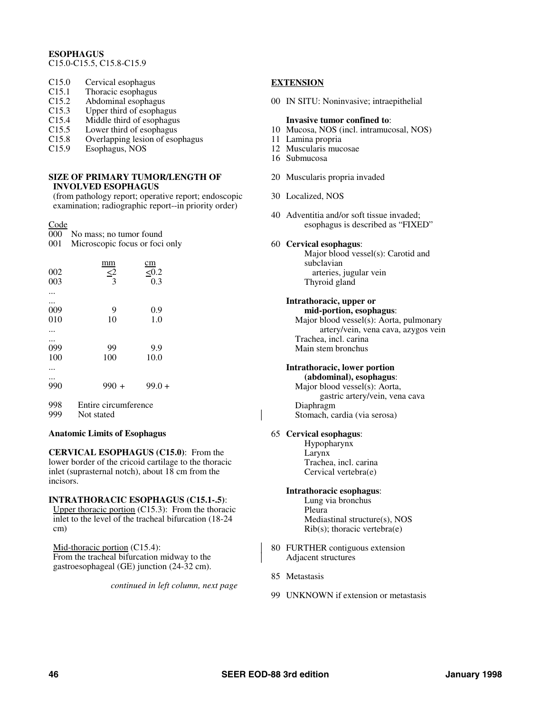## **ESOPHAGUS**

C15.0-C15.5, C15.8-C15.9

| C <sub>15.0</sub> | Cervical esophagus |
|-------------------|--------------------|
| C151              | Thoracic esophagus |

- oracic esophag C15.2 Abdominal esophagus
- C15.3 Upper third of esophagus
- C15.4 Middle third of esophagus
- C15.5 Lower third of esophagus
- C15.8 Overlapping lesion of esophagus<br>C15.9 Esophagus, NOS
- Esophagus, NOS

#### **SIZE OF PRIMARY TUMOR/LENGTH OF INVOLVED ESOPHAGUS**

 (from pathology report; operative report; endoscopic examination; radiographic report--in priority order)

Code

- 000 No mass; no tumor found
- 001 Microscopic focus or foci only

| 002<br>003     | mm<br>$\frac{2}{3}$                | <u>cm</u><br>< 0.2<br>0.3 |  |
|----------------|------------------------------------|---------------------------|--|
|                |                                    |                           |  |
| <br>009<br>010 | 9<br>10                            | 0.9<br>1.0                |  |
|                |                                    |                           |  |
| <br>099<br>100 | 99<br>100                          | 9.9<br>10.0               |  |
| <br>990        | $990 +$                            | $99.0 +$                  |  |
| 998<br>999     | Entire circumference<br>Not stated |                           |  |

#### **Anatomic Limits of Esophagus**

**CERVICAL ESOPHAGUS (C15.0)**: From the lower border of the cricoid cartilage to the thoracic inlet (suprasternal notch), about  $18 \text{ cm}$  from the incisors.

#### **INTRATHORACIC ESOPHAGUS (C15.1-.5)**:

 Upper thoracic portion (C15.3): From the thoracic inlet to the level of the tracheal bifurcation (18-24 cm)

Mid-thoracic portion (C15.4): From the tracheal bifurcation midway to the gastroesophageal (GE) junction (24-32 cm).

*continued in left column, next page*

## **EXTENSION**

00 IN SITU: Noninvasive; intraepithelial

#### **Invasive tumor confined to**:

- 10 Mucosa, NOS (incl. intramucosal, NOS)
- 11 Lamina propria
- 12 Muscularis mucosae
- 16 Submucosa
- 20 Muscularis propria invaded
- 30 Localized, NOS
- 40 Adventitia and/or soft tissue invaded; esophagus is described as "FIXED"

## 60 **Cervical esophagus**: Major blood vessel(s): Carotid and

subclavian arteries, jugular vein Thyroid gland

## **Intrathoracic, upper or mid-portion, esophagus**: Major blood vessel(s): Aorta, pulmonary artery/vein, vena cava, azygos vein Trachea, incl. carina

Main stem bronchus

#### **Intrathoracic, lower portion (abdominal), esophagus**:

 Major blood vessel(s): Aorta, gastric artery/vein, vena cava Diaphragm | Stomach, cardia (via serosa)

#### 65 **Cervical esophagus**:

Hypopharynx Larynx Trachea, incl. carina Cervical vertebra(e)

#### **Intrathoracic esophagus**:

Lung via bronchus Pleura Mediastinal structure(s), NOS Rib(s); thoracic vertebra(e)

- | 80 FURTHER contiguous extension | Adjacent structures
- 85 Metastasis
- 99 UNKNOWN if extension or metastasis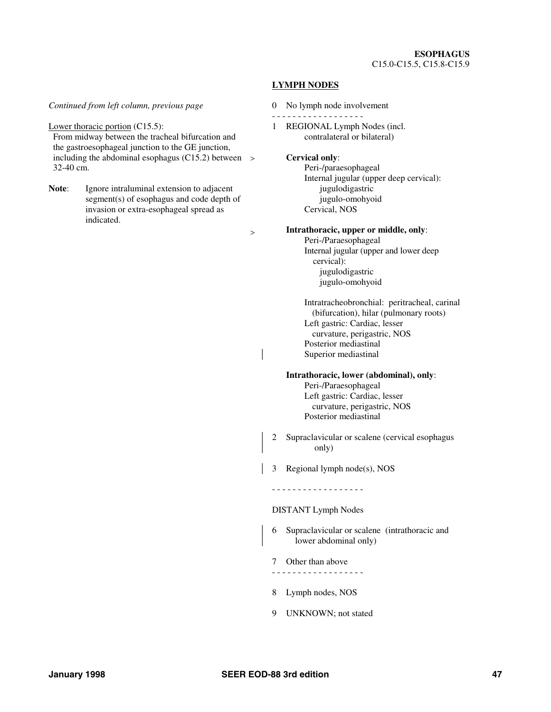## **LYMPH NODES**

*Continued from left column, previous page*

Lower thoracic portion (C15.5):

including the abdominal esophagus  $(C15.2)$  between > From midway between the tracheal bifurcation and the gastroesophageal junction to the GE junction, 32-40 cm.

**Note**: Ignore intraluminal extension to adjacent segment(s) of esophagus and code depth of invasion or extra-esophageal spread as indicated.

>

0 No lymph node involvement

- - - - - - - - - - 1 REGIONAL Lymph Nodes (incl.
- contralateral or bilateral)

## **Cervical only**:

Peri-/paraesophageal Internal jugular (upper deep cervical): jugulodigastric jugulo-omohyoid Cervical, NOS

**Intrathoracic, upper or middle, only**:

Peri-/Paraesophageal Internal jugular (upper and lower deep cervical): jugulodigastric jugulo-omohyoid

Intratracheobronchial: peritracheal, carinal (bifurcation), hilar (pulmonary roots) Left gastric: Cardiac, lesser curvature, perigastric, NOS Posterior mediastinal | Superior mediastinal

## **Intrathoracic, lower (abdominal), only**: Peri-/Paraesophageal

Left gastric: Cardiac, lesser curvature, perigastric, NOS Posterior mediastinal

- | 2 Supraclavicular or scalene (cervical esophagus | only)
- | 3 Regional lymph node(s), NOS

## - - - - - - - - - - - - - - - - - -

## DISTANT Lymph Nodes

- | 6 Supraclavicular or scalene (intrathoracic and lower abdominal only)
- 7 Other than above - - - - - - - - - - - - - - - - - -
- 8 Lymph nodes, NOS
- 9 UNKNOWN; not stated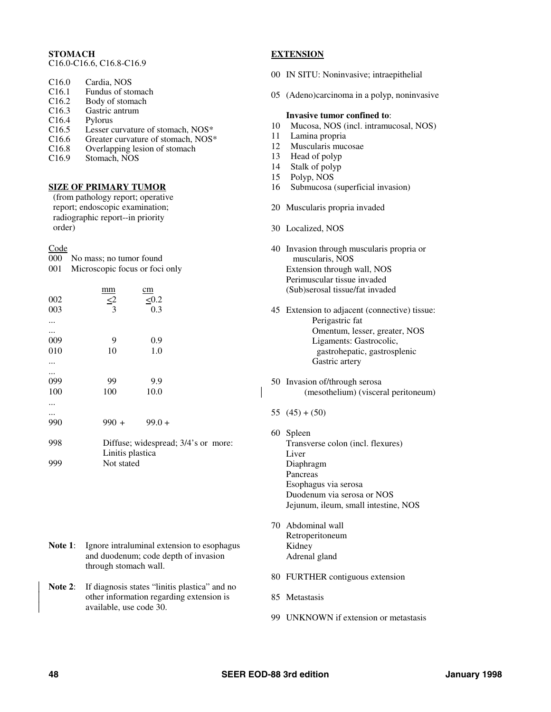#### **STOMACH** C16.0-C16.6, C16.8-C16.9

| C <sub>16.0</sub> | Cardia, NOS                        |
|-------------------|------------------------------------|
|                   |                                    |
| C <sub>16.1</sub> | Fundus of stomach                  |
| C <sub>16.2</sub> | Body of stomach                    |
| C16.3             | Gastric antrum                     |
| C <sub>16.4</sub> | Pylorus                            |
| C16.5             | Lesser curvature of stomach, NOS*  |
| C <sub>16.6</sub> | Greater curvature of stomach, NOS* |
| C <sub>16.8</sub> | Overlapping lesion of stomach      |
| C <sub>16.9</sub> | Stomach, NOS                       |
|                   |                                    |

## **SIZE OF PRIMARY TUMOR**

 (from pathology report; operative report; endoscopic examination; radiographic report--in priority order)

Code

000 No mass; no tumor found

001 Microscopic focus or foci only

|     | mm            | cm                                  |  |  |  |  |
|-----|---------------|-------------------------------------|--|--|--|--|
| 002 | $\leq$ 2      | < 0.2                               |  |  |  |  |
| 003 | $\mathcal{F}$ | 0.3                                 |  |  |  |  |
|     |               |                                     |  |  |  |  |
|     |               |                                     |  |  |  |  |
|     |               |                                     |  |  |  |  |
| 009 | 9             | 0.9                                 |  |  |  |  |
| 010 | 10            | 1.0                                 |  |  |  |  |
| .   |               |                                     |  |  |  |  |
|     |               |                                     |  |  |  |  |
| 099 | 99            | 9.9                                 |  |  |  |  |
|     |               |                                     |  |  |  |  |
| 100 | 100           | 10.0                                |  |  |  |  |
|     |               |                                     |  |  |  |  |
|     |               |                                     |  |  |  |  |
| 990 | $990 +$       | $99.0 +$                            |  |  |  |  |
|     |               |                                     |  |  |  |  |
| 998 |               | Diffuse; widespread; 3/4's or more: |  |  |  |  |
|     |               |                                     |  |  |  |  |
|     |               | Linitis plastica                    |  |  |  |  |
| 999 | Not stated    |                                     |  |  |  |  |

- **Note 1**: Ignore intraluminal extension to esophagus and duodenum; code depth of invasion through stomach wall.
- Note 2: If diagnosis states "linitis plastica" and no | other information regarding extension is available, use code 30.

## **EXTENSION**

- 00 IN SITU: Noninvasive; intraepithelial
- 05 (Adeno)carcinoma in a polyp, noninvasive

## **Invasive tumor confined to**:

- 10 Mucosa, NOS (incl. intramucosal, NOS)
- 11 Lamina propria
- 12 Muscularis mucosae
- 13 Head of polyp
- 14 Stalk of polyp
- 15 Polyp, NOS
- 16 Submucosa (superficial invasion)
- 20 Muscularis propria invaded
- 30 Localized, NOS
- 40 Invasion through muscularis propria or muscularis, NOS Extension through wall, NOS Perimuscular tissue invaded (Sub)serosal tissue/fat invaded
- 45 Extension to adjacent (connective) tissue: Perigastric fat Omentum, lesser, greater, NOS Ligaments: Gastrocolic, gastrohepatic, gastrosplenic Gastric artery
- 50 Invasion of/through serosa | (mesothelium) (visceral peritoneum)
- 55  $(45) + (50)$
- 60 Spleen Transverse colon (incl. flexures) Liver Diaphragm Pancreas Esophagus via serosa Duodenum via serosa or NOS Jejunum, ileum, small intestine, NOS
- 70 Abdominal wall Retroperitoneum Kidney Adrenal gland
- 80 FURTHER contiguous extension
- 85 Metastasis
- 99 UNKNOWN if extension or metastasis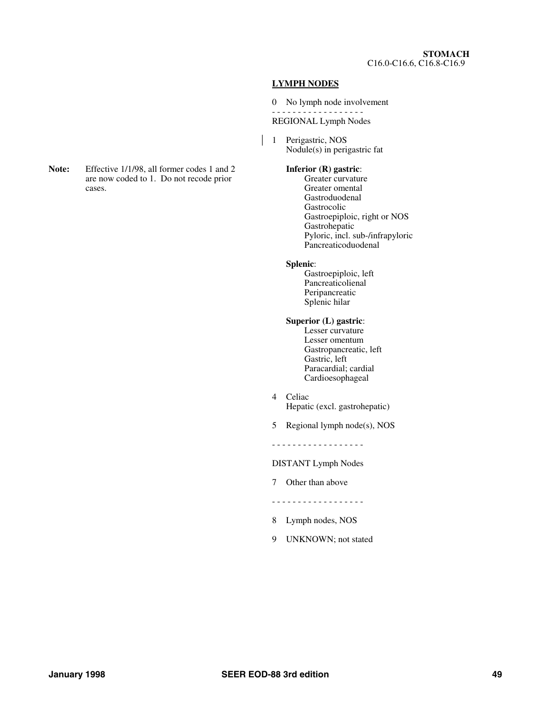## **LYMPH NODES**

- 0 No lymph node involvement - - - - - - - - - - - - - - - - - - REGIONAL Lymph Nodes
- | 1 Perigastric, NOS Nodule(s) in perigastric fat

## **Inferior (R) gastric**:

Greater curvature Greater omental Gastroduodenal Gastrocolic Gastroepiploic, right or NOS Gastrohepatic Pyloric, incl. sub-/infrapyloric Pancreaticoduodenal

## **Splenic**:

Gastroepiploic, left Pancreaticolienal Peripancreatic Splenic hilar

## **Superior (L) gastric**:

Lesser curvature Lesser omentum Gastropancreatic, left Gastric, left Paracardial; cardial Cardioesophageal

#### 4 Celiac

Hepatic (excl. gastrohepatic)

5 Regional lymph node(s), NOS

- - - - - - - - - - - - - - - - - -

## DISTANT Lymph Nodes

7 Other than above

- - - - - - - - - - - - - - - - - -

- 8 Lymph nodes, NOS
- 9 UNKNOWN; not stated

Note: Effective 1/1/98, all former codes 1 and 2 are now coded to 1. Do not recode prior cases.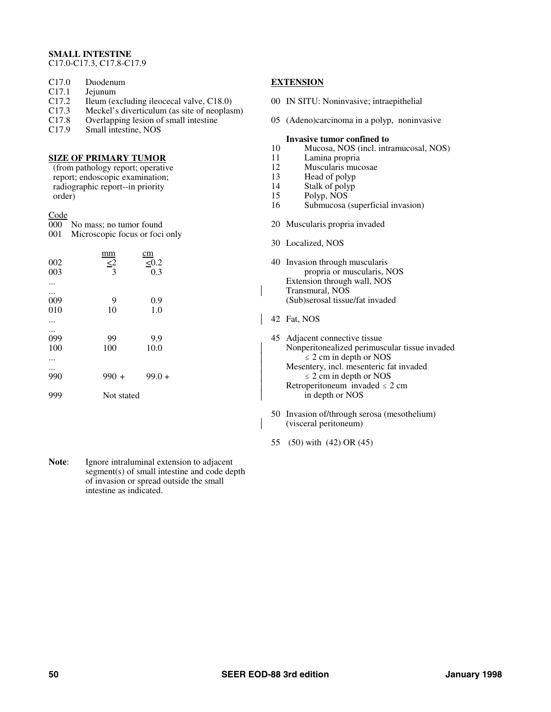## **SMALL INTESTINE**

C17.0-C17.3, C17.8-C17.9

| C <sub>17.0</sub> | Duodenum                                    |
|-------------------|---------------------------------------------|
| C <sub>17.1</sub> | Jejunum                                     |
| C <sub>17.2</sub> | Ileum (excluding ileocecal valve, C18.0)    |
| C <sub>17.3</sub> | Meckel's diverticulum (as site of neoplasm) |
| C <sub>17.8</sub> | Overlapping lesion of small intestine       |
| C <sub>17.9</sub> | Small intestine, NOS                        |

#### **SIZE OF PRIMARY TUMOR**

 (from pathology report; operative report; endoscopic examination; radiographic report--in priority order)

## **Code**

- 000 No mass; no tumor found
- 001 Microscopic focus or foci only

| 002<br>003     | $\underline{\text{mm}}$<br>$\frac{2}{3}$ | <u>cm</u><br>< 0.2<br>0.3 |
|----------------|------------------------------------------|---------------------------|
|                |                                          |                           |
| <br>009<br>010 | 9<br>10                                  | 0.9<br>1.0                |
| .              |                                          |                           |
| <br>099<br>100 | 99<br>100                                | 9.9<br>10.0               |
|                |                                          |                           |
| <br>990        | $990 +$                                  | $99.0 +$                  |
| 999            | Not stated                               |                           |

**Note**: Ignore intraluminal extension to adjacent segment(s) of small intestine and code depth of invasion or spread outside the small intestine as indicated.

## **EXTENSION**

- 00 IN SITU: Noninvasive; intraepithelial
- 05 (Adeno)carcinoma in a polyp, noninvasive

#### **Invasive tumor confined to**

- 10 Mucosa, NOS (incl. intramucosal, NOS)
- 11 Lamina propria<br>12 Muscularis muc
- 12 Muscularis mucosae<br>13 Head of polyp
- 13 Head of polyp<br>14 Stalk of polyp
- 14 Stalk of polyp<br>15 Polyp, NOS
- 15 Polyp, NOS<br>16 Submucosa
- Submucosa (superficial invasion)
- 20 Muscularis propria invaded
- 30 Localized, NOS
- 40 Invasion through muscularis propria or muscularis, NOS Extension through wall, NOS | Transmural, NOS (Sub)serosal tissue/fat invaded
- | 42 Fat, NOS
- 45 Adjacent connective tissue | Nonperitonealized perimuscular tissue invaded  $\leq$  2 cm in depth or NOS | Mesentery, incl. mesenteric fat invaded  $\leq$  2 cm in depth or NOS Retroperitoneum invaded  $\leq 2$  cm in depth or NOS
- 50 Invasion of/through serosa (mesothelium) | (visceral peritoneum)

55 (50) with (42) OR (45)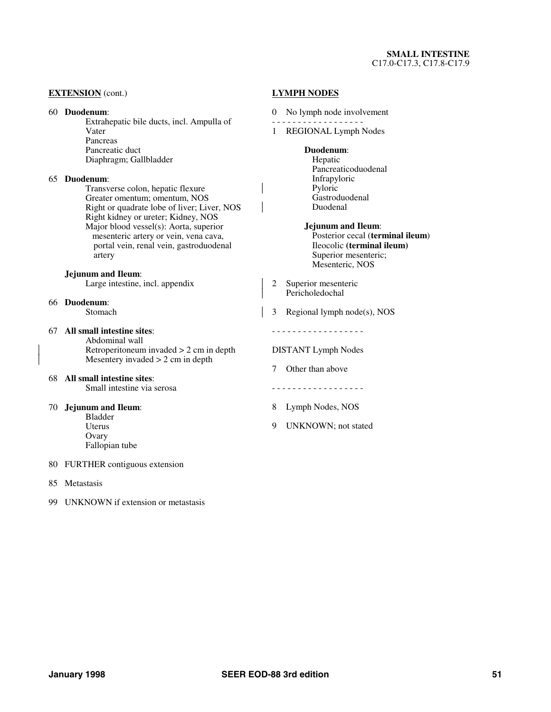## **EXTENSION** (cont.)

## 60 **Duodenum**:

Extrahepatic bile ducts, incl. Ampulla of Vater Pancreas Pancreatic duct Diaphragm; Gallbladder

## 65 **Duodenum**:

Transverse colon, hepatic flexure Greater omentum; omentum, NOS Right or quadrate lobe of liver; Liver, NOS Right kidney or ureter; Kidney, NOS Major blood vessel(s): Aorta, superior mesenteric artery or vein, vena cava, portal vein, renal vein, gastroduodenal artery

## **Jejunum and Ileum**:

Large intestine, incl. appendix

## 66 **Duodenum**:

Stomach

## 67 **All small intestine sites**:

Abdominal wall | Retroperitoneum invaded > 2 cm in depth Mesentery invaded  $> 2$  cm in depth

#### 68 **All small intestine sites**: Small intestine via serosa

#### 70 **Jejunum and Ileum**:

Bladder Uterus **Ovary** Fallopian tube

### 80 FURTHER contiguous extension

- 85 Metastasis
- 99 UNKNOWN if extension or metastasis

## **LYMPH NODES**

- 0 No lymph node involvement
- - - - - - - - - -
- 1 REGIONAL Lymph Nodes

## **Duodenum**:

Hepatic Pancreaticoduodenal Infrapyloric | Pyloric Gastroduodenal | Duodenal

> **Jejunum and Ileum**: Posterior cecal (**terminal ileum**) Ileocolic **(terminal ileum)** Superior mesenteric; Mesenteric, NOS

- 2 Superior mesenteric Pericholedochal
- | 3 Regional lymph node(s), NOS
- - - - - - - - - -

#### DISTANT Lymph Nodes

- 7 Other than above
- - - - - - - - - -
- 8 Lymph Nodes, NOS
- 9 UNKNOWN; not stated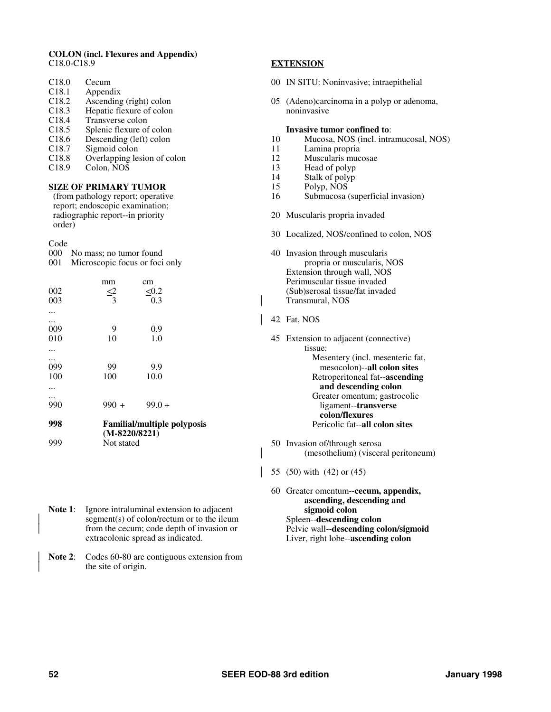#### **COLON (incl. Flexures and Appendix)** C18.0-C18.9

| C18.0             | Cecum                       |
|-------------------|-----------------------------|
| C18.1             | Appendix                    |
| C <sub>18.2</sub> | Ascending (right) colon     |
| C18.3             | Hepatic flexure of colon    |
| C18.4             | Transverse colon            |
| C18.5             | Splenic flexure of colon    |
| C <sub>18.6</sub> | Descending (left) colon     |
| C <sub>18.7</sub> | Sigmoid colon               |
| C18.8             | Overlapping lesion of colon |
| C <sub>18.9</sub> | Colon. NOS                  |

#### **SIZE OF PRIMARY TUMOR**

 (from pathology report; operative report; endoscopic examination; radiographic report--in priority order)

#### Code

- 000 No mass; no tumor found
- 001 Microscopic focus or foci only

| 002<br>003 | mm<br>$\leq$ 2<br>$\bar{3}$ | cm<br>< 0.2<br>0.3                 |  |  |
|------------|-----------------------------|------------------------------------|--|--|
|            |                             |                                    |  |  |
| 009        | 9                           | 0.9                                |  |  |
| 010        | 10                          | 1.0                                |  |  |
|            |                             |                                    |  |  |
|            |                             |                                    |  |  |
| 099        | 99                          | 9.9                                |  |  |
| 100        | 100                         | 10.0                               |  |  |
|            |                             |                                    |  |  |
| <br>990    | $990 +$                     | $99.0 +$                           |  |  |
| 998        | $(M-8220/8221)$             | <b>Familial/multiple polyposis</b> |  |  |
| 999        | Not stated                  |                                    |  |  |

- **Note 1**: Ignore intraluminal extension to adjacent segment(s) of colon/rectum or to the ileum from the cecum; code depth of invasion or extracolonic spread as indicated.
- Note 2: Codes 60-80 are contiguous extension from the site of origin.

## **EXTENSION**

- 00 IN SITU: Noninvasive; intraepithelial
- 05 (Adeno)carcinoma in a polyp or adenoma, noninvasive

#### **Invasive tumor confined to**:

- 10 Mucosa, NOS (incl. intramucosal, NOS)<br>11 Lamina propria
- 11 Lamina propria<br>12 Muscularis muc
- 12 Muscularis mucosae<br>13 Head of polyp
- 13 Head of polyp<br>14 Stalk of polyp
- 14 Stalk of polyp<br>15 Polyp, NOS
- Polyp, NOS
- 16 Submucosa (superficial invasion)
- 20 Muscularis propria invaded
- 30 Localized, NOS/confined to colon, NOS
- 40 Invasion through muscularis propria or muscularis, NOS Extension through wall, NOS Perimuscular tissue invaded (Sub)serosal tissue/fat invaded | Transmural, NOS
- | 42 Fat, NOS
- 45 Extension to adjacent (connective) tissue: Mesentery (incl. mesenteric fat, mesocolon)--**all colon sites** Retroperitoneal fat--**ascending and descending colon** Greater omentum; gastrocolic ligament--**transverse colon/flexures** Pericolic fat--**all colon sites**
- 50 Invasion of/through serosa | (mesothelium) (visceral peritoneum)
- | 55 (50) with (42) or (45)
- 60 Greater omentum--**cecum, appendix, ascending, descending and sigmoid colon** Spleen--**descending colon** Pelvic wall--**descending colon/sigmoid** Liver, right lobe--**ascending colon**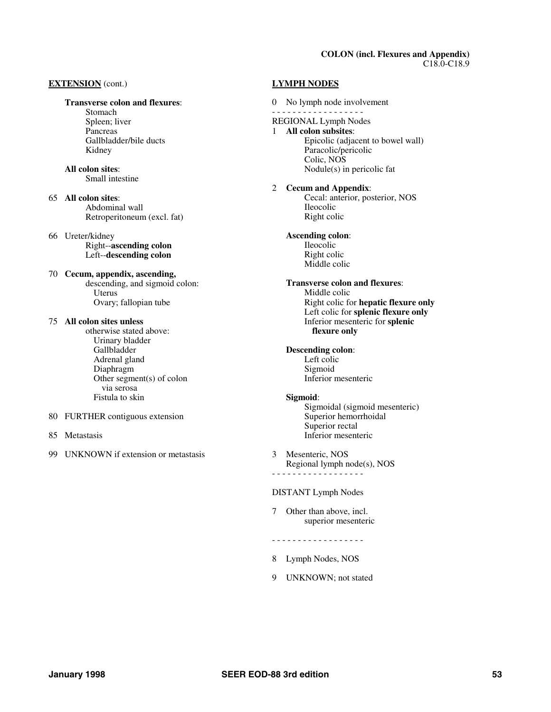#### **COLON (incl. Flexures and Appendix)** C<sub>18.0</sub>-C<sub>18.9</sub>

## **EXTENSION** (cont.)

## **Transverse colon and flexures**:

Stomach Spleen; liver Pancreas Gallbladder/bile ducts Kidney

#### **All colon sites**: Small intestine

65 **All colon sites**: Abdominal wall Retroperitoneum (excl. fat)

## 66 Ureter/kidney Right--**ascending colon** Left--**descending colon**

## 70 **Cecum, appendix, ascending,**

descending, and sigmoid colon: Uterus Ovary; fallopian tube

### 75 **All colon sites unless**

otherwise stated above: Urinary bladder Gallbladder Adrenal gland Diaphragm Other segment(s) of colon via serosa Fistula to skin

- 80 FURTHER contiguous extension
- 85 Metastasis

99 UNKNOWN if extension or metastasis

## **LYMPH NODES**

0 No lymph node involvement

- - - - - - - - - - - - - - - - - -

- REGIONAL Lymph Nodes
- 1 **All colon subsites**: Epicolic (adjacent to bowel wall) Paracolic/pericolic Colic, NOS Nodule(s) in pericolic fat

## 2 **Cecum and Appendix**:

Cecal: anterior, posterior, NOS Ileocolic Right colic

#### **Ascending colon**:

Ileocolic Right colic Middle colic

#### **Transverse colon and flexures**: Middle colic

Right colic for **hepatic flexure only** Left colic for **splenic flexure only** Inferior mesenteric for **splenic flexure only**

## **Descending colon**:

Left colic Sigmoid Inferior mesenteric

#### **Sigmoid**:

Sigmoidal (sigmoid mesenteric) Superior hemorrhoidal Superior rectal Inferior mesenteric

## 3 Mesenteric, NOS Regional lymph node(s), NOS

- - - - - - - - - - - - - - - - - -

## DISTANT Lymph Nodes

7 Other than above, incl. superior mesenteric

#### - - - - - - - - - - - - - - - - - -

- 8 Lymph Nodes, NOS
- 9 UNKNOWN; not stated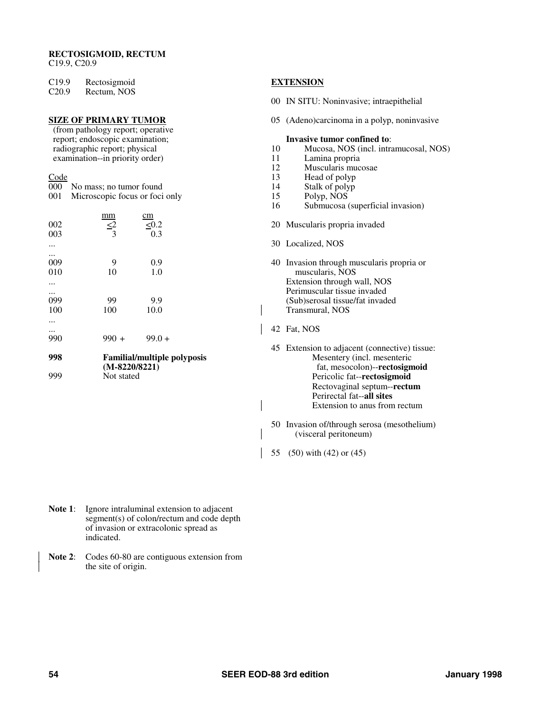## **RECTOSIGMOID, RECTUM**

C19.9, C20.9

| C <sub>19.9</sub><br>Rectosigmoid<br>C20.9<br>Rectum, NOS |                                                                   |               | <b>EXTENSION</b>               |                                                                                                               |                                                                                                                          |
|-----------------------------------------------------------|-------------------------------------------------------------------|---------------|--------------------------------|---------------------------------------------------------------------------------------------------------------|--------------------------------------------------------------------------------------------------------------------------|
|                                                           |                                                                   |               |                                |                                                                                                               | 00 IN SITU: Noninvasive; intraepithelial                                                                                 |
|                                                           | <b>SIZE OF PRIMARY TUMOR</b><br>(from pathology report; operative |               |                                | 05 <sup>1</sup>                                                                                               | (Adeno)carcinoma in a polyp, noninvasive                                                                                 |
|                                                           | report; endoscopic examination;                                   |               |                                |                                                                                                               | Invasive tumor confined to:                                                                                              |
|                                                           | radiographic report; physical                                     |               |                                | 10                                                                                                            | Mucosa, NOS (incl. intramucosal, NOS)                                                                                    |
|                                                           | examination--in priority order)                                   |               |                                | 11                                                                                                            | Lamina propria                                                                                                           |
|                                                           |                                                                   |               |                                | 12                                                                                                            | Muscularis mucosae                                                                                                       |
| Code                                                      |                                                                   |               |                                | 13                                                                                                            | Head of polyp                                                                                                            |
| 000                                                       | No mass; no tumor found                                           |               |                                | 14                                                                                                            | Stalk of polyp                                                                                                           |
| 001                                                       |                                                                   |               | Microscopic focus or foci only | 15                                                                                                            | Polyp, NOS                                                                                                               |
|                                                           |                                                                   |               |                                | 16                                                                                                            | Submucosa (superficial invasion)                                                                                         |
|                                                           |                                                                   | mm            | $\mathbf{cm}$                  |                                                                                                               |                                                                                                                          |
| 002                                                       |                                                                   |               | < 0.2                          |                                                                                                               | 20 Muscularis propria invaded                                                                                            |
| 003                                                       |                                                                   | $\frac{2}{3}$ | 0.3                            |                                                                                                               |                                                                                                                          |
|                                                           |                                                                   |               |                                |                                                                                                               | 30 Localized, NOS                                                                                                        |
| <br>009                                                   |                                                                   | 9             | 0.9                            |                                                                                                               | 40 Invasion through muscularis propria or                                                                                |
| 010                                                       |                                                                   | 10            | 1.0                            |                                                                                                               | muscularis, NOS                                                                                                          |
|                                                           |                                                                   |               |                                |                                                                                                               | Extension through wall, NOS                                                                                              |
| .                                                         |                                                                   |               |                                |                                                                                                               | Perimuscular tissue invaded                                                                                              |
| 099                                                       |                                                                   | 99            | 9.9                            |                                                                                                               | (Sub)serosal tissue/fat invaded                                                                                          |
| 100                                                       |                                                                   | 100           | 10.0                           |                                                                                                               | Transmural, NOS                                                                                                          |
|                                                           |                                                                   |               |                                |                                                                                                               |                                                                                                                          |
|                                                           |                                                                   | $990 +$       | $99.0 +$                       |                                                                                                               | 42 Fat, NOS                                                                                                              |
| 990                                                       |                                                                   |               |                                |                                                                                                               |                                                                                                                          |
| 998                                                       | <b>Familial/multiple polyposis</b><br>$(M-8220/8221)$             |               |                                | 45 Extension to adjacent (connective) tissue:<br>Mesentery (incl. mesenteric<br>fat, mesocolon)--rectosigmoid |                                                                                                                          |
| 999                                                       |                                                                   | Not stated    |                                |                                                                                                               | Pericolic fat--rectosigmoid<br>Rectovaginal septum--rectum<br>Perirectal fat--all sites<br>Extension to anus from rectum |
|                                                           |                                                                   |               |                                |                                                                                                               | 50 Invasion of/through serosa (mesothelium)<br>(visceral peritoneum)                                                     |

- **Note 1**: Ignore intraluminal extension to adjacent segment(s) of colon/rectum and code depth of invasion or extracolonic spread as indicated.
- Note 2: Codes 60-80 are contiguous extension from the site of origin.

| 55 (50) with (42) or (45)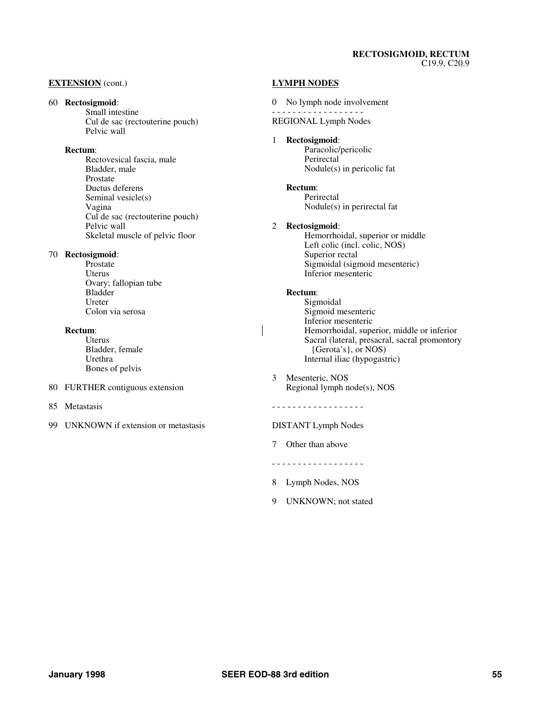#### **RECTOSIGMOID, RECTUM** C19.9, C20.9

### **EXTENSION** (cont.)

#### 60 **Rectosigmoid**:

Small intestine Cul de sac (rectouterine pouch) Pelvic wall

## **Rectum**:

Rectovesical fascia, male Bladder, male Prostate Ductus deferens Seminal vesicle(s) Vagina Cul de sac (rectouterine pouch) Pelvic wall Skeletal muscle of pelvic floor

### 70 **Rectosigmoid**:

Prostate Uterus Ovary; fallopian tube Bladder Ureter Colon via serosa

#### **Rectum**:

Uterus Bladder, female Urethra Bones of pelvis

### 80 FURTHER contiguous extension

- 85 Metastasis
- 99 UNKNOWN if extension or metastasis

## **LYMPH NODES**

0 No lymph node involvement - - - - - - - - - - - - - - - - - - REGIONAL Lymph Nodes

#### 1 **Rectosigmoid**:

Paracolic/pericolic Perirectal Nodule(s) in pericolic fat

**Rectum**:

Perirectal Nodule(s) in perirectal fat

#### 2 **Rectosigmoid**:

Hemorrhoidal, superior or middle Left colic (incl. colic, NOS) Superior rectal Sigmoidal (sigmoid mesenteric) Inferior mesenteric

#### **Rectum**:

Sigmoidal Sigmoid mesenteric Inferior mesenteric | Hemorrhoidal, superior, middle or inferior Sacral (lateral, presacral, sacral promontory {Gerota's}, or NOS) Internal iliac (hypogastric)

3 Mesenteric, NOS Regional lymph node(s), NOS

## - - - - - - - - - - - - - - - - - - DISTANT Lymph Nodes

7 Other than above

#### - - - - - - - - - - - - - - - - - -

- 8 Lymph Nodes, NOS
- 9 UNKNOWN; not stated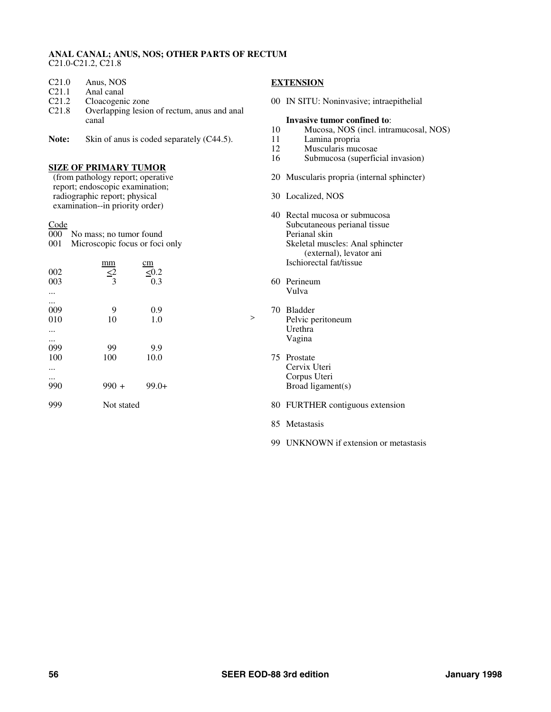#### **ANAL CANAL; ANUS, NOS; OTHER PARTS OF RECTUM** C21.0-C21.2, C21.8

| C <sub>21.0</sub>          | Anus, NOS                         |                                             |       | <b>EXTENSION</b>                           |
|----------------------------|-----------------------------------|---------------------------------------------|-------|--------------------------------------------|
| C21.1<br>C <sub>21.2</sub> | Anal canal<br>Cloacogenic zone    |                                             |       | 00 IN SITU: Noninvasive; intraepithelial   |
| C21.8                      |                                   | Overlapping lesion of rectum, anus and anal |       |                                            |
|                            | canal                             |                                             |       | Invasive tumor confined to:                |
|                            |                                   |                                             | 10    | Mucosa, NOS (incl. intramucosal, NOS)      |
| Note:                      |                                   | Skin of any is coded separately $(C44.5)$ . | 11    | Lamina propria                             |
|                            |                                   |                                             | 12    | Muscularis mucosae                         |
|                            |                                   |                                             | 16    | Submucosa (superficial invasion)           |
|                            | <b>SIZE OF PRIMARY TUMOR</b>      |                                             |       |                                            |
|                            | (from pathology report; operative |                                             |       | 20 Muscularis propria (internal sphincter) |
|                            | report; endoscopic examination;   |                                             |       |                                            |
|                            | radiographic report; physical     |                                             |       | 30 Localized, NOS                          |
|                            | examination--in priority order)   |                                             |       |                                            |
|                            |                                   |                                             |       | 40 Rectal mucosa or submucosa              |
| Code                       |                                   |                                             |       | Subcutaneous perianal tissue               |
| 000                        | No mass; no tumor found           |                                             |       | Perianal skin                              |
| 001                        | Microscopic focus or foci only    |                                             |       | Skeletal muscles: Anal sphincter           |
|                            |                                   |                                             |       | (external), levator ani                    |
|                            | mm                                | cm                                          |       | Ischiorectal fat/tissue                    |
| 002                        | $\frac{2}{3}$                     | <0.2                                        |       |                                            |
| 003                        |                                   | 0.3                                         |       | 60 Perineum                                |
|                            |                                   |                                             |       | Vulva                                      |
|                            |                                   |                                             |       |                                            |
| 009                        | 9                                 | 0.9                                         | $\gt$ | 70 Bladder                                 |
| 010                        | 10                                | 1.0                                         |       | Pelvic peritoneum                          |
|                            |                                   |                                             |       | Urethra                                    |
|                            |                                   |                                             |       | Vagina                                     |
| 099                        | 99                                | 9.9                                         |       |                                            |
| 100                        | 100                               | 10.0                                        |       | 75 Prostate                                |
|                            |                                   |                                             |       | Cervix Uteri                               |
|                            |                                   |                                             |       | Corpus Uteri                               |
| 990                        | $990 +$                           | $99.0+$                                     |       | Broad ligament(s)                          |

- 80 FURTHER contiguous extension
- 85 Metastasis
- 99 UNKNOWN if extension or metastasis

999 Not stated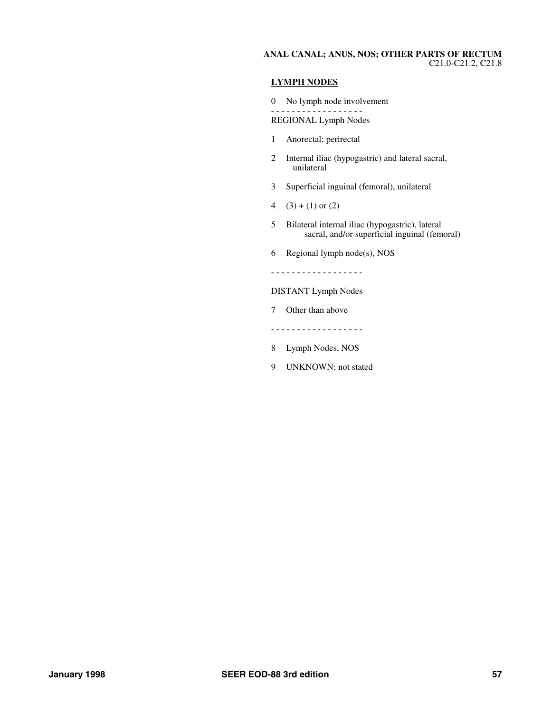## **ANAL CANAL; ANUS, NOS; OTHER PARTS OF RECTUM** C21.0-C21.2, C21.8

## **LYMPH NODES**

0 No lymph node involvement - - - - - - - - - - - - - - - - - - REGIONAL Lymph Nodes

- 1 Anorectal; perirectal
- 2 Internal iliac (hypogastric) and lateral sacral, unilateral
- 3 Superficial inguinal (femoral), unilateral
- 4 (3) + (1) or (2)
- 5 Bilateral internal iliac (hypogastric), lateral sacral, and/or superficial inguinal (femoral)
- 6 Regional lymph node(s), NOS

- - - - - - - - - - - - - - - - - -

## DISTANT Lymph Nodes

- 7 Other than above
- - - - - - - - - -
- 8 Lymph Nodes, NOS
- 9 UNKNOWN; not stated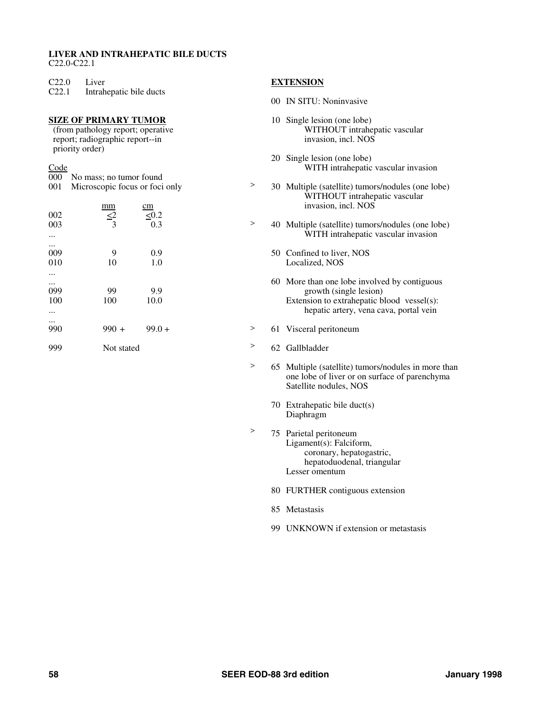#### **LIVER AND INTRAHEPATIC BILE DUCTS** C22.0-C22.1

| C22.0<br>C22.1         | Liver<br>Intrahepatic bile ducts                                                                                        |                        |           | <b>EXTENSION</b>                                                                                                               |
|------------------------|-------------------------------------------------------------------------------------------------------------------------|------------------------|-----------|--------------------------------------------------------------------------------------------------------------------------------|
|                        |                                                                                                                         |                        |           | 00 IN SITU: Noninvasive                                                                                                        |
|                        | <b>SIZE OF PRIMARY TUMOR</b><br>(from pathology report; operative<br>report; radiographic report--in<br>priority order) |                        |           | 10 Single lesion (one lobe)<br>WITHOUT intrahepatic vascular<br>invasion, incl. NOS                                            |
| Code<br>000            | No mass; no tumor found                                                                                                 |                        |           | 20 Single lesion (one lobe)<br>WITH intrahepatic vascular invasion                                                             |
| 001                    | Microscopic focus or foci only                                                                                          |                        | $\rm{>}$  | 30 Multiple (satellite) tumors/nodules (one lobe)<br>WITHOUT intrahepatic vascular                                             |
| 002                    | mm<br>$\leq$ 2                                                                                                          | $\mathbf{cm}$<br>< 0.2 |           | invasion, incl. NOS                                                                                                            |
| 003<br>$\cdots$        | 3                                                                                                                       | 0.3                    | $\, > \,$ | 40 Multiple (satellite) tumors/nodules (one lobe)<br>WITH intrahepatic vascular invasion                                       |
| $\cdots$<br>009<br>010 | 9<br>10                                                                                                                 | 0.9<br>1.0             |           | 50 Confined to liver, NOS<br>Localized, NOS                                                                                    |
| $\ldots$<br>           |                                                                                                                         |                        |           | 60 More than one lobe involved by contiguous                                                                                   |
| 099                    | 99                                                                                                                      | 9.9                    |           | growth (single lesion)                                                                                                         |
| 100<br>$\cdots$        | 100                                                                                                                     | 10.0                   |           | Extension to extrahepatic blood vessel(s):<br>hepatic artery, vena cava, portal vein                                           |
| 990                    | $990 +$                                                                                                                 | $99.0 +$               | >         | 61 Visceral peritoneum                                                                                                         |
| 999                    | Not stated                                                                                                              |                        | >         | 62 Gallbladder                                                                                                                 |
|                        |                                                                                                                         |                        | $\,>$     | 65 Multiple (satellite) tumors/nodules in more than<br>one lobe of liver or on surface of parenchyma<br>Satellite nodules, NOS |
|                        |                                                                                                                         |                        |           | 70 Extrahepatic bile duct(s)<br>Diaphragm                                                                                      |
|                        |                                                                                                                         |                        | $\rm{>}$  | 75 Parietal peritoneum<br>Ligament(s): Falciform,<br>coronary, hepatogastric,<br>hepatoduodenal, triangular<br>Lesser omentum  |
|                        |                                                                                                                         |                        |           | 80 FURTHER contiguous extension                                                                                                |
|                        |                                                                                                                         |                        |           | 85 Metastasis                                                                                                                  |
|                        |                                                                                                                         |                        |           | 99 UNKNOWN if extension or metastasis                                                                                          |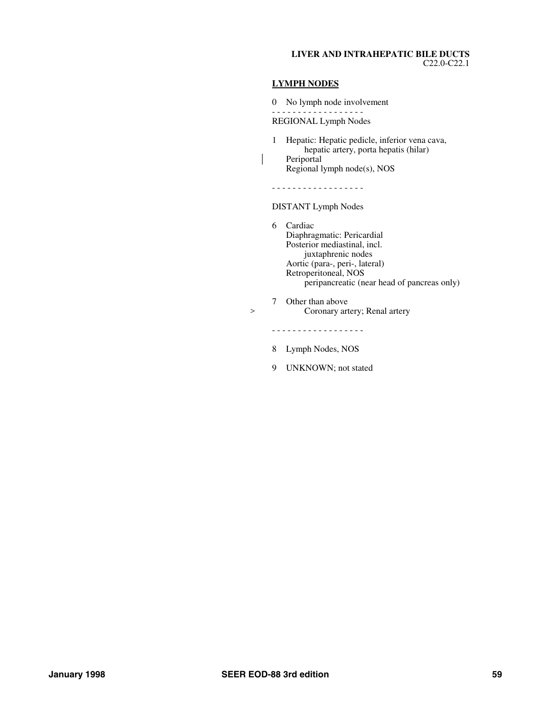#### **LIVER AND INTRAHEPATIC BILE DUCTS** C22.0-C22.1

## **LYMPH NODES**

0 No lymph node involvement

- - - - - - - - - - - - - - - - - - REGIONAL Lymph Nodes

1 Hepatic: Hepatic pedicle, inferior vena cava, hepatic artery, porta hepatis (hilar) | Periportal Regional lymph node(s), NOS

- - - - - - - - - - - - - - - - - -

DISTANT Lymph Nodes

- 6 Cardiac Diaphragmatic: Pericardial Posterior mediastinal, incl. juxtaphrenic nodes Aortic (para-, peri-, lateral) Retroperitoneal, NOS peripancreatic (near head of pancreas only)
- 7 Other than above Coronary artery; Renal artery

- - - - - - - - - - - - - - - - - -

 $\geq$ 

- 8 Lymph Nodes, NOS
- 9 UNKNOWN; not stated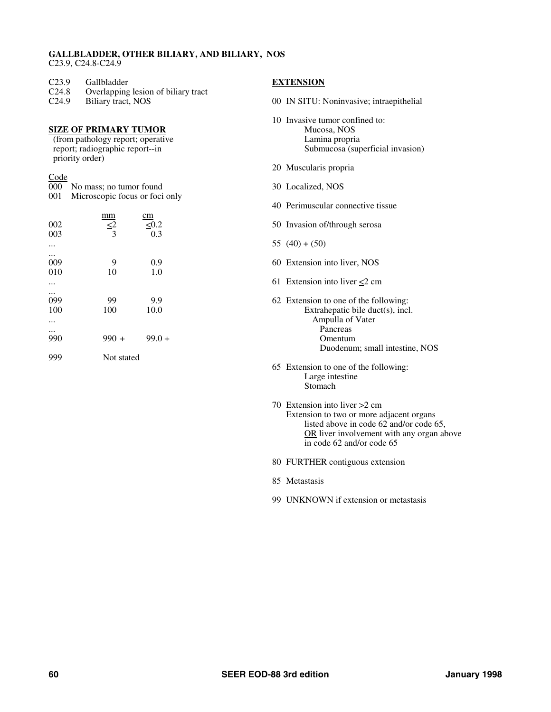## **GALLBLADDER, OTHER BILIARY, AND BILIARY, NOS**

C23.9, C24.8-C24.9

| C <sub>23.9</sub>                                                                                                | Gallbladder                                               |                                     | <b>EXTENSION</b>                                                                                    |
|------------------------------------------------------------------------------------------------------------------|-----------------------------------------------------------|-------------------------------------|-----------------------------------------------------------------------------------------------------|
| C <sub>24.8</sub><br>C <sub>24.9</sub>                                                                           | Biliary tract, NOS                                        | Overlapping lesion of biliary tract | 00 IN SITU: Noninvasive; intraepithelial                                                            |
| SIZE OF PRIMARY TUMOR<br>(from pathology report; operative<br>report; radiographic report--in<br>priority order) |                                                           |                                     | 10 Invasive tumor confined to:<br>Mucosa, NOS<br>Lamina propria<br>Submucosa (superficial invasion) |
|                                                                                                                  |                                                           |                                     | 20 Muscularis propria                                                                               |
| Code<br>000<br>001                                                                                               | No mass; no tumor found<br>Microscopic focus or foci only |                                     | 30 Localized, NOS                                                                                   |
|                                                                                                                  |                                                           |                                     | 40 Perimuscular connective tissue                                                                   |
| 002<br>003                                                                                                       | mm<br>$\frac{2}{3}$                                       | cm<br>< 0.2<br>0.3                  | 50 Invasion of/through serosa                                                                       |
| .                                                                                                                |                                                           |                                     | 55 $(40) + (50)$                                                                                    |
| <br>009<br>010                                                                                                   | 9<br>10                                                   | 0.9<br>1.0                          | 60 Extension into liver, NOS                                                                        |
|                                                                                                                  |                                                           |                                     | 61 Extension into liver $\leq$ 2 cm                                                                 |
| <br>099<br>100<br>                                                                                               | 99<br>100                                                 | 9.9<br>10.0                         | 62 Extension to one of the following:<br>Extrahepatic bile duct(s), incl.<br>Ampulla of Vater       |
| $\cdots$<br>990                                                                                                  | $990 +$                                                   | $99.0 +$                            | Pancreas<br>Omentum<br>Duodenum; small intestine, NOS                                               |
| 999                                                                                                              | Not stated                                                |                                     | 65 Extension to one of the following:<br>Large intestine<br>Stomach                                 |

- 70 Extension into liver >2 cm Extension to two or more adjacent organs listed above in code 62 and/or code 65, OR liver involvement with any organ above in code 62 and/or code 65
- 80 FURTHER contiguous extension
- 85 Metastasis
- 99 UNKNOWN if extension or metastasis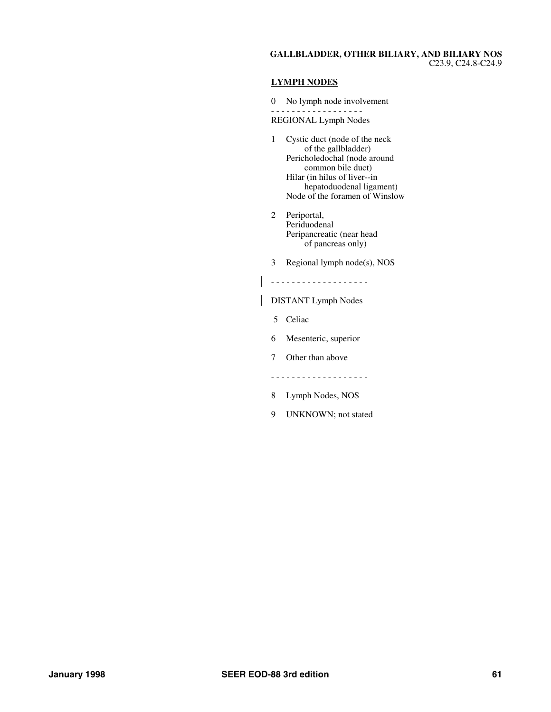### **GALLBLADDER, OTHER BILIARY, AND BILIARY NOS** C23.9, C24.8-C24.9

## **LYMPH NODES**

0 No lymph node involvement  $- - - -$ REGIONAL Lymph Nodes 1 Cystic duct (node of the neck

of the gallbladder) Pericholedochal (node around common bile duct) Hilar (in hilus of liver--in hepatoduodenal ligament) Node of the foramen of Winslow

- 2 Periportal, Periduodenal Peripancreatic (near head of pancreas only)
- 3 Regional lymph node(s), NOS

| - - - - - - - - - - - - - - - - - - -

- | DISTANT Lymph Nodes
- 5 Celiac
- 6 Mesenteric, superior
- 7 Other than above
- - - - - - - - - - -
- 8 Lymph Nodes, NOS
- 9 UNKNOWN; not stated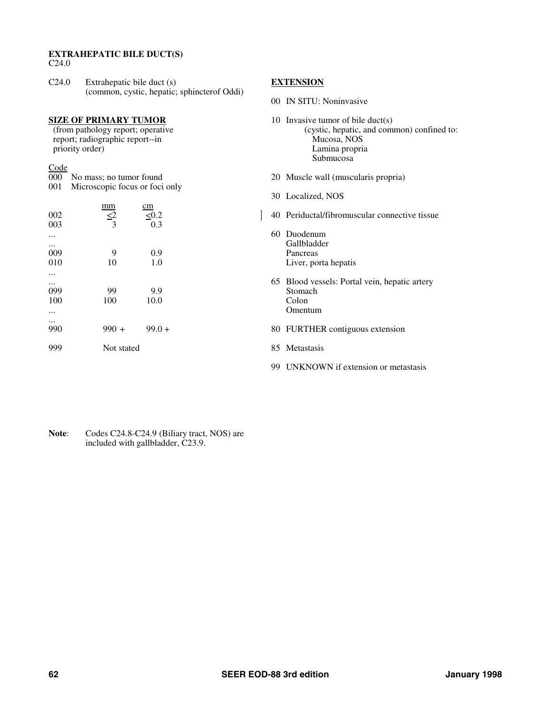#### **EXTRAHEPATIC BILE DUCT(S)** C24.0

| C <sub>24.0</sub> | Extrahepatic bile duct (s)<br>(common, cystic, hepatic; sphincterof Oddi)                                               |                         |  | <b>EXTENSION</b>                                                                                                              |
|-------------------|-------------------------------------------------------------------------------------------------------------------------|-------------------------|--|-------------------------------------------------------------------------------------------------------------------------------|
|                   |                                                                                                                         |                         |  | 00 IN SITU: Noninvasive                                                                                                       |
|                   | <b>SIZE OF PRIMARY TUMOR</b><br>(from pathology report; operative<br>report; radiographic report--in<br>priority order) |                         |  | 10 Invasive tumor of bile duct(s)<br>(cystic, hepatic, and common) confined to:<br>Mucosa, NOS<br>Lamina propria<br>Submucosa |
| Code<br>000       | No mass; no tumor found                                                                                                 |                         |  |                                                                                                                               |
| 001               | Microscopic focus or foci only                                                                                          |                         |  | 20 Muscle wall (muscularis propria)                                                                                           |
|                   |                                                                                                                         |                         |  | 30 Localized, NOS                                                                                                             |
| 002<br>003        | mm<br>$\frac{2}{3}$                                                                                                     | cm<br>$\leq 0.2$<br>0.3 |  | 40 Periductal/fibromuscular connective tissue                                                                                 |
|                   |                                                                                                                         |                         |  | 60 Duodenum                                                                                                                   |
| $\cdots$          |                                                                                                                         |                         |  | Gallbladder                                                                                                                   |
| 009               | 9                                                                                                                       | 0.9                     |  | Pancreas                                                                                                                      |
| 010               | 10                                                                                                                      | 1.0                     |  | Liver, porta hepatis                                                                                                          |
|                   |                                                                                                                         |                         |  |                                                                                                                               |
| $\cdots$<br>099   | 99                                                                                                                      | 9.9                     |  | 65 Blood vessels: Portal vein, hepatic artery<br>Stomach                                                                      |
| 100               | 100                                                                                                                     | 10.0                    |  | Colon                                                                                                                         |
|                   |                                                                                                                         |                         |  | Omentum                                                                                                                       |
| $\cdots$          |                                                                                                                         |                         |  |                                                                                                                               |
| 990               | $990 +$                                                                                                                 | $99.0 +$                |  | 80 FURTHER contiguous extension                                                                                               |
| 999               | Not stated                                                                                                              |                         |  | 85 Metastasis                                                                                                                 |
|                   |                                                                                                                         |                         |  | 99 UNKNOWN if extension or metastasis                                                                                         |

Note: Codes C24.8-C24.9 (Biliary tract, NOS) are included with gallbladder, C23.9.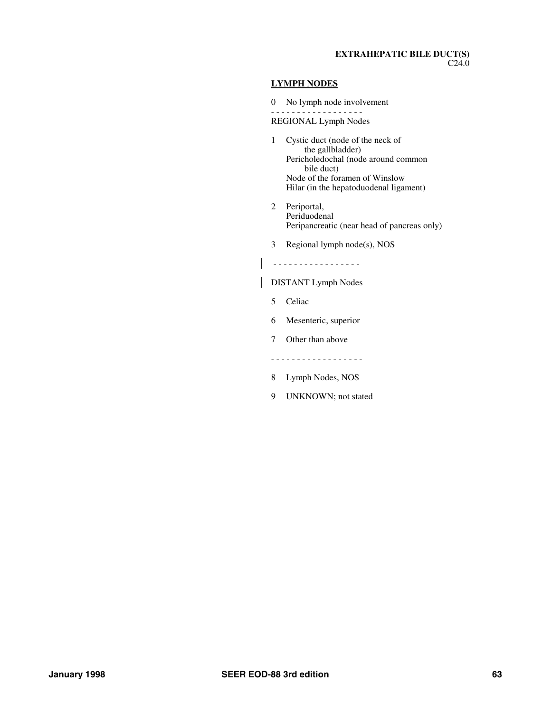#### **EXTRAHEPATIC BILE DUCT(S)** C24.0

## **LYMPH NODES**

0 No lymph node involvement - - - - - - - - - - - - - - - - - - REGIONAL Lymph Nodes 1 Cystic duct (node of the neck of the gallbladder) Pericholedochal (node around common bile duct)

Node of the foramen of Winslow Hilar (in the hepatoduodenal ligament)

2 Periportal, Periduodenal Peripancreatic (near head of pancreas only)

3 Regional lymph node(s), NOS

| - - - - - - - - - - - - - - - - -

# | DISTANT Lymph Nodes

- 5 Celiac
- 6 Mesenteric, superior
- 7 Other than above

- - - - - - - - - - - - - - - - - -

- 8 Lymph Nodes, NOS
- 9 UNKNOWN; not stated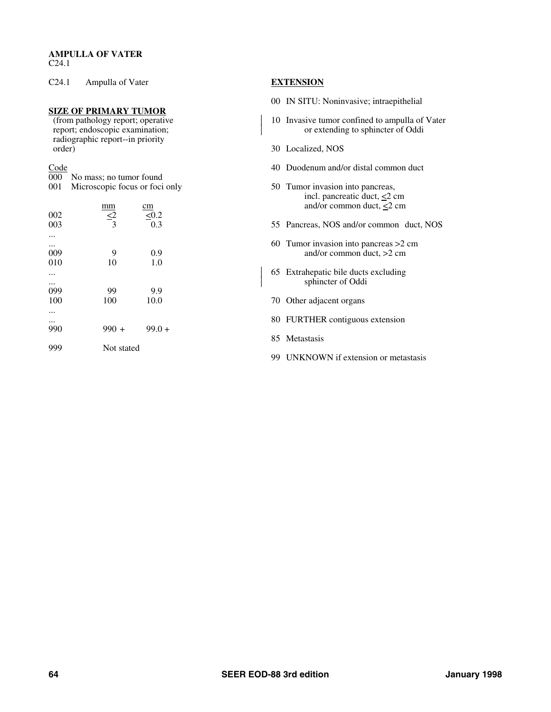#### **AMPULLA OF VATER** C24.1

C24.1 Ampulla of Vater

## **SIZE OF PRIMARY TUMOR**

 (from pathology report; operative report; endoscopic examination; radiographic report--in priority order)

#### **Code**

| 000 No mass; no tumor found        |
|------------------------------------|
| 001 Microscopic focus or foci only |

| 002<br>003             | mm<br>$\frac{1}{\leq 2}$<br>3 | cm<br>< 0.2<br>0.3 |
|------------------------|-------------------------------|--------------------|
|                        |                               |                    |
| $\cdots$<br>009<br>010 | 9<br>10                       | 0.9<br>1.0         |
|                        |                               |                    |
| $\cdots$<br>099<br>100 | 99<br>100                     | 9.9<br>10.0        |
| .                      |                               |                    |
| $\cdots$<br>990        | $990 +$                       | $99.0 +$           |
| 999                    | Not stated                    |                    |

# **EXTENSION**

|  | 00 IN SITU: Noninvasive; intraepithelial                                            |
|--|-------------------------------------------------------------------------------------|
|  | 10 Invasive tumor confined to ampulla of Vater<br>or extending to sphincter of Oddi |
|  | 30 Localized, NOS                                                                   |

- 40 Duodenum and/or distal common duct
- 50 Tumor invasion into pancreas, incl. pancreatic duct,  $\leq$ 2 cm and/or common duct,  $\leq$  2 cm
- 55 Pancreas, NOS and/or common duct, NOS
- 60 Tumor invasion into pancreas >2 cm and/or common duct, >2 cm
- | 65 Extrahepatic bile ducts excluding sphincter of Oddi
- 70 Other adjacent organs
- 80 FURTHER contiguous extension
- 85 Metastasis
- 99 UNKNOWN if extension or metastasis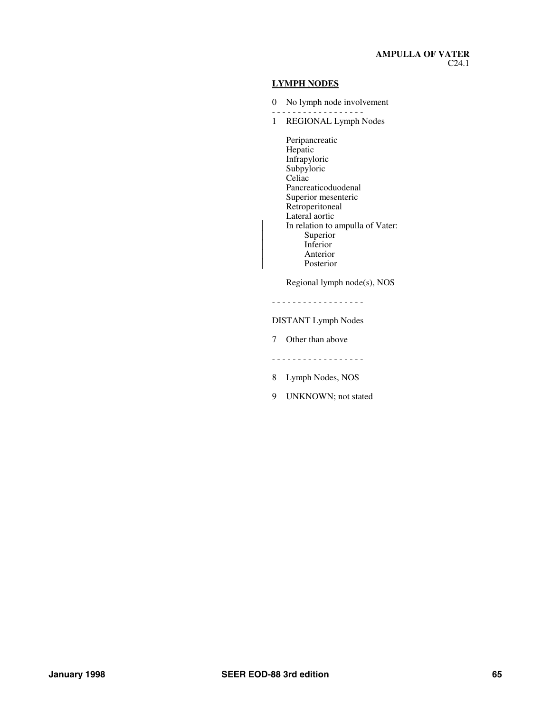- 0 No lymph node involvement
- - - - - - - - - -
- 1 REGIONAL Lymph Nodes

Peripancreatic Hepatic Infrapyloric Subpyloric Celiac Pancreaticoduodenal Superior mesenteric Retroperitoneal Lateral aortic In relation to ampulla of Vater: **Superior** | Inferior **Anterior Posterior** 

Regional lymph node(s), NOS

- - - - - - - - - - - - - - - - - - DISTANT Lymph Nodes 7 Other than above - - - - - - - - - - - - - - - - - - 8 Lymph Nodes, NOS 9 UNKNOWN; not stated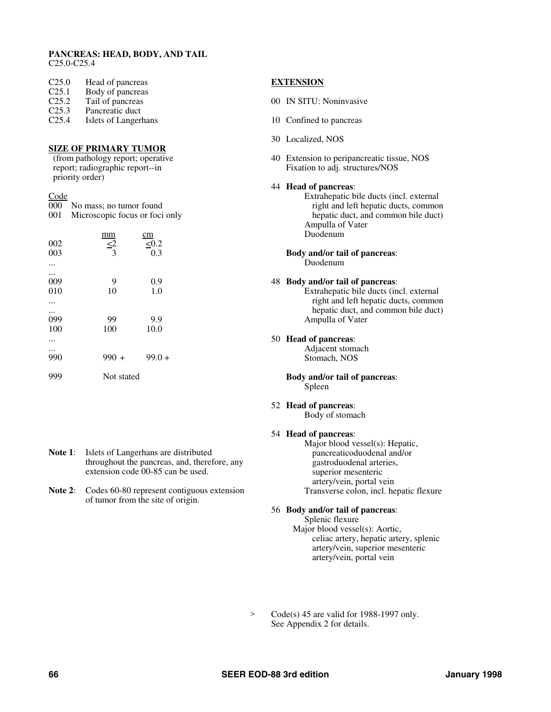#### **PANCREAS: HEAD, BODY, AND TAIL** C25.0-C25.4

| C <sub>25.0</sub><br>C <sub>25.1</sub> | Head of pancreas                     |                      | <b>EXTENSION</b>                 |                                       |
|----------------------------------------|--------------------------------------|----------------------|----------------------------------|---------------------------------------|
| C <sub>25.2</sub>                      | Body of pancreas<br>Tail of pancreas |                      | 00 IN SITU: Noninvasive          |                                       |
| C <sub>25.3</sub>                      | Pancreatic duct                      |                      |                                  |                                       |
| C <sub>25.4</sub>                      | Islets of Langerhans                 |                      | 10 Confined to pancreas          |                                       |
|                                        |                                      |                      | 30 Localized, NOS                |                                       |
|                                        | <b>SIZE OF PRIMARY TUMOR</b>         |                      |                                  |                                       |
|                                        | (from pathology report; operative    |                      |                                  | 40 Extension to peripancreatic tissue |
|                                        | report; radiographic report--in      |                      |                                  | Fixation to adj. structures/NOS       |
| priority order)                        |                                      |                      | 44 Head of pancreas:             |                                       |
| Code                                   |                                      |                      |                                  | Extrahepatic bile ducts (inc          |
|                                        | 000 No mass; no tumor found          |                      |                                  | right and left hepatic duct           |
| 001                                    | Microscopic focus or foci only       |                      |                                  | hepatic duct, and common              |
|                                        |                                      |                      |                                  | Ampulla of Vater                      |
|                                        |                                      | cm                   | Duodenum                         |                                       |
| 002                                    | $\frac{\text{mm}}{\leq2}{3}$         | $\overline{\leq}0.2$ |                                  |                                       |
| 003                                    |                                      | 0.3                  |                                  | Body and/or tail of pancreas:         |
| $\cdots$                               |                                      |                      | Duodenum                         |                                       |
| <br>009                                | 9                                    | 0.9                  | 48 Body and/or tail of pancreas: |                                       |
| 010                                    | 10                                   | 1.0                  |                                  | Extrahepatic bile ducts (inc          |
| $\cdots$                               |                                      |                      |                                  | right and left hepatic duct           |
| $\cdots$                               |                                      |                      |                                  | hepatic duct, and common              |
| 099                                    | 99                                   | 9.9                  |                                  | Ampulla of Vater                      |
| 100                                    | 100                                  | 10.0                 |                                  |                                       |
| $\cdots$                               |                                      |                      | 50 Head of pancreas:             |                                       |
| $\cdots$                               |                                      |                      |                                  | Adjacent stomach                      |
| 990                                    | $990 +$                              | $99.0 +$             | Stomach, NOS                     |                                       |
| 999                                    | Not stated                           |                      | Snleen                           | Body and/or tail of pancreas:         |

- **Note 1**: Islets of Langerhans are distributed throughout the pancreas, and, therefore, any extension code 00-85 can be used.
- **Note 2**: Codes 60-80 represent contiguous extension of tumor from the site of origin.

# **EXTENSION**

- le, NOS l. external ts, common n bile duct) el. external ts, common n bile duct) Spleen 52 **Head of pancreas**: Body of stomach 54 **Head of pancreas**: Major blood vessel(s): Hepatic, pancreaticoduodenal and/or gastroduodenal arteries, superior mesenteric artery/vein, portal vein Transverse colon, incl. hepatic flexure 56 **Body and/or tail of pancreas**: Splenic flexure Major blood vessel(s): Aortic, celiac artery, hepatic artery, splenic artery/vein, superior mesenteric
- $\rm{>}$ Code(s) 45 are valid for 1988-1997 only. See Appendix 2 for details.

artery/vein, portal vein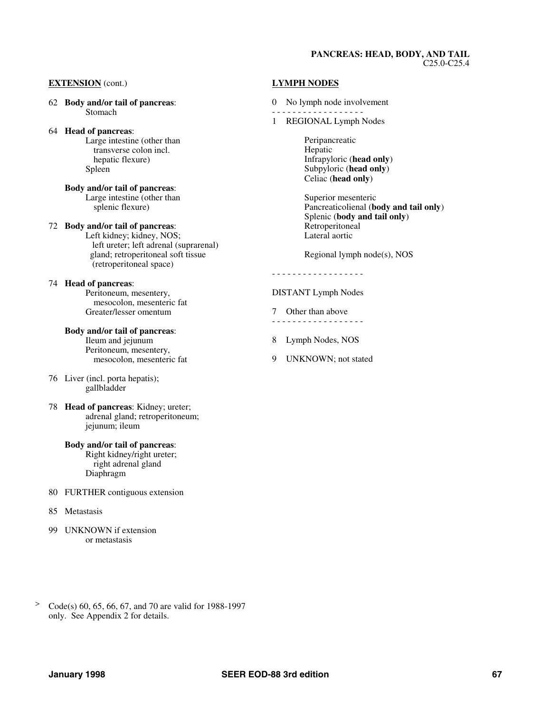#### **PANCREAS: HEAD, BODY, AND TAIL** C25.0-C25.4

# **EXTENSION** (cont.)

- 62 **Body and/or tail of pancreas**: Stomach
- 64 **Head of pancreas**:

Large intestine (other than transverse colon incl. hepatic flexure) Spleen

**Body and/or tail of pancreas**: Large intestine (other than splenic flexure)

# 72 **Body and/or tail of pancreas**:

Left kidney; kidney, NOS; left ureter; left adrenal (suprarenal) gland; retroperitoneal soft tissue (retroperitoneal space)

# 74 **Head of pancreas**:

Peritoneum, mesentery, mesocolon, mesenteric fat Greater/lesser omentum

#### **Body and/or tail of pancreas**: Ileum and jejunum Peritoneum, mesentery, mesocolon, mesenteric fat

# 76 Liver (incl. porta hepatis); gallbladder

- 78 **Head of pancreas**: Kidney; ureter; adrenal gland; retroperitoneum; jejunum; ileum
	- **Body and/or tail of pancreas**: Right kidney/right ureter; right adrenal gland Diaphragm
- 80 FURTHER contiguous extension
- 85 Metastasis
- 99 UNKNOWN if extension or metastasis

# **LYMPH NODES**

- 0 No lymph node involvement
- - - - - - - - - -
- 1 REGIONAL Lymph Nodes

Peripancreatic Hepatic Infrapyloric (**head only**) Subpyloric (**head only**) Celiac (**head only**)

 Superior mesenteric Pancreaticolienal (**body and tail only**) Splenic (**body and tail only**) Retroperitoneal Lateral aortic

Regional lymph node(s), NOS

# - - - - - - - - - - - - - - - - - -

# DISTANT Lymph Nodes

#### 7 Other than above

- - - - - - - - - -
- 8 Lymph Nodes, NOS
- 9 UNKNOWN; not stated

> Code(s) 60, 65, 66, 67, and 70 are valid for 1988-1997 only. See Appendix 2 for details.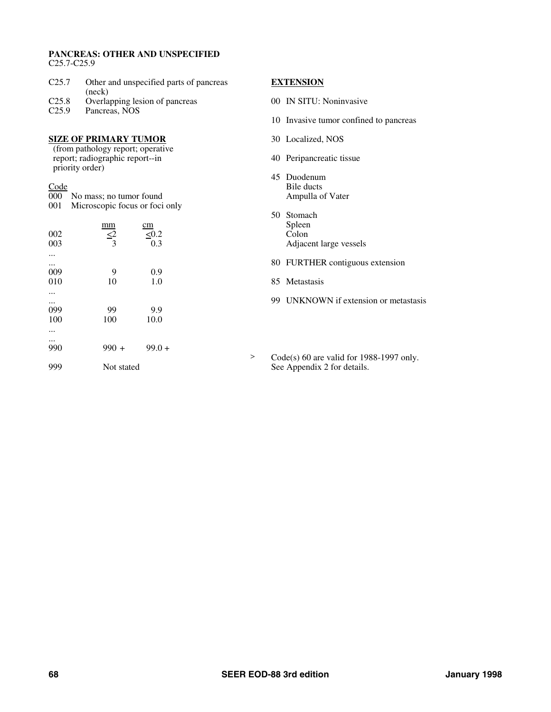#### **PANCREAS: OTHER AND UNSPECIFIED** C25.7-C25.9

| C <sub>25.7</sub>                      | (neck)                                                            | Other and unspecified parts of pancreas |   | <b>EXTENSION</b>                                                          |
|----------------------------------------|-------------------------------------------------------------------|-----------------------------------------|---|---------------------------------------------------------------------------|
| C <sub>25.8</sub><br>C <sub>25.9</sub> | Pancreas, NOS                                                     | Overlapping lesion of pancreas          |   | 00 IN SITU: Noninvasive                                                   |
|                                        |                                                                   |                                         |   | 10 Invasive tumor confined to pancreas                                    |
|                                        | <b>SIZE OF PRIMARY TUMOR</b><br>(from pathology report; operative |                                         |   | 30 Localized, NOS                                                         |
|                                        | report; radiographic report--in<br>priority order)                |                                         |   | 40 Peripancreatic tissue                                                  |
|                                        |                                                                   |                                         |   | 45 Duodenum<br>Bile ducts                                                 |
| Code<br>000                            | No mass; no tumor found                                           |                                         |   | Ampulla of Vater                                                          |
| 001                                    | Microscopic focus or foci only                                    |                                         |   | 50 Stomach                                                                |
|                                        | mm                                                                | cm                                      |   | Spleen                                                                    |
| 002                                    | $\frac{2}{3}$                                                     | $\leq 0.2$                              |   | Colon                                                                     |
| 003                                    |                                                                   | 0.3                                     |   | Adjacent large vessels                                                    |
| $\cdots$                               |                                                                   |                                         |   | 80 FURTHER contiguous extension                                           |
| 009<br>010                             | 9<br>10                                                           | 0.9<br>1.0                              |   | 85 Metastasis                                                             |
|                                        |                                                                   |                                         |   |                                                                           |
|                                        |                                                                   |                                         |   | 99 UNKNOWN if extension or metastasis                                     |
| 099                                    | 99                                                                | 9.9                                     |   |                                                                           |
| 100                                    | 100                                                               | 10.0                                    |   |                                                                           |
|                                        |                                                                   |                                         |   |                                                                           |
| 990                                    | $990 +$                                                           | $99.0 +$                                |   |                                                                           |
| 999                                    | Not stated                                                        |                                         | > | $Code(s)$ 60 are valid for 1988-1997 only.<br>See Appendix 2 for details. |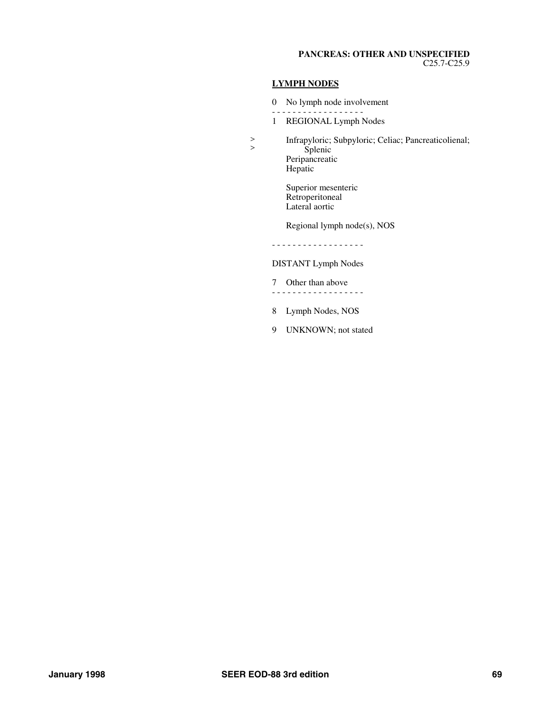# **PANCREAS: OTHER AND UNSPECIFIED**

C25.7-C25.9

# **LYMPH NODES**

 $\,>$  $\geq$ 

- 0 No lymph node involvement
- - - - - - - - - -
- 1 REGIONAL Lymph Nodes
- Infrapyloric; Subpyloric; Celiac; Pancreaticolienal; Splenic Peripancreatic Hepatic

 Superior mesenteric Retroperitoneal Lateral aortic

Regional lymph node(s), NOS

- - - - - - - - - - - - - - - - - -

# DISTANT Lymph Nodes

### 7 Other than above

- - - - - - - - - -
- 8 Lymph Nodes, NOS
- 9 UNKNOWN; not stated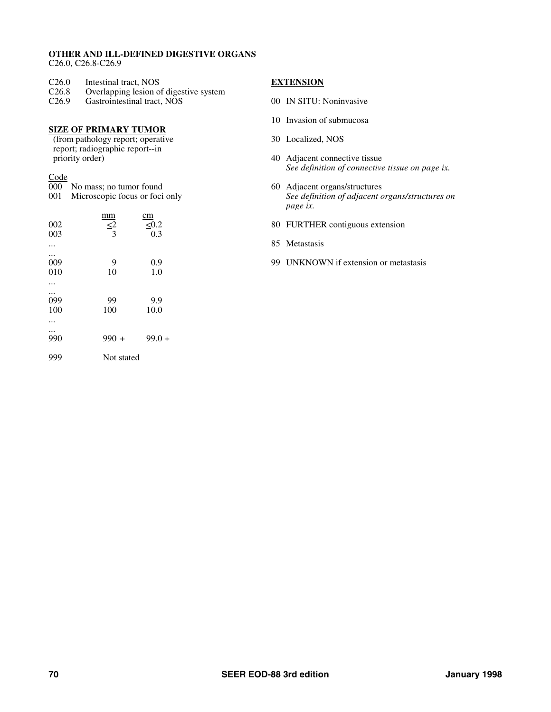#### **OTHER AND ILL-DEFINED DIGESTIVE ORGANS** C26.0, C26.8-C26.9

| C26.0                                                                                                | Intestinal tract, NOS                                     |                                                                                  | <b>EXTENSION</b>                                                                             |
|------------------------------------------------------------------------------------------------------|-----------------------------------------------------------|----------------------------------------------------------------------------------|----------------------------------------------------------------------------------------------|
| C <sub>26.8</sub><br>C <sub>26.9</sub>                                                               | Gastrointestinal tract, NOS                               | Overlapping lesion of digestive system                                           | 00 IN SITU: Noninvasive                                                                      |
|                                                                                                      |                                                           |                                                                                  | 10 Invasion of submucosa                                                                     |
| <b>SIZE OF PRIMARY TUMOR</b><br>(from pathology report; operative<br>report; radiographic report--in |                                                           | 30 Localized, NOS                                                                |                                                                                              |
| priority order)                                                                                      |                                                           | 40 Adjacent connective tissue<br>See definition of connective tissue on page ix. |                                                                                              |
| Code                                                                                                 |                                                           |                                                                                  |                                                                                              |
| 000<br>001                                                                                           | No mass; no tumor found<br>Microscopic focus or foci only |                                                                                  | 60 Adjacent organs/structures<br>See definition of adjacent organs/structures on<br>page ix. |
|                                                                                                      | mm                                                        | cm                                                                               |                                                                                              |
| 002                                                                                                  | $\frac{2}{3}$                                             | $\leq 0.2$                                                                       | 80 FURTHER contiguous extension                                                              |
| 003                                                                                                  |                                                           | 0.3                                                                              |                                                                                              |
|                                                                                                      |                                                           |                                                                                  | 85 Metastasis                                                                                |
| <br>009                                                                                              | 9                                                         | 0.9                                                                              | 99 UNKNOWN if extension or metastasis                                                        |
| 010                                                                                                  | 10                                                        | 1.0                                                                              |                                                                                              |
| .                                                                                                    |                                                           |                                                                                  |                                                                                              |
| $\cdots$                                                                                             |                                                           |                                                                                  |                                                                                              |
| 099                                                                                                  | 99                                                        | 9.9                                                                              |                                                                                              |
| 100                                                                                                  | 100                                                       | 10.0                                                                             |                                                                                              |
|                                                                                                      |                                                           |                                                                                  |                                                                                              |
| <br>990                                                                                              | $990 +$                                                   | $99.0 +$                                                                         |                                                                                              |
| 999                                                                                                  | Not stated                                                |                                                                                  |                                                                                              |
|                                                                                                      |                                                           |                                                                                  |                                                                                              |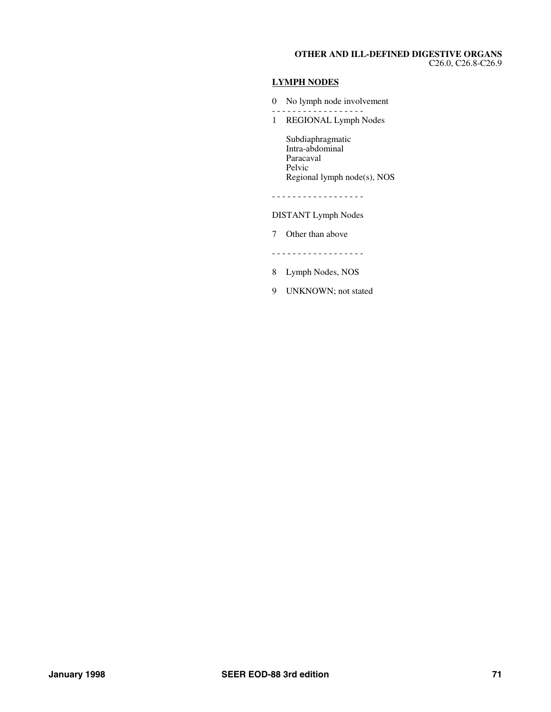#### **OTHER AND ILL-DEFINED DIGESTIVE ORGANS** C26.0, C26.8-C26.9

# **LYMPH NODES**

- 0 No lymph node involvement
- - - - - - - - - -
- 1 REGIONAL Lymph Nodes

 Subdiaphragmatic Intra-abdominal Paracaval Pelvic Regional lymph node(s), NOS

- - - - - - - - - - - - - - - - - -

DISTANT Lymph Nodes

7 Other than above

- - - - - - - - - - - - - - - - - -

- 8 Lymph Nodes, NOS
- 9 UNKNOWN; not stated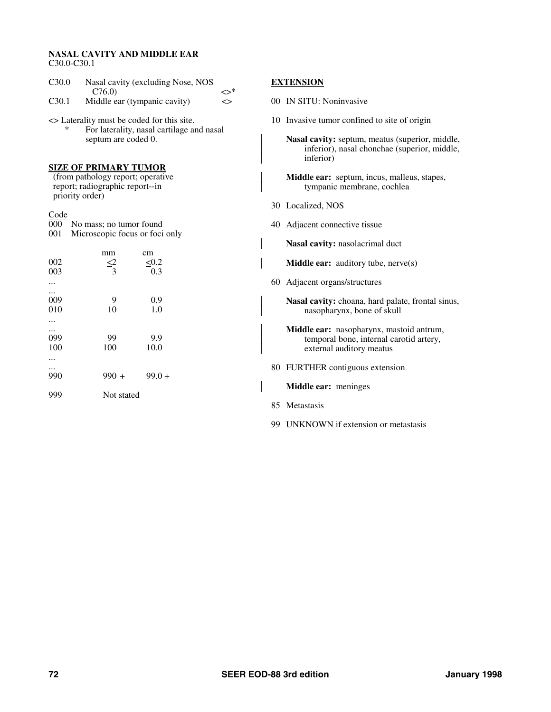# **NASAL CAVITY AND MIDDLE EAR**

C30.0-C30.1

| C30.0           | C76.0                                                                                   | Nasal cavity (excluding Nose, NOS          | $\mathord{<^*}$ | <b>EXTENSION</b>                                                                                                    |
|-----------------|-----------------------------------------------------------------------------------------|--------------------------------------------|-----------------|---------------------------------------------------------------------------------------------------------------------|
| C30.1           |                                                                                         | Middle ear (tympanic cavity)               | ◇               | 00 IN SITU: Noninvasive                                                                                             |
|                 |                                                                                         | <> Laterality must be coded for this site. |                 | 10 Invasive tumor confined to site of origin                                                                        |
|                 | septum are coded 0.                                                                     | For laterality, nasal cartilage and nasal  |                 | <b>Nasal cavity:</b> septum, meatus (superior, middle,<br>inferior), nasal chonchae (superior, middle,<br>inferior) |
|                 | <b>SIZE OF PRIMARY TUMOR</b>                                                            |                                            |                 |                                                                                                                     |
|                 | (from pathology report; operative<br>report; radiographic report--in<br>priority order) |                                            |                 | Middle ear: septum, incus, malleus, stapes,<br>tympanic membrane, cochlea                                           |
|                 |                                                                                         |                                            |                 | 30 Localized, NOS                                                                                                   |
| Code            |                                                                                         |                                            |                 |                                                                                                                     |
| 000<br>001      | No mass; no tumor found<br>Microscopic focus or foci only                               |                                            |                 | 40 Adjacent connective tissue                                                                                       |
|                 |                                                                                         |                                            |                 | Nasal cavity: nasolacrimal duct                                                                                     |
| 002             | mm                                                                                      | cm<br>$\leq 0.2$                           |                 | <b>Middle ear:</b> auditory tube, $n$ erve $(s)$                                                                    |
| 003             | $\frac{2}{3}$                                                                           | 0.3                                        |                 |                                                                                                                     |
|                 |                                                                                         |                                            |                 | 60 Adjacent organs/structures                                                                                       |
| $\ldots$<br>009 | 9                                                                                       | 0.9                                        |                 | Nasal cavity: choana, hard palate, frontal sinus,                                                                   |
| 010             | 10                                                                                      | 1.0                                        |                 | nasopharynx, bone of skull                                                                                          |
|                 |                                                                                         |                                            |                 |                                                                                                                     |
| $\cdots$<br>099 | 99                                                                                      | 9.9                                        |                 | Middle ear: nasopharynx, mastoid antrum,                                                                            |
| 100             | 100                                                                                     | 10.0                                       |                 | temporal bone, internal carotid artery,<br>external auditory meatus                                                 |
|                 |                                                                                         |                                            |                 |                                                                                                                     |
| $\cdots$        |                                                                                         |                                            |                 | 80 FURTHER contiguous extension                                                                                     |
| 990             | $990 +$                                                                                 | $99.0 +$                                   |                 |                                                                                                                     |
|                 |                                                                                         |                                            |                 | Middle ear: meninges                                                                                                |
| 999             | Not stated                                                                              |                                            |                 |                                                                                                                     |
|                 |                                                                                         |                                            |                 | 85 Metastasis                                                                                                       |

99 UNKNOWN if extension or metastasis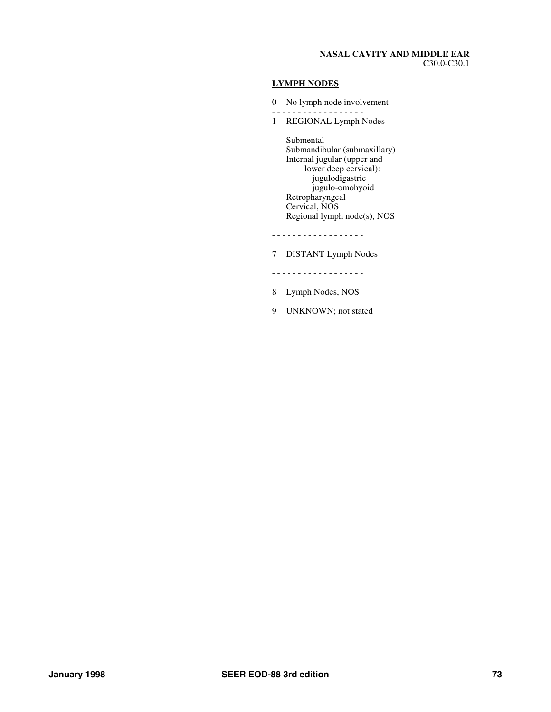#### **NASAL CAVITY AND MIDDLE EAR** C30.0-C30.1

# **LYMPH NODES**

- 0 No lymph node involvement
- - - - - - - - - -
- 1 REGIONAL Lymph Nodes

Submental Submandibular (submaxillary) Internal jugular (upper and lower deep cervical): jugulodigastric jugulo-omohyoid Retropharyngeal Cervical, NOS Regional lymph node(s), NOS

- - - - - - - - - - - - - - - - - -

7 DISTANT Lymph Nodes

- - - - - - - - - - - - - - - - - -

- 8 Lymph Nodes, NOS
- 9 UNKNOWN; not stated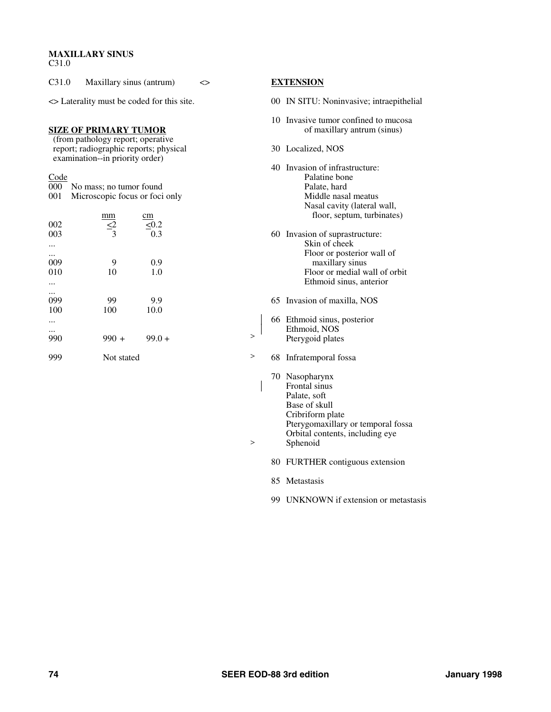#### **MAXILLARY SINUS** C31.0

| 00 IN SITU: Noninvasive; intraepithelial<br>$\leq$ Laterality must be coded for this site.<br>10 Invasive tumor confined to mucosa<br>of maxillary antrum (sinus)<br><b>SIZE OF PRIMARY TUMOR</b><br>(from pathology report; operative<br>report; radiographic reports; physical<br>30 Localized, NOS<br>examination--in priority order) |  |
|------------------------------------------------------------------------------------------------------------------------------------------------------------------------------------------------------------------------------------------------------------------------------------------------------------------------------------------|--|
|                                                                                                                                                                                                                                                                                                                                          |  |
|                                                                                                                                                                                                                                                                                                                                          |  |
|                                                                                                                                                                                                                                                                                                                                          |  |
| 40 Invasion of infrastructure:<br>Palatine bone<br>Code<br>Palate, hard<br>000<br>No mass; no tumor found<br>Middle nasal meatus<br>001<br>Microscopic focus or foci only<br>Nasal cavity (lateral wall,                                                                                                                                 |  |
| floor, septum, turbinates)<br>$\mathbf{mm}$<br>cm<br>$\frac{2}{3}$<br>$\leq 0.2$<br>002                                                                                                                                                                                                                                                  |  |
| 0.3<br>003<br>60 Invasion of suprastructure:<br>Skin of cheek<br>Floor or posterior wall of<br>maxillary sinus<br>0.9<br>009<br>9<br>Floor or medial wall of orbit<br>10<br>010<br>1.0<br>Ethmoid sinus, anterior                                                                                                                        |  |
| 65 Invasion of maxilla, NOS<br>99<br>9.9<br>099                                                                                                                                                                                                                                                                                          |  |
| 100<br>100<br>10.0<br>66 Ethmoid sinus, posterior<br>Ethmoid, NOS<br>$\geq$<br>$990 +$<br>$99.0 +$<br>Pterygoid plates<br>990                                                                                                                                                                                                            |  |
| ><br>Infratemporal fossa<br>Not stated<br>68<br>999                                                                                                                                                                                                                                                                                      |  |

- 70 Nasopharynx | Frontal sinus Palate, soft Base of skull Cribriform plate Pterygomaxillary or temporal fossa Orbital contents, including eye Sphenoid
	- 80 FURTHER contiguous extension
	- 85 Metastasis

>

99 UNKNOWN if extension or metastasis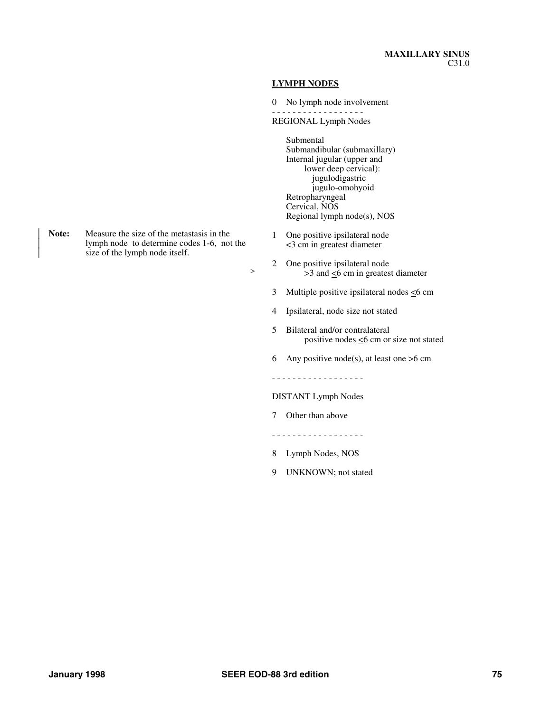0 No lymph node involvement

- - - - - - - - - - - - - - - - - -

REGIONAL Lymph Nodes

Submental Submandibular (submaxillary) Internal jugular (upper and lower deep cervical): jugulodigastric jugulo-omohyoid Retropharyngeal Cervical, NOS Regional lymph node(s), NOS

1 One positive ipsilateral node  $\leq$ 3 cm in greatest diameter

>

- 2 One positive ipsilateral node  $>$ 3 and  $\leq$ 6 cm in greatest diameter
- 3 Multiple positive ipsilateral nodes  $\leq 6$  cm
- 4 Ipsilateral, node size not stated
- 5 Bilateral and/or contralateral positive nodes  $\leq 6$  cm or size not stated
- 6 Any positive node(s), at least one  $>6$  cm

- - - - - - - - - - - - - - - - - -

DISTANT Lymph Nodes

- 7 Other than above
- - - - - - - - - -
- 8 Lymph Nodes, NOS
- 9 UNKNOWN; not stated

| **Note:** Measure the size of the metastasis in the lymph node to determine codes 1-6, not the size of the lymph node itself.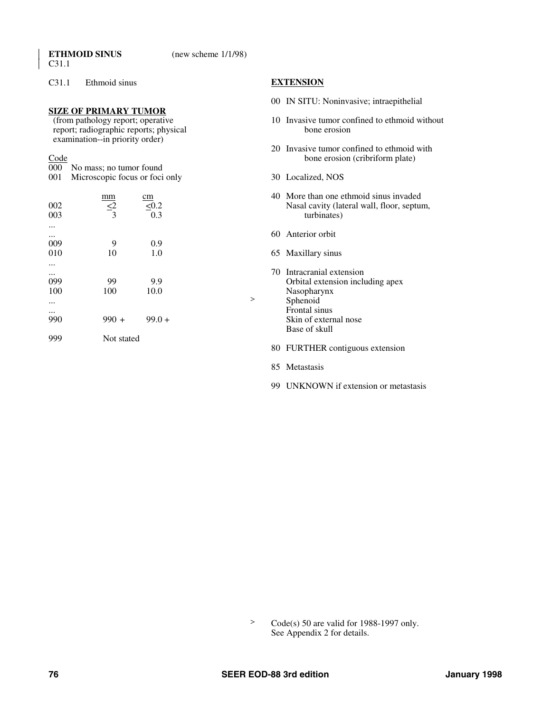#### **ETHMOID SINUS** (new scheme 1/1/98) | C31.1

C31.1 Ethmoid sinus

# **SIZE OF PRIMARY TUMOR**

 (from pathology report; operative report; radiographic reports; physical examination--in priority order)

Code

| Cuac       |                                |                         |          |                            |
|------------|--------------------------------|-------------------------|----------|----------------------------|
| 000        | No mass; no tumor found        |                         |          |                            |
| 001        | Microscopic focus or foci only |                         |          | 30 Local                   |
| 002<br>003 | $\frac{\text{mm}}{\leq}$       | cm<br>$\leq 0.2$<br>0.3 | 40       | More<br>Nasal              |
|            |                                |                         | 60       | Anter                      |
| 009        | 9                              | 0.9                     |          |                            |
| 010        | 10                             | 1.0                     |          | 65 Maxi                    |
|            |                                |                         | 70       | Intrad                     |
| <br>099    | 99                             | 9.9                     |          | Orbit                      |
| 100        | 100                            | 10.0                    | $\rm{>}$ | Naso <sub>1</sub><br>Spher |
| <br>990    | $990 +$                        | $99.0 +$                |          | Front<br>Skin<br>Base      |
| 999        | Not stated                     |                         |          |                            |
|            |                                |                         | 80       | FUR <sup>*</sup>           |
|            |                                |                         |          |                            |

# **EXTENSION**

- 00 IN SITU: Noninvasive; intraepithelial
- 10 Invasive tumor confined to ethmoid without bone erosion
- 20 Invasive tumor confined to ethmoid with bone erosion (cribriform plate)
- lized, NOS
- than one ethmoid sinus invaded cavity (lateral wall, floor, septum, turbinates)
- rior orbit
- illary sinus
- cranial extension tal extension including apex pharynx noid<sup>'</sup> tal sinus of external nose of skull
- THER contiguous extension
- 85 Metastasis
- 99 UNKNOWN if extension or metastasis

> Code(s) 50 are valid for 1988-1997 only. See Appendix 2 for details.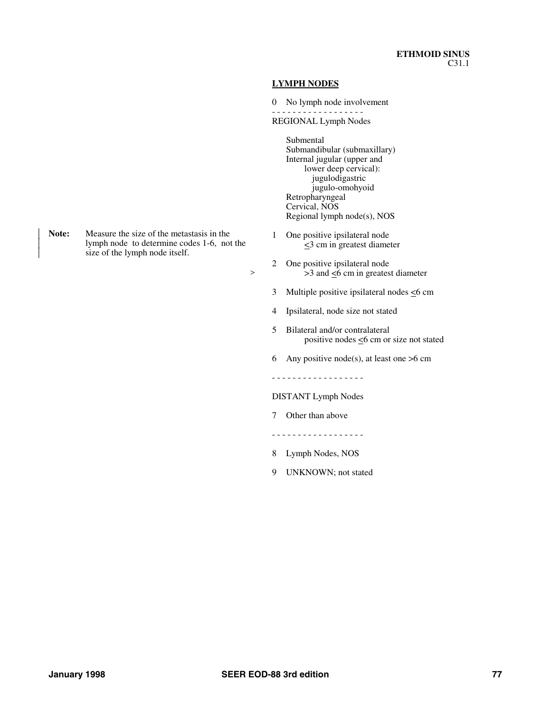0 No lymph node involvement - - - - - - - - - - - - - - - - - -

REGIONAL Lymph Nodes

Submental Submandibular (submaxillary) Internal jugular (upper and lower deep cervical): jugulodigastric jugulo-omohyoid Retropharyngeal Cervical, NOS Regional lymph node(s), NOS

- 1 One positive ipsilateral node  $\leq$ 3 cm in greatest diameter
- 2 One positive ipsilateral node  $>$ 3 and  $\leq$ 6 cm in greatest diameter
- 3 Multiple positive ipsilateral nodes  $\leq 6$  cm
- 4 Ipsilateral, node size not stated
- 5 Bilateral and/or contralateral positive nodes  $\leq 6$  cm or size not stated
- 6 Any positive node(s), at least one  $>6$  cm

- - - - - - - - - - - - - - - - - -

DISTANT Lymph Nodes

7 Other than above

>

#### - - - - - - - - - - - - - - - - - -

- 8 Lymph Nodes, NOS
- 9 UNKNOWN; not stated

| **Note:** Measure the size of the metastasis in the lymph node to determine codes 1-6, not the size of the lymph node itself.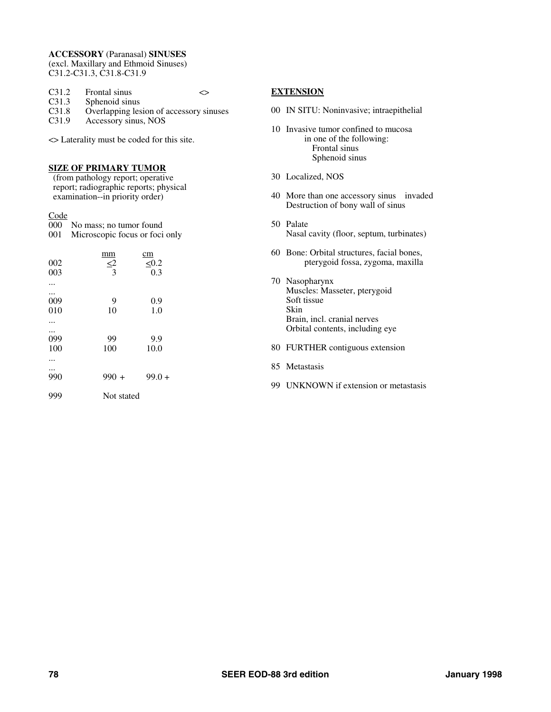#### **ACCESSORY** (Paranasal) **SINUSES**

(excl. Maxillary and Ethmoid Sinuses) C31.2-C31.3, C31.8-C31.9

| C <sub>31.2</sub> | Frontal sinus  | ◇ |
|-------------------|----------------|---|
| C <sub>31.3</sub> | Sphenoid sinus |   |

- C31.8 Overlapping lesion of accessory sinuses<br>C31.9 Accessory sinus, NOS
- Accessory sinus, NOS

<> Laterality must be coded for this site.

### **SIZE OF PRIMARY TUMOR**

 (from pathology report; operative report; radiographic reports; physical examination--in priority order)

#### Code

- 000 No mass; no tumor found
- 001 Microscopic focus or foci only

| 002<br>003     | mm<br>$\leq$ 2<br>$\overline{\mathbf{3}}$ | $\mathbf{cm}$<br>$\leq 0.2$<br>0.3 |
|----------------|-------------------------------------------|------------------------------------|
|                |                                           |                                    |
| <br>009<br>010 | 9<br>10                                   | 0.9<br>1.0                         |
|                |                                           |                                    |
| <br>099<br>100 | 99<br>100                                 | 9.9<br>10.0                        |
|                |                                           |                                    |
| <br>990        | $990 +$                                   | $99.0 +$                           |
| 999            | Not stated                                |                                    |

# **EXTENSION**

- 00 IN SITU: Noninvasive; intraepithelial
- 10 Invasive tumor confined to mucosa in one of the following: Frontal sinus Sphenoid sinus
- 30 Localized, NOS
- 40 More than one accessory sinus invaded Destruction of bony wall of sinus
- 50 Palate Nasal cavity (floor, septum, turbinates)
- 60 Bone: Orbital structures, facial bones, pterygoid fossa, zygoma, maxilla
- 70 Nasopharynx Muscles: Masseter, pterygoid Soft tissue Skin Brain, incl. cranial nerves Orbital contents, including eye
- 80 FURTHER contiguous extension
- 85 Metastasis
- 99 UNKNOWN if extension or metastasis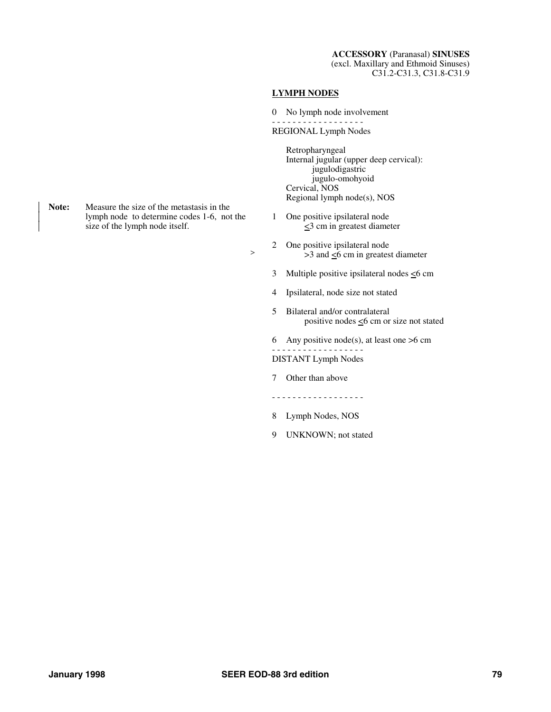0 No lymph node involvement

- - - - - - - - - - - - - - - - - - REGIONAL Lymph Nodes

> Retropharyngeal Internal jugular (upper deep cervical): jugulodigastric jugulo-omohyoid Cervical, NOS Regional lymph node(s), NOS

- 1 One positive ipsilateral node  $\leq$ 3 cm in greatest diameter
- 2 One positive ipsilateral node  $>$ 3 and  $\leq$ 6 cm in greatest diameter
- 3 Multiple positive ipsilateral nodes  $\leq 6$  cm
- 4 Ipsilateral, node size not stated
- 5 Bilateral and/or contralateral positive nodes  $\leq 6$  cm or size not stated
- 6 Any positive node(s), at least one >6 cm - - - - - - - - - - - - - - - - - - DISTANT Lymph Nodes
- 7 Other than above

>

#### - - - - - - - - - - - - - - - - - -

- 8 Lymph Nodes, NOS
- 9 UNKNOWN; not stated

Note: Measure the size of the metastasis in the lymph node to determine codes 1-6, not the size of the lymph node itself.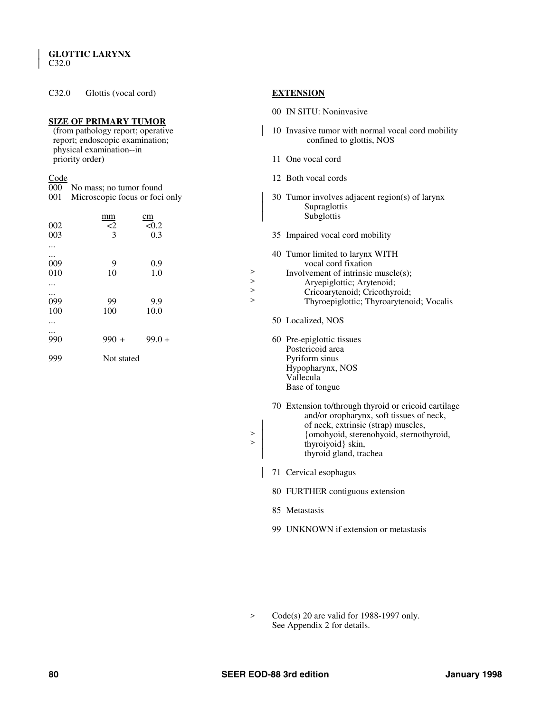#### | **GLOTTIC LARYNX** | C32.0

| C32.0                                                                                                                                               |                            | Glottis (vocal cord)           |  |  |
|-----------------------------------------------------------------------------------------------------------------------------------------------------|----------------------------|--------------------------------|--|--|
| <b>SIZE OF PRIMARY TUMOR</b><br>(from pathology report; operative<br>report; endoscopic examination;<br>physical examination--in<br>priority order) |                            |                                |  |  |
| Code<br>000<br>001                                                                                                                                  | No mass; no tumor found    | Microscopic focus or foci only |  |  |
| 002<br>003                                                                                                                                          | <u>mm</u><br>$\frac{z}{3}$ | cm<br>$\leq 0.2$<br>0.3        |  |  |
| 009<br>010                                                                                                                                          | 9<br>10                    | 0.9<br>1.0                     |  |  |
| $\ddotsc$<br>099<br>100                                                                                                                             | 99<br>100                  | 9.9<br>10.0                    |  |  |
| .<br>990                                                                                                                                            | $990 +$                    | $99.0 +$                       |  |  |
| 999                                                                                                                                                 |                            | Not stated                     |  |  |

# **EXTENSION**

|                                 |  | 00 IN SITU: Noninvasive                                                                                                                                                                                                           |
|---------------------------------|--|-----------------------------------------------------------------------------------------------------------------------------------------------------------------------------------------------------------------------------------|
|                                 |  | 10 Invasive tumor with normal vocal cord mobility<br>confined to glottis, NOS                                                                                                                                                     |
|                                 |  | 11 One vocal cord                                                                                                                                                                                                                 |
|                                 |  | 12 Both vocal cords                                                                                                                                                                                                               |
|                                 |  | 30 Tumor involves adjacent region(s) of larynx<br>Supraglottis<br>Subglottis                                                                                                                                                      |
|                                 |  | 35 Impaired vocal cord mobility                                                                                                                                                                                                   |
| ⋗<br>$\geq$<br>$\geq$<br>$\geq$ |  | 40 Tumor limited to larynx WITH<br>vocal cord fixation<br>Involvement of intrinsic muscle(s);<br>Aryepiglottic; Arytenoid;<br>Cricoarytenoid; Cricothyroid;<br>Thyroepiglottic; Thyroarytenoid; Vocalis                           |
|                                 |  | 50 Localized, NOS                                                                                                                                                                                                                 |
|                                 |  | 60 Pre-epiglottic tissues<br>Postcricoid area<br>Pyriform sinus<br>Hypopharynx, NOS<br>Vallecula<br>Base of tongue                                                                                                                |
|                                 |  | 70 Extension to/through thyroid or cricoid cartilage<br>and/or oropharynx, soft tissues of neck,<br>of neck, extrinsic (strap) muscles,<br>{omohyoid, sterenohyoid, sternothyroid,<br>thyroiyoid} skin,<br>thyroid gland, trachea |
|                                 |  | 71 Cervical esophagus                                                                                                                                                                                                             |
|                                 |  | 80 FURTHER contiguous extension                                                                                                                                                                                                   |

- 85 Metastasis
- 99 UNKNOWN if extension or metastasis

 $\,>$ Code(s) 20 are valid for 1988-1997 only. See Appendix 2 for details.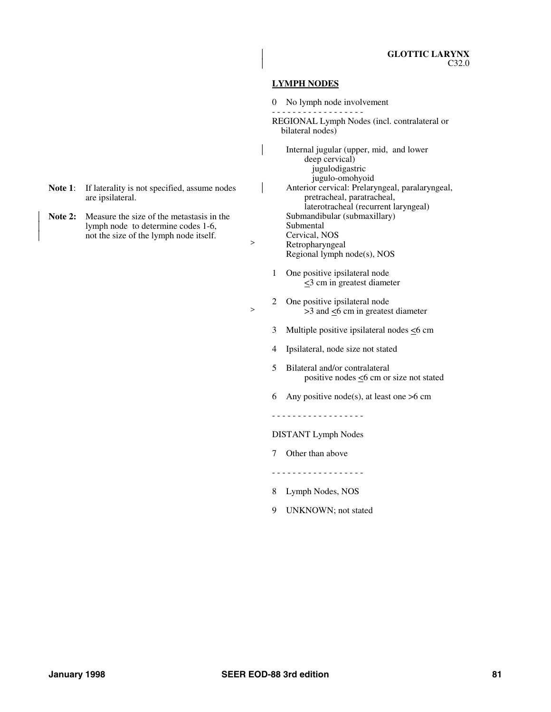|                          |   | 0 No lymph node involvement                                                                                                                                                           |
|--------------------------|---|---------------------------------------------------------------------------------------------------------------------------------------------------------------------------------------|
|                          |   | REGIONAL Lymph Nodes (incl. contralateral or<br>bilateral nodes)                                                                                                                      |
| I                        |   | Internal jugular (upper, mid, and lower<br>deep cervical)<br>jugulodigastric                                                                                                          |
| $\overline{\phantom{a}}$ |   | jugulo-omohyoid<br>Anterior cervical: Prelaryngeal, paralaryngeal,<br>pretracheal, paratracheal,<br>laterotracheal (recurrent laryngeal)<br>Submandibular (submaxillary)<br>Submental |
| $\,>$                    |   | Cervical, NOS<br>Retropharyngeal<br>Regional lymph node(s), NOS                                                                                                                       |
|                          | 1 | One positive ipsilateral node<br><3 cm in greatest diameter                                                                                                                           |
| $\rm{>}$                 | 2 | One positive ipsilateral node<br>$>3$ and $\leq$ 6 cm in greatest diameter                                                                                                            |
|                          | 3 | Multiple positive ipsilateral nodes $\leq 6$ cm                                                                                                                                       |
|                          | 4 | Ipsilateral, node size not stated                                                                                                                                                     |
|                          | 5 | Bilateral and/or contralateral<br>positive nodes $\leq 6$ cm or size not stated                                                                                                       |
|                          | 6 | Any positive node(s), at least one $>6$ cm                                                                                                                                            |
|                          |   | . <u>.</u> .                                                                                                                                                                          |
|                          |   | <b>DISTANT</b> Lymph Nodes                                                                                                                                                            |
|                          | 7 | Other than above                                                                                                                                                                      |
|                          |   |                                                                                                                                                                                       |
|                          | 8 | Lymph Nodes, NOS                                                                                                                                                                      |
|                          | 9 | UNKNOWN; not stated                                                                                                                                                                   |
|                          |   |                                                                                                                                                                                       |

- **Note 1**: If laterality is not specified, assume nodes are ipsilateral.
- Note 2: Measure the size of the metastasis in the lymph node to determine codes 1-6, not the size of the lymph node itself.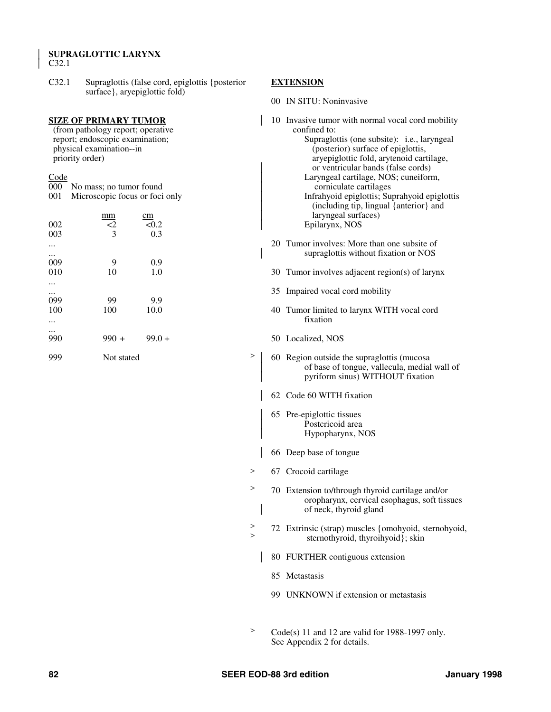#### | **SUPRAGLOTTIC LARYNX** | C32.1

| C32.1<br>Supraglottis (false cord, epiglottis {posterior<br>surface}, aryepiglottic fold)                                                                                                                                                                  |               |             |             | <b>EXTENSION</b>                                                                                                                                                                                                                                                                                                                                                                                                            |  |
|------------------------------------------------------------------------------------------------------------------------------------------------------------------------------------------------------------------------------------------------------------|---------------|-------------|-------------|-----------------------------------------------------------------------------------------------------------------------------------------------------------------------------------------------------------------------------------------------------------------------------------------------------------------------------------------------------------------------------------------------------------------------------|--|
|                                                                                                                                                                                                                                                            |               |             |             | 00 IN SITU: Noninvasive                                                                                                                                                                                                                                                                                                                                                                                                     |  |
| <b>SIZE OF PRIMARY TUMOR</b><br>(from pathology report; operative<br>report; endoscopic examination;<br>physical examination--in<br>priority order)<br>Code<br>000 No mass; no tumor found<br>001<br>Microscopic focus or foci only<br>$\mathbf{cm}$<br>mm |               |             |             | 10 Invasive tumor with normal vocal cord mobility<br>confined to:<br>Supraglottis (one subsite): i.e., laryngeal<br>(posterior) surface of epiglottis,<br>aryepiglottic fold, arytenoid cartilage,<br>or ventricular bands (false cords)<br>Laryngeal cartilage, NOS; cuneiform,<br>corniculate cartilages<br>Infrahyoid epiglottis; Suprahyoid epiglottis<br>(including tip, lingual {anterior} and<br>laryngeal surfaces) |  |
| 002                                                                                                                                                                                                                                                        | $\frac{2}{3}$ | < 0.2       |             | Epilarynx, NOS                                                                                                                                                                                                                                                                                                                                                                                                              |  |
| 003                                                                                                                                                                                                                                                        |               | 0.3         |             | 20 Tumor involves: More than one subsite of<br>supraglottis without fixation or NOS                                                                                                                                                                                                                                                                                                                                         |  |
| 009<br>010                                                                                                                                                                                                                                                 | 9<br>10       | 0.9<br>1.0  |             | 30 Tumor involves adjacent region(s) of larynx                                                                                                                                                                                                                                                                                                                                                                              |  |
|                                                                                                                                                                                                                                                            |               |             |             | 35 Impaired vocal cord mobility                                                                                                                                                                                                                                                                                                                                                                                             |  |
| 099<br>100                                                                                                                                                                                                                                                 | 99<br>100     | 9.9<br>10.0 |             | 40 Tumor limited to larynx WITH vocal cord                                                                                                                                                                                                                                                                                                                                                                                  |  |
| $\cdots$                                                                                                                                                                                                                                                   |               |             |             | fixation                                                                                                                                                                                                                                                                                                                                                                                                                    |  |
| 990                                                                                                                                                                                                                                                        | $990 +$       | $99.0 +$    |             | 50 Localized, NOS                                                                                                                                                                                                                                                                                                                                                                                                           |  |
| 999                                                                                                                                                                                                                                                        | Not stated    |             | $\rm{>}$    | 60 Region outside the supraglottis (mucosa<br>of base of tongue, vallecula, medial wall of<br>pyriform sinus) WITHOUT fixation                                                                                                                                                                                                                                                                                              |  |
|                                                                                                                                                                                                                                                            |               |             |             | 62 Code 60 WITH fixation                                                                                                                                                                                                                                                                                                                                                                                                    |  |
|                                                                                                                                                                                                                                                            |               |             |             | 65 Pre-epiglottic tissues<br>Postcricoid area<br>Hypopharynx, NOS                                                                                                                                                                                                                                                                                                                                                           |  |
|                                                                                                                                                                                                                                                            |               |             |             | 66 Deep base of tongue                                                                                                                                                                                                                                                                                                                                                                                                      |  |
|                                                                                                                                                                                                                                                            |               |             | >           | 67 Crocoid cartilage                                                                                                                                                                                                                                                                                                                                                                                                        |  |
|                                                                                                                                                                                                                                                            |               |             | >           | 70 Extension to/through thyroid cartilage and/or<br>oropharynx, cervical esophagus, soft tissues<br>of neck, thyroid gland                                                                                                                                                                                                                                                                                                  |  |
|                                                                                                                                                                                                                                                            |               |             | ><br>$\geq$ | 72 Extrinsic (strap) muscles {omohyoid, sternohyoid,<br>sternothyroid, thyroihyoid}; skin                                                                                                                                                                                                                                                                                                                                   |  |
|                                                                                                                                                                                                                                                            |               |             |             | 80 FURTHER contiguous extension                                                                                                                                                                                                                                                                                                                                                                                             |  |
|                                                                                                                                                                                                                                                            |               |             |             | 85 Metastasis                                                                                                                                                                                                                                                                                                                                                                                                               |  |
|                                                                                                                                                                                                                                                            |               |             |             | 99 UNKNOWN if extension or metastasis                                                                                                                                                                                                                                                                                                                                                                                       |  |
|                                                                                                                                                                                                                                                            |               |             |             |                                                                                                                                                                                                                                                                                                                                                                                                                             |  |
|                                                                                                                                                                                                                                                            |               |             | $\rm{>}$    | $Code(s)$ 11 and 12 are valid for 1988-1997 only.                                                                                                                                                                                                                                                                                                                                                                           |  |

See Appendix 2 for details.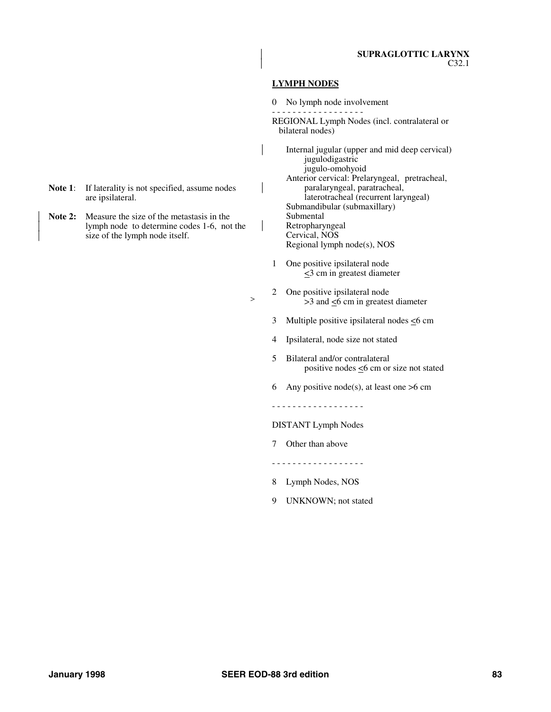#### | **SUPRAGLOTTIC LARYNX** | C32.1

# **LYMPH NODES**

0 No lymph node involvement

- - - - - - - - - - - - - - - - - -

REGIONAL Lymph Nodes (incl. contralateral or bilateral nodes)

| Internal jugular (upper and mid deep cervical) jugulodigastric jugulo-omohyoid Anterior cervical: Prelaryngeal, pretracheal, | paralaryngeal, paratracheal, laterotracheal (recurrent laryngeal) Submandibular (submaxillary) Submental | Retropharyngeal Cervical, NOS Regional lymph node(s), NOS

- 1 One positive ipsilateral node  $\leq$ 3 cm in greatest diameter
- 2 One positive ipsilateral node  $>$ 3 and  $\leq$ 6 cm in greatest diameter
- 3 Multiple positive ipsilateral nodes  $\leq 6$  cm
- 4 Ipsilateral, node size not stated
- 5 Bilateral and/or contralateral positive nodes  $\leq 6$  cm or size not stated
- 6 Any positive node(s), at least one  $>6$  cm

- - - - - - - - - - - - - - - - - -

>

#### DISTANT Lymph Nodes

7 Other than above

#### - - - - - - - - - - - - - - - - - -

- 8 Lymph Nodes, NOS
- 9 UNKNOWN; not stated
- Note 1: If laterality is not specified, assume nodes are ipsilateral.
- Note 2: Measure the size of the metastasis in the lymph node to determine codes 1-6, not the size of the lymph node itself.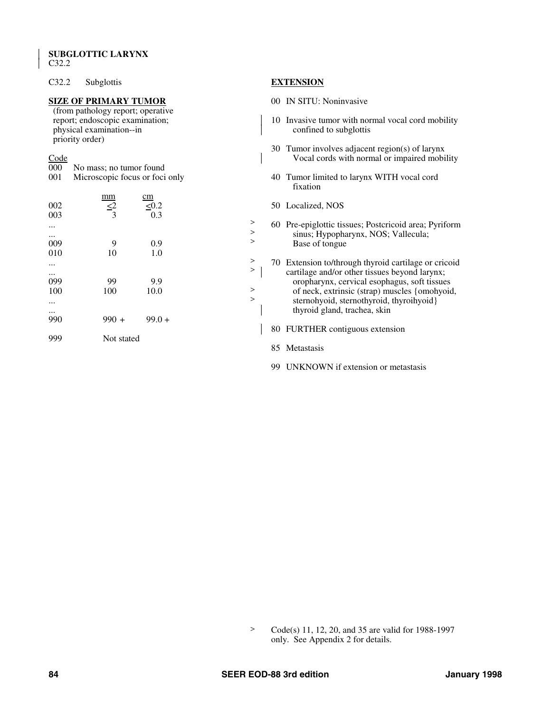#### | **SUBGLOTTIC LARYNX** | C32.2

#### C32.2 Subglottis

#### **SIZE OF PRIMARY TUMOR**

 (from pathology report; operative report; endoscopic examination; physical examination--in priority order)

#### **Code**

000 No mass; no tumor found

| 001<br>Microscopic focus or foci only |  |  |  |
|---------------------------------------|--|--|--|
|---------------------------------------|--|--|--|

| 002<br>003     | $\frac{\text{mm}}{\leq}$ | <u>cm</u><br>$\leq 0.2$<br>0.3 |  |
|----------------|--------------------------|--------------------------------|--|
|                |                          |                                |  |
| <br>009<br>010 | 9<br>10                  | 0.9<br>1.0                     |  |
|                |                          |                                |  |
| <br>099        | 99                       | 9.9                            |  |
| 100<br>        | 100                      | 10.0                           |  |
| <br>990        | $990 +$                  | $99.0 +$                       |  |
| 999            | Not stated               |                                |  |

# **EXTENSION**

- 00 IN SITU: Noninvasive
- 10 Invasive tumor with normal vocal cord mobility confined to subglottis
- 30 Tumor involves adjacent region(s) of larynx | Vocal cords with normal or impaired mobility
- 40 Tumor limited to larynx WITH vocal cord fixation
- 50 Localized, NOS

> > >

> >

>  $\,>$  60 Pre-epiglottic tissues; Postcricoid area; Pyriform sinus; Hypopharynx, NOS; Vallecula; Base of tongue

- 70 Extension to/through thyroid cartilage or cricoid cartilage and/or other tissues beyond larynx; oropharynx, cervical esophagus, soft tissues of neck, extrinsic (strap) muscles {omohyoid, sternohyoid, sternothyroid, thyroihyoid} thyroid gland, trachea, skin
- | 80 FURTHER contiguous extension
- 85 Metastasis
- 99 UNKNOWN if extension or metastasis

> Code(s) 11, 12, 20, and 35 are valid for 1988-1997 only. See Appendix 2 for details.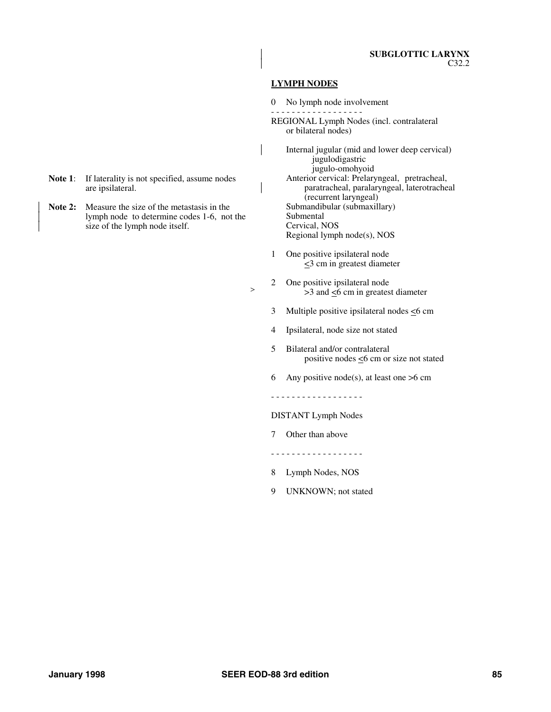0 No lymph node involvement

- - - - - - - - - - - - - - - - - -

REGIONAL Lymph Nodes (incl. contralateral or bilateral nodes)

Internal jugular (mid and lower deep cervical) jugulodigastric jugulo-omohyoid Anterior cervical: Prelaryngeal, pretracheal, | paratracheal, paralaryngeal, laterotracheal (recurrent laryngeal) Submandibular (submaxillary) Submental Cervical, NOS Regional lymph node(s), NOS

- 1 One positive ipsilateral node  $\leq$ 3 cm in greatest diameter
- 2 One positive ipsilateral node  $>$ 3 and  $\leq$ 6 cm in greatest diameter
- 3 Multiple positive ipsilateral nodes  $\leq 6$  cm
- 4 Ipsilateral, node size not stated
- 5 Bilateral and/or contralateral positive nodes  $\leq 6$  cm or size not stated
- 6 Any positive node(s), at least one  $>6$  cm

- - - - - - - - - - - - - - - - - -

>

DISTANT Lymph Nodes

7 Other than above

- - - - - - - - - - - - - - - - - -

- 8 Lymph Nodes, NOS
- 9 UNKNOWN; not stated

**Note 1**: If laterality is not specified, assume nodes are ipsilateral.

Note 2: Measure the size of the metastasis in the lymph node to determine codes 1-6, not the size of the lymph node itself.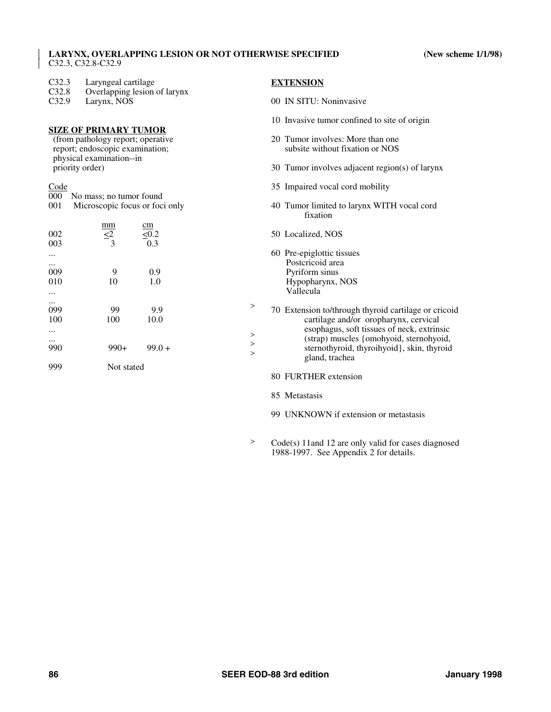#### | **LARYNX, OVERLAPPING LESION OR NOT OTHERWISE SPECIFIED (New scheme 1/1/98)** | C32.3, C32.8-C32.9

| C <sub>32.3</sub><br>C32.8        | Laryngeal cartilage                                                                              |                              | <b>EXTENSION</b>                                                                                 |                                                                                                                                             |  |  |
|-----------------------------------|--------------------------------------------------------------------------------------------------|------------------------------|--------------------------------------------------------------------------------------------------|---------------------------------------------------------------------------------------------------------------------------------------------|--|--|
| C32.9                             | Larynx, NOS                                                                                      | Overlapping lesion of larynx | 00 IN SITU: Noninvasive                                                                          |                                                                                                                                             |  |  |
|                                   | <b>SIZE OF PRIMARY TUMOR</b>                                                                     |                              | 10 Invasive tumor confined to site of origin                                                     |                                                                                                                                             |  |  |
|                                   | (from pathology report; operative<br>report; endoscopic examination;<br>physical examination--in |                              | 20 Tumor involves: More than one<br>subsite without fixation or NOS                              |                                                                                                                                             |  |  |
|                                   | priority order)                                                                                  |                              |                                                                                                  | 30 Tumor involves adjacent region(s) of larynx                                                                                              |  |  |
| <u>Code</u><br>000                | No mass; no tumor found                                                                          |                              | 35 Impaired vocal cord mobility                                                                  |                                                                                                                                             |  |  |
| 001                               | Microscopic focus or foci only                                                                   |                              | 40 Tumor limited to larynx WITH vocal cord<br>fixation                                           |                                                                                                                                             |  |  |
| 002                               | $\mathbf{mm}$<br>$\frac{1}{3}$                                                                   | cm<br>$\overline{50.2}$      | 50 Localized, NOS                                                                                |                                                                                                                                             |  |  |
| 003<br>$\cdots$<br>009<br>010<br> | 9<br>10                                                                                          | 0.3<br>0.9<br>1.0            | 60 Pre-epiglottic tissues<br>Postcricoid area<br>Pyriform sinus<br>Hypopharynx, NOS<br>Vallecula |                                                                                                                                             |  |  |
| $\cdots$<br>099<br>100<br>        | 99<br>100                                                                                        | 9.9<br>10.0                  | $\, >$<br>$\,>$                                                                                  | 70 Extension to/through thyroid cartilage or cricoid<br>cartilage and/or oropharynx, cervical<br>esophagus, soft tissues of neck, extrinsic |  |  |
| $\cdots$<br>990                   | $990+$                                                                                           | $99.0 +$                     | $\rm{>}$<br>$\geq$<br>gland, trachea                                                             | (strap) muscles {omohyoid, sternohyoid,<br>sternothyroid, thyroihyoid}, skin, thyroid                                                       |  |  |
| 999                               | Not stated                                                                                       |                              | 80 FURTHER extension                                                                             |                                                                                                                                             |  |  |
|                                   |                                                                                                  |                              | 85 Metastasis                                                                                    |                                                                                                                                             |  |  |

- 99 UNKNOWN if extension or metastasis
- $\geq$ Code(s) 11and 12 are only valid for cases diagnosed 1988-1997. See Appendix 2 for details.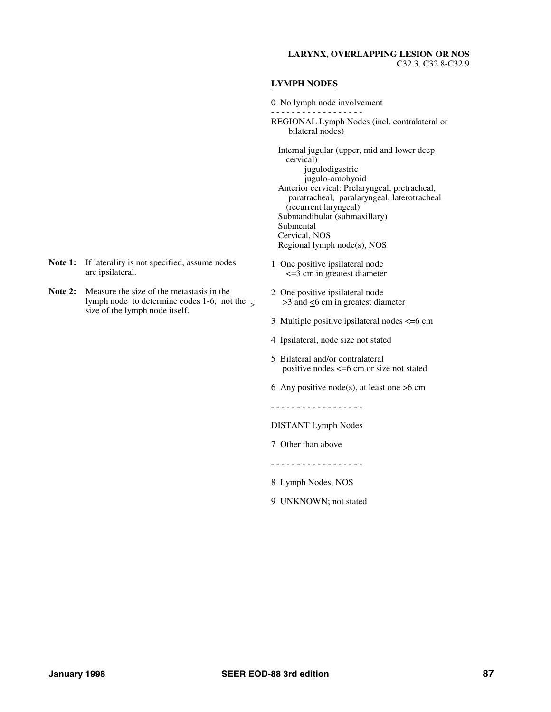#### **LARYNX, OVERLAPPING LESION OR NOS** C32.3, C32.8-C32.9

# **LYMPH NODES**

- 0 No lymph node involvement - - - - - - - - - - - - - - - - - - REGIONAL Lymph Nodes (incl. contralateral or bilateral nodes) Internal jugular (upper, mid and lower deep cervical) jugulodigastric jugulo-omohyoid Anterior cervical: Prelaryngeal, pretracheal, paratracheal, paralaryngeal, laterotracheal (recurrent laryngeal) Submandibular (submaxillary) Submental Cervical, NOS Regional lymph node(s), NOS
- 1 One positive ipsilateral node  $\leq$ =3 cm in greatest diameter
- 2 One positive ipsilateral node  $>$ 3 and  $\leq$ 6 cm in greatest diameter
- 3 Multiple positive ipsilateral nodes <=6 cm
- 4 Ipsilateral, node size not stated
- 5 Bilateral and/or contralateral positive nodes <=6 cm or size not stated
- 6 Any positive node(s), at least one >6 cm

- - - - - - - - - - - - - - - - - -

DISTANT Lymph Nodes

7 Other than above

- - - - - - - - - - - - - - - - - -

- 8 Lymph Nodes, NOS
- 9 UNKNOWN; not stated
- Note 1: If laterality is not specified, assume nodes are ipsilateral.
- lymph node to determine codes 1-6, not the  $\frac{1}{2}$ **Note 2:** Measure the size of the metastasis in the size of the lymph node itself.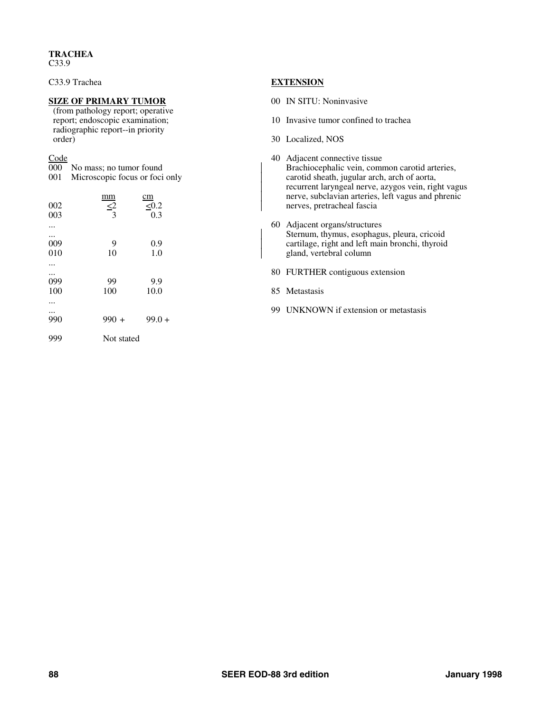# **TRACHEA**

C33.9

C33.9 Trachea

# **SIZE OF PRIMARY TUMOR**

 (from pathology report; operative report; endoscopic examination; radiographic report--in priority order)

#### **Code**

- 000 No mass; no tumor found
- 001 Microscopic focus or foci only

| 002<br>003     | mm<br>$\frac{2}{3}$ | $\mathbf{cm}$<br>$\leq 0.2$<br>0.3 |
|----------------|---------------------|------------------------------------|
|                |                     |                                    |
| <br>009<br>010 | 9<br>10             | 0.9<br>1.0                         |
|                |                     |                                    |
| <br>099<br>100 | 99<br>100           | 9.9<br>10.0                        |
| <br>990        | $990 +$             | $99.0 +$                           |
| 999            | Not stated          |                                    |

# **EXTENSION**

- 00 IN SITU: Noninvasive
- 10 Invasive tumor confined to trachea
- 30 Localized, NOS
- 40 Adjacent connective tissue | Brachiocephalic vein, common carotid arteries, | carotid sheath, jugular arch, arch of aorta, recurrent laryngeal nerve, azygos vein, right vagus nerve, subclavian arteries, left vagus and phrenic nerves, pretracheal fascia
- 60 Adjacent organs/structures Sternum, thymus, esophagus, pleura, cricoid cartilage, right and left main bronchi, thyroid | gland, vertebral column
- 80 FURTHER contiguous extension
- 85 Metastasis
- 99 UNKNOWN if extension or metastasis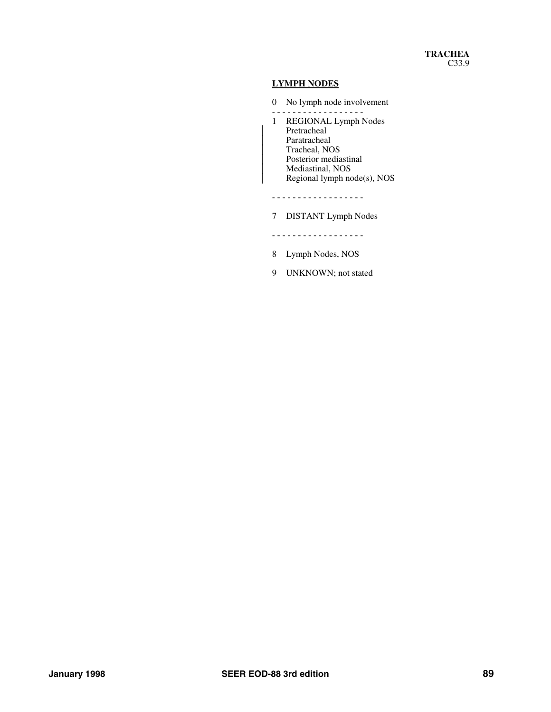- 0 No lymph node involvement
- - - - - - - - - -
- 1 REGIONAL Lymph Nodes | Pretracheal | Paratracheal | Tracheal, NOS | Posterior mediastinal | Mediastinal, NOS Regional lymph node(s), NOS
- - - - - - - - - -
- 7 DISTANT Lymph Nodes
- - - - - - - - - -
- 8 Lymph Nodes, NOS
- 9 UNKNOWN; not stated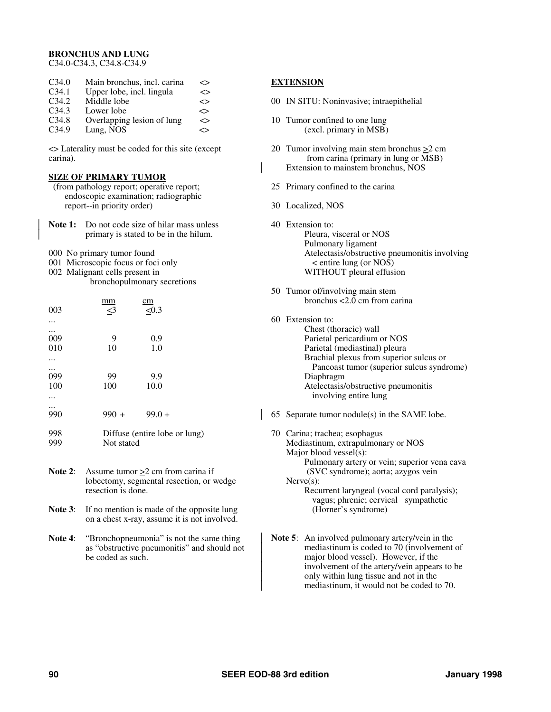# **BRONCHUS AND LUNG**

C34.0-C34.3, C34.8-C34.9

| C <sub>34.0</sub> | Main bronchus, incl. carina | <> |
|-------------------|-----------------------------|----|
| C <sub>34.1</sub> | Upper lobe, incl. lingula   | <> |
| C <sub>34.2</sub> | Middle lobe                 | <> |
| C <sub>34.3</sub> | Lower lobe                  | <> |
| C <sub>34.8</sub> | Overlapping lesion of lung  | <> |
| C <sub>34.9</sub> | Lung, NOS                   | ↷  |
|                   |                             |    |

<> Laterality must be coded for this site (except carina).

#### **SIZE OF PRIMARY TUMOR**

- (from pathology report; operative report; endoscopic examination; radiographic report--in priority order)
- Note 1: Do not code size of hilar mass unless | primary is stated to be in the hilum.
- 000 No primary tumor found
- 001 Microscopic focus or foci only
- 002 Malignant cells present in
	- bronchopulmonary secretions

|          | <u>mm</u><br>$\overline{5}$ | <u>cm</u><br>$\overline{50.3}$ |  |
|----------|-----------------------------|--------------------------------|--|
| 003      |                             |                                |  |
|          |                             |                                |  |
| 009      | 9                           | 0.9                            |  |
| 010      | 10                          | 1.0                            |  |
|          |                             |                                |  |
| <br>099  | 99                          | 9.9                            |  |
| 100      | 100                         | 10.0                           |  |
|          |                             |                                |  |
| $\cdots$ | $990 +$                     |                                |  |
| 990      |                             | $99.0 +$                       |  |
| 998      |                             | Diffuse (entire lobe or lung)  |  |
|          | Not stated                  |                                |  |

- Note 2: Assume tumor > 2 cm from carina if lobectomy, segmental resection, or wedge resection is done.
- **Note 3:** If no mention is made of the opposite lung on a chest x-ray, assume it is not involved.
- Note 4: "Bronchopneumonia" is not the same thing as "obstructive pneumonitis" and should not be coded as such.

## **EXTENSION**

- 00 IN SITU: Noninvasive; intraepithelial
- 10 Tumor confined to one lung (excl. primary in MSB)
- 20 Tumor involving main stem bronchus  $\geq$  2 cm from carina (primary in lung or MSB) | Extension to mainstem bronchus, NOS
- 25 Primary confined to the carina
- 30 Localized, NOS
- 40 Extension to: Pleura, visceral or NOS Pulmonary ligament Atelectasis/obstructive pneumonitis involving < entire lung (or NOS) WITHOUT pleural effusion
- 50 Tumor of/involving main stem bronchus <2.0 cm from carina
- 60 Extension to: Chest (thoracic) wall Parietal pericardium or NOS Parietal (mediastinal) pleura Brachial plexus from superior sulcus or Pancoast tumor (superior sulcus syndrome) Diaphragm Atelectasis/obstructive pneumonitis involving entire lung
- $65$  Separate tumor nodule(s) in the SAME lobe.

70 Carina; trachea; esophagus Mediastinum, extrapulmonary or NOS Major blood vessel(s): Pulmonary artery or vein; superior vena cava (SVC syndrome); aorta; azygos vein Nerve(s): Recurrent laryngeal (vocal cord paralysis); vagus; phrenic; cervical sympathetic (Horner's syndrome)

Note 5: An involved pulmonary artery/vein in the mediastinum is coded to 70 (involvement of major blood vessel). However, if the involvement of the artery/vein appears to be | only within lung tissue and not in the mediastinum, it would not be coded to 70.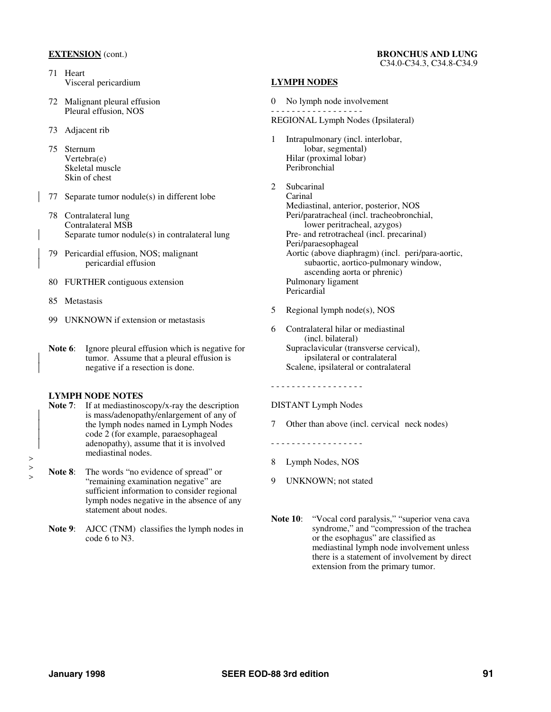#### **EXTENSION** (cont.)

- 71 Heart Visceral pericardium
- 72 Malignant pleural effusion Pleural effusion, NOS
- 73 Adjacent rib
- 75 Sternum Vertebra(e) Skeletal muscle Skin of chest
- | 77 Separate tumor nodule(s) in different lobe
- 78 Contralateral lung Contralateral MSB Separate tumor  $module(s)$  in contralateral lung
- | 79 Pericardial effusion, NOS; malignant | pericardial effusion
- 80 FURTHER contiguous extension
- 85 Metastasis

> > >

- 99 UNKNOWN if extension or metastasis
- **Note 6:** Ignore pleural effusion which is negative for tumor. Assume that a pleural effusion is negative if a resection is done.

# **LYMPH NODE NOTES**

- **Note 7**: If at mediastinoscopy/x-ray the description is mass/adenopathy/enlargement of any of the lymph nodes named in Lymph Nodes | code 2 (for example, paraesophageal | adenopathy), assume that it is involved mediastinal nodes.
- Note 8: The words "no evidence of spread" or "remaining examination negative" are sufficient information to consider regional lymph nodes negative in the absence of any statement about nodes.
	- **Note 9**: AJCC (TNM) classifies the lymph nodes in code 6 to N3.

# **LYMPH NODES**

- 0 No lymph node involvement - - - - - - - - - - - - - - - - - - REGIONAL Lymph Nodes (Ipsilateral)
- 1 Intrapulmonary (incl. interlobar, lobar, segmental) Hilar (proximal lobar) Peribronchial
- 2 Subcarinal Carinal Mediastinal, anterior, posterior, NOS Peri/paratracheal (incl. tracheobronchial, lower peritracheal, azygos) Pre- and retrotracheal (incl. precarinal) Peri/paraesophageal Aortic (above diaphragm) (incl. peri/para-aortic, subaortic, aortico-pulmonary window, ascending aorta or phrenic) Pulmonary ligament Pericardial
- 5 Regional lymph node(s), NOS
- 6 Contralateral hilar or mediastinal (incl. bilateral) Supraclavicular (transverse cervical), ipsilateral or contralateral Scalene, ipsilateral or contralateral
- - - - - - - - - -
- DISTANT Lymph Nodes
- 7 Other than above (incl. cervical neck nodes)
- - - - - - - - - -
- 8 Lymph Nodes, NOS
- 9 UNKNOWN; not stated
- Note 10: "Vocal cord paralysis," "superior vena cava syndrome," and "compression of the trachea or the esophagus" are classified as mediastinal lymph node involvement unless there is a statement of involvement by direct extension from the primary tumor.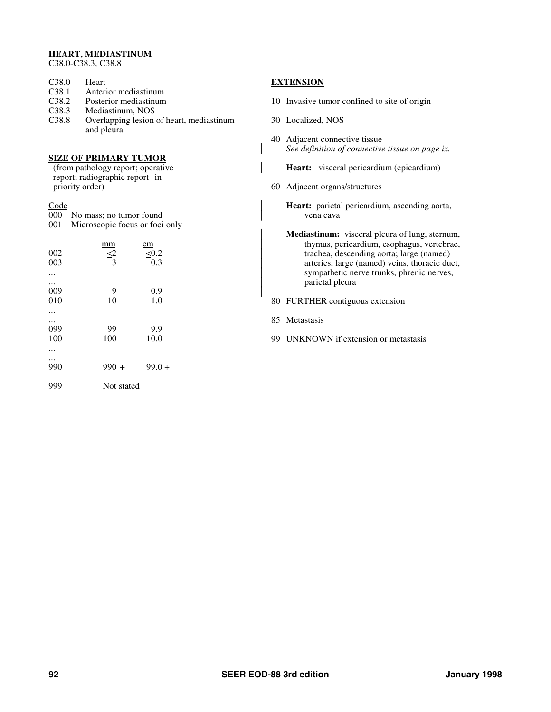# **HEART, MEDIASTINUM**

C38.0-C38.3, C38.8

| C38.0                                           | Heart                                                                                                 |                                          |    | <b>EXTENSION</b>                            |
|-------------------------------------------------|-------------------------------------------------------------------------------------------------------|------------------------------------------|----|---------------------------------------------|
| C <sub>38.1</sub><br>C <sub>38.2</sub><br>C38.3 | Anterior mediastinum<br>Posterior mediastinum<br>Mediastinum, NOS                                     |                                          |    | 10 Invasive tumor                           |
| C <sub>38.8</sub>                               | and pleura                                                                                            | Overlapping lesion of heart, mediastinum |    | 30 Localized, NOS                           |
|                                                 |                                                                                                       |                                          |    | 40 Adjacent connec<br>See definition of     |
|                                                 | <b>SIZE OF PRIMARY TUMOR</b><br>(from pathology report; operative)<br>report; radiographic report--in |                                          |    | Heart:<br>viscera                           |
|                                                 | priority order)                                                                                       |                                          |    | 60 Adjacent organs                          |
| Code<br>000                                     | No mass; no tumor found                                                                               |                                          |    | Heart: parietal<br>vena cava                |
| 001                                             | Microscopic focus or foci only                                                                        |                                          |    | <b>Mediastinum:</b>                         |
| 002                                             | mm                                                                                                    | cm<br>< 0.2                              |    | thymus, pe<br>trachea, de                   |
| 003<br><br>                                     |                                                                                                       | 0.3                                      |    | arteries, lar<br>sympatheti<br>parietal ple |
| 009                                             | 9                                                                                                     | 0.9                                      |    |                                             |
| 010                                             | 10                                                                                                    | 1.0                                      | 80 | <b>FURTHER</b> cont                         |
| <br><br>099                                     | 99                                                                                                    | 9.9                                      |    | 85 Metastasis                               |
| 100                                             | 100                                                                                                   | 10.0                                     |    | 99 UNKNOWN if                               |
|                                                 |                                                                                                       |                                          |    |                                             |
| <br>990                                         | $990 +$                                                                                               | $99.0 +$                                 |    |                                             |
| 999                                             | Not stated                                                                                            |                                          |    |                                             |

- or confined to site of origin
- 
- ective tissue  $of$  connective tissue on page ix.

ral pericardium (epicardium)

ns/structures

al pericardium, ascending aorta,

| **Mediastinum:** visceral pleura of lung, sternum, | thymus, pericardium, esophagus, vertebrae, | trachea, descending aorta; large (named) | arteries, large (named) veins, thoracic duct, etic nerve trunks, phrenic nerves, <sub>leura</sub>

- ntiguous extension
- if extension or metastasis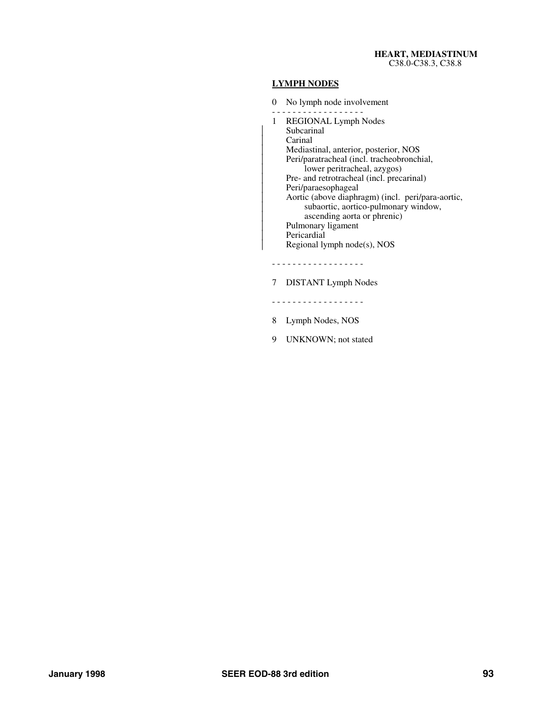- 0 No lymph node involvement
- - - - - - - - - -
- 1 REGIONAL Lymph Nodes | Subcarinal | Carinal | Mediastinal, anterior, posterior, NOS | Peri/paratracheal (incl. tracheobronchial, | lower peritracheal, azygos) Pre- and retrotracheal (incl. precarinal) | Peri/paraesophageal | Aortic (above diaphragm) (incl. peri/para-aortic, subaortic, aortico-pulmonary window, ascending aorta or phrenic) | Pulmonary ligament Pericardial Regional lymph node(s), NOS

- - - - - - - - - - - - - - - - - -

- 7 DISTANT Lymph Nodes
- - - - - - - - - -
- 8 Lymph Nodes, NOS
- 9 UNKNOWN; not stated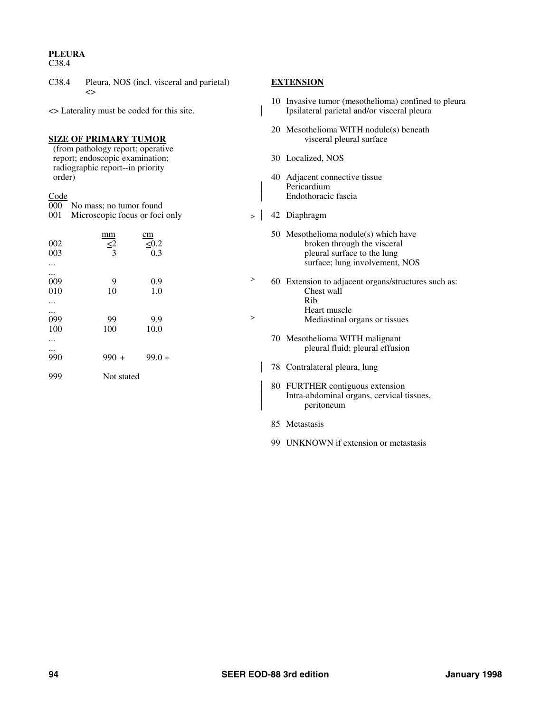#### **PLEURA** C38.4

| C <sub>38.4</sub>      |                                                                     | Pleura, NOS (incl. visceral and parietal) |        | <b>EXTENSION</b>                                                                                                                     |
|------------------------|---------------------------------------------------------------------|-------------------------------------------|--------|--------------------------------------------------------------------------------------------------------------------------------------|
|                        | ◇<br><> Laterality must be coded for this site.                     |                                           |        | 10 Invasive tumor (mesothelioma) confined to pleura<br>Ipsilateral parietal and/or visceral pleura                                   |
|                        | <b>SIZE OF PRIMARY TUMOR</b><br>(from pathology report; operative   |                                           |        | 20 Mesothelioma WITH nodule(s) beneath<br>visceral pleural surface                                                                   |
|                        | report; endoscopic examination;<br>radiographic report--in priority |                                           |        | 30 Localized, NOS                                                                                                                    |
| order)                 |                                                                     |                                           |        | 40 Adjacent connective tissue<br>Pericardium                                                                                         |
| Code<br>000            | No mass; no tumor found                                             |                                           |        | Endothoracic fascia                                                                                                                  |
| 001                    | Microscopic focus or foci only                                      |                                           | $\geq$ | 42 Diaphragm                                                                                                                         |
| 002<br>003<br>         | mm<br>$\frac{2}{3}$                                                 | cm<br>< 0.2<br>0.3                        |        | 50 Mesothelioma nodule(s) which have<br>broken through the visceral<br>pleural surface to the lung<br>surface; lung involvement, NOS |
| $\cdots$<br>009<br>010 | 9<br>10                                                             | 0.9<br>1.0                                | $\, >$ | 60 Extension to adjacent organs/structures such as:<br>Chest wall<br>Rib                                                             |
| <br><br>099<br>100     | 99<br>100                                                           | 9.9<br>10.0                               | $\gt$  | Heart muscle<br>Mediastinal organs or tissues                                                                                        |
| .<br>$\cdots$          |                                                                     |                                           |        | 70 Mesothelioma WITH malignant<br>pleural fluid; pleural effusion                                                                    |
| 990                    | $990 +$                                                             | $99.0 +$                                  |        | 78 Contralateral pleura, lung                                                                                                        |
| 999                    | Not stated                                                          |                                           |        | 80 FURTHER contiguous extension<br>Intra-abdominal organs, cervical tissues,<br>peritoneum                                           |
|                        |                                                                     |                                           |        | 85 Metastasis                                                                                                                        |

99 UNKNOWN if extension or metastasis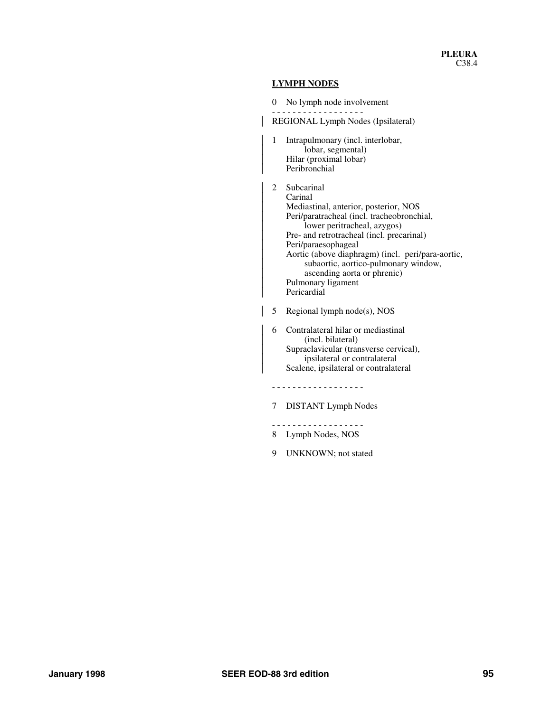0 No lymph node involvement - - - - - - - - - - - - - - - - - - | REGIONAL Lymph Nodes (Ipsilateral) | 1 Intrapulmonary (incl. interlobar, | lobar, segmental) | Hilar (proximal lobar) | Peribronchial | 2 Subcarinal | Carinal | Mediastinal, anterior, posterior, NOS | Peri/paratracheal (incl. tracheobronchial, lower peritracheal, azygos) Pre- and retrotracheal (incl. precarinal) | Peri/paraesophageal | Aortic (above diaphragm) (incl. peri/para-aortic, subaortic, aortico-pulmonary window, ascending aorta or phrenic) | Pulmonary ligament | Pericardial | 5 Regional lymph node(s), NOS | 6 Contralateral hilar or mediastinal (incl. bilateral) | Supraclavicular (transverse cervical), ipsilateral or contralateral Scalene, ipsilateral or contralateral - - - - - - - - - - - - - - - - - - 7 DISTANT Lymph Nodes

- - - - - - - - - - 8 Lymph Nodes, NOS
- 9 UNKNOWN; not stated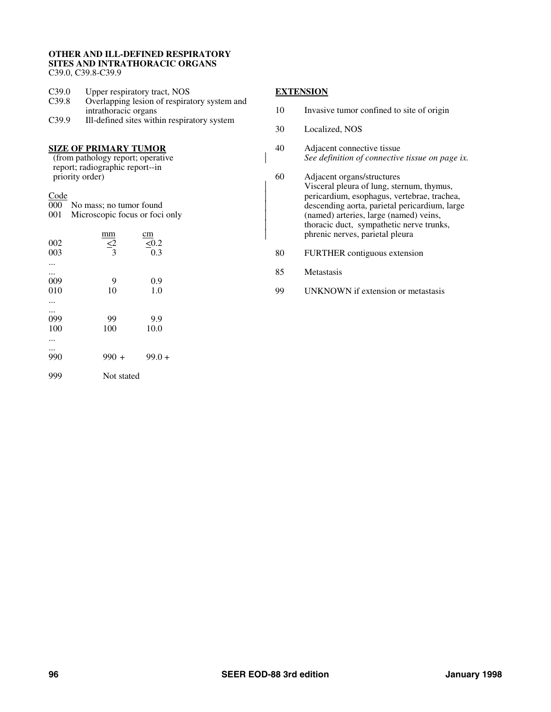#### **OTHER AND ILL-DEFINED RESPIRATORY SITES AND INTRATHORACIC ORGANS** C39.0, C39.8-C39.9

| C <sub>39.0</sub> |                                                    | Upper respiratory tract, NOS                 |    | <b>EXTENSION</b>                                |
|-------------------|----------------------------------------------------|----------------------------------------------|----|-------------------------------------------------|
| C39.8             | intrathoracic organs                               | Overlapping lesion of respiratory system and | 10 | Invasive tumor confined to site of origin       |
| C39.9             |                                                    | Ill-defined sites within respiratory system  |    |                                                 |
|                   |                                                    |                                              | 30 | Localized, NOS                                  |
|                   |                                                    |                                              |    |                                                 |
|                   | <b>SIZE OF PRIMARY TUMOR</b>                       |                                              | 40 | Adjacent connective tissue                      |
|                   | (from pathology report; operative                  |                                              |    | See definition of connective tissue on page ix. |
|                   | report; radiographic report--in<br>priority order) |                                              | 60 | Adjacent organs/structures                      |
|                   |                                                    |                                              |    | Visceral pleura of lung, sternum, thymus,       |
| Code              |                                                    |                                              |    | pericardium, esophagus, vertebrae, trachea,     |
| 000               | No mass; no tumor found                            |                                              |    | descending aorta, parietal pericardium, large   |
| 001               | Microscopic focus or foci only                     |                                              |    | (named) arteries, large (named) veins,          |
|                   |                                                    |                                              |    | thoracic duct, sympathetic nerve trunks,        |
|                   | mm                                                 | cm                                           |    | phrenic nerves, parietal pleura                 |
| 002               | $\frac{2}{3}$                                      | $\leq 0.2$                                   |    |                                                 |
| 003               |                                                    | 0.3                                          | 80 | FURTHER contiguous extension                    |
|                   |                                                    |                                              | 85 | Metastasis                                      |
| $\cdots$<br>009   | 9                                                  | 0.9                                          |    |                                                 |
| 010               | 10                                                 | 1.0                                          | 99 | UNKNOWN if extension or metastasis              |
|                   |                                                    |                                              |    |                                                 |
|                   |                                                    |                                              |    |                                                 |
| 099               | 99                                                 | 9.9                                          |    |                                                 |
| 100               | 100                                                | 10.0                                         |    |                                                 |
|                   |                                                    |                                              |    |                                                 |
| 990               | $990 +$                                            | $99.0 +$                                     |    |                                                 |
|                   |                                                    |                                              |    |                                                 |
| 999               | Not stated                                         |                                              |    |                                                 |
|                   |                                                    |                                              |    |                                                 |

#### **EXTENSION**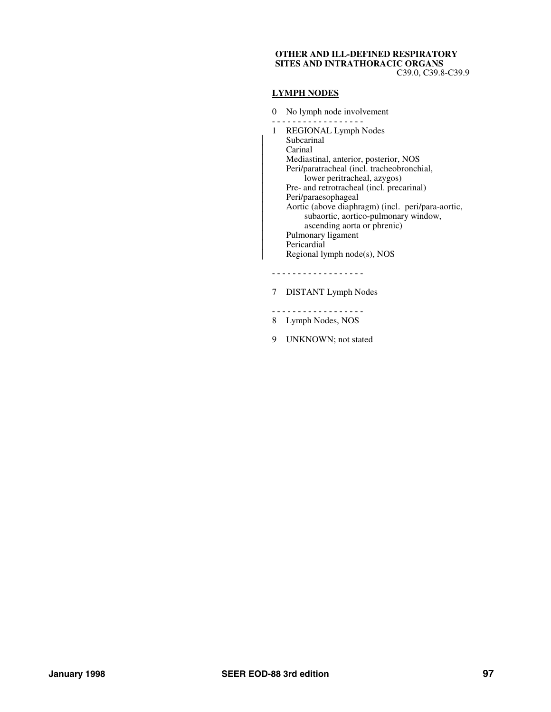#### **OTHER AND ILL-DEFINED RESPIRATORY SITES AND INTRATHORACIC ORGANS** C39.0, C39.8-C39.9

#### **LYMPH NODES**

0 No lymph node involvement

- - - - - - - - - - - - - - - - - - 1 REGIONAL Lymph Nodes | Subcarinal | Carinal | Mediastinal, anterior, posterior, NOS | Peri/paratracheal (incl. tracheobronchial, | lower peritracheal, azygos) Pre- and retrotracheal (incl. precarinal) | Peri/paraesophageal | Aortic (above diaphragm) (incl. peri/para-aortic, subaortic, aortico-pulmonary window, ascending aorta or phrenic) | Pulmonary ligament Pericardial Regional lymph node(s), NOS

- - - - - - - - - - - - - - - - - -

- 7 DISTANT Lymph Nodes
- - - - - - - - - - 8 Lymph Nodes, NOS
- 9 UNKNOWN; not stated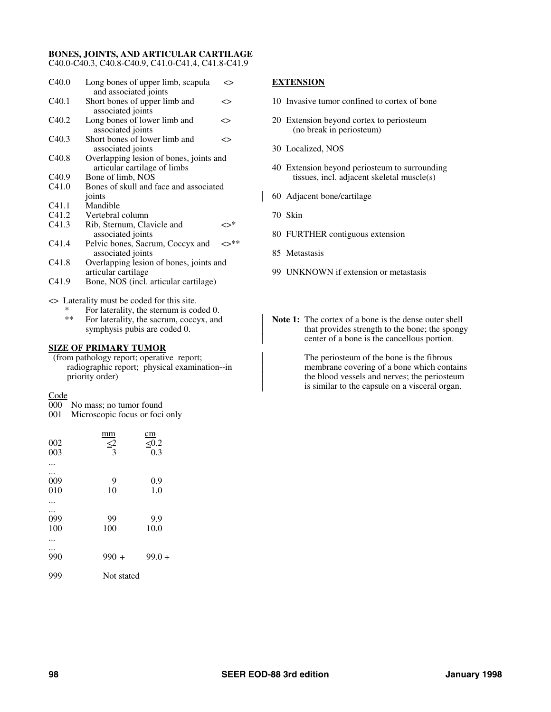# **BONES, JOINTS, AND ARTICULAR CARTILAGE**

C40.0-C40.3, C40.8-C40.9, C41.0-C41.4, C41.8-C41.9

| C40.0             | Long bones of upper limb, scapula<br>and associated joints              | ◇    |  |
|-------------------|-------------------------------------------------------------------------|------|--|
| C <sub>40.1</sub> | Short bones of upper limb and<br>associated joints                      | <>   |  |
| C <sub>40.2</sub> | Long bones of lower limb and<br>associated joints                       | ◇    |  |
| C <sub>40.3</sub> | Short bones of lower limb and<br>associated joints                      | <>   |  |
| C <sub>40.8</sub> | Overlapping lesion of bones, joints and<br>articular cartilage of limbs |      |  |
| C <sub>40.9</sub> | Bone of limb, NOS                                                       |      |  |
| C <sub>41.0</sub> | Bones of skull and face and associated<br>joints                        |      |  |
| C41.1             | Mandible                                                                |      |  |
| C <sub>41.2</sub> | Vertebral column                                                        |      |  |
| C <sub>41.3</sub> | Rib, Sternum, Clavicle and<br>associated joints                         | ◇*   |  |
| C41.4             | Pelvic bones, Sacrum, Coccyx and<br>associated joints                   | <>** |  |
| C <sub>41.8</sub> | Overlapping lesion of bones, joints and<br>articular cartilage          |      |  |
| C41.9             | Bone, NOS (incl. articular cartilage)                                   |      |  |

<> Laterality must be coded for this site.

\* For laterality, the sternum is coded 0.<br>\*\* For laterality, the sacrum coccys and For laterality, the sacrum, coccyx, and symphysis pubis are coded 0.

# **SIZE OF PRIMARY TUMOR**

 (from pathology report; operative report; radiographic report; physical examination--in priority order)

#### **Code**

- 000 No mass; no tumor found
- 001 Microscopic focus or foci only

| 002<br>003             | mm<br>$\frac{2}{3}$ | <u>cm</u><br>< 0.2<br>0.3 |
|------------------------|---------------------|---------------------------|
|                        |                     |                           |
| $\cdots$<br>009<br>010 | 9<br>10             | 0.9<br>1.0                |
|                        |                     |                           |
| 099<br>100             | 99<br>100           | 9.9<br>10.0               |
| <br>990                | $990 +$             | $99.0 +$                  |
| 999                    | Not stated          |                           |

#### **EXTENSION**

- 10 Invasive tumor confined to cortex of bone
- 20 Extension beyond cortex to periosteum (no break in periosteum)
- 30 Localized, NOS
- 40 Extension beyond periosteum to surrounding tissues, incl. adjacent skeletal muscle(s)
- | 60 Adjacent bone/cartilage
- 70 Skin
- 80 FURTHER contiguous extension
- 85 Metastasis
- 99 UNKNOWN if extension or metastasis
- **Note 1:** The cortex of a bone is the dense outer shell | that provides strength to the bone; the spongy | center of a bone is the cancellous portion.

The periosteum of the bone is the fibrous membrane covering of a bone which contains | the blood vessels and nerves; the periosteum is similar to the capsule on a visceral organ.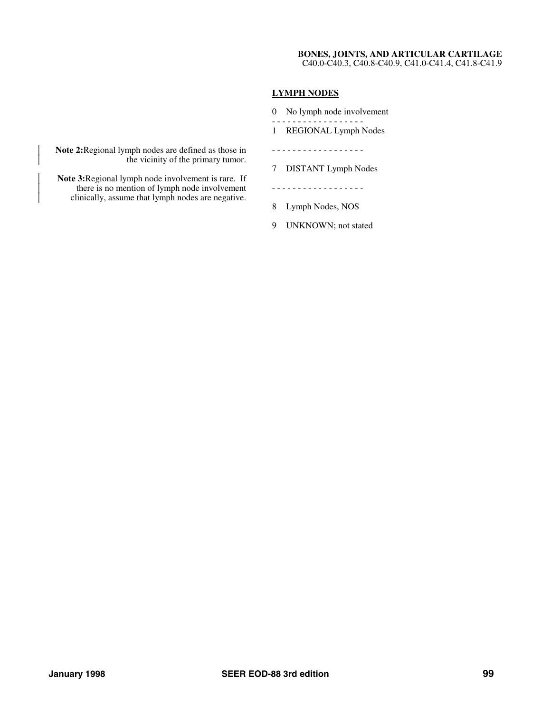### **BONES, JOINTS, AND ARTICULAR CARTILAGE** C40.0-C40.3, C40.8-C40.9, C41.0-C41.4, C41.8-C41.9

# **LYMPH NODES**

| 0 | No lymph node involvement   |
|---|-----------------------------|
|   | <b>REGIONAL Lymph Nodes</b> |
|   |                             |
| 7 | <b>DISTANT</b> Lymph Nodes  |
|   |                             |
| 8 | Lymph Nodes, NOS            |

9 UNKNOWN; not stated

| **Note 2:**Regional lymph nodes are defined as those in the vicinity of the primary tumor.

Note 3: Regional lymph node involvement is rare. If there is no mention of lymph node involvement clinically, assume that lymph nodes are negative.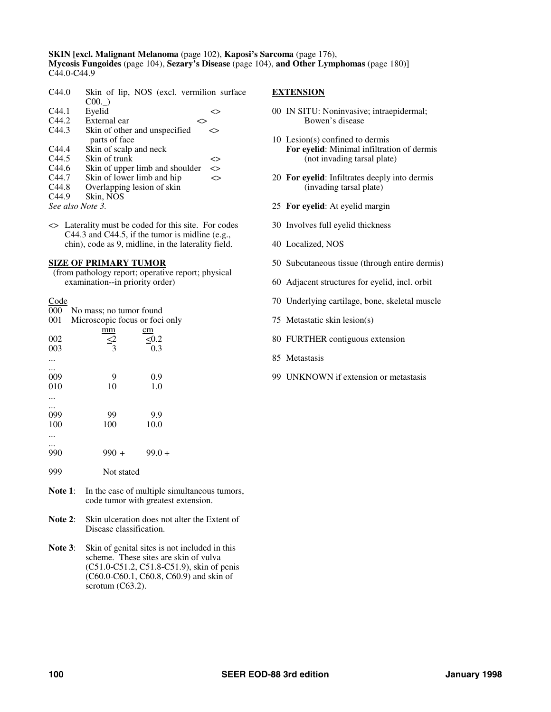**SKIN [excl. Malignant Melanoma** (page 102), **Kaposi's Sarcoma** (page 176), **Mycosis Fungoides** (page 104), **Sezary's Disease** (page 104), **and Other Lymphomas** (page 180)] C44.0-C44.9

| C44.0      |                               | Skin of lip, NOS (excl. vermilion surface |
|------------|-------------------------------|-------------------------------------------|
|            | $CO0$ )                       |                                           |
| C44.1      | Evelid                        | <>                                        |
| $C_{44.2}$ | External ear                  | <>                                        |
| C44.3      | Skin of other and unspecified | <>                                        |
|            | parts of face                 |                                           |

- C44.4 Skin of scalp and neck
- C44.5 Skin of trunk  $\langle \rangle$
- C44.6 Skin of upper limb and shoulder  $\leq$
- C44.7 Skin of lower limb and hip  $\leq 244.8$  Overlapping lesion of skin
- 
- C44.8 Overlapping lesion of skin<br>C44.9 Skin, NOS Skin, NOS

*See also Note 3.*

 $\leq$  Laterality must be coded for this site. For codes C44.3 and C44.5, if the tumor is midline (e.g., chin), code as 9, midline, in the laterality field.

### **SIZE OF PRIMARY TUMOR**

 (from pathology report; operative report; physical examination--in priority order)

### Code

|                      |  | 000 No mass; no tumor found |  |
|----------------------|--|-----------------------------|--|
| $\sim$ $\sim$ $\sim$ |  |                             |  |

| 001      |               | Microscopic focus or foci only |
|----------|---------------|--------------------------------|
|          | mm            | cm                             |
| 002      | $\frac{2}{3}$ | < 0.2                          |
| 003      |               | 0.3                            |
|          |               |                                |
|          |               |                                |
| 009      | 9             | 0.9                            |
| 010      | 10            | 1.0                            |
|          |               |                                |
|          |               |                                |
| 099      | 99            | 9.9                            |
| 100      | 100           | 10.0                           |
|          |               |                                |
| $\cdots$ |               |                                |
| 990      | $990 +$       | $99.0 +$                       |
| 999      |               | Not stated                     |

- Note 1: In the case of multiple simultaneous tumors, code tumor with greatest extension.
- Note 2: Skin ulceration does not alter the Extent of Disease classification.
- **Note 3**: Skin of genital sites is not included in this scheme. These sites are skin of vulva (C51.0-C51.2, C51.8-C51.9), skin of penis (C60.0-C60.1, C60.8, C60.9) and skin of scrotum (C63.2).

### **EXTENSION**

- 00 IN SITU: Noninvasive; intraepidermal; Bowen's disease
- 10 Lesion(s) confined to dermis **For eyelid**: Minimal infiltration of dermis (not invading tarsal plate)
- 20 **For eyelid**: Infiltrates deeply into dermis (invading tarsal plate)
- 25 **For eyelid**: At eyelid margin
- 30 Involves full eyelid thickness
- 40 Localized, NOS
- 50 Subcutaneous tissue (through entire dermis)
- 60 Adjacent structures for eyelid, incl. orbit
- 70 Underlying cartilage, bone, skeletal muscle
- 75 Metastatic skin lesion(s)
- 80 FURTHER contiguous extension
- 85 Metastasis
- 99 UNKNOWN if extension or metastasis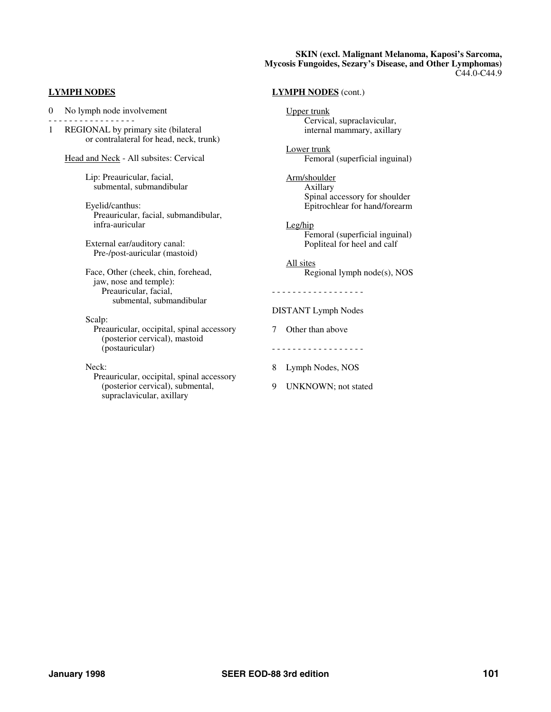### **LYMPH NODES**

0 No lymph node involvement

- - - - - - - - - - - - - - - - - 1 REGIONAL by primary site (bilateral or contralateral for head, neck, trunk)

Head and Neck - All subsites: Cervical

Lip: Preauricular, facial, submental, submandibular

Eyelid/canthus: Preauricular, facial, submandibular, infra-auricular

External ear/auditory canal: Pre-/post-auricular (mastoid)

Face, Other (cheek, chin, forehead, jaw, nose and temple): Preauricular, facial, submental, submandibular

Scalp:

Preauricular, occipital, spinal accessory (posterior cervical), mastoid (postauricular)

Neck:

Preauricular, occipital, spinal accessory (posterior cervical), submental, supraclavicular, axillary

**LYMPH NODES** (cont.)

Upper trunk Cervical, supraclavicular, internal mammary, axillary

Lower trunk Femoral (superficial inguinal)

Arm/shoulder Axillary Spinal accessory for shoulder Epitrochlear for hand/forearm

Leg/hip Femoral (superficial inguinal) Popliteal for heel and calf

All sites Regional lymph node(s), NOS

- - - - - - - - - - - - - - - - - -

DISTANT Lymph Nodes

7 Other than above

- 8 Lymph Nodes, NOS
- 9 UNKNOWN; not stated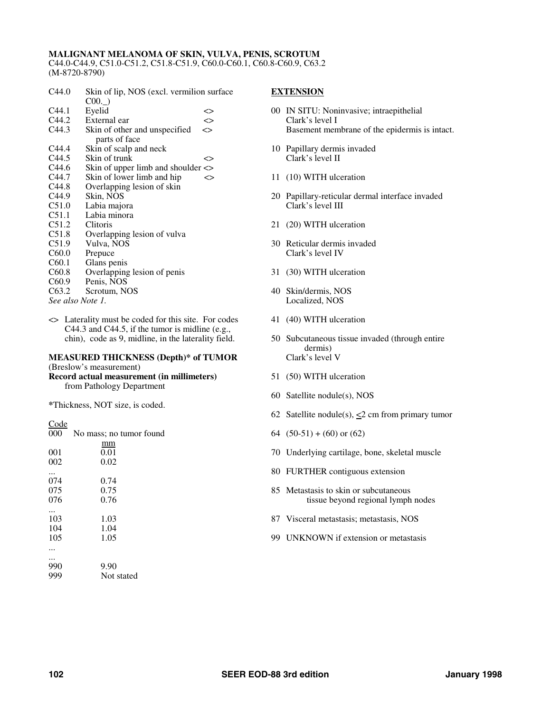### **MALIGNANT MELANOMA OF SKIN, VULVA, PENIS, SCROTUM**

C44.0-C44.9, C51.0-C51.2, C51.8-C51.9, C60.0-C60.1, C60.8-C60.9, C63.2 (M-8720-8790)

| C44.0             | Skin of lip, NOS (excl. vermilion surface |                   |
|-------------------|-------------------------------------------|-------------------|
|                   | $CO0$ .                                   |                   |
| C44.1             | Eyelid                                    | <>                |
| C44.2             | External ear                              | $\hat{~}$         |
| C44.3             | Skin of other and unspecified             | $\leftrightarrow$ |
|                   | parts of face                             |                   |
| C44.4             | Skin of scalp and neck                    |                   |
| C44.5             | Skin of trunk                             | ◇                 |
| C44.6             | Skin of upper limb and shoulder $\leq$    |                   |
| C44.7             | Skin of lower limb and hip                | ◇                 |
| C44.8             | Overlapping lesion of skin                |                   |
| C44.9             | Skin, NOS                                 |                   |
| C <sub>51.0</sub> | Labia majora                              |                   |
| C51.1             | Labia minora                              |                   |
| C51.2             | Clitoris                                  |                   |
| C <sub>51.8</sub> | Overlapping lesion of vulva               |                   |
| C <sub>51.9</sub> | Vulva, NOS                                |                   |
| C60.0             | Prepuce                                   |                   |
| C <sub>60.1</sub> | Glans penis                               |                   |
| C60.8             | Overlapping lesion of penis               |                   |
| C60.9             | Penis, NOS                                |                   |
| C63.2             | Scrotum, NOS                              |                   |
| See also Note 1.  |                                           |                   |

<> Laterality must be coded for this site. For codes C44.3 and C44.5, if the tumor is midline (e.g., chin), code as 9, midline, in the laterality field.

### **MEASURED THICKNESS (Depth)\* of TUMOR** (Breslow's measurement)

**Record actual measurement (in millimeters)** from Pathology Department

**\***Thickness, NOT size, is coded.

| Code |                         |
|------|-------------------------|
| 000  | No mass; no tumor found |
|      | mm                      |
| 001  | 0.01                    |
| 002  | 0.02                    |
|      |                         |
| 074  | 0.74                    |
| 075  | 0.75                    |
| 076  | 0.76                    |
|      |                         |
| 103  | 1.03                    |
| 104  | 1.04                    |
| 105  | 1.05                    |
|      |                         |
| .    |                         |
| 990  | 9.90                    |
|      | Not stated              |
|      |                         |

### **EXTENSION**

- 00 IN SITU: Noninvasive; intraepithelial Clark's level I Basement membrane of the epidermis is intact.
- 10 Papillary dermis invaded Clark's level II
- 11 (10) WITH ulceration
- 20 Papillary-reticular dermal interface invaded Clark's level III
- 21 (20) WITH ulceration
- 30 Reticular dermis invaded Clark's level IV
- 31 (30) WITH ulceration
- 40 Skin/dermis, NOS Localized, NOS
- 41 (40) WITH ulceration
- 50 Subcutaneous tissue invaded (through entire dermis) Clark's level V
- 51 (50) WITH ulceration
- 60 Satellite nodule(s), NOS
- 62 Satellite nodule(s),  $\leq$  2 cm from primary tumor
- 64  $(50-51) + (60)$  or  $(62)$
- 70 Underlying cartilage, bone, skeletal muscle
- 80 FURTHER contiguous extension
- 85 Metastasis to skin or subcutaneous tissue beyond regional lymph nodes
- 87 Visceral metastasis; metastasis, NOS
- 99 UNKNOWN if extension or metastasis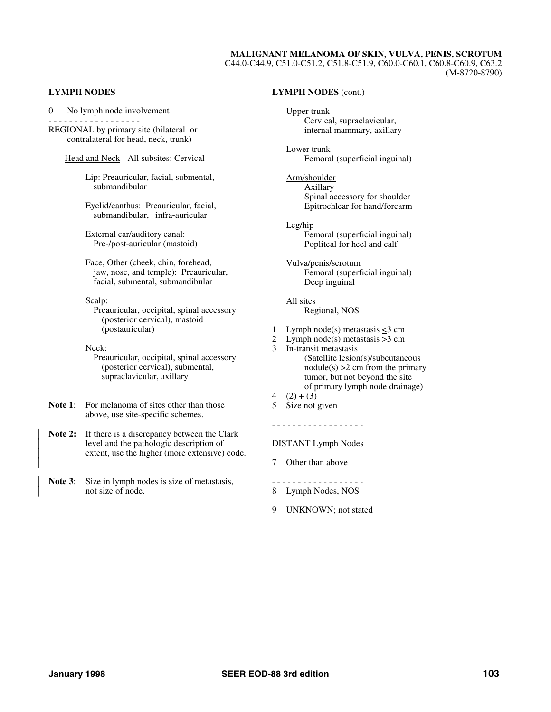**MALIGNANT MELANOMA OF SKIN, VULVA, PENIS, SCROTUM** C44.0-C44.9, C51.0-C51.2, C51.8-C51.9, C60.0-C60.1, C60.8-C60.9, C63.2 (M-8720-8790)

### **LYMPH NODES**

0 No lymph node involvement

- - - - - - - - - - - - - - - - - - REGIONAL by primary site (bilateral or contralateral for head, neck, trunk)

Head and Neck - All subsites: Cervical

- Lip: Preauricular, facial, submental, submandibular
- Eyelid/canthus: Preauricular, facial, submandibular, infra-auricular

External ear/auditory canal: Pre-/post-auricular (mastoid)

Face, Other (cheek, chin, forehead, jaw, nose, and temple): Preauricular, facial, submental, submandibular

#### Scalp:

Preauricular, occipital, spinal accessory (posterior cervical), mastoid (postauricular)

Neck:

 $\vert$ 

Preauricular, occipital, spinal accessory (posterior cervical), submental, supraclavicular, axillary

- **Note 1:** For melanoma of sites other than those above, use site-specific schemes.
- **Note 2:** If there is a discrepancy between the Clark level and the pathologic description of extent, use the higher (more extensive) code.
- **Note 3:** Size in lymph nodes is size of metastasis, not size of node.

### **LYMPH NODES** (cont.)

- Upper trunk Cervical, supraclavicular, internal mammary, axillary
- Lower trunk Femoral (superficial inguinal)
- Arm/shoulder Axillary Spinal accessory for shoulder Epitrochlear for hand/forearm

#### Leg/hip

Femoral (superficial inguinal) Popliteal for heel and calf

Vulva/penis/scrotum Femoral (superficial inguinal) Deep inguinal

### All sites Regional, NOS

- 1 Lymph node(s) metastasis <3 cm
- 2 Lymph node(s) metastasis >3 cm
- 3 In-transit metastasis (Satellite lesion(s)/subcutaneous  $nodule(s) > 2$  cm from the primary tumor, but not beyond the site of primary lymph node drainage)
- 4  $(2) + (3)$
- 5 Size not given

- - - - - - - - - - - - - - - - - -

DISTANT Lymph Nodes

7 Other than above

- 8 Lymph Nodes, NOS
- 9 UNKNOWN; not stated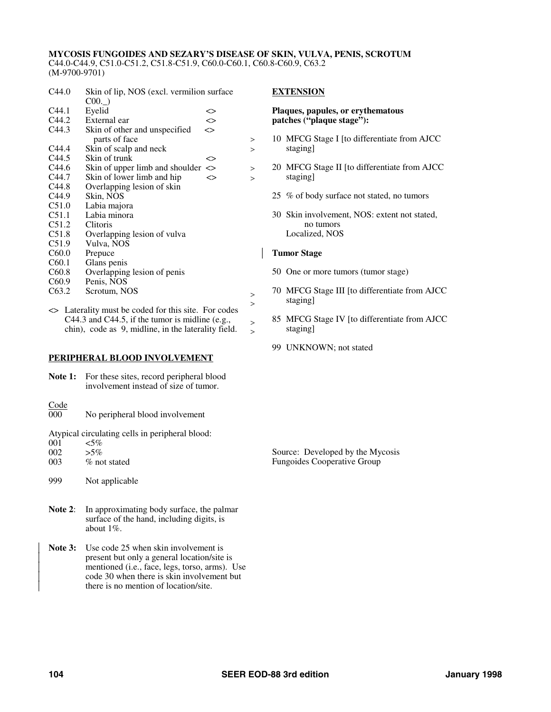# **MYCOSIS FUNGOIDES AND SEZARY'S DISEASE OF SKIN, VULVA, PENIS, SCROTUM**

> >

> >

> >

> >

C44.0-C44.9, C51.0-C51.2, C51.8-C51.9, C60.0-C60.1, C60.8-C60.9, C63.2 (M-9700-9701)

| C44.0             | Skin of lip, NOS (excl. vermilion surface            |  |
|-------------------|------------------------------------------------------|--|
|                   | $CO0.$ )                                             |  |
| C44.1             | Eyelid<br><>                                         |  |
| C44.2             | $\Diamond$<br>External ear                           |  |
| C44.3             | $\leftrightarrow$<br>Skin of other and unspecified   |  |
|                   | parts of face                                        |  |
| C44.4             | Skin of scalp and neck                               |  |
| C <sub>44.5</sub> | Skin of trunk<br>◇                                   |  |
| C <sub>44.6</sub> | $\Leftrightarrow$<br>Skin of upper limb and shoulder |  |
| C <sub>44.7</sub> | Skin of lower limb and hip<br>◇                      |  |
| C <sub>44.8</sub> | Overlapping lesion of skin                           |  |
| C44.9             | Skin, NOS                                            |  |
| C <sub>51.0</sub> | Labia majora                                         |  |
| C <sub>51.1</sub> | Labia minora                                         |  |
| C51.2             | Clitoris                                             |  |
| C <sub>51.8</sub> | Overlapping lesion of vulva                          |  |
| C <sub>51.9</sub> | Vulva, NOS                                           |  |
| C60.0             | Prepuce                                              |  |
| C <sub>60.1</sub> | Glans penis                                          |  |
| C <sub>60.8</sub> | Overlapping lesion of penis                          |  |
| C <sub>60.9</sub> | Penis, NOS                                           |  |
| C63.2             | Scrotum, NOS                                         |  |

<> Laterality must be coded for this site. For codes C44.3 and C44.5, if the tumor is midline (e.g., chin), code as 9, midline, in the laterality field.

### **PERIPHERAL BLOOD INVOLVEMENT**

**Note 1:** For these sites, record peripheral blood involvement instead of size of tumor.

- $\frac{\text{Code}}{000}$
- No peripheral blood involvement

Atypical circulating cells in peripheral blood:

- 001 <5%
- 002  $>5\%$
- 003 % not stated
- 999 Not applicable
- **Note 2**: In approximating body surface, the palmar surface of the hand, including digits, is about 1%.
- **Note 3:** Use code 25 when skin involvement is | present but only a general location/site is mentioned (i.e., face, legs, torso, arms). Use | code 30 when there is skin involvement but | there is no mention of location/site.

### **EXTENSION**

**Plaques, papules, or erythematous patches ("plaque stage"):** 

- 10 MFCG Stage I [to differentiate from AJCC staging]
- 20 MFCG Stage II [to differentiate from AJCC staging]
- 25 % of body surface not stated, no tumors
- 30 Skin involvement, NOS: extent not stated, no tumors Localized, NOS

### | **Tumor Stage**

- 50 One or more tumors (tumor stage)
- 70 MFCG Stage III [to differentiate from AJCC staging]
- 85 MFCG Stage IV [to differentiate from AJCC staging]
- 99 UNKNOWN; not stated

Source: Developed by the Mycosis Fungoides Cooperative Group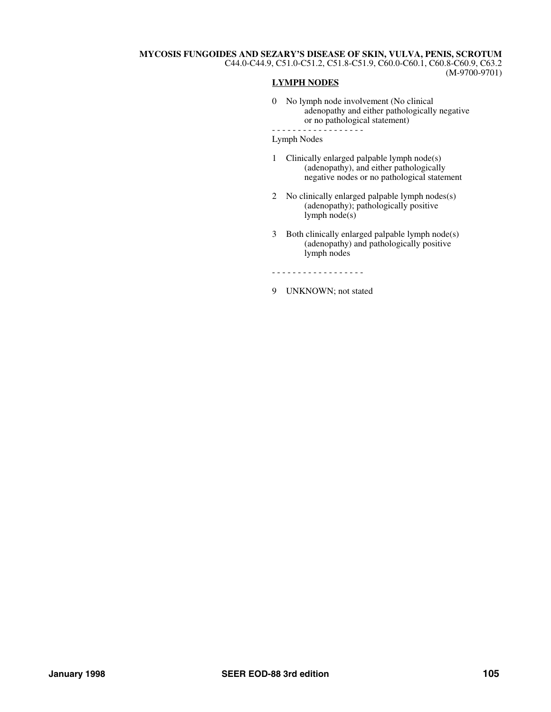**MYCOSIS FUNGOIDES AND SEZARY'S DISEASE OF SKIN, VULVA, PENIS, SCROTUM** C44.0-C44.9, C51.0-C51.2, C51.8-C51.9, C60.0-C60.1, C60.8-C60.9, C63.2 (M-9700-9701)

### **LYMPH NODES**

0 No lymph node involvement (No clinical adenopathy and either pathologically negative or no pathological statement)

Lymph Nodes

1 Clinically enlarged palpable lymph node(s) (adenopathy), and either pathologically negative nodes or no pathological statement

- - - - - - - - - - - - - - - - - -

- 2 No clinically enlarged palpable lymph nodes(s) (adenopathy); pathologically positive  $l$ ymph  $node(s)$
- 3 Both clinically enlarged palpable lymph node(s) (adenopathy) and pathologically positive lymph nodes

- - - - - - - - - - - - - - - - - -

9 UNKNOWN; not stated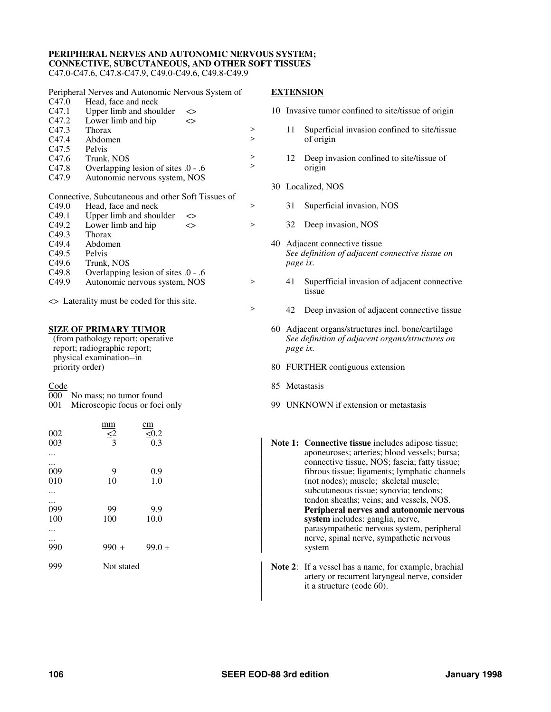### **PERIPHERAL NERVES AND AUTONOMIC NERVOUS SYSTEM; CONNECTIVE, SUBCUTANEOUS, AND OTHER SOFT TISSUES** C47.0-C47.6, C47.8-C47.9, C49.0-C49.6, C49.8-C49.9

> > > > > > > > Peripheral Nerves and Autonomic Nervous System of C47.0 Head, face and neck C47.1 Upper limb and shoulder  $\leq$  C47.2 Lower limb and hip  $\leq$ C47.2 Lower limb and hip  $\leq 2$ <br>C47.3 Thorax Thorax C47.4 Abdomen<br>C47.5 Pelvis  $C47.5$ C<sub>47.6</sub> Trunk, NOS<br>C<sub>47.8</sub> Overlapping Overlapping lesion of sites  $.0 - .6$ C47.9 Autonomic nervous system, NOS Connective, Subcutaneous and other Soft Tissues of C49.0 Head, face and neck C49.1 Upper limb and shoulder  $\leq$  C49.2 Lower limb and hip  $\leq$ C49.2 Lower limb and hip  $\leq 2$ <br>C49.3 Thorax **Thorax** C49.4 Abdomen C49.5 Pelvis<br>C49.6 Trunk. C49.6 Trunk, NOS<br>C49.8 Overlapping C49.8 Overlapping lesion of sites .0 - .6<br>C49.9 Autonomic nervous system, NOS Autonomic nervous system, NOS  $\leq$  Laterality must be coded for this site. **SIZE OF PRIMARY TUMOR** (from pathology report; operative report; radiographic report; physical examination--in priority order) **Code** 000 No mass; no tumor found 001 Microscopic focus or foci only mm cm 002  $\leq$   $\leq$   $\leq$  0.2 003 3 0.3 ... ... 009 9 0.9 010 10 1.0 ... ... 099 99 9.9 100 100 10.0 ... ... 990  $990 + 99.0 +$ 999 Not stated **EXTENSION** 10 Invasive tumor confined to site/tissue of origin 11 Superficial invasion confined to site/tissue of origin 12 Deep invasion confined to site/tissue of origin 30 Localized, NOS 31 Superficial invasion, NOS 32 Deep invasion, NOS 40 Adjacent connective tissue *See definition of adjacent connective tissue on page ix.* 41 Superfficial invasion of adjacent connective tissue 42 Deep invasion of adjacent connective tissue 60 Adjacent organs/structures incl. bone/cartilage *See definition of adjacent organs/structures on page ix.* 80 FURTHER contiguous extension 85 Metastasis 99 UNKNOWN if extension or metastasis **Note 1: Connective tissue** includes adipose tissue; | aponeuroses; arteries; blood vessels; bursa; | connective tissue, NOS; fascia; fatty tissue; fibrous tissue; ligaments; lymphatic channels (not nodes); muscle; skeletal muscle; subcutaneous tissue; synovia; tendons; tendon sheaths; veins; and vessels, NOS. | **Peripheral nerves and autonomic nervous** system includes: ganglia, nerve, | parasympathetic nervous system, peripheral nerve, spinal nerve, sympathetic nervous system **Note 2:** If a vessel has a name, for example, brachial | artery or recurrent laryngeal nerve, consider it a structure (code 60). |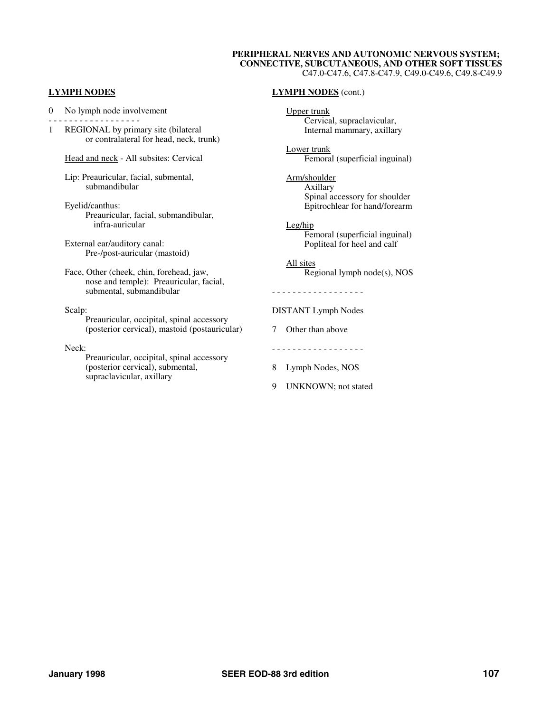### **PERIPHERAL NERVES AND AUTONOMIC NERVOUS SYSTEM; CONNECTIVE, SUBCUTANEOUS, AND OTHER SOFT TISSUES**

C47.0-C47.6, C47.8-C47.9, C49.0-C49.6, C49.8-C49.9

### **LYMPH NODES**

0 No lymph node involvement

- - - - - - - - - - - - - - - - - - 1 REGIONAL by primary site (bilateral or contralateral for head, neck, trunk)

Head and neck - All subsites: Cervical

Lip: Preauricular, facial, submental, submandibular

Eyelid/canthus: Preauricular, facial, submandibular, infra-auricular

External ear/auditory canal: Pre-/post-auricular (mastoid)

Face, Other (cheek, chin, forehead, jaw, nose and temple): Preauricular, facial, submental, submandibular

### Scalp:

Preauricular, occipital, spinal accessory (posterior cervical), mastoid (postauricular)

Neck:

Preauricular, occipital, spinal accessory (posterior cervical), submental, supraclavicular, axillary

### **LYMPH NODES** (cont.)

Upper trunk Cervical, supraclavicular, Internal mammary, axillary

Lower trunk Femoral (superficial inguinal)

Arm/shoulder Axillary Spinal accessory for shoulder Epitrochlear for hand/forearm

Leg/hip Femoral (superficial inguinal) Popliteal for heel and calf

All sites Regional lymph node(s), NOS

- - - - - - - - - - - - - - - - - -

DISTANT Lymph Nodes

7 Other than above

- 8 Lymph Nodes, NOS
- 9 UNKNOWN; not stated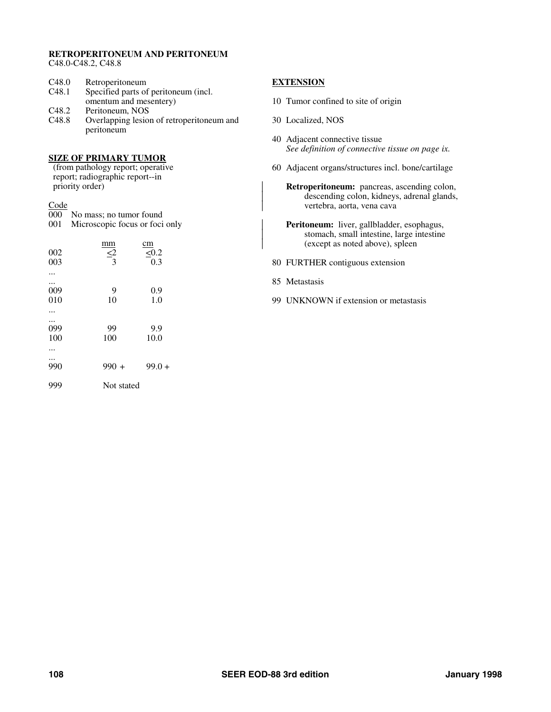# **RETROPERITONEUM AND PERITONEUM**

C48.0-C48.2, C48.8

999 Not stated

| C48.0                                  | Retroperitoneum                   |                                           | <b>EXTENSION</b>                                                                          |
|----------------------------------------|-----------------------------------|-------------------------------------------|-------------------------------------------------------------------------------------------|
| C <sub>48.1</sub>                      |                                   | Specified parts of peritoneum (incl.      |                                                                                           |
|                                        |                                   | omentum and mesentery)                    | 10 Tumor confined to site of origin                                                       |
| C <sub>48.2</sub><br>C <sub>48.8</sub> | Peritoneum, NOS                   | Overlapping lesion of retroperitoneum and | 30 Localized, NOS                                                                         |
|                                        | peritoneum                        |                                           |                                                                                           |
|                                        |                                   |                                           | 40 Adjacent connective tissue                                                             |
|                                        |                                   |                                           | See definition of connective tissue on page ix.                                           |
|                                        | <b>SIZE OF PRIMARY TUMOR</b>      |                                           |                                                                                           |
|                                        | (from pathology report; operative |                                           | 60 Adjacent organs/structures incl. bone/cartilage                                        |
|                                        | report; radiographic report--in   |                                           |                                                                                           |
|                                        | priority order)                   |                                           | Retroperitoneum: pancreas, ascending colon,<br>descending colon, kidneys, adrenal glands, |
| Code                                   |                                   |                                           | vertebra, aorta, vena cava                                                                |
| 000                                    | No mass; no tumor found           |                                           |                                                                                           |
| 001                                    | Microscopic focus or foci only    |                                           | Peritoneum: liver, gallbladder, esophagus,<br>stomach, small intestine, large intestine   |
|                                        | mm                                | cm                                        | (except as noted above), spleen                                                           |
| 002                                    | $\frac{2}{3}$                     | $\frac{<0.2}{0.3}$                        |                                                                                           |
| 003                                    |                                   |                                           | 80 FURTHER contiguous extension                                                           |
|                                        |                                   |                                           | 85 Metastasis                                                                             |
| 009                                    | 9                                 | 0.9                                       |                                                                                           |
| 010                                    | 10                                | 1.0                                       | 99 UNKNOWN if extension or metastasis                                                     |
|                                        |                                   |                                           |                                                                                           |
| $\cdots$                               |                                   |                                           |                                                                                           |
| 099                                    | 99                                | 9.9                                       |                                                                                           |
| 100                                    | 100                               | 10.0                                      |                                                                                           |
|                                        |                                   |                                           |                                                                                           |
| $\cdots$<br>990                        | $990 +$                           | $99.0 +$                                  |                                                                                           |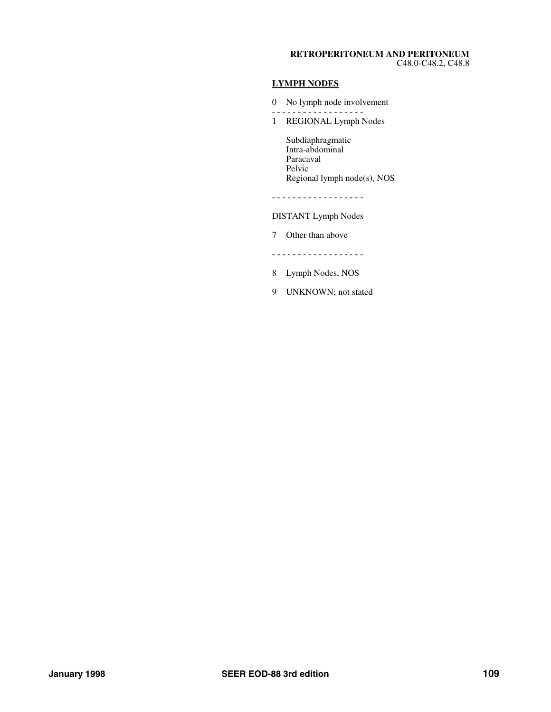### **RETROPERITONEUM AND PERITONEUM** C48.0-C48.2, C48.8

# **LYMPH NODES**

- 0 No lymph node involvement
- - - - - - - - - -
- 1 REGIONAL Lymph Nodes

Subdiaphragmatic Intra-abdominal Paracaval Pelvic Regional lymph node(s), NOS

- - - - - - - - - - - - - - - - - -

DISTANT Lymph Nodes

7 Other than above

- 8 Lymph Nodes, NOS
- 9 UNKNOWN; not stated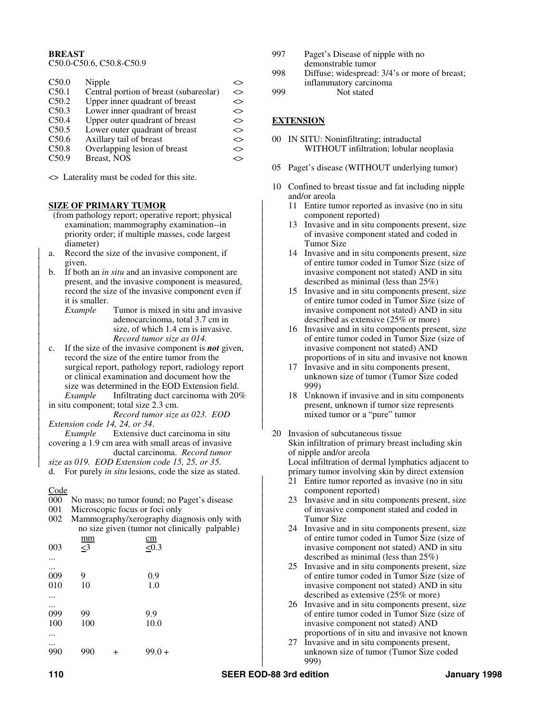# **BREAST**

C50.0-C50.6, C50.8-C50.9

| C50.0             | Nipple                                 | <>                |
|-------------------|----------------------------------------|-------------------|
| C50.1             | Central portion of breast (subareolar) | $\leftrightarrow$ |
| C50.2             | Upper inner quadrant of breast         | ◇                 |
| C50.3             | Lower inner quadrant of breast         | ◇                 |
| C <sub>50.4</sub> | Upper outer quadrant of breast         | ◇                 |
| C50.5             | Lower outer quadrant of breast         | ◇                 |
| C50.6             | Axillary tail of breast                | ◇                 |
| C50.8             | Overlapping lesion of breast           | $\mathord{<}$     |
| C50.9             | Breast, NOS                            | ⌒                 |

 $\leq$  Laterality must be coded for this site.

### **SIZE OF PRIMARY TUMOR**

- (from pathology report; operative report; physical examination; mammography examination--in priority order; if multiple masses, code largest diameter)
- a. Record the size of the invasive component, if given.
- b. If both an *in situ* and an invasive component are present, and the invasive component is measured, record the size of the invasive component even if it is smaller.<br>Example
	- Tumor is mixed in situ and invasive | adenocarcinoma, total 3.7 cm in size, of which 1.4 cm is invasive. | *Record tumor size as 014.*
- If the size of the invasive component is *not* given, record the size of the entire tumor from the surgical report, pathology report, radiology report | or clinical examination and document how the size was determined in the EOD Extension field. | *Example* Infiltrating duct carcinoma with 20%

in situ component; total size 2.3 cm. | *Record tumor size as 023. EOD*

| *Extension code 14, 24, or 34*.

*Example* Extensive duct carcinoma in situ | covering a 1.9 cm area with small areas of invasive | ductal carcinoma. *Record tumor*

| *size as 019. EOD Extension code 15, 25, or 35.*

d. For purely *in situ* lesions, code the size as stated.

### Code

- 000 No mass; no tumor found; no Paget's disease
- 001 Microscopic focus or foci only
- 002 Mammography/xerography diagnosis only with no size given (tumor not clinically palpable) mm cm

| 003             | $\leq$ 3 |           | $\leq 0.3$ |
|-----------------|----------|-----------|------------|
|                 |          |           |            |
| 009<br>010      | 9<br>10  |           | 0.9<br>1.0 |
|                 |          |           |            |
|                 |          |           |            |
| 099             | 99       |           | 9.9        |
| 100             | 100      |           | 10.0       |
|                 |          |           |            |
| $\cdots$<br>990 | 990      | $\ddot{}$ | $99.0 +$   |

- 997 Paget's Disease of nipple with no
- demonstrable tumor
- 998 Diffuse; widespread: 3/4's or more of breast; inflammatory carcinoma 999 Not stated
- 

### **EXTENSION**

- 00 IN SITU: Noninfiltrating; intraductal WITHOUT infiltration; lobular neoplasia
- 05 Paget's disease (WITHOUT underlying tumor)
- 10 Confined to breast tissue and fat including nipple and/or areola
	- | 11 Entire tumor reported as invasive (no in situ | component reported)
	- 13 Invasive and in situ components present, size of invasive component stated and coded in | Tumor Size
	- 14 Invasive and in situ components present, size | of entire tumor coded in Tumor Size (size of invasive component not stated) AND in situ described as minimal (less than  $25\%$ )
	- 15 Invasive and in situ components present, size | of entire tumor coded in Tumor Size (size of invasive component not stated) AND in situ | described as extensive (25% or more)
	- 16 Invasive and in situ components present, size | of entire tumor coded in Tumor Size (size of invasive component not stated) AND | proportions of in situ and invasive not known
	- | 17 Invasive and in situ components present, unknown size of tumor (Tumor Size coded | 999)
	- 18 Unknown if invasive and in situ components present, unknown if tumor size represents mixed tumor or a "pure" tumor

### 20 Invasion of subcutaneous tissue

Skin infiltration of primary breast including skin of nipple and/or areola Local infiltration of dermal lymphatics adjacent to

primary tumor involving skin by direct extension

- | 21 Entire tumor reported as invasive (no in situ | component reported)
- | 23 Invasive and in situ components present, size of invasive component stated and coded in Tumor Size
- 24 Invasive and in situ components present, size | of entire tumor coded in Tumor Size (size of invasive component not stated) AND in situ described as minimal (less than  $25\%$ )
- 25 Invasive and in situ components present, size | of entire tumor coded in Tumor Size (size of invasive component not stated) AND in situ | described as extensive (25% or more)
- | 26 Invasive and in situ components present, size | of entire tumor coded in Tumor Size (size of invasive component not stated) AND | proportions of in situ and invasive not known
- | 27 Invasive and in situ components present, unknown size of tumor (Tumor Size coded | 999)

 $\vert$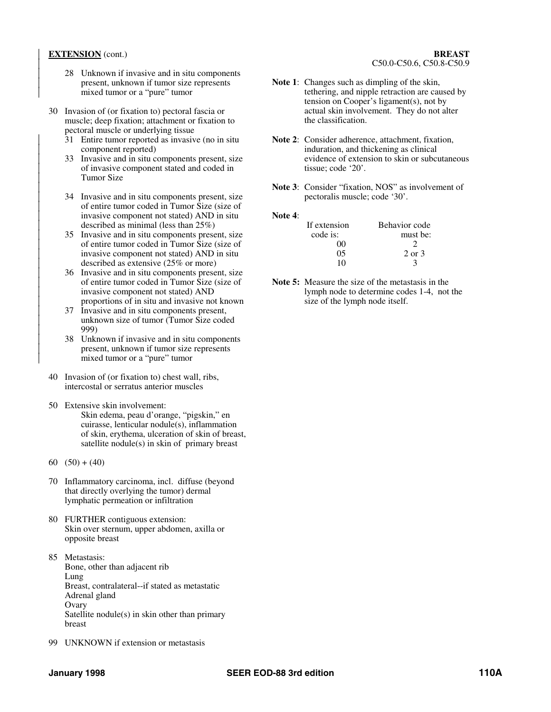### | **EXTENSION** (cont.)

 $\vert$ 

|

- | 28 Unknown if invasive and in situ components present, unknown if tumor size represents mixed tumor or a "pure" tumor
- 30 Invasion of (or fixation to) pectoral fascia or muscle; deep fixation; attachment or fixation to pectoral muscle or underlying tissue
	- | 31 Entire tumor reported as invasive (no in situ | component reported)
	- | 33 Invasive and in situ components present, size of invasive component stated and coded in Tumor Size
	- | 34 Invasive and in situ components present, size | of entire tumor coded in Tumor Size (size of invasive component not stated) AND in situ described as minimal (less than  $25\%$ )
	- | 35 Invasive and in situ components present, size | of entire tumor coded in Tumor Size (size of invasive component not stated) AND in situ | described as extensive (25% or more)
	- | 36 Invasive and in situ components present, size of entire tumor coded in Tumor Size (size of invasive component not stated) AND | proportions of in situ and invasive not known
	- | 37 Invasive and in situ components present, unknown size of tumor (Tumor Size coded | 999)
	- | 38 Unknown if invasive and in situ components | present, unknown if tumor size represents mixed tumor or a "pure" tumor
- 40 Invasion of (or fixation to) chest wall, ribs, intercostal or serratus anterior muscles
- 50 Extensive skin involvement: Skin edema, peau d'orange, "pigskin," en cuirasse, lenticular nodule(s), inflammation of skin, erythema, ulceration of skin of breast, satellite nodule(s) in skin of primary breast
- $60$   $(50) + (40)$
- 70 Inflammatory carcinoma, incl. diffuse (beyond that directly overlying the tumor) dermal lymphatic permeation or infiltration
- 80 FURTHER contiguous extension: Skin over sternum, upper abdomen, axilla or opposite breast
- 85 Metastasis: Bone, other than adjacent rib Lung Breast, contralateral--if stated as metastatic Adrenal gland **Ovary** Satellite nodule(s) in skin other than primary breast
- 99 UNKNOWN if extension or metastasis
- **Note 1**: Changes such as dimpling of the skin, tethering, and nipple retraction are caused by tension on Cooper's ligament(s), not by actual skin involvement. They do not alter the classification.
- **Note 2**: Consider adherence, attachment, fixation, induration, and thickening as clinical evidence of extension to skin or subcutaneous tissue; code '20'.
- **Note 3**: Consider "fixation, NOS" as involvement of pectoralis muscle; code '30'.

### **Note 4**:

| If extension | Behavior code |
|--------------|---------------|
| code is:     | must be:      |
| ( )( )       |               |
| 05           | 2 or 3        |
| 1Λ           |               |

**Note 5:** Measure the size of the metastasis in the lymph node to determine codes 1-4, not the size of the lymph node itself.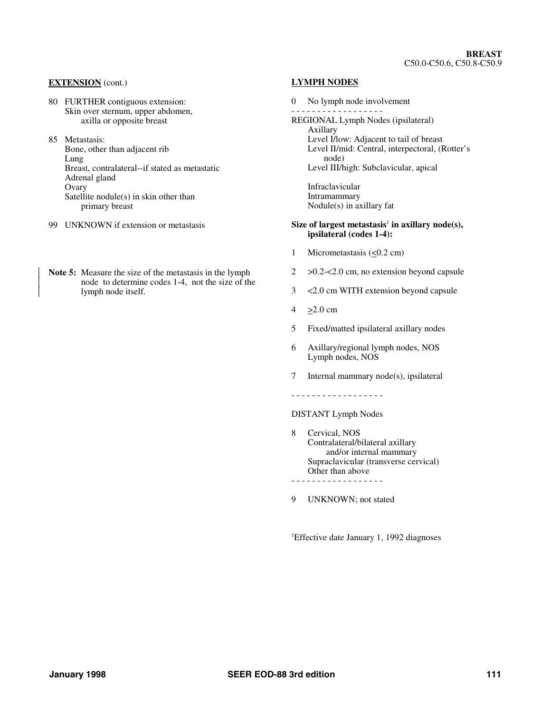### **EXTENSION** (cont.)

- 80 FURTHER contiguous extension: Skin over sternum, upper abdomen, axilla or opposite breast
- 85 Metastasis:

Bone, other than adjacent rib Lung Breast, contralateral--if stated as metastatic Adrenal gland **Ovary** Satellite nodule(s) in skin other than primary breast

- 99 UNKNOWN if extension or metastasis
- **Note 5:** Measure the size of the metastasis in the lymph node to determine codes 1-4, not the size of the lymph node itself.

# **LYMPH NODES**

0 No lymph node involvement - - - - - - - - - - - - - - - - - - REGIONAL Lymph Nodes (ipsilateral) Axillary Level I/low: Adjacent to tail of breast Level II/mid: Central, interpectoral, (Rotter's node) Level III/high: Subclavicular, apical

Infraclavicular Intramammary Nodule(s) in axillary fat

### Size of largest metastasis<sup>1</sup> in axillary node(s), **ipsilateral (codes 1-4):**

- 1 Micrometastasis (<0.2 cm)
- 2 >0.2-<2.0 cm, no extension beyond capsule
- 3 <2.0 cm WITH extension beyond capsule
- 4  $\geq 2.0$  cm
- 5 Fixed/matted ipsilateral axillary nodes
- 6 Axillary/regional lymph nodes, NOS Lymph nodes, NOS
- 7 Internal mammary node(s), ipsilateral

- - - - - - - - - - - - - - - - - -

### DISTANT Lymph Nodes

8 Cervical, NOS Contralateral/bilateral axillary and/or internal mammary Supraclavicular (transverse cervical) Other than above - - - - - - - - - - - - - - - - - -

9 UNKNOWN; not stated

<sup>1</sup>Effective date January 1, 1992 diagnoses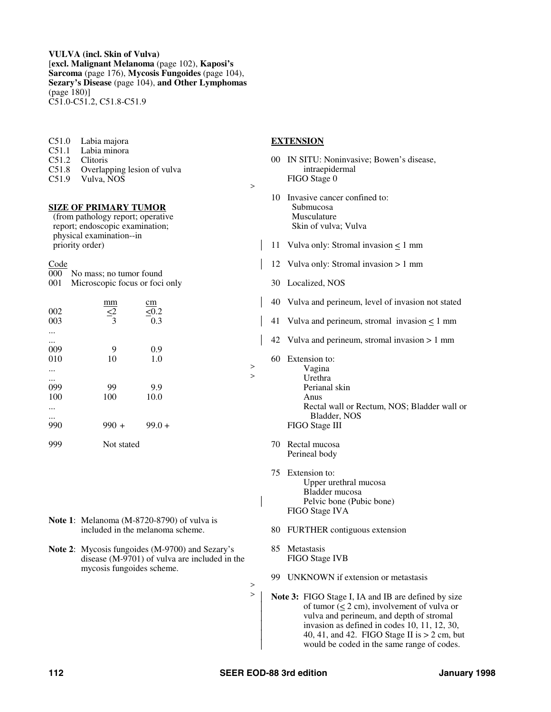**VULVA (incl. Skin of Vulva)** [**excl. Malignant Melanoma** (page 102), **Kaposi's Sarcoma** (page 176), **Mycosis Fungoides** (page 104), **Sezary's Disease** (page 104), **and Other Lymphomas** (page 180)] C51.0-C51.2, C51.8-C51.9

| C51.0 Labia majora                |
|-----------------------------------|
| C51.1 Labia minora                |
| C51.2 Clitoris                    |
| C51.8 Overlapping lesion of vulva |
| $C51.9$ Vulva, NOS                |
|                                   |

# **SIZE OF PRIMARY TUMOR**

 (from pathology report; operative report; endoscopic examination; physical examination--in priority order)

#### Code

000 No mass; no tumor found

| 001 | Microscopic focus or foci only |  |  |
|-----|--------------------------------|--|--|
|     |                                |  |  |

| 002<br>003     | <u>mm</u><br>$\frac{2}{3}$ | $\mathbf{cm}$<br>< 0.2<br>0.3 |
|----------------|----------------------------|-------------------------------|
| $\ddotsc$      |                            |                               |
| <br>009<br>010 | 9<br>10                    | 0.9<br>1.0                    |
|                |                            |                               |
| <br>099<br>100 | 99<br>100                  | 9.9<br>10.0                   |
|                |                            |                               |
| <br>990        | $990 +$                    | $99.0 +$                      |
| 999            | Not stated                 |                               |

**Note 1**: Melanoma (M-8720-8790) of vulva is included in the melanoma scheme.

**Note 2**: Mycosis fungoides (M-9700) and Sezary's disease (M-9701) of vulva are included in the mycosis fungoides scheme.

### **EXTENSION**

>

> >

- 00 IN SITU: Noninvasive; Bowen's disease, intraepidermal FIGO Stage 0
- 10 Invasive cancer confined to: Submucosa Musculature Skin of vulva; Vulva
- 11 Vulva only: Stromal invasion  $\leq 1$  mm
- | 12 Vulva only: Stromal invasion > 1 mm
- 30 Localized, NOS
- | 40 Vulva and perineum, level of invasion not stated
- 41 Vulva and perineum, stromal invasion  $\leq$  1 mm
- | 42 Vulva and perineum, stromal invasion > 1 mm
- 60 Extension to: Vagina Urethra Perianal skin Anus Rectal wall or Rectum, NOS; Bladder wall or Bladder, NOS FIGO Stage III
- 70 Rectal mucosa Perineal body
- 75 Extension to: Upper urethral mucosa Bladder mucosa | Pelvic bone (Pubic bone) FIGO Stage IVA
- 80 FURTHER contiguous extension

# 85 Metastasis FIGO Stage IVB

- 99 UNKNOWN if extension or metastasis
- Note 3: FIGO Stage I, IA and IB are defined by size of tumor ( $\leq$  2 cm), involvement of vulva or vulva and perineum, and depth of stromal  $invasion$  as defined in codes 10, 11, 12, 30, 40, 41, and 42. FIGO Stage II is  $> 2$  cm, but would be coded in the same range of codes.

> >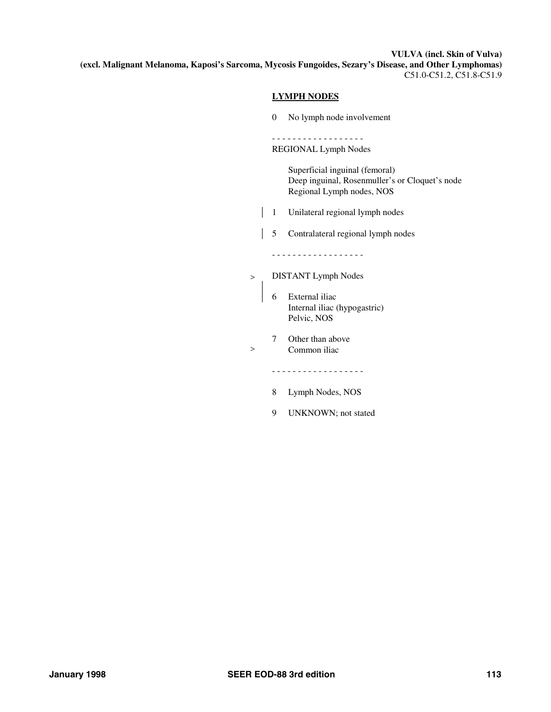# **VULVA (incl. Skin of Vulva) (excl. Malignant Melanoma, Kaposi's Sarcoma, Mycosis Fungoides, Sezary's Disease, and Other Lymphomas)** C51.0-C51.2, C51.8-C51.9

# **LYMPH NODES**

0 No lymph node involvement

- - - - - - - - - - - - - - - - - - REGIONAL Lymph Nodes

> Superficial inguinal (femoral) Deep inguinal, Rosenmuller's or Cloquet's node Regional Lymph nodes, NOS

- | 1 Unilateral regional lymph nodes
	- | 5 Contralateral regional lymph nodes

- - - - - - - - - - - - - - - - - -

- > DISTANT Lymph Nodes |
	- | 6 External iliac Internal iliac (hypogastric) Pelvic, NOS
- > 7 Other than above Common iliac

- 8 Lymph Nodes, NOS
- 9 UNKNOWN; not stated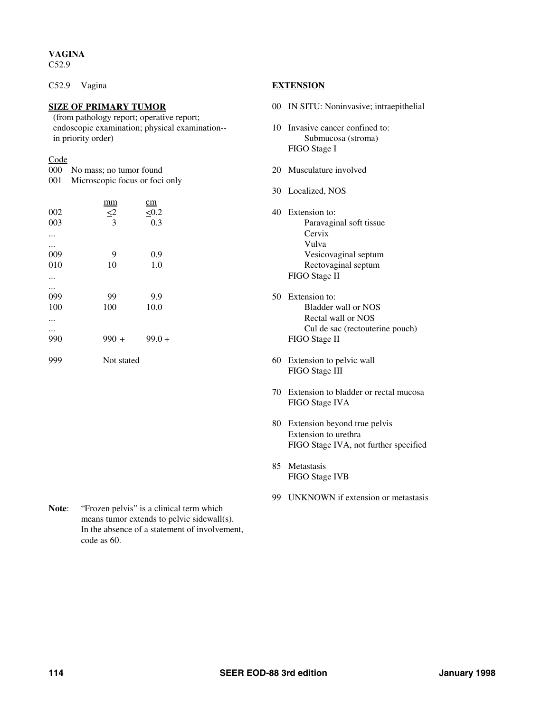# **VAGINA**

C52.9

C52.9 Vagina

# **SIZE OF PRIMARY TUMOR**

 (from pathology report; operative report; endoscopic examination; physical examination- in priority order)

# **Code**

| 000      | No mass; no tumor found        |               | 20 | Musculature involved                  |
|----------|--------------------------------|---------------|----|---------------------------------------|
| 001      | Microscopic focus or foci only |               |    |                                       |
|          |                                |               |    | 30 Localized, NOS                     |
|          | <u>mm</u>                      | $\mathbf{cm}$ |    |                                       |
| 002      | $\frac{1}{3}$                  | $\leq 0.2$    | 40 | Extension to:                         |
| 003      |                                | 0.3           |    | Paravaginal soft tissue               |
|          |                                |               |    | Cervix                                |
|          |                                |               |    | Vulva                                 |
| 009      | 9                              | 0.9           |    | Vesicovaginal septum                  |
| 010      | 10                             | 1.0           |    | Rectovaginal septum                   |
|          |                                |               |    | FIGO Stage II                         |
| $\cdots$ |                                |               |    |                                       |
| 099      | 99                             | 9.9           | 50 | Extension to:                         |
| 100      | 100                            | 10.0          |    | Bladder wall or NOS                   |
|          |                                |               |    | Rectal wall or NOS                    |
| $\cdots$ |                                |               |    | Cul de sac (rectouterine pouch)       |
| 990      | $990 +$                        | $99.0 +$      |    | FIGO Stage II                         |
|          |                                |               |    |                                       |
| 999      | Not stated                     |               | 60 | Extension to pelvic wall              |
|          |                                |               |    | FIGO Stage III                        |
|          |                                |               | 70 | Extension to bladder or rectal mucosa |
|          |                                |               |    | FIGO Stage IVA                        |

- 80 Extension beyond true pelvis Extension to urethra FIGO Stage IVA, not further specified
- 85 Metastasis FIGO Stage IVB

**EXTENSION**

00 IN SITU: Noninvasive; intraepithelial

10 Invasive cancer confined to: Submucosa (stroma)

FIGO Stage I

- 99 UNKNOWN if extension or metastasis
- **Note**: "Frozen pelvis" is a clinical term which means tumor extends to pelvic sidewall(s). In the absence of a statement of involvement, code as 60.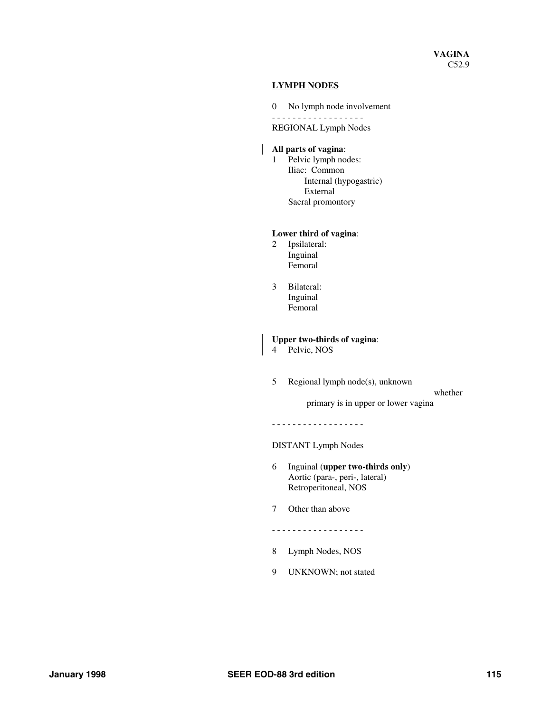# **LYMPH NODES**

0 No lymph node involvement

- - - - - - - - - - - - - - - - - -

REGIONAL Lymph Nodes

# | **All parts of vagina**:

1 Pelvic lymph nodes: Iliac: Common Internal (hypogastric) External Sacral promontory

# **Lower third of vagina**:

- 2 Ipsilateral: Inguinal Femoral
- 3 Bilateral: Inguinal Femoral

# | **Upper two-thirds of vagina**:

- | 4 Pelvic, NOS
- 5 Regional lymph node(s), unknown

### whether

primary is in upper or lower vagina

- - - - - - - - - - - - - - - - - -

# DISTANT Lymph Nodes

- 6 Inguinal (**upper two-thirds only**) Aortic (para-, peri-, lateral) Retroperitoneal, NOS
- 7 Other than above

- 8 Lymph Nodes, NOS
- 9 UNKNOWN; not stated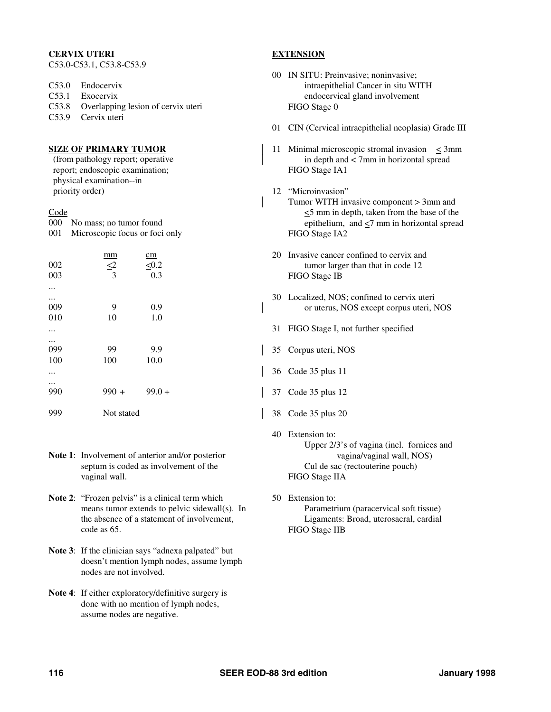# **CERVIX UTERI**

C53.0-C53.1, C53.8-C53.9

| C53.0 | Endocervix |  |
|-------|------------|--|
|       |            |  |

- C53.1 Exocervix
- C53.8 Overlapping lesion of cervix uteri
- C53.9 Cervix uteri

# **SIZE OF PRIMARY TUMOR**

 (from pathology report; operative report; endoscopic examination; physical examination--in priority order)

# Code

- 000 No mass; no tumor found
- 001 Microscopic focus or foci only

| 002<br>003     | <u>mm</u><br>$\leq$ 2<br>$\overline{3}$ | $\mathbf{cm}$<br>< 0.2<br>0.3 |
|----------------|-----------------------------------------|-------------------------------|
|                |                                         |                               |
| <br>009<br>010 | 9<br>10                                 | 0.9<br>1.0                    |
| .              |                                         |                               |
| <br>099        | 99                                      | 9.9                           |
| 100            | 100                                     | 10.0                          |
|                |                                         |                               |
| <br>990        | $990 +$                                 | $99.0 +$                      |
| 999            | Not stated                              |                               |

- **Note 1**: Involvement of anterior and/or posterior septum is coded as involvement of the vaginal wall.
- Note 2: "Frozen pelvis" is a clinical term which means tumor extends to pelvic sidewall(s). In the absence of a statement of involvement, code as 65.
- **Note 3**: If the clinician says "adnexa palpated" but doesn't mention lymph nodes, assume lymph nodes are not involved.
- **Note 4**: If either exploratory/definitive surgery is done with no mention of lymph nodes, assume nodes are negative.

# **EXTENSION**

00 IN SITU: Preinvasive; noninvasive; intraepithelial Cancer in situ WITH endocervical gland involvement FIGO Stage 0 01 CIN (Cervical intraepithelial neoplasia) Grade III | 11 Minimal microscopic stromal invasion < 3mm  $\frac{1}{2}$  in depth and  $\lt$  7mm in horizontal spread FIGO Stage IA1 12 "Microinvasion" | Tumor WITH invasive component > 3mm and  $\leq$ 5 mm in depth, taken from the base of the epithelium, and  $\leq$ 7 mm in horizontal spread FIGO Stage IA2 20 Invasive cancer confined to cervix and tumor larger than that in code 12 FIGO Stage IB 30 Localized, NOS; confined to cervix uteri or uterus, NOS except corpus uteri, NOS 31 FIGO Stage I, not further specified | 35 Corpus uteri, NOS | 36 Code 35 plus 11 | 37 Code 35 plus 12 | 38 Code 35 plus 20 40 Extension to: Upper 2/3's of vagina (incl. fornices and vagina/vaginal wall, NOS) Cul de sac (rectouterine pouch) FIGO Stage IIA 50 Extension to:

Parametrium (paracervical soft tissue) Ligaments: Broad, uterosacral, cardial FIGO Stage IIB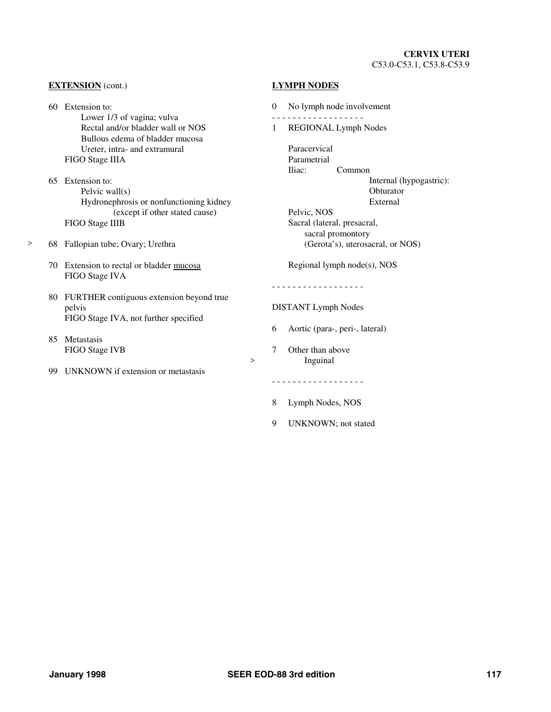### **EXTENSION** (cont.)

60 Extension to: Lower 1/3 of vagina; vulva Rectal and/or bladder wall or NOS Bullous edema of bladder mucosa Ureter, intra- and extramural FIGO Stage IIIA

- 65 Extension to: Pelvic wall(s) Hydronephrosis or nonfunctioning kidney (except if other stated cause) FIGO Stage IIIB
- > 68 Fallopian tube; Ovary; Urethra
	- 70 Extension to rectal or bladder mucosa FIGO Stage IVA
	- 80 FURTHER contiguous extension beyond true pelvis FIGO Stage IVA, not further specified
	- 85 Metastasis FIGO Stage IVB
	- 99 UNKNOWN if extension or metastasis

### **LYMPH NODES**

- 0 No lymph node involvement
- - - - - - - - - - 1 REGIONAL Lymph Nodes

Paracervical Parametrial Iliac: Common Internal (hypogastric): **Obturator** External Pelvic, NOS Sacral (lateral, presacral, sacral promontory

(Gerota's), uterosacral, or NOS)

Regional lymph node(s), NOS

# - - - - - - - - - - - - - - - - - -

# DISTANT Lymph Nodes

- 6 Aortic (para-, peri-, lateral)
- 7 Other than above Inguinal

>

- 8 Lymph Nodes, NOS
- 9 UNKNOWN; not stated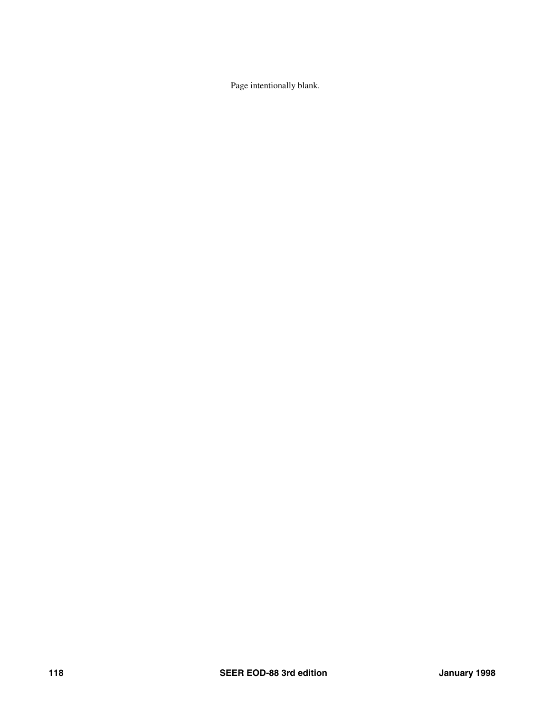Page intentionally blank.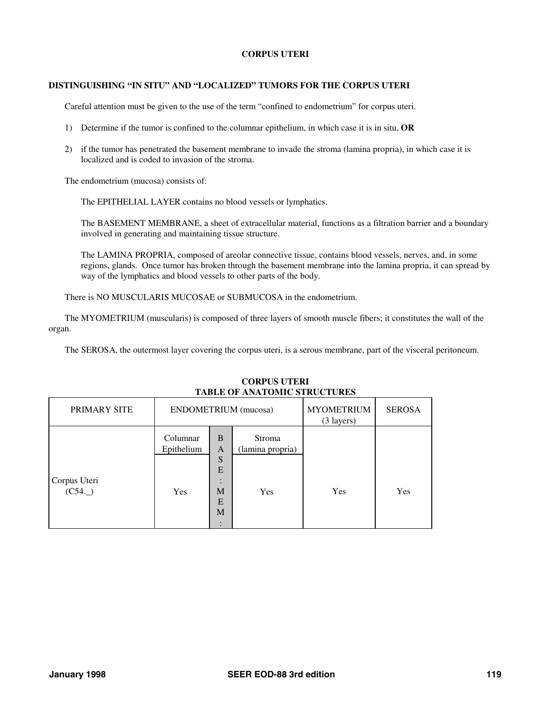# **CORPUS UTERI**

### **DISTINGUISHING "IN SITU" AND "LOCALIZED" TUMORS FOR THE CORPUS UTERI**

Careful attention must be given to the use of the term "confined to endometrium" for corpus uteri.

- 1) Determine if the tumor is confined to the columnar epithelium, in which case it is in situ, **OR**
- 2) if the tumor has penetrated the basement membrane to invade the stroma (lamina propria), in which case it is localized and is coded to invasion of the stroma.

The endometrium (mucosa) consists of:

The EPITHELIAL LAYER contains no blood vessels or lymphatics.

The BASEMENT MEMBRANE, a sheet of extracellular material, functions as a filtration barrier and a boundary involved in generating and maintaining tissue structure.

The LAMINA PROPRIA, composed of areolar connective tissue, contains blood vessels, nerves, and, in some regions, glands. Once tumor has broken through the basement membrane into the lamina propria, it can spread by way of the lymphatics and blood vessels to other parts of the body.

There is NO MUSCULARIS MUCOSAE or SUBMUCOSA in the endometrium.

The MYOMETRIUM (muscularis) is composed of three layers of smooth muscle fibers; it constitutes the wall of the organ.

The SEROSA, the outermost layer covering the corpus uteri, is a serous membrane, part of the visceral peritoneum.

| PRIMARY SITE           | ENDOMETRIUM (mucosa)          |                                 |                                   | <b>MYOMETRIUM</b><br>$(3 \text{ layers})$ | <b>SEROSA</b> |
|------------------------|-------------------------------|---------------------------------|-----------------------------------|-------------------------------------------|---------------|
| Corpus Uteri<br>(C54.) | Columnar<br>Epithelium<br>Yes | B<br>A<br>S<br>E<br>M<br>E<br>M | Stroma<br>(lamina propria)<br>Yes | Yes                                       | Yes           |

# **CORPUS UTERI TABLE OF ANATOMIC STRUCTURES**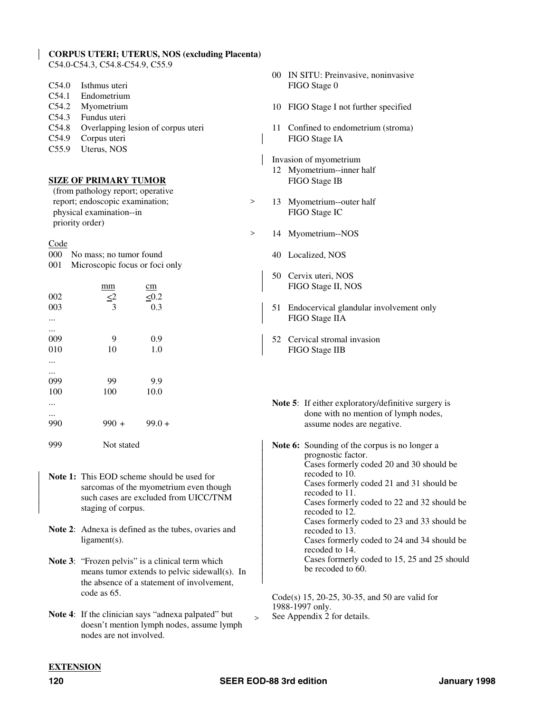# | **CORPUS UTERI; UTERUS, NOS (excluding Placenta)** C54.0-C54.3, C54.8-C54.9, C55.9

| C54.0    | Isthmus uteri                     |                                                     |          | 00 IN SITU: Preinvasive, noninvasive<br>FIGO Stage 0                |
|----------|-----------------------------------|-----------------------------------------------------|----------|---------------------------------------------------------------------|
| C54.1    | Endometrium                       |                                                     |          |                                                                     |
| C54.2    | Myometrium                        |                                                     |          | 10 FIGO Stage I not further specified                               |
| C54.3    | Fundus uteri                      |                                                     |          |                                                                     |
| C54.8    |                                   | Overlapping lesion of corpus uteri                  |          | 11 Confined to endometrium (stroma)                                 |
| C54.9    | Corpus uteri                      |                                                     |          | FIGO Stage IA                                                       |
| C55.9    | Uterus, NOS                       |                                                     |          |                                                                     |
|          |                                   |                                                     |          | Invasion of myometrium                                              |
|          |                                   |                                                     |          | 12 Myometrium--inner half                                           |
|          | <b>SIZE OF PRIMARY TUMOR</b>      |                                                     |          | FIGO Stage IB                                                       |
|          | (from pathology report; operative |                                                     |          |                                                                     |
|          | report; endoscopic examination;   |                                                     | $\,>$    |                                                                     |
|          |                                   |                                                     |          | 13 Myometrium--outer half                                           |
|          | physical examination--in          |                                                     |          | FIGO Stage IC                                                       |
|          | priority order)                   |                                                     |          |                                                                     |
|          |                                   |                                                     | $\rm{>}$ | 14 Myometrium--NOS                                                  |
| Code     |                                   |                                                     |          |                                                                     |
| 000      | No mass; no tumor found           |                                                     |          | 40 Localized, NOS                                                   |
| 001      | Microscopic focus or foci only    |                                                     |          |                                                                     |
|          |                                   |                                                     |          | 50 Cervix uteri, NOS                                                |
|          | mm                                | $\mathbf{cm}$                                       |          | FIGO Stage II, NOS                                                  |
| 002      | $\frac{2}{3}$                     | $\leq 0.2$                                          |          |                                                                     |
| 003      |                                   | 0.3                                                 |          | 51 Endocervical glandular involvement only                          |
| $\cdots$ |                                   |                                                     |          | FIGO Stage IIA                                                      |
| $\cdots$ |                                   |                                                     |          |                                                                     |
| 009      | 9                                 | 0.9                                                 |          | 52 Cervical stromal invasion                                        |
| 010      | 10                                | 1.0                                                 |          | FIGO Stage IIB                                                      |
| $\cdots$ |                                   |                                                     |          |                                                                     |
| $\cdots$ |                                   |                                                     |          |                                                                     |
| 099      | 99                                | 9.9                                                 |          |                                                                     |
| 100      | 100                               | 10.0                                                |          |                                                                     |
| $\cdots$ |                                   |                                                     |          | Note 5: If either exploratory/definitive surgery is                 |
|          |                                   |                                                     |          | done with no mention of lymph nodes,                                |
| <br>990  | $990 +$                           | $99.0 +$                                            |          | assume nodes are negative.                                          |
|          |                                   |                                                     |          |                                                                     |
| 999      | Not stated                        |                                                     |          |                                                                     |
|          |                                   |                                                     |          | Note 6: Sounding of the corpus is no longer a<br>prognostic factor. |
|          |                                   |                                                     |          | Cases formerly coded 20 and 30 should be                            |
|          |                                   |                                                     |          | recoded to 10.                                                      |
|          |                                   | Note 1: This EOD scheme should be used for          |          | Cases formerly coded 21 and 31 should be                            |
|          |                                   | sarcomas of the myometrium even though              |          | recoded to 11.                                                      |
|          |                                   | such cases are excluded from UICC/TNM               |          | Cases formerly coded to 22 and 32 should be                         |
|          | staging of corpus.                |                                                     |          | recoded to 12.                                                      |
|          |                                   |                                                     |          | Cases formerly coded to 23 and 33 should be                         |
|          |                                   | Note 2: Adnexa is defined as the tubes, ovaries and |          | recoded to 13.                                                      |
|          | $ligament(s)$ .                   |                                                     |          | Cases formerly coded to 24 and 34 should be                         |
|          |                                   |                                                     |          | recoded to 14.                                                      |
|          |                                   | Note 3: "Frozen pelvis" is a clinical term which    |          | Cases formerly coded to 15, 25 and 25 should<br>be recoded to 60.   |
|          |                                   | means tumor extends to pelvic sidewall(s). In       |          |                                                                     |
|          |                                   | the absence of a statement of involvement,          |          |                                                                     |
|          | code as 65.                       |                                                     |          | $Code(s)$ 15, 20-25, 30-35, and 50 are valid for                    |
|          |                                   |                                                     |          | 1988-1997 only.                                                     |

**Note 4**: If the clinician says "adnexa palpated" but doesn't mention lymph nodes, assume lymph nodes are not involved.

**EXTENSION**

See Appendix 2 for details.

>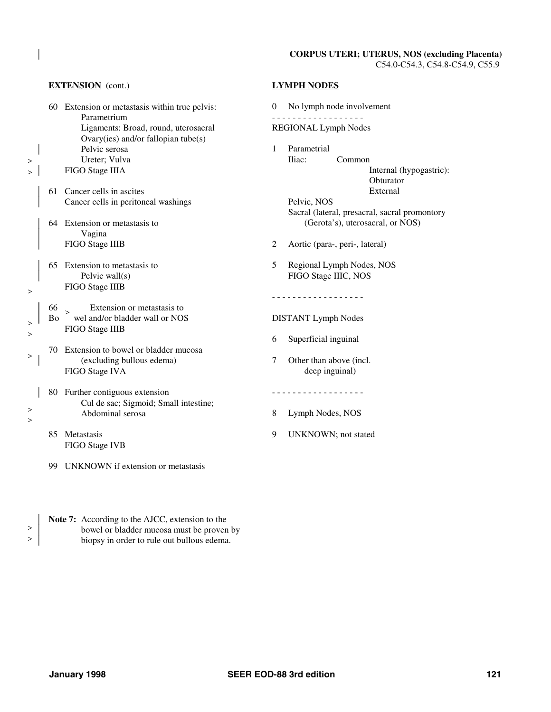### | **CORPUS UTERI; UTERUS, NOS (excluding Placenta)** C54.0-C54.3, C54.8-C54.9, C55.9

> > > >  $\rightarrow$ > >  $\rightarrow$ **EXTENSION** (cont.) 60 Extension or metastasis within true pelvis: Parametrium Ligaments: Broad, round, uterosacral Ovary(ies) and/or fallopian tube(s) Pelvic serosa Ureter; Vulva | FIGO Stage IIIA | 61 Cancer cells in ascites | Cancer cells in peritoneal washings | 64 Extension or metastasis to | Vagina | FIGO Stage IIIB | 65 Extension to metastasis to Pelvic wall(s) FIGO Stage IIIB | 66 Extension or metastasis to Bo wel and/or bladder wall or NOS FIGO Stage IIIB 70 Extension to bowel or bladder mucosa | (excluding bullous edema) FIGO Stage IVA | 80 Further contiguous extension Cul de sac; Sigmoid; Small intestine; Abdominal serosa 85 Metastasis FIGO Stage IVB 99 UNKNOWN if extension or metastasis **LYMPH NODES** 0 No lymph node involvement - - - - - - - - - - - - - - - - - - REGIONAL Lymph Nodes 1 Parametrial Iliac: Common Internal (hypogastric): **Obturator** External Pelvic, NOS Sacral (lateral, presacral, sacral promontory (Gerota's), uterosacral, or NOS) 2 Aortic (para-, peri-, lateral) 5 Regional Lymph Nodes, NOS FIGO Stage IIIC, NOS - - - - - - - - - - - - - - - - - - DISTANT Lymph Nodes 6 Superficial inguinal 7 Other than above (incl. deep inguinal) - - - - - - - - - - - - - - - - - - 8 Lymph Nodes, NOS 9 UNKNOWN; not stated

> >

>

Note 7: According to the AJCC, extension to the bowel or bladder mucosa must be proven by biopsy in order to rule out bullous edema.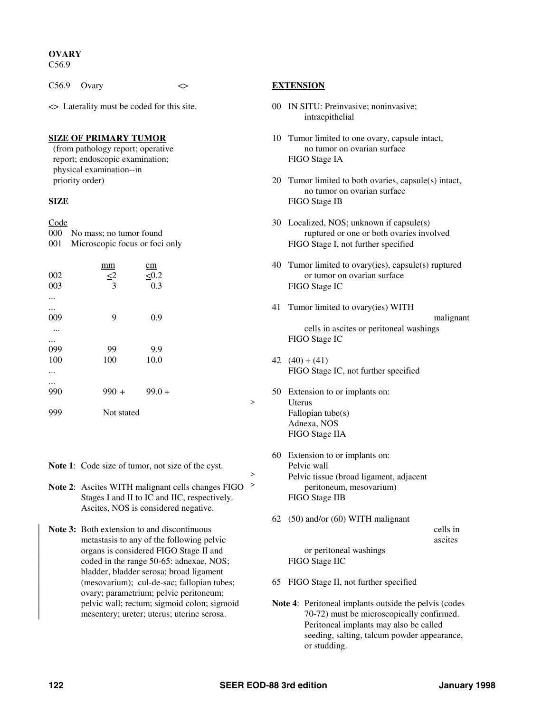### **OVARY** C56.9

| C56.9                                    | Ovary                                                                                                                            | <>                                                |        |    | <b>EXTENSION</b>                                                                                                            |
|------------------------------------------|----------------------------------------------------------------------------------------------------------------------------------|---------------------------------------------------|--------|----|-----------------------------------------------------------------------------------------------------------------------------|
|                                          | <> Laterality must be coded for this site.                                                                                       |                                                   |        |    | 00 IN SITU: Preinvasive; noninvasive;<br>intraepithelial                                                                    |
|                                          | <b>SIZE OF PRIMARY TUMOR</b><br>(from pathology report; operative<br>report; endoscopic examination;<br>physical examination--in |                                                   |        | 10 | Tumor limited to one ovary, capsule intact,<br>no tumor on ovarian surface<br>FIGO Stage IA                                 |
| <b>SIZE</b>                              | priority order)                                                                                                                  |                                                   |        | 20 | Tumor limited to both ovaries, capsule(s) intact,<br>no tumor on ovarian surface<br>FIGO Stage IB                           |
| Code<br>000<br>001                       | No mass; no tumor found<br>Microscopic focus or foci only                                                                        |                                                   |        |    | 30 Localized, NOS; unknown if capsule(s)<br>ruptured or one or both ovaries involved<br>FIGO Stage I, not further specified |
| 002<br>003                               | mm<br>$\frac{2}{3}$                                                                                                              | $\mathbf{cm}$<br>$\leq 0.2$<br>0.3                |        | 40 | Tumor limited to ovary(ies), capsule(s) ruptured<br>or tumor on ovarian surface<br>FIGO Stage IC                            |
| $\cdots$<br>$\cdots$<br>009<br>$\ddotsc$ | 9                                                                                                                                | 0.9                                               |        | 41 | Tumor limited to ovary(ies) WITH<br>malignant<br>cells in ascites or peritoneal washings                                    |
| $\cdots$<br>099<br>100<br>$\cdots$       | 99<br>100                                                                                                                        | 9.9<br>10.0                                       |        |    | FIGO Stage IC<br>42 $(40) + (41)$<br>FIGO Stage IC, not further specified                                                   |
| $\cdots$<br>990                          | $990 +$                                                                                                                          | $99.0 +$                                          | $\geq$ |    | 50 Extension to or implants on:<br>Uterus                                                                                   |
| 999                                      | Not stated                                                                                                                       |                                                   |        |    | Fallopian tube(s)<br>Adnexa, NOS<br>FIGO Stage IIA                                                                          |
|                                          |                                                                                                                                  | Note 1: Code size of tumor, not size of the cyst. |        |    | 60 Extension to or implants on:<br>Pelvic wall                                                                              |

>

- Note 2: Ascites WITH malignant cells changes FIGO  $\geq$ Stages I and II to IC and IIC, respectively. Ascites, NOS is considered negative.
- Note 3: Both extension to and discontinuous metastasis to any of the following pelvic | organs is considered FIGO Stage II and coded in the range 50-65: adnexae, NOS; | bladder, bladder serosa; broad ligament (mesovarium); cul-de-sac; fallopian tubes; ovary; parametrium; pelvic peritoneum; | pelvic wall; rectum; sigmoid colon; sigmoid mesentery; ureter; uterus; uterine serosa.
- Pelvic wall Pelvic tissue (broad ligament, adjacent peritoneum, mesovarium) FIGO Stage IIB
- 62 (50) and/or (60) WITH malignant

cells in ascites

or peritoneal washings FIGO Stage IIC

65 FIGO Stage II, not further specified

**Note 4**: Peritoneal implants outside the pelvis (codes 70-72) must be microscopically confirmed. Peritoneal implants may also be called seeding, salting, talcum powder appearance, or studding.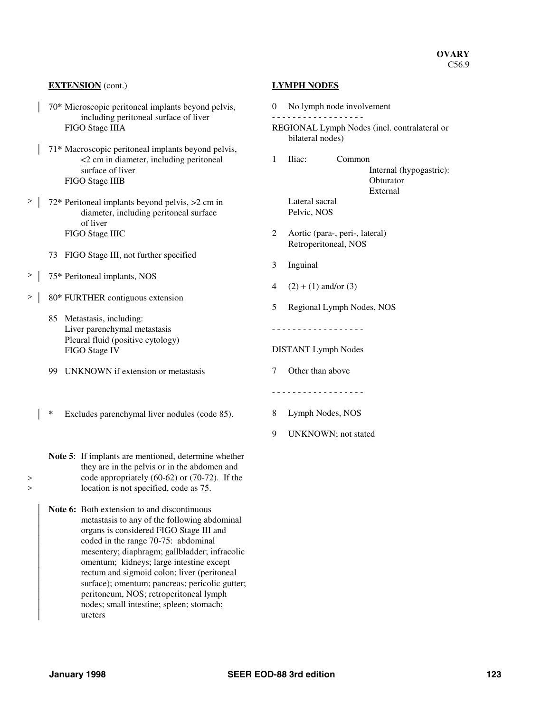# **EXTENSION** (cont.)

- | 70**\*** Microscopic peritoneal implants beyond pelvis, including peritoneal surface of liver FIGO Stage IIIA
- | 71**\*** Macroscopic peritoneal implants beyond pelvis, <2 cm in diameter, including peritoneal surface of liver FIGO Stage IIIB
- $>$ | 72**\*** Peritoneal implants beyond pelvis, >2 cm in diameter, including peritoneal surface of liver FIGO Stage IIIC
	- 73 FIGO Stage III, not further specified
- $>$ | 75**\*** Peritoneal implants, NOS
- $>$ | 80**\*** FURTHER contiguous extension
	- 85 Metastasis, including: Liver parenchymal metastasis Pleural fluid (positive cytology) FIGO Stage IV
	- 99 UNKNOWN if extension or metastasis
	- Excludes parenchymal liver nodules (code 85).
	- **Note 5**: If implants are mentioned, determine whether they are in the pelvis or in the abdomen and code appropriately (60-62) or (70-72). If the location is not specified, code as 75.
	- Note 6: Both extension to and discontinuous metastasis to any of the following abdominal | organs is considered FIGO Stage III and | coded in the range 70-75: abdominal mesentery; diaphragm; gallbladder; infracolic | omentum; kidneys; large intestine except rectum and sigmoid colon; liver (peritoneal surface); omentum; pancreas; pericolic gutter; peritoneum, NOS; retroperitoneal lymph nodes; small intestine; spleen; stomach; ureters

### **LYMPH NODES**

0 No lymph node involvement

- - - - - - - - - - - - - - - - - -

- REGIONAL Lymph Nodes (incl. contralateral or bilateral nodes)
- 1 Iliac: Common Internal (hypogastric): **Obturator** External Lateral sacral Pelvic, NOS
- 2 Aortic (para-, peri-, lateral) Retroperitoneal, NOS
- 3 Inguinal
- 4  $(2) + (1)$  and/or  $(3)$
- 5 Regional Lymph Nodes, NOS

- - - - - - - - - - - - - - - - - -

- DISTANT Lymph Nodes
- 7 Other than above
- - - - - - - - - -
- 8 Lymph Nodes, NOS
- 9 UNKNOWN; not stated

>  $\rightarrow$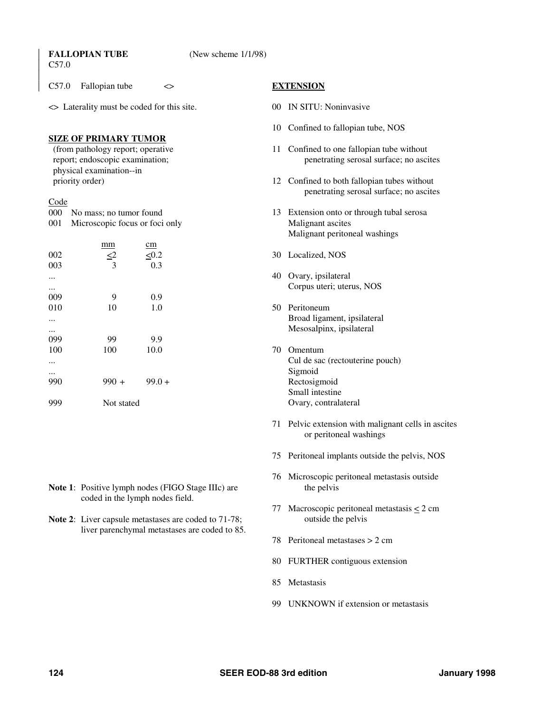# | **FALLOPIAN TUBE** (New scheme 1/1/98)

C<sub>57.0</sub>

|

 $C57.0$  Fallopian tube  $\leq$ 

<> Laterality must be coded for this site.

# **SIZE OF PRIMARY TUMOR**

 (from pathology report; operative report; endoscopic examination; physical examination--in priority order)

# Code

000 No mass; no tumor found 001 Microscopic focus or foci only

| 002<br>003     | mm<br>$\leq$ 2<br>3 | <u>cm</u><br>$\leq 0.2$<br>0.3 |
|----------------|---------------------|--------------------------------|
|                |                     |                                |
| <br>009<br>010 | 9<br>10             | 0.9<br>1.0                     |
|                |                     |                                |
|                |                     |                                |
| 099            | 99                  | 9.9                            |
| 100            | 100                 | 10.0                           |
| .              |                     |                                |
| <br>990        | $990 +$             | $99.0 +$                       |
| 999            | Not stated          |                                |

- **Note 1**: Positive lymph nodes (FIGO Stage IIIc) are coded in the lymph nodes field.
- **Note 2**: Liver capsule metastases are coded to 71-78; liver parenchymal metastases are coded to 85.

# **EXTENSION**

- 00 IN SITU: Noninvasive
- 10 Confined to fallopian tube, NOS
- 11 Confined to one fallopian tube without penetrating serosal surface; no ascites
- 12 Confined to both fallopian tubes without penetrating serosal surface; no ascites
- 13 Extension onto or through tubal serosa Malignant ascites Malignant peritoneal washings
- 30 Localized, NOS
- 40 Ovary, ipsilateral Corpus uteri; uterus, NOS
- 50 Peritoneum Broad ligament, ipsilateral Mesosalpinx, ipsilateral
- 70 Omentum Cul de sac (rectouterine pouch) Sigmoid Rectosigmoid Small intestine Ovary, contralateral
- 71 Pelvic extension with malignant cells in ascites or peritoneal washings
- 75 Peritoneal implants outside the pelvis, NOS
- 76 Microscopic peritoneal metastasis outside the pelvis
- 77 Macroscopic peritoneal metastasis  $\leq$  2 cm outside the pelvis
- 78 Peritoneal metastases > 2 cm
- 80 FURTHER contiguous extension
- 85 Metastasis
- 99 UNKNOWN if extension or metastasis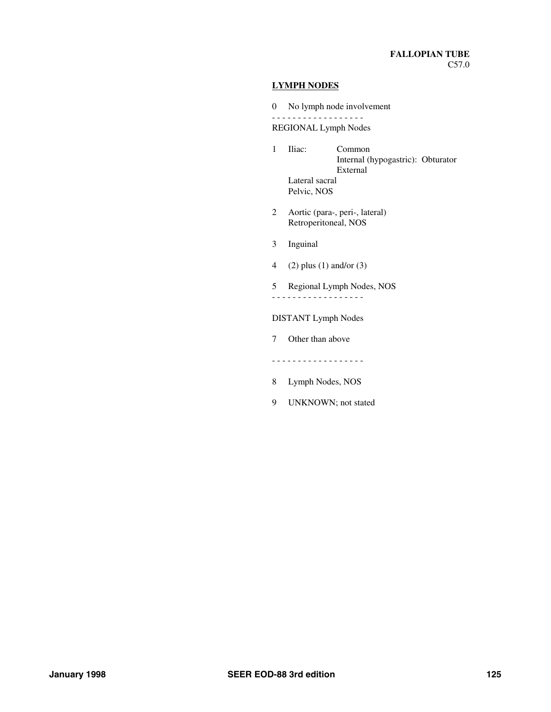# **LYMPH NODES**

0 No lymph node involvement

- - - - - - - - - - - - - - - - - - REGIONAL Lymph Nodes

- 1 Iliac: Common Internal (hypogastric): Obturator External Lateral sacral Pelvic, NOS
- 2 Aortic (para-, peri-, lateral) Retroperitoneal, NOS
- 3 Inguinal
- 4 (2) plus (1) and/or (3)
- 5 Regional Lymph Nodes, NOS
- - - - - - - - - -

# DISTANT Lymph Nodes

7 Other than above

- 8 Lymph Nodes, NOS
- 9 UNKNOWN; not stated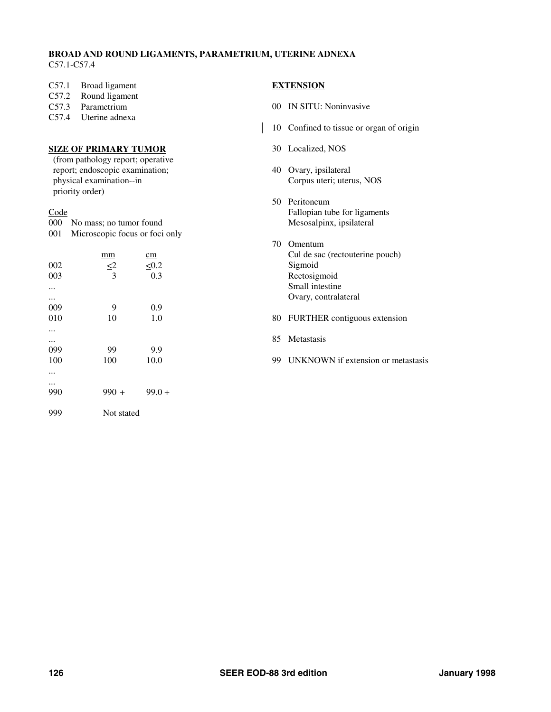# **BROAD AND ROUND LIGAMENTS, PARAMETRIUM, UTERINE ADNEXA** C57.1-C57.4

| C57.1    | Broad ligament                    |            | <b>EXTENSION</b>                         |
|----------|-----------------------------------|------------|------------------------------------------|
| C57.2    | Round ligament                    |            |                                          |
| C57.3    | Parametrium                       |            | IN SITU: Noninvasive<br>00 <sup>0</sup>  |
| C57.4    | Uterine adnexa                    |            |                                          |
|          |                                   |            | 10 Confined to tissue or organ of origin |
|          | <b>SIZE OF PRIMARY TUMOR</b>      |            | 30 Localized, NOS                        |
|          | (from pathology report; operative |            |                                          |
|          | report; endoscopic examination;   |            | 40 Ovary, ipsilateral                    |
|          | physical examination--in          |            | Corpus uteri; uterus, NOS                |
|          | priority order)                   |            |                                          |
|          |                                   |            | Peritoneum<br>50                         |
| Code     |                                   |            | Fallopian tube for ligaments             |
| 000      | No mass; no tumor found           |            | Mesosalpinx, ipsilateral                 |
| 001      | Microscopic focus or foci only    |            |                                          |
|          |                                   |            | 70<br>Omentum                            |
|          | mm                                | cm         | Cul de sac (rectouterine pouch)          |
| 002      | $\frac{2}{3}$                     | $\leq 0.2$ | Sigmoid                                  |
| 003      |                                   | 0.3        | Rectosigmoid                             |
|          |                                   |            | Small intestine                          |
| $\cdots$ |                                   |            | Ovary, contralateral                     |
| 009      | 9                                 | 0.9        |                                          |
| 010      | 10                                | 1.0        | 80 FURTHER contiguous extension          |
|          |                                   |            |                                          |
|          |                                   |            | Metastasis<br>85                         |
| 099      | 99                                | 9.9        |                                          |
| 100      | 100                               | 10.0       | UNKNOWN if extension or metastasis<br>99 |
|          |                                   |            |                                          |
|          |                                   |            |                                          |
| 990      | $990 +$                           | $99.0 +$   |                                          |
| 999      | Not stated                        |            |                                          |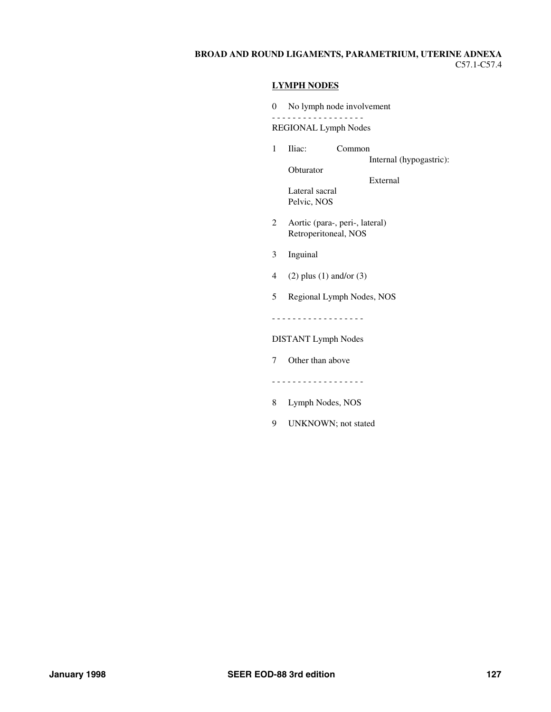# **BROAD AND ROUND LIGAMENTS, PARAMETRIUM, UTERINE ADNEXA** C57.1-C57.4

# **LYMPH NODES**

0 No lymph node involvement

- - - - - - - - - - - - - - - - - - REGIONAL Lymph Nodes

1 Iliac: Common

Internal (hypogastric):

Obturator

External

Lateral sacral Pelvic, NOS

- 2 Aortic (para-, peri-, lateral) Retroperitoneal, NOS
- 3 Inguinal
- 4 (2) plus (1) and/or (3)
- 5 Regional Lymph Nodes, NOS

- - - - - - - - - - - - - - - - - -

# DISTANT Lymph Nodes

7 Other than above

- 8 Lymph Nodes, NOS
- 9 UNKNOWN; not stated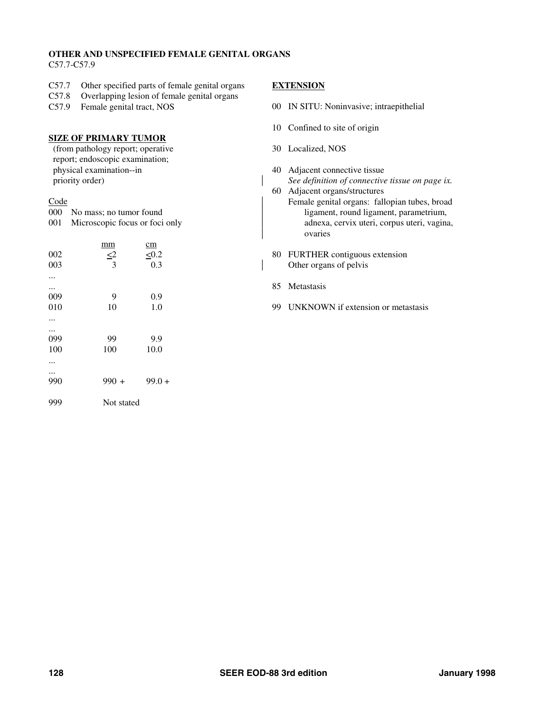# **OTHER AND UNSPECIFIED FEMALE GENITAL ORGANS**

C57.7-C57.9

- C57.7 Other specified parts of female genital organs
- C57.8 Overlapping lesion of female genital organs
- C57.9 Female genital tract, NOS

# **SIZE OF PRIMARY TUMOR**

 (from pathology report; operative report; endoscopic examination; physical examination--in priority order)

# Code

000 No mass; no tumor found

001 Microscopic focus or foci only

|     | mm         | cm         |
|-----|------------|------------|
| 002 | $\leq$     | $\leq 0.2$ |
| 003 | 3          | 0.3        |
|     |            |            |
|     |            |            |
| 009 | 9          | 0.9        |
| 010 | 10         | 1.0        |
|     |            |            |
|     |            |            |
| 099 | 99         | 9.9        |
| 100 | 100        | 10.0       |
|     |            |            |
|     |            |            |
| 990 | $990 +$    | $99.0 +$   |
|     |            |            |
| 999 | Not stated |            |

# **EXTENSION**

- 00 IN SITU: Noninvasive; intraepithelial
- 10 Confined to site of origin
- 30 Localized, NOS
- 40 Adjacent connective tissue | *See definition of connective tissue on page ix.* 60 Adjacent organs/structures
- | Female genital organs: fallopian tubes, broad ligament, round ligament, parametrium, adnexa, cervix uteri, corpus uteri, vagina, ovaries
- 80 FURTHER contiguous extension Other organs of pelvis
- 85 Metastasis
- 99 UNKNOWN if extension or metastasis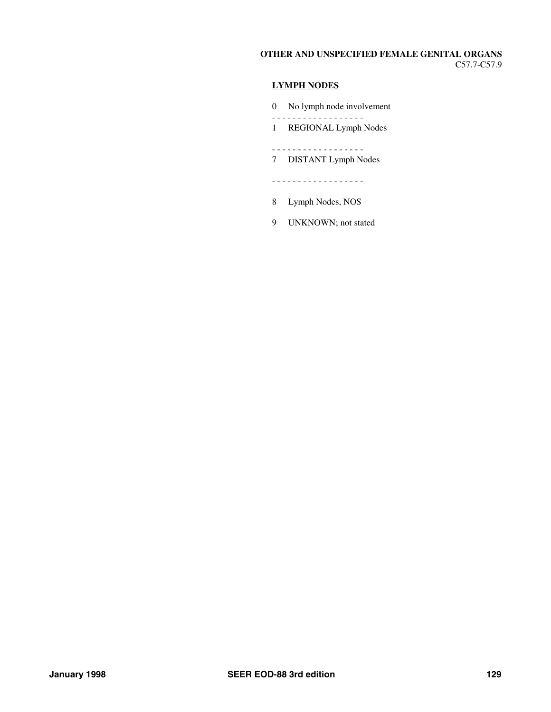# **OTHER AND UNSPECIFIED FEMALE GENITAL ORGANS** C57.7-C57.9

# **LYMPH NODES**

- 0 No lymph node involvement
- 1 REGIONAL Lymph Nodes
- - - - - - - - - -

- - - - - - - - - - - - - - - - - -

7 DISTANT Lymph Nodes

- 8 Lymph Nodes, NOS
- 9 UNKNOWN; not stated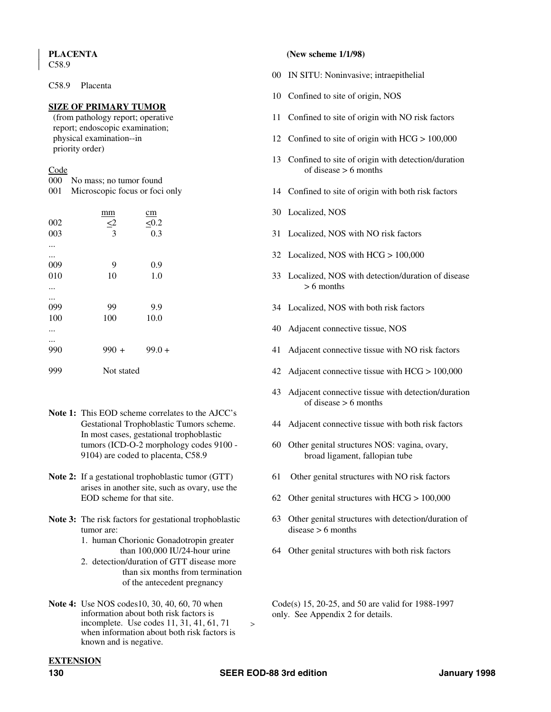| C58.9

C58.9 Placenta

### **SIZE OF PRIMARY TUMOR**

 (from pathology report; operative report; endoscopic examination; physical examination--in priority order)

### Code

- 000 No mass; no tumor found
- 001 Microscopic focus or foci only

|           | mm         | $\mathbf{cm}$ |
|-----------|------------|---------------|
| 002       | $\leq$ 2   | < 0.2         |
| 003       | 3          | 0.3           |
| .         |            |               |
|           |            |               |
| 009       | 9          | 0.9           |
| 010       | 10         | 1.0           |
| $\ddotsc$ |            |               |
|           |            |               |
| 099       | 99         | 9.9           |
| 100       | 100        | 10.0          |
| $\ddotsc$ |            |               |
|           |            |               |
| 990       | $990 +$    | $99.0 +$      |
|           |            |               |
| 999       | Not stated |               |

- **Note 1:** This EOD scheme correlates to the AJCC's Gestational Trophoblastic Tumors scheme. In most cases, gestational trophoblastic tumors (ICD-O-2 morphology codes 9100 - 9104) are coded to placenta, C58.9
- **Note 2:** If a gestational trophoblastic tumor (GTT) arises in another site, such as ovary, use the EOD scheme for that site.
- **Note 3:** The risk factors for gestational trophoblastic tumor are:
	- 1. human Chorionic Gonadotropin greater than 100,000 IU/24-hour urine
	- 2. detection/duration of GTT disease more than six months from termination of the antecedent pregnancy
- **Note 4:** Use NOS codes10, 30, 40, 60, 70 when information about both risk factors is incomplete. Use codes 11, 31, 41, 61, 71 when information about both risk factors is known and is negative.

### | **PLACENTA (New scheme 1/1/98)**

- 00 IN SITU: Noninvasive; intraepithelial
- 10 Confined to site of origin, NOS
- 11 Confined to site of origin with NO risk factors
- 12 Confined to site of origin with HCG > 100,000
- 13 Confined to site of origin with detection/duration of disease  $> 6$  months
- 14 Confined to site of origin with both risk factors
- 30 Localized, NOS
- 31 Localized, NOS with NO risk factors
- 32 Localized, NOS with HCG > 100,000
- 33 Localized, NOS with detection/duration of disease > 6 months
- 34 Localized, NOS with both risk factors
- 40 Adjacent connective tissue, NOS
- 41 Adjacent connective tissue with NO risk factors
- 42 Adjacent connective tissue with HCG > 100,000
- 43 Adjacent connective tissue with detection/duration of disease > 6 months
- 44 Adjacent connective tissue with both risk factors
- 60 Other genital structures NOS: vagina, ovary, broad ligament, fallopian tube
- 61 Other genital structures with NO risk factors
- 62 Other genital structures with HCG > 100,000
- 63 Other genital structures with detection/duration of  $disease > 6$  months
- 64 Other genital structures with both risk factors

Code(s) 15, 20-25, and 50 are valid for 1988-1997 only. See Appendix 2 for details.

# **EXTENSION**

>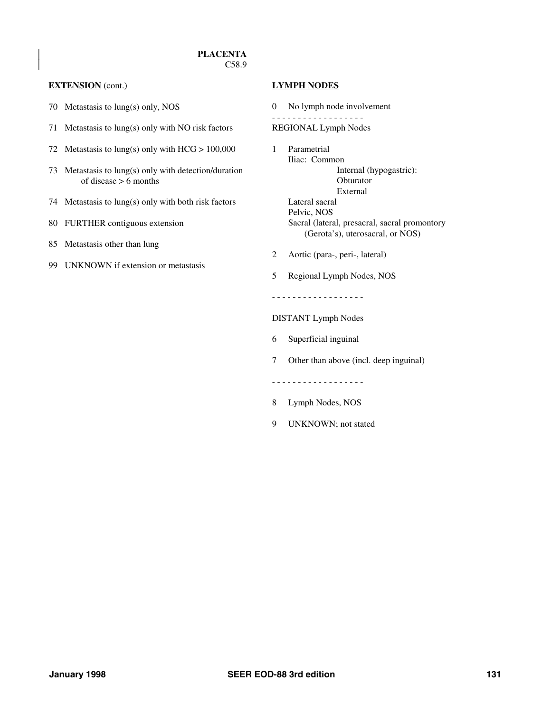# | **PLACENTA** | C58.9

# **EXTENSION** (cont.)

- 70 Metastasis to lung(s) only, NOS
- 71 Metastasis to lung(s) only with NO risk factors
- 72 Metastasis to lung(s) only with HCG > 100,000
- 73 Metastasis to lung(s) only with detection/duration of disease > 6 months
- 74 Metastasis to lung(s) only with both risk factors
- 80 FURTHER contiguous extension
- 85 Metastasis other than lung
- 99 UNKNOWN if extension or metastasis

## **LYMPH NODES**

- 0 No lymph node involvement
- - - - - - - - - - REGIONAL Lymph Nodes

1 Parametrial Iliac: Common Internal (hypogastric): **Obturator** External Lateral sacral Pelvic, NOS Sacral (lateral, presacral, sacral promontory (Gerota's), uterosacral, or NOS)

- 2 Aortic (para-, peri-, lateral)
- 5 Regional Lymph Nodes, NOS

- - - - - - - - - - - - - - - - - -

# DISTANT Lymph Nodes

- 6 Superficial inguinal
- 7 Other than above (incl. deep inguinal)

- 8 Lymph Nodes, NOS
- 9 UNKNOWN; not stated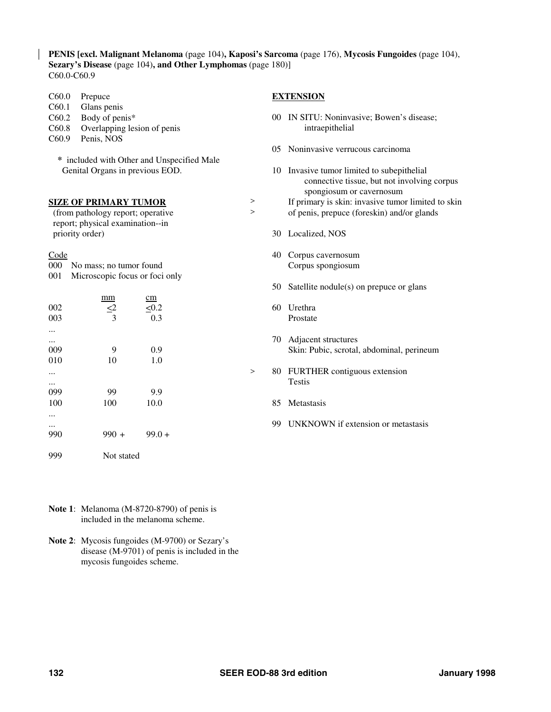| **PENIS [excl. Malignant Melanoma** (page 104)**, Kaposi's Sarcoma** (page 176), **Mycosis Fungoides** (page 104), **Sezary's Disease** (page 104)**, and Other Lymphomas** (page 180)] C60.0-C60.9

| C60.0                                      | Prepuce       |                |                             |  |          | <b>EXTENSION</b> |                                                                                                                       |
|--------------------------------------------|---------------|----------------|-----------------------------|--|----------|------------------|-----------------------------------------------------------------------------------------------------------------------|
| C60.1                                      | Glans penis   |                |                             |  |          |                  |                                                                                                                       |
| C60.2                                      |               | Body of penis* |                             |  |          |                  | 00 IN SITU: Noninvasive; Bowen's disease;                                                                             |
| C60.8                                      |               |                | Overlapping lesion of penis |  |          |                  | intraepithelial                                                                                                       |
| C60.9                                      | Penis, NOS    |                |                             |  |          |                  |                                                                                                                       |
|                                            |               |                |                             |  |          | 05               | Noninvasive verrucous carcinoma                                                                                       |
| * included with Other and Unspecified Male |               |                |                             |  |          |                  |                                                                                                                       |
| Genital Organs in previous EOD.            |               |                |                             |  |          |                  | 10 Invasive tumor limited to subepithelial<br>connective tissue, but not involving corpus<br>spongiosum or cavernosum |
| <b>SIZE OF PRIMARY TUMOR</b>               |               |                |                             |  | >        |                  | If primary is skin: invasive tumor limited to skin                                                                    |
| (from pathology report; operative          |               |                |                             |  | $\geq$   |                  | of penis, prepuce (foreskin) and/or glands                                                                            |
| report; physical examination--in           |               |                |                             |  |          |                  |                                                                                                                       |
| priority order)                            |               |                |                             |  |          |                  | 30 Localized, NOS                                                                                                     |
|                                            |               |                |                             |  |          |                  |                                                                                                                       |
| Code                                       |               |                |                             |  |          |                  | 40 Corpus cavernosum                                                                                                  |
| 000<br>No mass; no tumor found             |               |                |                             |  |          |                  | Corpus spongiosum                                                                                                     |
| Microscopic focus or foci only<br>001      |               |                |                             |  |          |                  |                                                                                                                       |
|                                            |               |                |                             |  |          |                  | 50 Satellite nodule(s) on prepuce or glans                                                                            |
|                                            | mm            |                | $\mathbf{cm}$               |  |          |                  |                                                                                                                       |
| 002                                        |               |                | $\leq 0.2$                  |  |          |                  | 60 Urethra                                                                                                            |
| 003                                        | $\frac{2}{3}$ |                | 0.3                         |  |          |                  | Prostate                                                                                                              |
|                                            |               |                |                             |  |          |                  |                                                                                                                       |
|                                            |               |                |                             |  |          |                  | 70 Adjacent structures                                                                                                |
| 009                                        | 9             |                | 0.9                         |  |          |                  | Skin: Pubic, scrotal, abdominal, perineum                                                                             |
| 010                                        | 10            |                | 1.0                         |  |          |                  |                                                                                                                       |
|                                            |               |                |                             |  | $\rm{>}$ |                  | 80 FURTHER contiguous extension                                                                                       |
|                                            |               |                |                             |  |          |                  | <b>Testis</b>                                                                                                         |
| 099                                        | 99            |                | 9.9                         |  |          |                  |                                                                                                                       |
| 100                                        | 100           |                | 10.0                        |  |          | 85               | Metastasis                                                                                                            |
|                                            |               |                |                             |  |          |                  |                                                                                                                       |
| $\cdots$                                   |               |                |                             |  |          | 99               | UNKNOWN if extension or metastasis                                                                                    |
| 990                                        | $990 +$       |                | $99.0 +$                    |  |          |                  |                                                                                                                       |
|                                            |               |                |                             |  |          |                  |                                                                                                                       |
| 999                                        |               | Not stated     |                             |  |          |                  |                                                                                                                       |

**Note 1**: Melanoma (M-8720-8790) of penis is included in the melanoma scheme.

**Note 2**: Mycosis fungoides (M-9700) or Sezary's disease (M-9701) of penis is included in the mycosis fungoides scheme.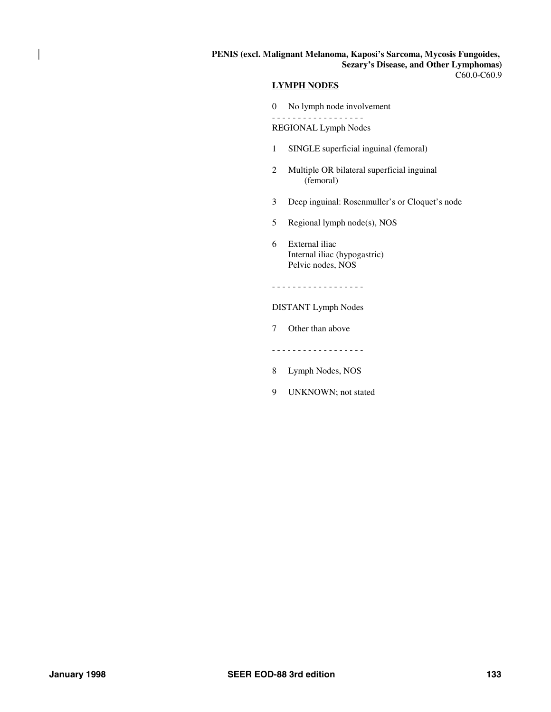# | **PENIS (excl. Malignant Melanoma, Kaposi's Sarcoma, Mycosis Fungoides, Sezary's Disease, and Other Lymphomas)**

C60.0-C60.9

### **LYMPH NODES**

0 No lymph node involvement

- - - - - - - - - - - - - - - - - - REGIONAL Lymph Nodes

- 1 SINGLE superficial inguinal (femoral)
- 2 Multiple OR bilateral superficial inguinal (femoral)
- 3 Deep inguinal: Rosenmuller's or Cloquet's node
- 5 Regional lymph node(s), NOS
- 6 External iliac Internal iliac (hypogastric) Pelvic nodes, NOS

# - - - - - - - - - - - - - - - - - - DISTANT Lymph Nodes

7 Other than above

- 8 Lymph Nodes, NOS
- 9 UNKNOWN; not stated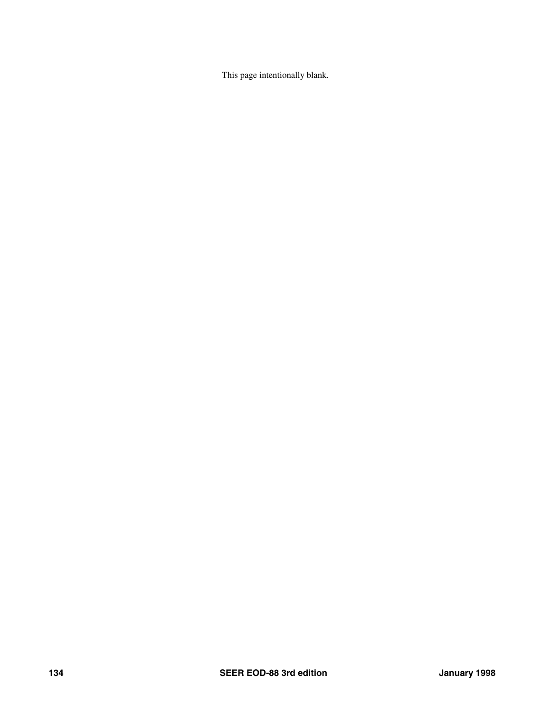This page intentionally blank.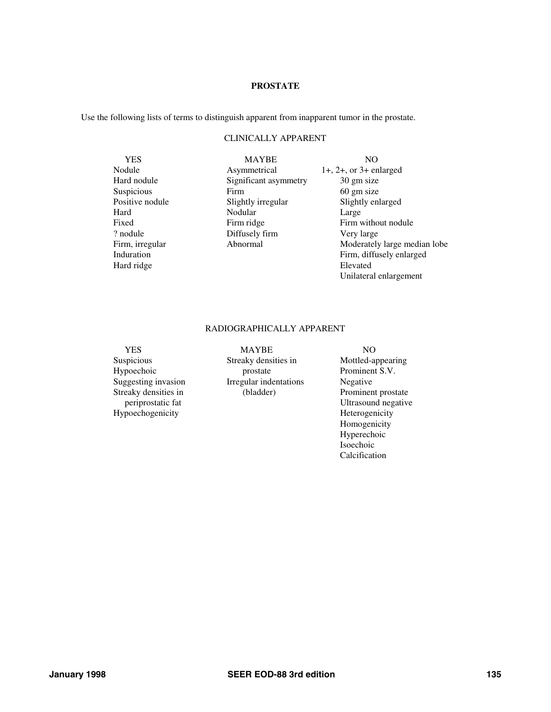## **PROSTATE**

Use the following lists of terms to distinguish apparent from inapparent tumor in the prostate.

## CLINICALLY APPARENT

- Hard ridge Elevated
- YES MAYBE NO<br>Nodule Asymmetrical 1+, 2+, or 3+ en Nodule Asymmetrical 1+, 2+, or 3+ enlarged<br>Hard nodule Significant asymmetry 30 gm size Significant asymmetry 30 gm size Suspicious Firm 60 gm size Positive nodule Slightly irregular Slightly enlarged Hard Modular Large Eixed Firm ridge Firm v ? nodule Diffusely firm Very large<br>Firm, irregular Abnormal Moderately

Fixed Firm ridge Firm without nodule ? nodule ? nodule Diffusely firm  $V$  Pery large Moderately large median lobe Induration Firm, diffusely enlarged Unilateral enlargement

## RADIOGRAPHICALLY APPARENT

| YES                  |
|----------------------|
| Suspicious           |
| Hypoechoic           |
| Suggesting invasion  |
| Streaky densities in |
| periprostatic fat    |
| Hypoechogenicity     |

MAYBE NO Streaky densities in Mottled-appearing<br>prostate Prominent S.V. Irregular indentations

Prominent S.V.<br>Negative (bladder) Prominent prostate Ultrasound negative Heterogenicity Homogenicity Hyperechoic Isoechoic Calcification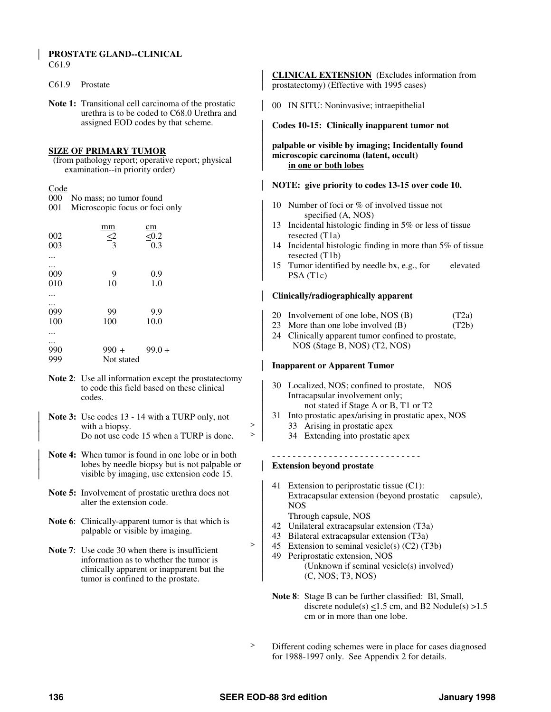#### | **PROSTATE GLAND--CLINICAL** C61.9

- C61.9 Prostate
- **Note 1:** Transitional cell carcinoma of the prostatic urethra is to be coded to C68.0 Urethra and assigned EOD codes by that scheme.

#### **SIZE OF PRIMARY TUMOR**

 (from pathology report; operative report; physical examination--in priority order)

#### Code

000 No mass; no tumor found

001 Microscopic focus or foci only

| 002<br>003     | $\frac{mm}{ }$<br>$\frac{2}{3}$ | $\mathbf{cm}$<br>$\leq 0.2$<br>0.3 |
|----------------|---------------------------------|------------------------------------|
|                |                                 |                                    |
| <br>009<br>010 | 9<br>10                         | 0.9<br>1.0                         |
|                |                                 |                                    |
| <br>099<br>100 | 99<br>100                       | 9.9<br>10.0                        |
|                |                                 |                                    |
| <br>990<br>999 | $990 +$<br>Not stated           | $99.0 +$                           |

- **Note 2**: Use all information except the prostatectomy to code this field based on these clinical codes.
- **Note 3:** Use codes 13 14 with a TURP only, not with a biopsy. Do not use code 15 when a TURP is done.
- **Note 4:** When tumor is found in one lobe or in both lobes by needle biopsy but is not palpable or visible by imaging, use extension code 15.
- **Note 5:** Involvement of prostatic urethra does not alter the extension code.
- **Note 6**: Clinically-apparent tumor is that which is palpable or visible by imaging.

**Note 7:** Use code 30 when there is insufficient information as to whether the tumor is clinically apparent or inapparent but the tumor is confined to the prostate.

| **CLINICAL EXTENSION** (Excludes information from | prostatectomy) (Effective with 1995 cases)

| 00 IN SITU: Noninvasive; intraepithelial

#### | **Codes 10-15: Clinically inapparent tumor not**

| **palpable or visible by imaging; Incidentally found** | **microscopic carcinoma (latent, occult)** | **in one or both lobes**

#### | **NOTE: give priority to codes 13-15 over code 10.**

- 10 Number of foci or % of involved tissue not specified (A, NOS)
- 13 Incidental histologic finding in 5% or less of tissue  $resected (T1a)$
- 14 Incidental histologic finding in more than  $5\%$  of tissue resected (T1b)
- | 15 Tumor identified by needle bx, e.g., for elevated PSA (T<sub>1c</sub>)

#### | **Clinically/radiographically apparent**

- | 20 Involvement of one lobe, NOS (B) (T2a)
- 23 More than one lobe involved (B) (T2b)
- 24 Clinically apparent tumor confined to prostate, | NOS (Stage B, NOS) (T2, NOS)

#### | **Inapparent or Apparent Tumor**

- | 30 Localized, NOS; confined to prostate, NOS | Intracapsular involvement only; not stated if Stage A or B, T1 or T2
- | 31 Into prostatic apex/arising in prostatic apex, NOS
	- | 33 Arising in prostatic apex
	- | 34 Extending into prostatic apex

- - - - - - - - - - - - - - - - - - - - - - - - - - - - - | **Extension beyond prostate**

- | 41 Extension to periprostatic tissue (C1): Extracapsular extension (beyond prostatic capsule), | NOS
	- | Through capsule, NOS
- | 42 Unilateral extracapsular extension (T3a)
- | 43 Bilateral extracapsular extension (T3a)
- | 45 Extension to seminal vesicle(s) (C2) (T3b)
- | 49 Periprostatic extension, NOS | (Unknown if seminal vesicle(s) involved) | (C, NOS; T3, NOS)
- **Note 8**: Stage B can be further classified: Bl, Small, discrete nodule(s)  $\leq$ 1.5 cm, and B2 Nodule(s) >1.5 cm or in more than one lobe.
- > Different coding schemes were in place for cases diagnosed for 1988-1997 only. See Appendix 2 for details.

>

> > |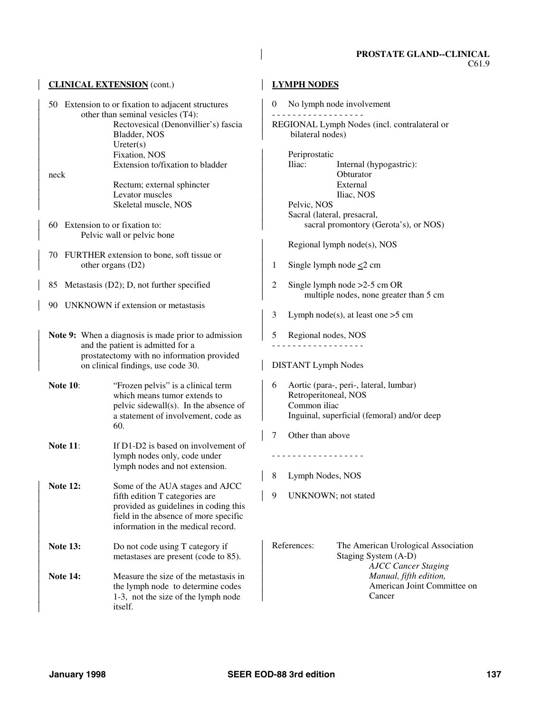| <b>CLINICAL EXTENSION</b> (cont.)  |                                                                                                                                                                                                         | <b>LYMPH NODES</b> |                                                                                                                                                                        |  |  |
|------------------------------------|---------------------------------------------------------------------------------------------------------------------------------------------------------------------------------------------------------|--------------------|------------------------------------------------------------------------------------------------------------------------------------------------------------------------|--|--|
|                                    | 50 Extension to or fixation to adjacent structures<br>other than seminal vesicles (T4):<br>Rectovesical (Denonvillier's) fascia<br>Bladder, NOS<br>Ureter(s)                                            | $\theta$           | No lymph node involvement<br>REGIONAL Lymph Nodes (incl. contralateral or<br>bilateral nodes)                                                                          |  |  |
| neck                               | Fixation, NOS<br>Extension to/fixation to bladder<br>Rectum; external sphincter<br>Levator muscles<br>Skeletal muscle, NOS<br>60 Extension to or fixation to:<br>Pelvic wall or pelvic bone             | Iliac:             | Periprostatic<br>Internal (hypogastric):<br>Obturator<br>External<br>Iliac, NOS<br>Pelvic, NOS<br>Sacral (lateral, presacral,<br>sacral promontory (Gerota's), or NOS) |  |  |
|                                    | 70 FURTHER extension to bone, soft tissue or                                                                                                                                                            |                    | Regional lymph node(s), NOS                                                                                                                                            |  |  |
|                                    | other organs (D2)                                                                                                                                                                                       | $\mathbf{1}$       | Single lymph node $\leq$ 2 cm                                                                                                                                          |  |  |
| 85                                 | Metastasis (D2); D, not further specified                                                                                                                                                               | $\mathfrak{2}$     | Single lymph node $>2-5$ cm OR<br>multiple nodes, none greater than 5 cm                                                                                               |  |  |
| 90                                 | UNKNOWN if extension or metastasis                                                                                                                                                                      | 3                  | Lymph node(s), at least one $>5$ cm                                                                                                                                    |  |  |
|                                    | Note 9: When a diagnosis is made prior to admission<br>and the patient is admitted for a<br>prostatectomy with no information provided<br>on clinical findings, use code 30.                            | 5                  | Regional nodes, NOS<br><b>DISTANT</b> Lymph Nodes                                                                                                                      |  |  |
| <b>Note 10:</b>                    | "Frozen pelvis" is a clinical term<br>which means tumor extends to<br>pelvic sidewall(s). In the absence of<br>a statement of involvement, code as<br>60.                                               | 6<br>7             | Aortic (para-, peri-, lateral, lumbar)<br>Retroperitoneal, NOS<br>Common iliac<br>Inguinal, superficial (femoral) and/or deep<br>Other than above                      |  |  |
| <b>Note 11:</b>                    | If D1-D2 is based on involvement of<br>lymph nodes only, code under<br>lymph nodes and not extension.                                                                                                   | 8                  | Lymph Nodes, NOS                                                                                                                                                       |  |  |
| <b>Note 12:</b>                    | Some of the AUA stages and AJCC<br>fifth edition T categories are<br>provided as guidelines in coding this<br>field in the absence of more specific<br>information in the medical record.               | 9                  | UNKNOWN; not stated                                                                                                                                                    |  |  |
| <b>Note 13:</b><br><b>Note 14:</b> | Do not code using T category if<br>metastases are present (code to 85).<br>Measure the size of the metastasis in<br>the lymph node to determine codes<br>1-3, not the size of the lymph node<br>itself. | References:        | The American Urological Association<br>Staging System (A-D)<br><b>AJCC</b> Cancer Staging<br>Manual, fifth edition,<br>American Joint Committee on<br>Cancer           |  |  |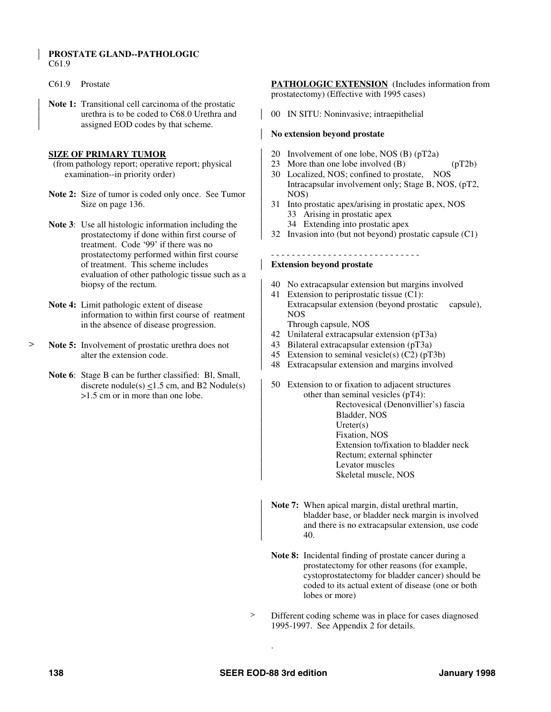#### | **PROSTATE GLAND--PATHOLOGIC** C61.9

## C61.9 Prostate

**Note 1:** Transitional cell carcinoma of the prostatic | urethra is to be coded to C68.0 Urethra and assigned EOD codes by that scheme.

## **SIZE OF PRIMARY TUMOR**

 (from pathology report; operative report; physical examination--in priority order)

**Note 2:** Size of tumor is coded only once. See Tumor Size on page 136.

**Note 3**: Use all histologic information including the prostatectomy if done within first course of treatment. Code '99' if there was no prostatectomy performed within first course of treatment. This scheme includes evaluation of other pathologic tissue such as a biopsy of the rectum.

**Note 4:** Limit pathologic extent of disease information to within first course of reatment in the absence of disease progression.

- > **Note 5:** Involvement of prostatic urethra does not alter the extension code.
	- **Note 6**: Stage B can be further classified: Bl, Small, discrete nodule(s)  $\leq$ 1.5 cm, and B2 Nodule(s) >1.5 cm or in more than one lobe.

**PATHOLOGIC EXTENSION** (Includes information from prostatectomy) (Effective with 1995 cases)

| 00 IN SITU: Noninvasive; intraepithelial

## | **No extension beyond prostate**

- | 20 Involvement of one lobe, NOS (B) (pT2a)
- 23 More than one lobe involved (B) (pT2b)
- | 30 Localized, NOS; confined to prostate, NOS | Intracapsular involvement only; Stage B, NOS, (pT2, | NOS)
- | 31 Into prostatic apex/arising in prostatic apex, NOS | 33 Arising in prostatic apex
- | 34 Extending into prostatic apex  $32$  Invasion into (but not beyond) prostatic capsule  $(C1)$

#### - - - - - - - - - - - - - - - - - - - - - - - - - - - - - | **Extension beyond prostate**

- | 40 No extracapsular extension but margins involved
- | 41 Extension to periprostatic tissue (C1): Extracapsular extension (beyond prostatic capsule), | NOS | Through capsule, NOS
- | 42 Unilateral extracapsular extension (pT3a)
- | 43 Bilateral extracapsular extension (pT3a)
- 45 Extension to seminal vesicle(s)  $(C2)$  (pT3b)
- | 48 Extracapsular extension and margins involved
- | 50 Extension to or fixation to adjacent structures other than seminal vesicles  $(pT4)$ : | Rectovesical (Denonvillier's) fascia | Bladder, NOS  $Ureter(s)$ | Fixation, NOS | Extension to/fixation to bladder neck Rectum; external sphincter Levator muscles | Skeletal muscle, NOS
- Note 7: When apical margin, distal urethral martin, | bladder base, or bladder neck margin is involved and there is no extracapsular extension, use code | 40.
- **Note 8:** Incidental finding of prostate cancer during a prostatectomy for other reasons (for example, cystoprostatectomy for bladder cancer) should be coded to its actual extent of disease (one or both lobes or more)
- > Different coding scheme was in place for cases diagnosed 1995-1997. See Appendix 2 for details.

.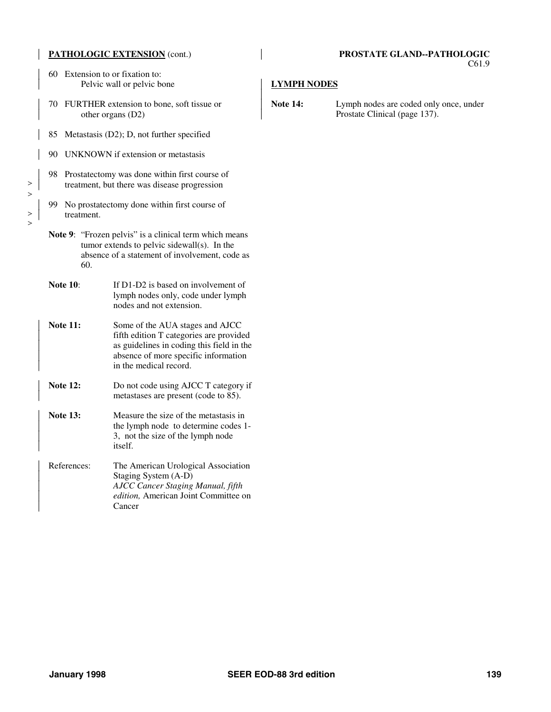## | **PATHOLOGIC EXTENSION** (cont.)

- | 60 Extension to or fixation to: Pelvic wall or pelvic bone
- | 70 FURTHER extension to bone, soft tissue or other organs (D2)
- | 85 Metastasis (D2); D, not further specified
- | 90 UNKNOWN if extension or metastasis
- | 98 Prostatectomy was done within first course of | treatment, but there was disease progression
- | 99 No prostatectomy done within first course of treatment.
- **Note 9**: "Frozen pelvis" is a clinical term which means tumor extends to pelvic sidewall(s). In the absence of a statement of involvement, code as 60.
- **Note 10:** If D1-D2 is based on involvement of lymph nodes only, code under lymph nodes and not extension.
- Note 11: Some of the AUA stages and AJCC fifth edition T categories are provided as guidelines in coding this field in the absence of more specific information in the medical record.
- Note 12: Do not code using AJCC T category if metastases are present (code to 85).
- Note 13: Measure the size of the metastasis in the lymph node to determine codes 1-| 3, not the size of the lymph node itself.
- References: The American Urological Association Staging System (A-D) | *AJCC Cancer Staging Manual, fifth* | *edition,* American Joint Committee on | Cancer

## | **LYMPH NODES**

|

Note 14: Lymph nodes are coded only once, under Prostate Clinical (page 137).

> >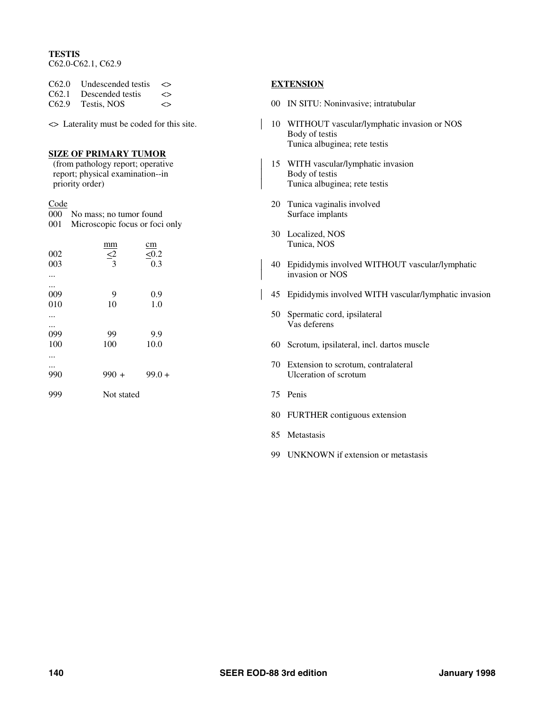# **TESTIS**

C62.0-C62.1, C62.9

| C62.0          | Undescended testis                                                                       | ◇                      |                 | <b>EXTENSION</b>                                                                  |
|----------------|------------------------------------------------------------------------------------------|------------------------|-----------------|-----------------------------------------------------------------------------------|
| C62.1<br>C62.9 | Descended testis<br>Testis, NOS                                                          | $\Leftrightarrow$<br>◇ | 00 <sup>1</sup> | IN SITU: Noninvasive; intrat                                                      |
|                | $\leq$ Laterality must be coded for this site.<br><b>SIZE OF PRIMARY TUMOR</b>           |                        |                 | 10 WITHOUT vascular/lymphat<br>Body of testis<br>Tunica albuginea; rete testis    |
|                | (from pathology report; operative<br>report; physical examination--in<br>priority order) |                        |                 | 15 WITH vascular/lymphatic inv<br>Body of testis<br>Tunica albuginea; rete testis |
| Code           |                                                                                          |                        |                 | 20 Tunica vaginalis involved<br>$\sim$ $\sim$ $\sim$ $\sim$ $\sim$                |

000 No mass; no tumor found

| 002<br>003     | mm<br>$\leq$ 2<br>3 | cm<br>< 0.2<br>0.3 |
|----------------|---------------------|--------------------|
|                |                     |                    |
| <br>009<br>010 | 9<br>10             | 0.9<br>1.0         |
|                |                     |                    |
| <br>099<br>100 | 99<br>100           | 9.9<br>10.0        |
| <br><br>990    | $990 +$             | $99.0 +$           |
| 999            | Not stated          |                    |

- tubular
- tic invasion or NOS
- vasion
- Surface implants
- 30 Localized, NOS Tunica, NOS
- | 40 Epididymis involved WITHOUT vascular/lymphatic invasion or NOS
- | 45 Epididymis involved WITH vascular/lymphatic invasion
- 50 Spermatic cord, ipsilateral Vas deferens
- 60 Scrotum, ipsilateral, incl. dartos muscle
- 70 Extension to scrotum, contralateral Ulceration of scrotum
- 75 Penis
- 80 FURTHER contiguous extension
- 85 Metastasis
- 99 UNKNOWN if extension or metastasis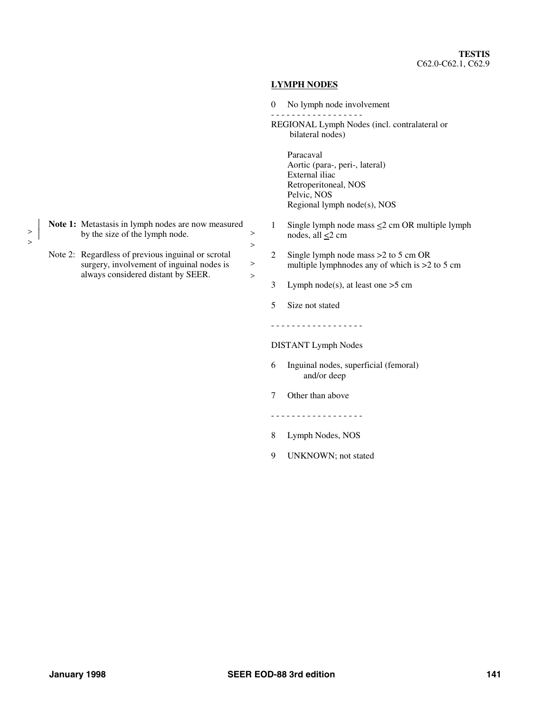# **LYMPH NODES**

|  |                                                                                                                                       |                   | 0 | No lymph node involvement                                                                                                           |
|--|---------------------------------------------------------------------------------------------------------------------------------------|-------------------|---|-------------------------------------------------------------------------------------------------------------------------------------|
|  |                                                                                                                                       |                   |   | REGIONAL Lymph Nodes (incl. contralateral or<br>bilateral nodes)                                                                    |
|  |                                                                                                                                       |                   |   | Paracaval<br>Aortic (para-, peri-, lateral)<br>External iliac<br>Retroperitoneal, NOS<br>Pelvic, NOS<br>Regional lymph node(s), NOS |
|  | Note 1: Metastasis in lymph nodes are now measured<br>by the size of the lymph node.                                                  | $\,>$<br>$\gt$    | 1 | Single lymph node mass $\leq$ 2 cm OR multiple lymph<br>nodes, all <2 cm                                                            |
|  | Note 2: Regardless of previous inguinal or scrotal<br>surgery, involvement of inguinal nodes is<br>always considered distant by SEER. | $\,>$<br>$\rm{>}$ | 2 | Single lymph node mass $>2$ to 5 cm OR<br>multiple lymphnodes any of which is $>2$ to 5 cm                                          |
|  |                                                                                                                                       |                   | 3 | Lymph node(s), at least one $>5$ cm                                                                                                 |
|  |                                                                                                                                       |                   | 5 | Size not stated                                                                                                                     |
|  |                                                                                                                                       |                   |   | .                                                                                                                                   |
|  |                                                                                                                                       |                   |   | <b>DISTANT</b> Lymph Nodes                                                                                                          |
|  |                                                                                                                                       |                   | 6 | Inguinal nodes, superficial (femoral)<br>and/or deep                                                                                |
|  |                                                                                                                                       |                   | 7 | Other than above                                                                                                                    |
|  |                                                                                                                                       |                   |   | <u>.</u>                                                                                                                            |
|  |                                                                                                                                       |                   | 8 | Lymph Nodes, NOS                                                                                                                    |
|  |                                                                                                                                       |                   | 9 | UNKNOWN; not stated                                                                                                                 |
|  |                                                                                                                                       |                   |   |                                                                                                                                     |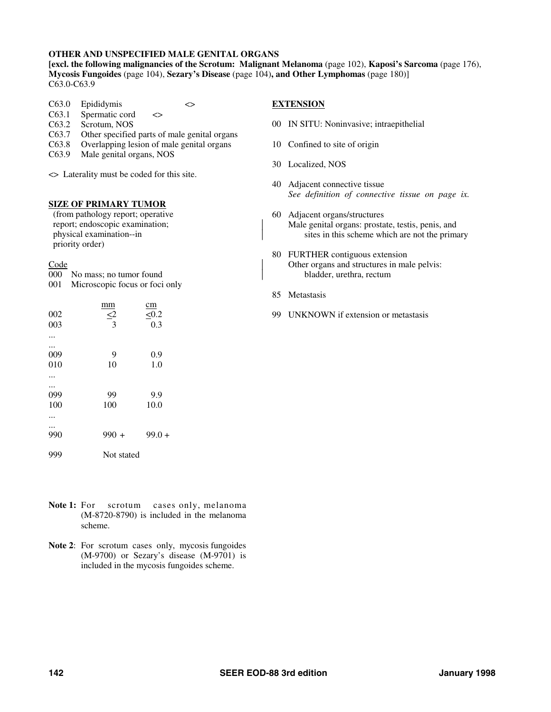## **OTHER AND UNSPECIFIED MALE GENITAL ORGANS**

**[excl. the following malignancies of the Scrotum: Malignant Melanoma** (page 102), **Kaposi's Sarcoma** (page 176), **Mycosis Fungoides** (page 104), **Sezary's Disease** (page 104)**, and Other Lymphomas** (page 180)] C63.0-C63.9

| C63.0    | Epididymis                        | ◇                                            |    | <b>EXTENSION</b>                                  |
|----------|-----------------------------------|----------------------------------------------|----|---------------------------------------------------|
| C63.1    | Spermatic cord                    | $\Leftrightarrow$                            |    |                                                   |
| C63.2    | Scrotum, NOS                      |                                              |    | 00 IN SITU: Noninvasive; intraepithelial          |
| C63.7    |                                   | Other specified parts of male genital organs |    |                                                   |
| C63.8    |                                   | Overlapping lesion of male genital organs    | 10 | Confined to site of origin                        |
| C63.9    | Male genital organs, NOS          |                                              |    |                                                   |
|          |                                   |                                              |    | 30 Localized, NOS                                 |
|          |                                   | <> Laterality must be coded for this site.   |    |                                                   |
|          |                                   |                                              | 40 | Adjacent connective tissue                        |
|          |                                   |                                              |    | See definition of connective tissue on page ix.   |
|          | <b>SIZE OF PRIMARY TUMOR</b>      |                                              |    |                                                   |
|          | (from pathology report; operative |                                              | 60 | Adjacent organs/structures                        |
|          | report; endoscopic examination;   |                                              |    | Male genital organs: prostate, testis, penis, and |
|          | physical examination--in          |                                              |    | sites in this scheme which are not the primary    |
|          | priority order)                   |                                              |    |                                                   |
|          |                                   |                                              | 80 | FURTHER contiguous extension                      |
| Code     |                                   |                                              |    | Other organs and structures in male pelvis:       |
| 000      | No mass; no tumor found           |                                              |    | bladder, urethra, rectum                          |
| 001      | Microscopic focus or foci only    |                                              |    |                                                   |
|          |                                   |                                              | 85 | Metastasis                                        |
|          | mm                                | cm                                           |    |                                                   |
| 002      | $\frac{2}{3}$                     | $\leq 0.2$                                   | 99 | UNKNOWN if extension or metastasis                |
| 003      |                                   | 0.3                                          |    |                                                   |
|          |                                   |                                              |    |                                                   |
| $\cdots$ |                                   |                                              |    |                                                   |
| 009      | 9                                 | 0.9                                          |    |                                                   |
| 010      | 10                                | 1.0                                          |    |                                                   |
|          |                                   |                                              |    |                                                   |
|          |                                   |                                              |    |                                                   |
| 099      | 99                                | 9.9                                          |    |                                                   |
| 100      | 100                               | 10.0                                         |    |                                                   |
| $\cdots$ |                                   |                                              |    |                                                   |

999 Not stated

 $990 + 990 + 99.0 +$ 

...

- **Note 1:** For scrotum cases only, melanoma (M-8720-8790) is included in the melanoma scheme.
- **Note 2**: For scrotum cases only, mycosis fungoides (M-9700) or Sezary's disease (M-9701) is included in the mycosis fungoides scheme.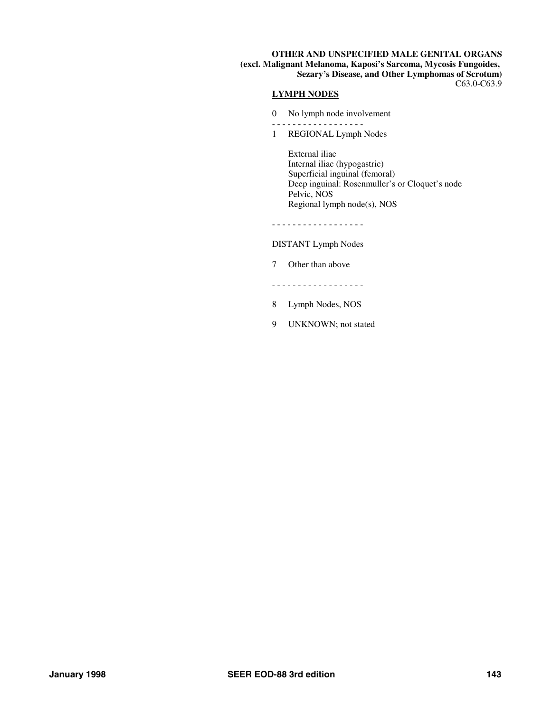#### **OTHER AND UNSPECIFIED MALE GENITAL ORGANS (excl. Malignant Melanoma, Kaposi's Sarcoma, Mycosis Fungoides, Sezary's Disease, and Other Lymphomas of Scrotum)** C63.0-C63.9

## **LYMPH NODES**

- 0 No lymph node involvement
- - - - - - - - - -
- 1 REGIONAL Lymph Nodes

External iliac Internal iliac (hypogastric) Superficial inguinal (femoral) Deep inguinal: Rosenmuller's or Cloquet's node Pelvic, NOS Regional lymph node(s), NOS

- - - - - - - - - - - - - - - - - -

DISTANT Lymph Nodes

7 Other than above

- 8 Lymph Nodes, NOS
- 9 UNKNOWN; not stated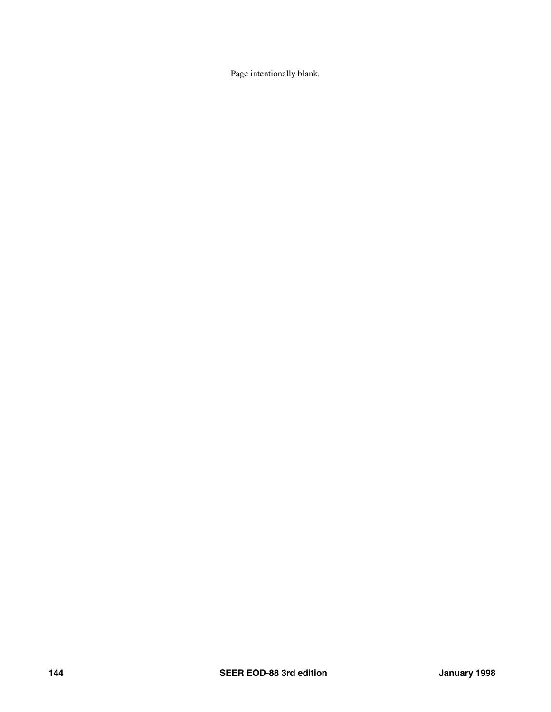Page intentionally blank.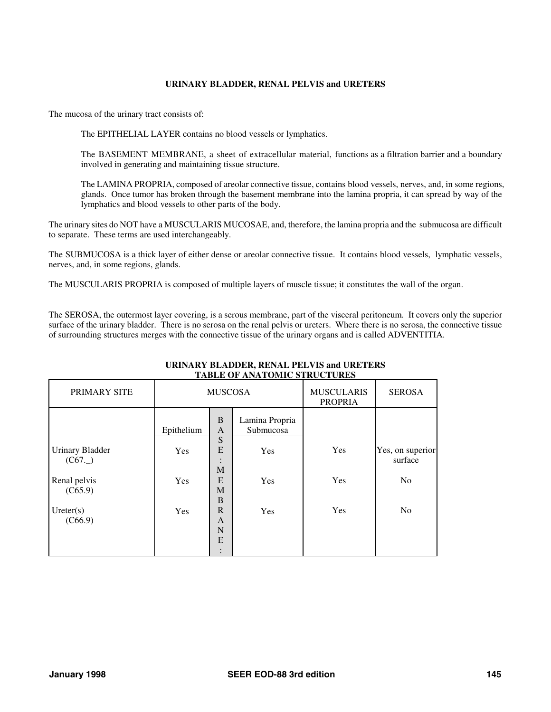## **URINARY BLADDER, RENAL PELVIS and URETERS**

The mucosa of the urinary tract consists of:

The EPITHELIAL LAYER contains no blood vessels or lymphatics.

 The BASEMENT MEMBRANE, a sheet of extracellular material, functions as a filtration barrier and a boundary involved in generating and maintaining tissue structure.

 The LAMINA PROPRIA, composed of areolar connective tissue, contains blood vessels, nerves, and, in some regions, glands. Once tumor has broken through the basement membrane into the lamina propria, it can spread by way of the lymphatics and blood vessels to other parts of the body.

The urinary sites do NOT have a MUSCULARIS MUCOSAE, and, therefore, the lamina propria and the submucosa are difficult to separate. These terms are used interchangeably.

The SUBMUCOSA is a thick layer of either dense or areolar connective tissue. It contains blood vessels, lymphatic vessels, nerves, and, in some regions, glands.

The MUSCULARIS PROPRIA is composed of multiple layers of muscle tissue; it constitutes the wall of the organ.

The SEROSA, the outermost layer covering, is a serous membrane, part of the visceral peritoneum. It covers only the superior surface of the urinary bladder. There is no serosa on the renal pelvis or ureters. Where there is no serosa, the connective tissue of surrounding structures merges with the connective tissue of the urinary organs and is called ADVENTITIA.

| PRIMARY SITE                    | <b>MUSCOSA</b> |                                         |                             | <b>MUSCULARIS</b><br><b>PROPRIA</b> | <b>SEROSA</b>               |
|---------------------------------|----------------|-----------------------------------------|-----------------------------|-------------------------------------|-----------------------------|
|                                 | Epithelium     | B<br>$\mathsf{A}$<br>S                  | Lamina Propria<br>Submucosa |                                     |                             |
| <b>Urinary Bladder</b><br>(C67) | Yes            | E<br>M                                  | Yes                         | Yes                                 | Yes, on superior<br>surface |
| Renal pelvis<br>(C65.9)         | Yes            | E<br>M<br>B                             | Yes                         | Yes                                 | N <sub>o</sub>              |
| Ureter(s)<br>(C66.9)            | Yes            | $\mathbf R$<br>A<br>N<br>E<br>$\bullet$ | Yes                         | Yes                                 | N <sub>0</sub>              |

## **URINARY BLADDER, RENAL PELVIS and URETERS TABLE OF ANATOMIC STRUCTURES**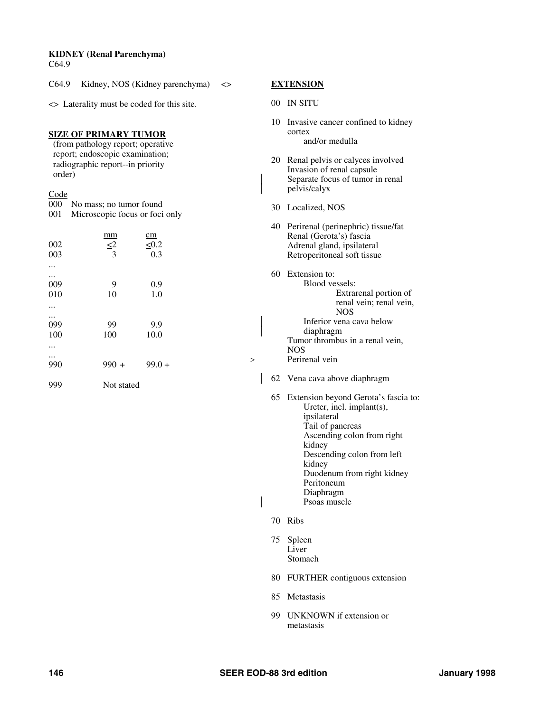## **KIDNEY (Renal Parenchyma)**

C64.9

| C <sub>64.9</sub> | Kidney, NOS (Kidney parenchyma)                                     | ◇      |                 | <b>EXTENSION</b>                                                                                                                                 |
|-------------------|---------------------------------------------------------------------|--------|-----------------|--------------------------------------------------------------------------------------------------------------------------------------------------|
|                   | <> Laterality must be coded for this site.                          |        | 00 <sup>0</sup> | <b>IN SITU</b>                                                                                                                                   |
|                   | <b>SIZE OF PRIMARY TUMOR</b><br>(from pathology report; operative   |        | 10              | Invasive cancer confined to kidney<br>cortex<br>and/or medulla                                                                                   |
| order)<br>Code    | report; endoscopic examination;<br>radiographic report--in priority |        | 20              | Renal pelvis or calyces involved<br>Invasion of renal capsule<br>Separate focus of tumor in renal<br>pelvis/calyx                                |
| 000               | No mass; no tumor found                                             |        | 30              | Localized, NOS                                                                                                                                   |
| 001               | Microscopic focus or foci only                                      |        |                 |                                                                                                                                                  |
| 002               | cm<br>mm<br>< 0.2                                                   |        |                 | 40 Perirenal (perinephric) tissue/fat<br>Renal (Gerota's) fascia<br>Adrenal gland, ipsilateral                                                   |
| 003               | $\frac{1}{3}$<br>0.3                                                |        |                 | Retroperitoneal soft tissue                                                                                                                      |
|                   |                                                                     |        |                 |                                                                                                                                                  |
| .<br>009          | 9<br>0.9                                                            |        | 60              | Extension to:<br>Blood vessels:                                                                                                                  |
| 010               | 10<br>1.0                                                           |        |                 | Extrarenal portion of                                                                                                                            |
|                   |                                                                     |        |                 | renal vein; renal vein,<br><b>NOS</b>                                                                                                            |
| 099               | 99<br>9.9                                                           |        |                 | Inferior vena cava below                                                                                                                         |
| 100               | 100<br>10.0                                                         |        |                 | diaphragm<br>Tumor thrombus in a renal vein,                                                                                                     |
|                   |                                                                     |        |                 | <b>NOS</b>                                                                                                                                       |
| <br>990           | $990 +$<br>$99.0 +$                                                 | $\geq$ |                 | Perirenal vein                                                                                                                                   |
|                   |                                                                     |        |                 | 62 Vena cava above diaphragm                                                                                                                     |
| 999               | Not stated                                                          |        |                 |                                                                                                                                                  |
|                   |                                                                     |        |                 | 65 Extension beyond Gerota's fascia to:<br>Ureter, incl. implant(s),<br>ipsilateral<br>Tail of pancreas<br>a constitution of the conflict of the |

- Ascending colon from right kidney Descending colon from left kidney Duodenum from right kidney Peritoneum Diaphragm | Psoas muscle
	- 70 Ribs
	- 75 Spleen Liver Stomach
	- 80 FURTHER contiguous extension
	- 85 Metastasis
	- 99 UNKNOWN if extension or metastasis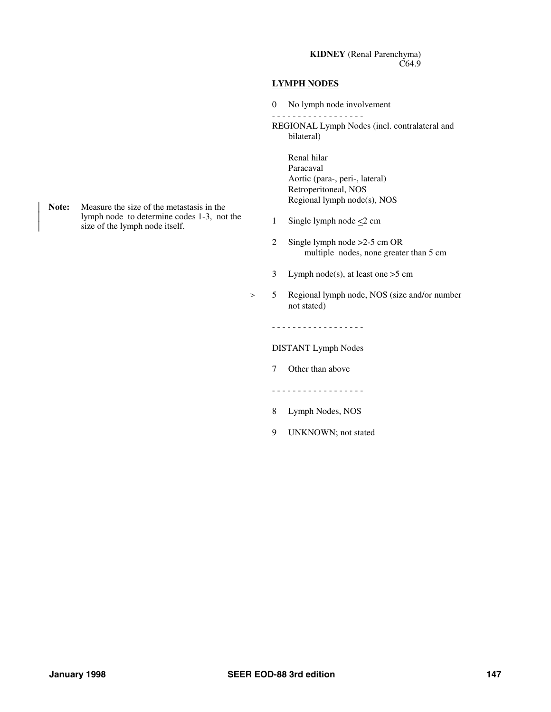#### **KIDNEY** (Renal Parenchyma) C64.9

# **LYMPH NODES**

- 0 No lymph node involvement
- - - - - - - - - -

REGIONAL Lymph Nodes (incl. contralateral and bilateral)

Renal hilar Paracaval Aortic (para-, peri-, lateral) Retroperitoneal, NOS Regional lymph node(s), NOS

- 1 Single lymph node  $\leq$  2 cm
- 2 Single lymph node >2-5 cm OR multiple nodes, none greater than 5 cm
- 3 Lymph node(s), at least one >5 cm
- 5 Regional lymph node, NOS (size and/or number not stated)

- - - - - - - - - - - - - - - - - -

>

### DISTANT Lymph Nodes

- 7 Other than above
- - - - - - - - - -
- 8 Lymph Nodes, NOS
- 9 UNKNOWN; not stated

| **Note:** Measure the size of the metastasis in the lymph node to determine codes 1-3, not the size of the lymph node itself.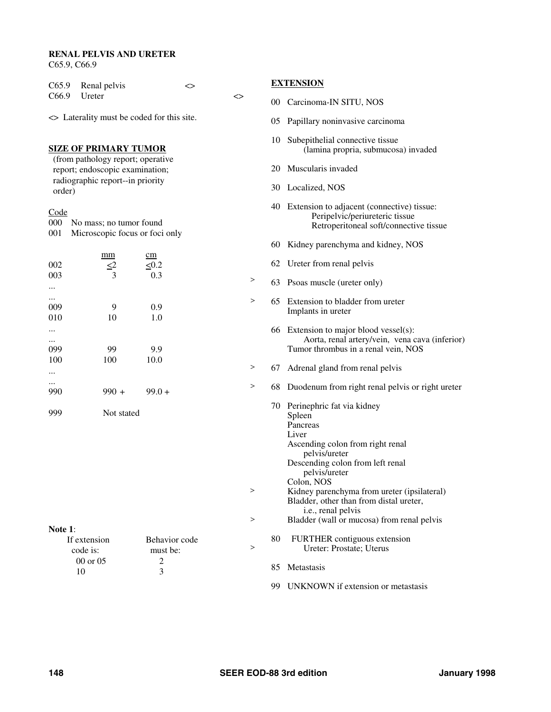# **RENAL PELVIS AND URETER**

C65.9, C66.9

| C65.9                  | Renal pelvis                                                                                             | ◇                   |          |        | <b>EXTENSION</b>                                                                                                                |
|------------------------|----------------------------------------------------------------------------------------------------------|---------------------|----------|--------|---------------------------------------------------------------------------------------------------------------------------------|
| C66.9                  | Ureter                                                                                                   |                     | ◇        | $00\,$ | Carcinoma-IN SITU, NOS                                                                                                          |
|                        | $\leq$ Laterality must be coded for this site.                                                           |                     |          | 05     | Papillary noninvasive carcinoma                                                                                                 |
|                        | <b>SIZE OF PRIMARY TUMOR</b>                                                                             |                     |          | 10     | Subepithelial connective tissue<br>(lamina propria, submucosa) invaded                                                          |
|                        | (from pathology report; operative<br>report; endoscopic examination;<br>radiographic report--in priority |                     |          | 20     | Muscularis invaded                                                                                                              |
| order)                 |                                                                                                          |                     |          | 30     | Localized, NOS                                                                                                                  |
| Code<br>000<br>001     | No mass; no tumor found<br>Microscopic focus or foci only                                                |                     |          | 40     | Extension to adjacent (connective) tissue:<br>Peripelvic/periureteric tissue<br>Retroperitoneal soft/connective tissue          |
|                        |                                                                                                          |                     |          | 60     | Kidney parenchyma and kidney, NOS                                                                                               |
| 002                    | mm<br>$\frac{2}{3}$                                                                                      | cm<br>< 0.2         |          |        | 62 Ureter from renal pelvis                                                                                                     |
| 003<br>$\cdots$        |                                                                                                          | 0.3                 | $\rm{>}$ |        | 63 Psoas muscle (ureter only)                                                                                                   |
| $\cdots$<br>009<br>010 | 9<br>10                                                                                                  | 0.9<br>1.0          | $\rm{>}$ | 65     | Extension to bladder from ureter<br>Implants in ureter                                                                          |
| <br>$\cdots$<br>099    | 99                                                                                                       | 9.9                 |          |        | 66 Extension to major blood vessel(s):<br>Aorta, renal artery/vein, vena cava (inferior)<br>Tumor thrombus in a renal vein, NOS |
| 100<br>                | 100                                                                                                      | 10.0                | $\rm{>}$ | 67     | Adrenal gland from renal pelvis                                                                                                 |
| <br>990                | $990 +$                                                                                                  | $99.0 +$            | >        |        | 68 Duodenum from right renal pelvis or right ureter                                                                             |
| 999                    | Not stated                                                                                               |                     |          |        | 70 Perinephric fat via kidney<br>Spleen<br>Pancreas<br>Liver<br>Ascending colon from right renal                                |
|                        |                                                                                                          |                     |          |        | pelvis/ureter<br>Descending colon from left renal<br>pelvis/ureter                                                              |
|                        |                                                                                                          |                     | $\rm{>}$ |        | Colon, NOS<br>Kidney parenchyma from ureter (ipsilateral)<br>Bladder, other than from distal ureter,<br>i.e., renal pelvis      |
| Note 1:                |                                                                                                          |                     | $\rm{>}$ |        | Bladder (wall or mucosa) from renal pelvis                                                                                      |
|                        | If extension                                                                                             | Behavior code       |          | 80     | FURTHER contiguous extension                                                                                                    |
|                        | code is:                                                                                                 | must be:            | $\rm{>}$ |        | Ureter: Prostate; Uterus                                                                                                        |
|                        | 00 or 05<br>10                                                                                           | $\overline{c}$<br>3 |          | 85     | Metastasis                                                                                                                      |
|                        |                                                                                                          |                     |          | 99     | UNKNOWN if extension or metastasis                                                                                              |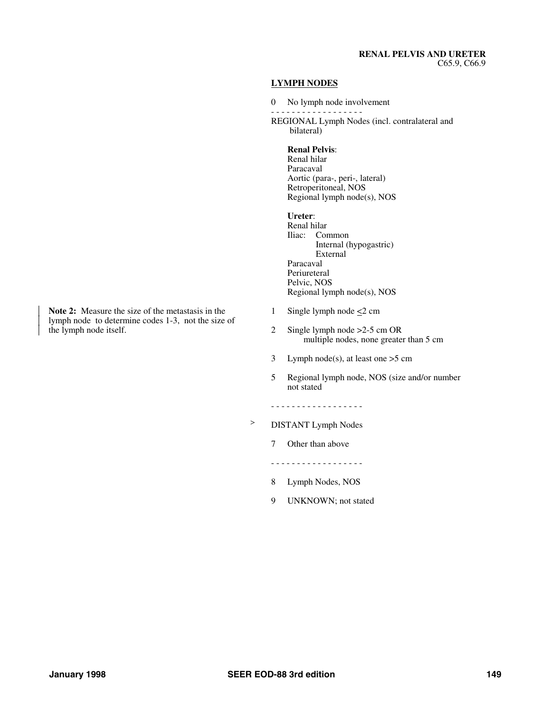## **LYMPH NODES**

0 No lymph node involvement

- - - - - - - - - - - - - - - - - -

REGIONAL Lymph Nodes (incl. contralateral and bilateral)

## **Renal Pelvis**:

Renal hilar Paracaval Aortic (para-, peri-, lateral) Retroperitoneal, NOS Regional lymph node(s), NOS

#### **Ureter**:

Renal hilar Iliac: Common Internal (hypogastric) External Paracaval Periureteral Pelvic, NOS Regional lymph node(s), NOS

- 1 Single lymph node  $\leq$  2 cm
- 2 Single lymph node >2-5 cm OR multiple nodes, none greater than 5 cm
- 3 Lymph node(s), at least one >5 cm
- 5 Regional lymph node, NOS (size and/or number not stated
- - - - - - - - - -
- > DISTANT Lymph Nodes
	- 7 Other than above

- - - - - - - - - - - - - - - - - -

- 8 Lymph Nodes, NOS
- 9 UNKNOWN; not stated

Note 2: Measure the size of the metastasis in the lymph node to determine codes 1-3, not the size of the lymph node itself.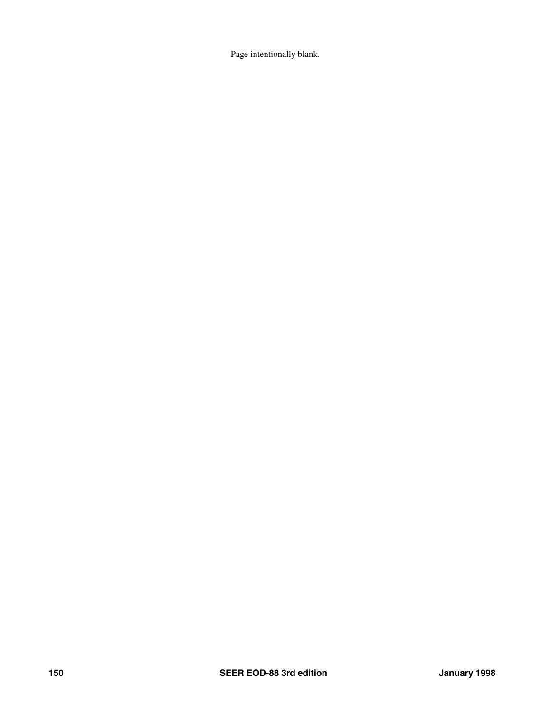Page intentionally blank.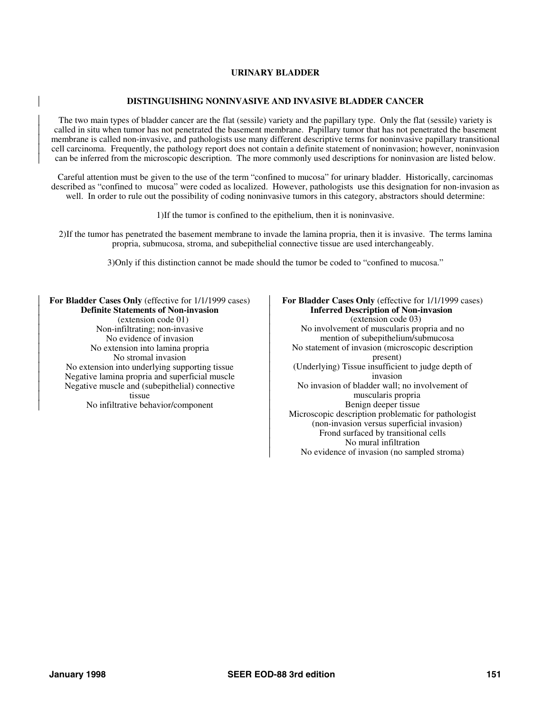#### **URINARY BLADDER**

#### | **DISTINGUISHING NONINVASIVE AND INVASIVE BLADDER CANCER**

| The two main types of bladder cancer are the flat (sessile) variety and the papillary type. Only the flat (sessile) variety is | called in situ when tumor has not penetrated the basement membrane. Papillary tumor that has not penetrated the basement | membrane is called non-invasive, and pathologists use many different descriptive terms for noninvasive papillary transitional cell carcinoma. Frequently, the pathology report does not contain a definite statement of noninvasion; however, noninvasion | can be inferred from the microscopic description. The more commonly used descriptions for noninvasion are listed below.

Careful attention must be given to the use of the term "confined to mucosa" for urinary bladder. Historically, carcinomas described as "confined to mucosa" were coded as localized. However, pathologists use this designation for non-invasion as well. In order to rule out the possibility of coding noninvasive tumors in this category, abstractors should determine:

1)If the tumor is confined to the epithelium, then it is noninvasive.

2)If the tumor has penetrated the basement membrane to invade the lamina propria, then it is invasive. The terms lamina propria, submucosa, stroma, and subepithelial connective tissue are used interchangeably.

3)Only if this distinction cannot be made should the tumor be coded to "confined to mucosa."

| **For Bladder Cases Only** (effective for 1/1/1999 cases) | **Definite Statements of Non-invasion** |(extension code 01) | Non-infiltrating; non-invasive No evidence of invasion | No extension into lamina propria No stromal invasion | No extension into underlying supporting tissue | Negative lamina propria and superficial muscle | Negative muscle and (subepithelial) connective tissue | No infiltrative behavior/component

| **For Bladder Cases Only** (effective for 1/1/1999 cases) | **Inferred Description of Non-invasion**  | (extension code 03) | No involvement of muscularis propria and no | mention of subepithelium/submucosa | No statement of invasion (microscopic description present) | (Underlying) Tissue insufficient to judge depth of invasion | No invasion of bladder wall; no involvement of muscularis propria | Benign deeper tissue | Microscopic description problematic for pathologist | (non-invasion versus superficial invasion) | Frond surfaced by transitional cells No mural infiltration | No evidence of invasion (no sampled stroma)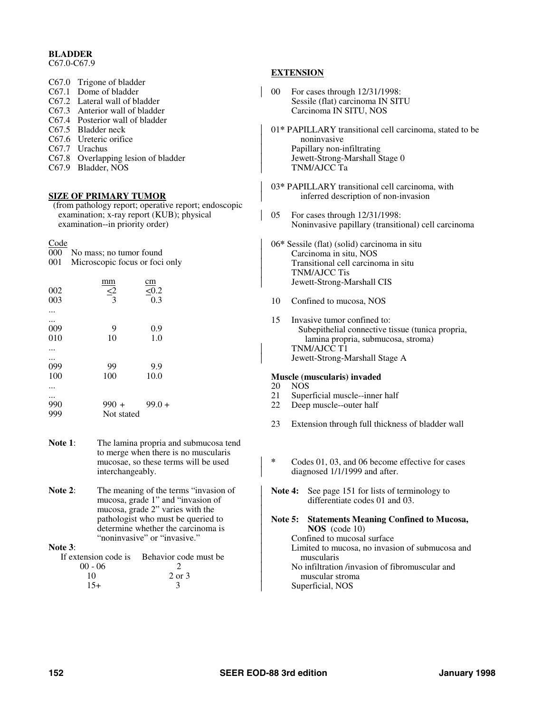## **BLADDER**

C67.0-C67.9

C67.0 Trigone of bladder C67.1 Dome of bladder C67.2 Lateral wall of bladder C67.3 Anterior wall of bladder C67.4 Posterior wall of bladder C67.5 Bladder neck C67.6 Ureteric orifice C67.7 Urachus C67.8 Overlapping lesion of bladder C67.9 Bladder, NOS

#### **SIZE OF PRIMARY TUMOR**

 (from pathology report; operative report; endoscopic examination; x-ray report (KUB); physical examination--in priority order)

#### Code

- 000 No mass; no tumor found
- 001 Microscopic focus or foci only

| 002<br>003             | <u>mm</u><br>$\frac{1}{3}$ | $\mathbf{cm}$<br>$\leq 0.2$<br>0.3 |
|------------------------|----------------------------|------------------------------------|
|                        |                            |                                    |
| <br>009<br>010         | 9<br>10                    | 0.9<br>1.0                         |
|                        |                            |                                    |
| $\cdots$<br>099<br>100 | 99<br>100                  | 9.9<br>10.0                        |
|                        |                            |                                    |
| 990<br>999             | $990 +$<br>Not stated      | $99.0 +$                           |

- **Note 1**: The lamina propria and submucosa tend to merge when there is no muscularis mucosae, so these terms will be used interchangeably.
- **Note 2**: The meaning of the terms "invasion of mucosa, grade 1" and "invasion of mucosa, grade 2" varies with the pathologist who must be queried to determine whether the carcinoma is "noninvasive" or "invasive."

#### **Note 3**:

|           | If extension code is Behavior code must be |
|-----------|--------------------------------------------|
| $00 - 06$ |                                            |
| 10        | 2 or 3                                     |
| $15+$     |                                            |

## **EXTENSION**

- 00 For cases through  $12/31/1998$ : Sessile (flat) carcinoma IN SITU Carcinoma IN SITU, NOS
- | 01**\*** PAPILLARY transitional cell carcinoma, stated to be noninvasive | Papillary non-infiltrating | Jewett-Strong-Marshall Stage 0 | TNM/AJCC Ta
- | 03**\*** PAPILLARY transitional cell carcinoma, with inferred description of non-invasion
- 05 For cases through  $12/31/1998$ : Noninvasive papillary (transitional) cell carcinoma
- | 06**\*** Sessile (flat) (solid) carcinoma in situ | Carcinoma in situ, NOS | Transitional cell carcinoma in situ | TNM/AJCC Tis | Jewett-Strong-Marshall CIS
- 10 Confined to mucosa, NOS
- 15 Invasive tumor confined to: Subepithelial connective tissue (tunica propria, lamina propria, submucosa, stroma) | TNM/AJCC T1 | Jewett-Strong-Marshall Stage A

# **Muscle (muscularis) invaded**

20 NOS<br>21 Supe

- 21 Superficial muscle--inner half<br>22 Deep muscle--outer half
- Deep muscle--outer half
- 23 Extension through full thickness of bladder wall
- | **\*** Codes 01, 03, and 06 become effective for cases diagnosed 1/1/1999 and after.
- **Note 4:** See page 151 for lists of terminology to differentiate codes 01 and 03.
- | **Note 5: Statements Meaning Confined to Mucosa,** | **NOS** (code 10) | Confined to mucosal surface Limited to mucosa, no invasion of submucosa and muscularis | No infiltration /invasion of fibromuscular and | muscular stroma | Superficial, NOS

|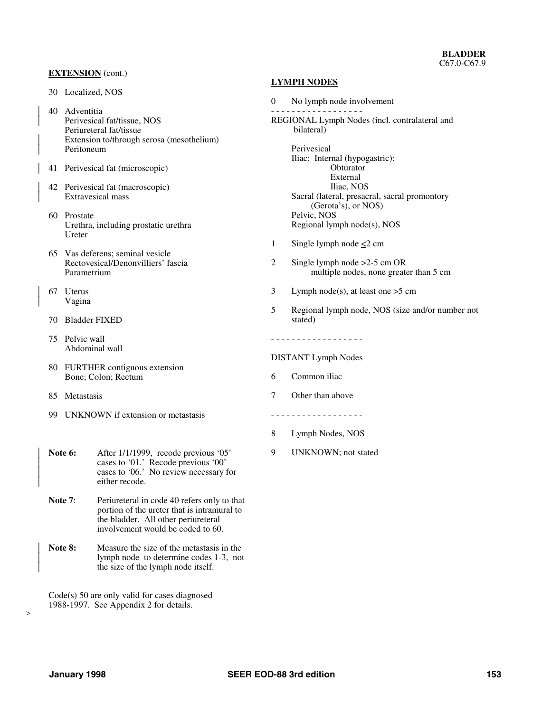#### **EXTENSION** (cont.)

- 30 Localized, NOS
- | 40 Adventitia | Perivesical fat/tissue, NOS Periureteral fat/tissue | Extension to/through serosa (mesothelium) | Peritoneum
- | 41 Perivesical fat (microscopic)
- | 42 Perivesical fat (macroscopic) | Extravesical mass
- 60 Prostate Urethra, including prostatic urethra Ureter
- 65 Vas deferens; seminal vesicle Rectovesical/Denonvilliers' fascia Parametrium
- | 67 Uterus | Vagina
- 70 Bladder FIXED
- 75 Pelvic wall Abdominal wall
- 80 FURTHER contiguous extension Bone; Colon; Rectum
- 85 Metastasis
- 99 UNKNOWN if extension or metastasis
- **Note 6:** After 1/1/1999, recode previous '05' | cases to '01.' Recode previous '00' | cases to '06.' No review necessary for either recode.
- **Note 7:** Periureteral in code 40 refers only to that portion of the ureter that is intramural to the bladder. All other periureteral involvement would be coded to 60.
- **Note 8:** Measure the size of the metastasis in the | lymph node to determine codes 1-3, not the size of the lymph node itself.

Code(s) 50 are only valid for cases diagnosed 1988-1997. See Appendix 2 for details.

## **LYMPH NODES**

0 No lymph node involvement - - - - - - - - - - - - - - - - - - REGIONAL Lymph Nodes (incl. contralateral and bilateral)

Perivesical Iliac: Internal (hypogastric): Obturator External Iliac, NOS Sacral (lateral, presacral, sacral promontory (Gerota's), or NOS) Pelvic, NOS Regional lymph node(s), NOS

- 1 Single lymph node <2 cm
- 2 Single lymph node >2-5 cm OR multiple nodes, none greater than 5 cm
- 3 Lymph node(s), at least one >5 cm
- 5 Regional lymph node, NOS (size and/or number not stated)

- - - - - - - - - - - - - - - - - - DISTANT Lymph Nodes

- 6 Common iliac
- 7 Other than above

- - - - - - - - - - - - - - - - - -

- 8 Lymph Nodes, NOS
- 9 UNKNOWN; not stated

>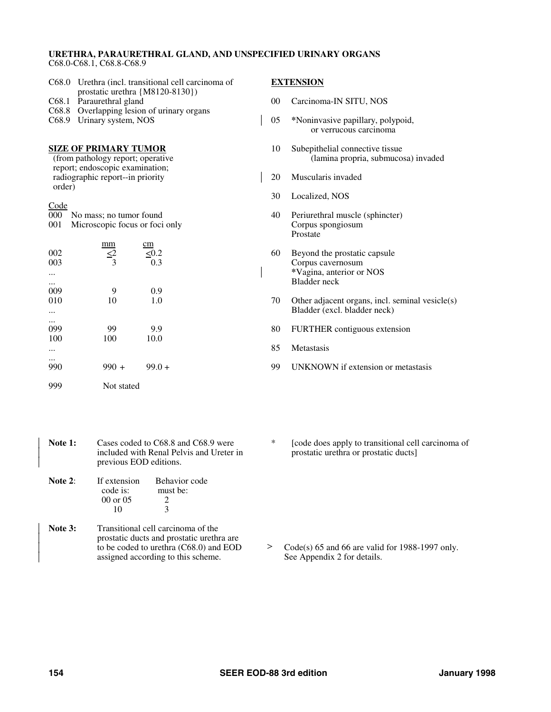# **URETHRA, PARAURETHRAL GLAND, AND UNSPECIFIED URINARY ORGANS**

C68.0-C68.1, C68.8-C68.9

|                 |                                                                      | C68.0 Urethra (incl. transitional cell carcinoma of<br>prostatic urethra ${M8120-8130}$ | <b>EXTENSION</b> |    |                                                             |
|-----------------|----------------------------------------------------------------------|-----------------------------------------------------------------------------------------|------------------|----|-------------------------------------------------------------|
| C68.1           | Paraurethral gland                                                   |                                                                                         |                  | 00 | Carcinoma-IN SITU, NOS                                      |
|                 |                                                                      | C68.8 Overlapping lesion of urinary organs                                              |                  |    |                                                             |
|                 | C68.9 Urinary system, NOS                                            |                                                                                         |                  | 05 | *Noninvasive papillary, polypoid,<br>or verrucous carcinoma |
|                 | <b>SIZE OF PRIMARY TUMOR</b>                                         |                                                                                         |                  | 10 | Subepithelial connective tissue                             |
|                 | (from pathology report; operative<br>report; endoscopic examination; |                                                                                         |                  |    | (lamina propria, submucosa) invaded                         |
| order)          | radiographic report--in priority                                     |                                                                                         |                  | 20 | Muscularis invaded                                          |
|                 |                                                                      |                                                                                         |                  | 30 | Localized, NOS                                              |
| Code            |                                                                      |                                                                                         |                  |    |                                                             |
| 000             | No mass; no tumor found                                              |                                                                                         |                  | 40 | Periurethral muscle (sphincter)                             |
| 001             | Microscopic focus or foci only                                       |                                                                                         |                  |    | Corpus spongiosum<br>Prostate                               |
|                 | mm                                                                   | cm                                                                                      |                  |    |                                                             |
| 002             | $\frac{2}{3}$                                                        | < 0.2                                                                                   |                  | 60 | Beyond the prostatic capsule                                |
| 003             |                                                                      | 0.3                                                                                     |                  |    | Corpus cavernosum                                           |
|                 |                                                                      |                                                                                         |                  |    | *Vagina, anterior or NOS<br><b>Bladder</b> neck             |
| .<br>009        | 9                                                                    | 0.9                                                                                     |                  |    |                                                             |
| 010             | 10                                                                   | 1.0                                                                                     |                  | 70 | Other adjacent organs, incl. seminal vesicle(s)             |
|                 |                                                                      |                                                                                         |                  |    | Bladder (excl. bladder neck)                                |
| $\cdots$<br>099 | 99                                                                   | 9.9                                                                                     |                  | 80 | FURTHER contiguous extension                                |
| 100             | 100                                                                  | 10.0                                                                                    |                  |    |                                                             |
|                 |                                                                      |                                                                                         |                  | 85 | Metastasis                                                  |
| <br>990         | $990 +$                                                              | $99.0 +$                                                                                |                  | 99 | UNKNOWN if extension or metastasis                          |
| 999             | Not stated                                                           |                                                                                         |                  |    |                                                             |
|                 |                                                                      |                                                                                         |                  |    |                                                             |

| Note 1: | Cases coded to C68.8 and C68.9 were      |
|---------|------------------------------------------|
|         | included with Renal Pelvis and Ureter in |
|         | previous EOD editions.                   |

| <b>Note 2:</b> | If extension        | Behavior code |
|----------------|---------------------|---------------|
|                | code is:            | must be:      |
|                | $00 \text{ or } 05$ |               |
|                | 10                  | $\mathbf 3$   |

Note 3: Transitional cell carcinoma of the | prostatic ducts and prostatic urethra are | to be coded to urethra (C68.0) and EOD assigned according to this scheme.

\* [code does apply to transitional cell carcinoma of prostatic urethra or prostatic ducts]

 $>$ Code(s) 65 and 66 are valid for 1988-1997 only. See Appendix 2 for details.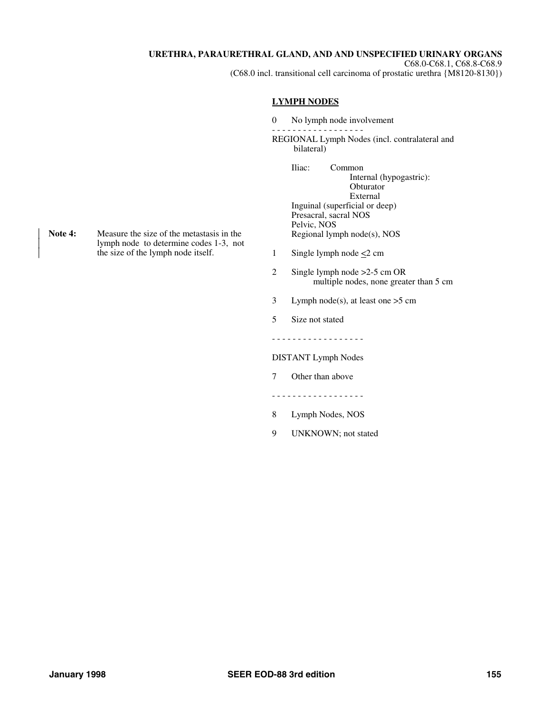## **URETHRA, PARAURETHRAL GLAND, AND AND UNSPECIFIED URINARY ORGANS**

C68.0-C68.1, C68.8-C68.9

(C68.0 incl. transitional cell carcinoma of prostatic urethra {M8120-8130})

## **LYMPH NODES**

0 No lymph node involvement

- - - - - - - - - - - - - - - - - - REGIONAL Lymph Nodes (incl. contralateral and bilateral)

Iliac: Common Internal (hypogastric): **Obturator** External Inguinal (superficial or deep) Presacral, sacral NOS Pelvic, NOS Regional lymph node(s), NOS

- 1 Single lymph node  $\leq$  2 cm
- 2 Single lymph node >2-5 cm OR multiple nodes, none greater than 5 cm
- 3 Lymph node(s), at least one >5 cm
- 5 Size not stated

- - - - - - - - - - - - - - - - - - DISTANT Lymph Nodes

7 Other than above

- - - - - - - - - -
- 8 Lymph Nodes, NOS
- 9 UNKNOWN; not stated

| **Note 4:** Measure the size of the metastasis in the | lymph node to determine codes 1-3, not the size of the lymph node itself.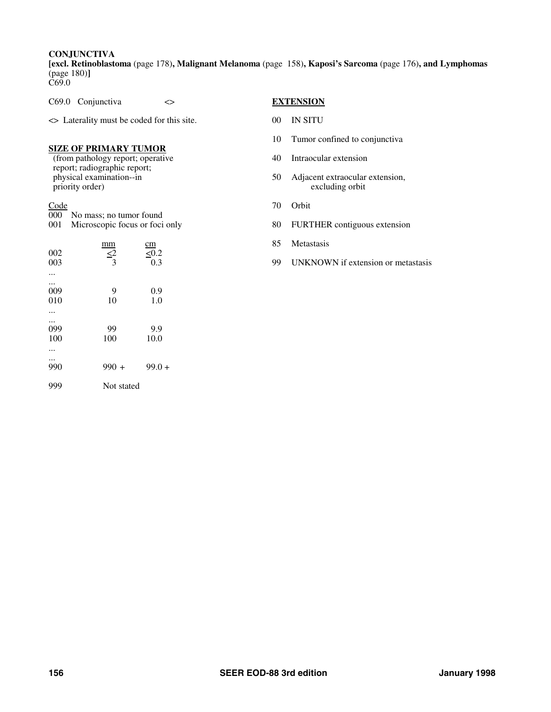### **CONJUNCTIVA**

**[excl. Retinoblastoma** (page 178)**, Malignant Melanoma** (page 158)**, Kaposi's Sarcoma** (page 176)**, and Lymphomas** (page 180)**]** C69.0

|                              | C69.0 Conjunctiva<br>◇                                   |                                                | <b>EXTENSION</b> |    |                                                    |
|------------------------------|----------------------------------------------------------|------------------------------------------------|------------------|----|----------------------------------------------------|
|                              |                                                          | $\leq$ Laterality must be coded for this site. |                  | 00 | <b>IN SITU</b>                                     |
|                              |                                                          |                                                |                  | 10 | Tumor confined to conjunctiva                      |
| <b>SIZE OF PRIMARY TUMOR</b> | (from pathology report; operative                        |                                                |                  | 40 | Intraocular extension                              |
| priority order)              | report; radiographic report;<br>physical examination--in |                                                |                  | 50 | Adjacent extraocular extension,<br>excluding orbit |
| Code<br>000                  | No mass; no tumor found                                  |                                                |                  | 70 | Orbit                                              |
| 001                          |                                                          | Microscopic focus or foci only                 |                  | 80 | FURTHER contiguous extension                       |
|                              | $\mathbf{mm}$                                            | cm                                             |                  | 85 | Metastasis                                         |
| 002<br>003                   | $\frac{2}{3}$                                            | $\leq 0.2$<br>0.3                              |                  | 99 | UNKNOWN if extension or metastasis                 |
| .<br>.                       |                                                          |                                                |                  |    |                                                    |
| 009                          | 9                                                        | 0.9                                            |                  |    |                                                    |
| 010                          | 10                                                       | 1.0                                            |                  |    |                                                    |
|                              |                                                          |                                                |                  |    |                                                    |
| $\cdots$<br>099              | 99                                                       | 9.9                                            |                  |    |                                                    |
| 100                          | 100                                                      | 10.0                                           |                  |    |                                                    |
| .                            |                                                          |                                                |                  |    |                                                    |
| 990                          | $990 +$                                                  | $99.0 +$                                       |                  |    |                                                    |
| 999                          | Not stated                                               |                                                |                  |    |                                                    |
|                              |                                                          |                                                |                  |    |                                                    |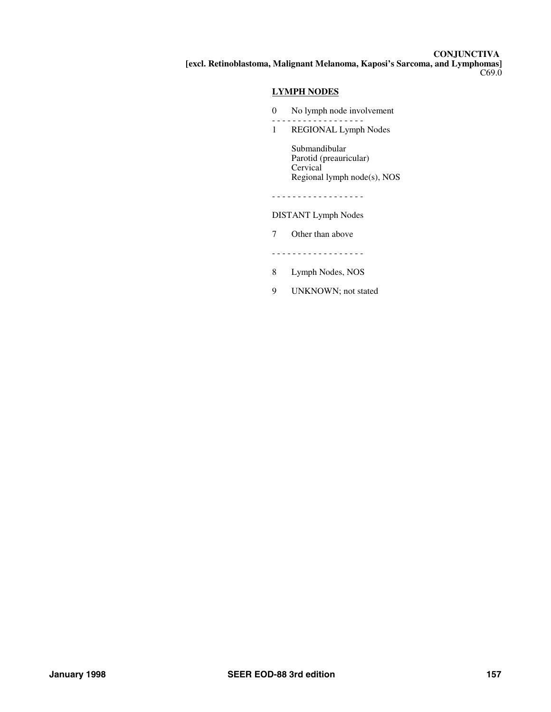#### **CONJUNCTIVA [excl. Retinoblastoma, Malignant Melanoma, Kaposi's Sarcoma, and Lymphomas]** C69.0

## **LYMPH NODES**

- 0 No lymph node involvement
- - - - - - - - - -
- 1 REGIONAL Lymph Nodes

Submandibular Parotid (preauricular) **Cervical** Regional lymph node(s), NOS

- - - - - - - - - - - - - - - - - -

DISTANT Lymph Nodes

7 Other than above

- 8 Lymph Nodes, NOS
- 9 UNKNOWN; not stated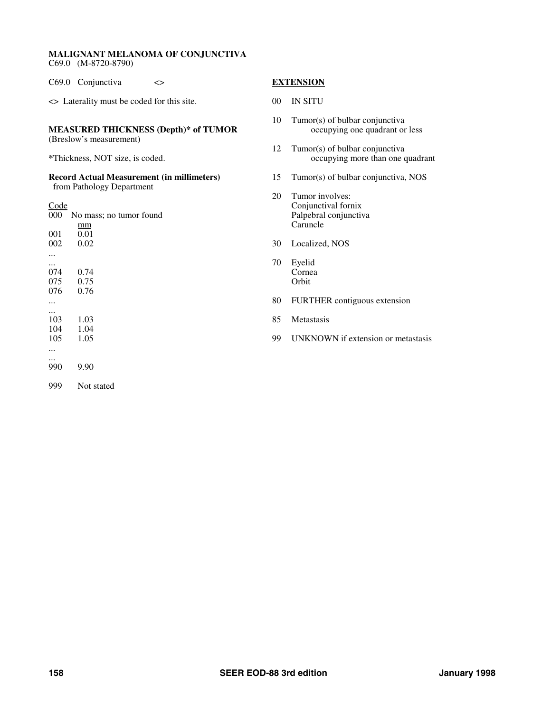#### **MALIGNANT MELANOMA OF CONJUNCTIVA** C69.0 (M-8720-8790)

|                        | C69.0 Conjunctiva<br>◇                                                         |                 | <b>EXTENSION</b>                                                            |
|------------------------|--------------------------------------------------------------------------------|-----------------|-----------------------------------------------------------------------------|
|                        | $\leq$ Laterality must be coded for this site.                                 | 00 <sup>2</sup> | <b>IN SITU</b>                                                              |
|                        | <b>MEASURED THICKNESS (Depth)* of TUMOR</b><br>(Breslow's measurement)         | 10              | Tumor(s) of bulbar conjunctiva<br>occupying one quadrant or less            |
|                        | *Thickness, NOT size, is coded.                                                | 12              | Tumor(s) of bulbar conjunctiva<br>occupying more than one quadrant          |
|                        | <b>Record Actual Measurement (in millimeters)</b><br>from Pathology Department | 15              | Tumor(s) of bulbar conjunctiva, NOS                                         |
| Code<br>000<br>001     | No mass; no tumor found<br>mm<br>0.01                                          | 20              | Tumor involves:<br>Conjunctival fornix<br>Palpebral conjunctiva<br>Caruncle |
| 002                    | 0.02                                                                           | 30              | Localized, NOS                                                              |
| 074<br>075<br>076      | 0.74<br>0.75<br>0.76                                                           | 70              | Eyelid<br>Cornea<br>Orbit                                                   |
| $\cdots$               |                                                                                | 80              | FURTHER contiguous extension                                                |
| $\cdots$<br>103<br>104 | 1.03<br>1.04                                                                   | 85              | Metastasis                                                                  |
| 105<br>                | 1.05                                                                           | 99              | UNKNOWN if extension or metastasis                                          |
| <br>990                | 9.90                                                                           |                 |                                                                             |
| 999                    | Not stated                                                                     |                 |                                                                             |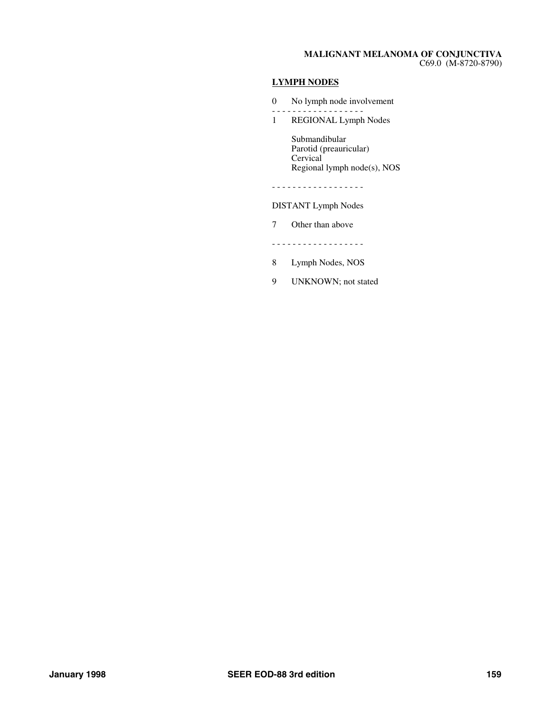#### **MALIGNANT MELANOMA OF CONJUNCTIVA** C69.0 (M-8720-8790)

## **LYMPH NODES**

- 0 No lymph node involvement
- - - - - - - - - -
- 1 REGIONAL Lymph Nodes

Submandibular Parotid (preauricular) **Cervical** Regional lymph node(s), NOS

- - - - - - - - - - - - - - - - - -

## DISTANT Lymph Nodes

7 Other than above

- 8 Lymph Nodes, NOS
- 9 UNKNOWN; not stated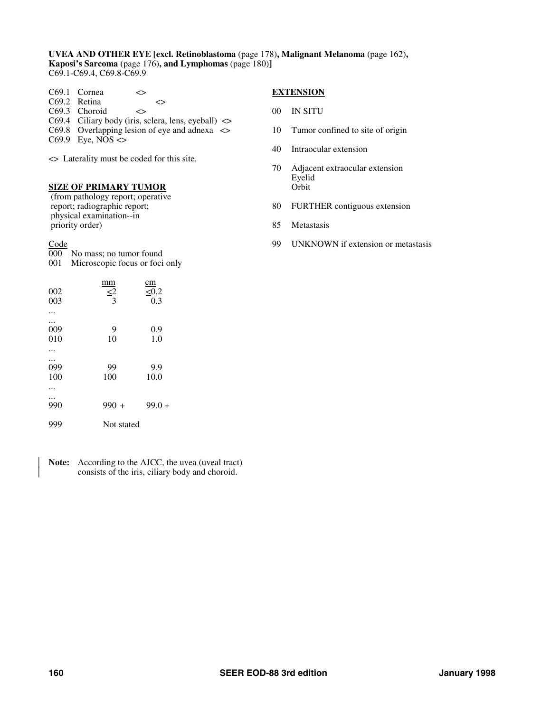#### **UVEA AND OTHER EYE [excl. Retinoblastoma** (page 178)**, Malignant Melanoma** (page 162)**, Kaposi's Sarcoma** (page 176)**, and Lymphomas** (page 180)**]** C69.1-C69.4, C69.8-C69.9

| C <sub>69.1</sub> Cornea<br><>                          |
|---------------------------------------------------------|
| C69.2 Retina<br><>                                      |
| C <sub>69.3</sub> Choroid<br>◇                          |
| C69.4 Ciliary body (iris, sclera, lens, eyeball) $\leq$ |
| C69.8 Overlapping lesion of eye and adnexa $\leq$       |
| C69.9 Eye, NOS $\leq$                                   |

<> Laterality must be coded for this site.

#### **SIZE OF PRIMARY TUMOR**

 (from pathology report; operative report; radiographic report; physical examination--in priority order)

**Code** 

- 000 No mass; no tumor found
- 001 Microscopic focus or foci only

|     | mm            | $\mathbf{cm}$ |
|-----|---------------|---------------|
| 002 | $\frac{2}{3}$ | < 0.2         |
| 003 |               | 0.3           |
| .   |               |               |
|     |               |               |
| 009 | 9             | 0.9           |
| 010 | 10            | 1.0           |
|     |               |               |
|     |               |               |
| 099 | 99            | 9.9           |
| 100 | 100           | 10.0          |
|     |               |               |
|     |               |               |
| 990 | $990 +$       | $99.0 +$      |
| 999 | Not stated    |               |

Note: According to the AJCC, the uvea (uveal tract) | consists of the iris, ciliary body and choroid.

# **EXTENSION**

- 00 IN SITU
- 10 Tumor confined to site of origin
- 40 Intraocular extension
- 70 Adjacent extraocular extension Eyelid **Orbit**
- 80 FURTHER contiguous extension
- 85 Metastasis
- 99 UNKNOWN if extension or metastasis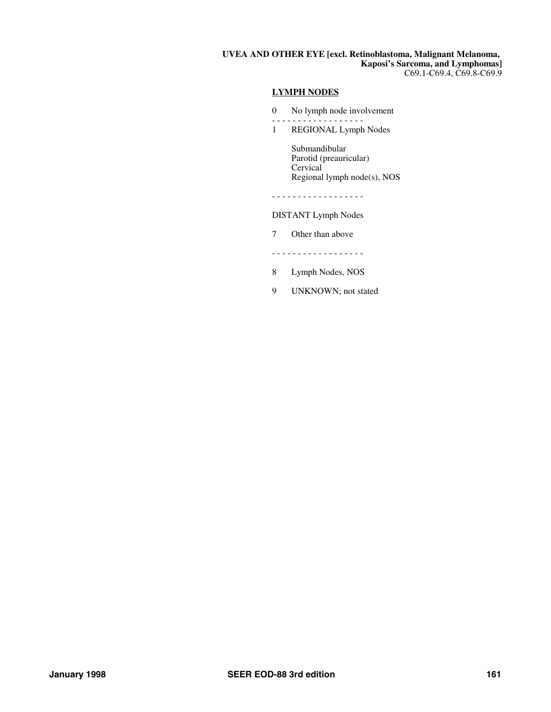#### **UVEA AND OTHER EYE [excl. Retinoblastoma, Malignant Melanoma, Kaposi's Sarcoma, and Lymphomas]** C69.1-C69.4, C69.8-C69.9

#### **LYMPH NODES**

- 0 No lymph node involvement
- - - - - - - - - -
- 1 REGIONAL Lymph Nodes

Submandibular Parotid (preauricular) **Cervical** Regional lymph node(s), NOS

- - - - - - - - - - - - - - - - - -

DISTANT Lymph Nodes

7 Other than above

- 8 Lymph Nodes, NOS
- 9 UNKNOWN; not stated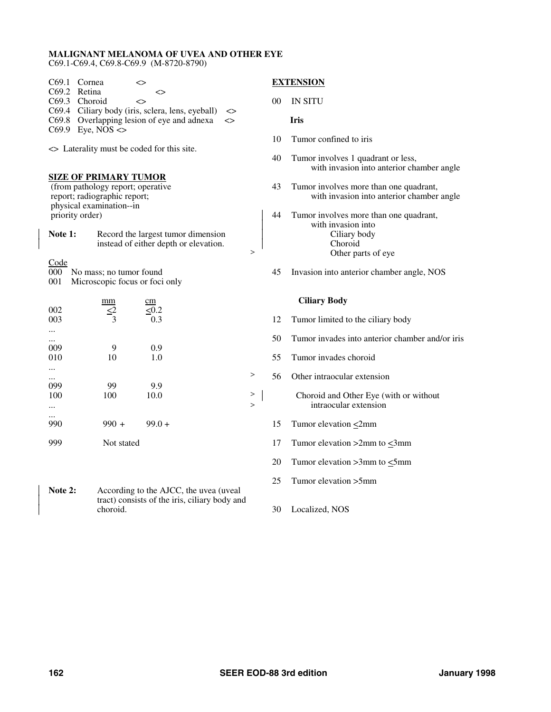## **MALIGNANT MELANOMA OF UVEA AND OTHER EYE**

C69.1-C69.4, C69.8-C69.9 (M-8720-8790)

| C69.1 Cornea<br>C69.2 Retina |                                                          | ◇                                                                           |                 |    | <b>EXTENSION</b>                                                                |
|------------------------------|----------------------------------------------------------|-----------------------------------------------------------------------------|-----------------|----|---------------------------------------------------------------------------------|
| C69.3 Choroid                |                                                          | ◇<br>◇                                                                      |                 | 00 | <b>IN SITU</b>                                                                  |
|                              |                                                          | C69.4 Ciliary body (iris, sclera, lens, eyeball)<br>$\Leftrightarrow$       |                 |    |                                                                                 |
| C69.9 Eye, NOS $\leq$        |                                                          | C69.8 Overlapping lesion of eye and adnexa<br>$\left\langle \right\rangle$  |                 |    | <b>Iris</b>                                                                     |
|                              |                                                          |                                                                             |                 | 10 | Tumor confined to iris                                                          |
|                              |                                                          | <> Laterality must be coded for this site.                                  |                 |    |                                                                                 |
|                              |                                                          |                                                                             |                 | 40 | Tumor involves 1 quadrant or less,<br>with invasion into anterior chamber angle |
|                              | <b>SIZE OF PRIMARY TUMOR</b>                             |                                                                             |                 |    |                                                                                 |
|                              | (from pathology report; operative                        |                                                                             |                 | 43 | Tumor involves more than one quadrant,                                          |
|                              | report; radiographic report;<br>physical examination--in |                                                                             |                 |    | with invasion into anterior chamber angle                                       |
| priority order)              |                                                          |                                                                             |                 | 44 | Tumor involves more than one quadrant,                                          |
|                              |                                                          |                                                                             |                 |    | with invasion into                                                              |
| Note 1:                      |                                                          | Record the largest tumor dimension<br>instead of either depth or elevation. |                 |    | Ciliary body<br>Choroid                                                         |
|                              |                                                          |                                                                             | $\geq$          |    | Other parts of eye                                                              |
| Code                         |                                                          |                                                                             |                 |    |                                                                                 |
| 001                          | 000 No mass; no tumor found                              | Microscopic focus or foci only                                              |                 | 45 | Invasion into anterior chamber angle, NOS                                       |
|                              |                                                          |                                                                             |                 |    |                                                                                 |
| 002                          | mm                                                       | cm<br>< 0.2                                                                 |                 |    | <b>Ciliary Body</b>                                                             |
| 003                          | $\leq$ 2<br>3                                            | 0.3                                                                         |                 | 12 | Tumor limited to the ciliary body                                               |
| $\cdots$                     |                                                          |                                                                             |                 |    |                                                                                 |
| <br>009                      | 9                                                        | 0.9                                                                         |                 | 50 | Tumor invades into anterior chamber and/or iris                                 |
| 010                          | 10                                                       | 1.0                                                                         |                 | 55 | Tumor invades choroid                                                           |
| <br>$\cdots$                 |                                                          |                                                                             | $\rm{>}$        | 56 | Other intraocular extension                                                     |
| 099                          | 99                                                       | 9.9                                                                         |                 |    |                                                                                 |
| 100                          | 100                                                      | 10.0                                                                        | $\,>$<br>$\geq$ |    | Choroid and Other Eye (with or without<br>intraocular extension                 |
| <br>$\cdots$                 |                                                          |                                                                             |                 |    |                                                                                 |
| 990                          | $990 +$                                                  | $99.0 +$                                                                    |                 | 15 | Tumor elevation $\leq$ 2mm                                                      |
| 999                          |                                                          |                                                                             |                 | 17 | Tumor elevation >2mm to $\leq 3$ mm                                             |
|                              | Not stated                                               |                                                                             |                 |    |                                                                                 |
|                              |                                                          |                                                                             |                 | 20 | Tumor elevation >3mm to $\leq$ 5mm                                              |

- | **Note 2:** According to the AJCC, the uvea (uveal | tract) consists of the iris, ciliary body and choroid.
- 30 Localized, NOS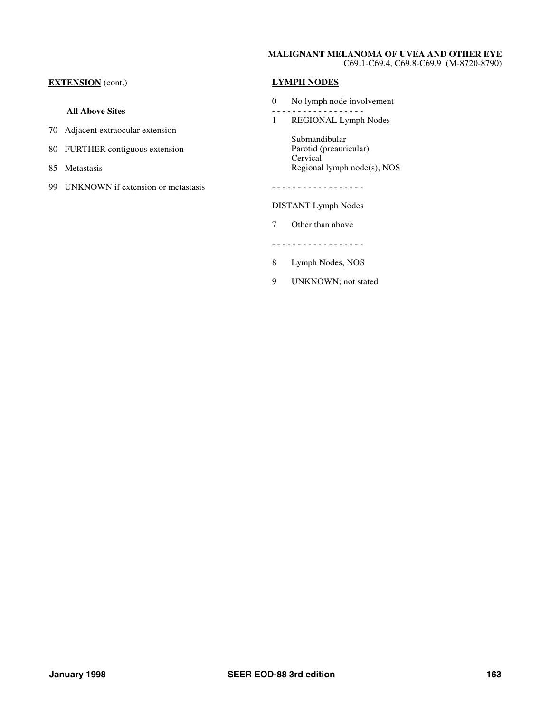# **MALIGNANT MELANOMA OF UVEA AND OTHER EYE**

# C69.1-C69.4, C69.8-C69.9 (M-8720-8790)

# **EXTENSION** (cont.)

# **All Above Sites**

- 70 Adjacent extraocular extension
- 80 FURTHER contiguous extension
- 85 Metastasis
- 99 UNKNOWN if extension or metastasis

## **LYMPH NODES**

- 0 No lymph node involvement
- - - - - - - - - -
- 1 REGIONAL Lymph Nodes

Submandibular Parotid (preauricular) **Cervical** Regional lymph node(s), NOS

- - - - - - - - - - - - - - - - - -

## DISTANT Lymph Nodes

7 Other than above

- 8 Lymph Nodes, NOS
- 9 UNKNOWN; not stated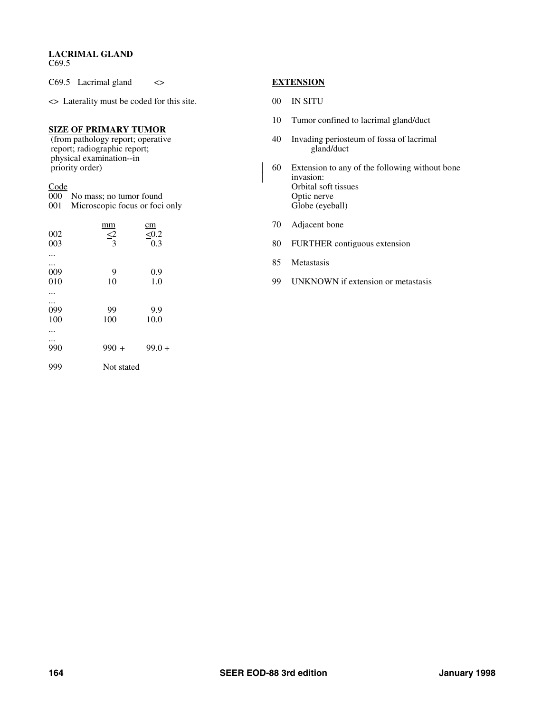#### **LACRIMAL GLAND**  C69.5

|                                                                                                                                                  | C69.5 Lacrimal gland                                      | ◇                       |  |  |
|--------------------------------------------------------------------------------------------------------------------------------------------------|-----------------------------------------------------------|-------------------------|--|--|
|                                                                                                                                                  | <> Laterality must be coded for this site.                |                         |  |  |
| <b>SIZE OF PRIMARY TUMOR</b><br>(from pathology report; operative<br>report; radiographic report;<br>physical examination--in<br>priority order) |                                                           |                         |  |  |
| Code<br>000<br>001                                                                                                                               | No mass; no tumor found<br>Microscopic focus or foci only |                         |  |  |
| 002<br>003                                                                                                                                       | mm                                                        | cm<br>$\leq 0.2$<br>0.3 |  |  |
| .<br>009<br>010                                                                                                                                  | 9<br>10                                                   | 0.9<br>1.0              |  |  |
| .<br>099<br>100                                                                                                                                  | 99<br>100                                                 | 9.9<br>10.0             |  |  |
| .<br>990                                                                                                                                         | $990 +$                                                   | $99.0 +$                |  |  |
| 999                                                                                                                                              | Not stated                                                |                         |  |  |

# **EXTENSION**

- 00 IN SITU
- 10 Tumor confined to lacrimal gland/duct
- 40 Invading periosteum of fossa of lacrimal gland/duct
- | 60 Extension to any of the following without bone invasion: Orbital soft tissues Optic nerve Globe (eyeball)
- 70 Adjacent bone
- 80 FURTHER contiguous extension
- 85 Metastasis
- 99 UNKNOWN if extension or metastasis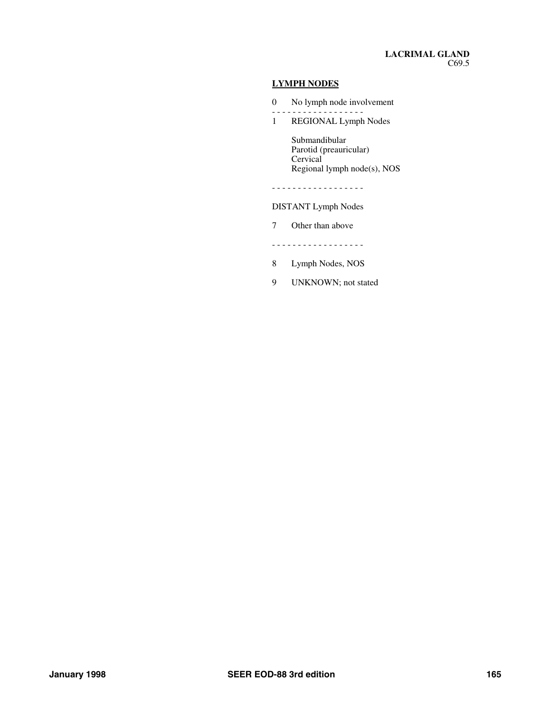## **LYMPH NODES**

- 0 No lymph node involvement
- - - - - - - - - -
- 1 REGIONAL Lymph Nodes

Submandibular Parotid (preauricular) **Cervical** Regional lymph node(s), NOS

- - - - - - - - - - - - - - - - - -

DISTANT Lymph Nodes

7 Other than above

- 8 Lymph Nodes, NOS
- 9 UNKNOWN; not stated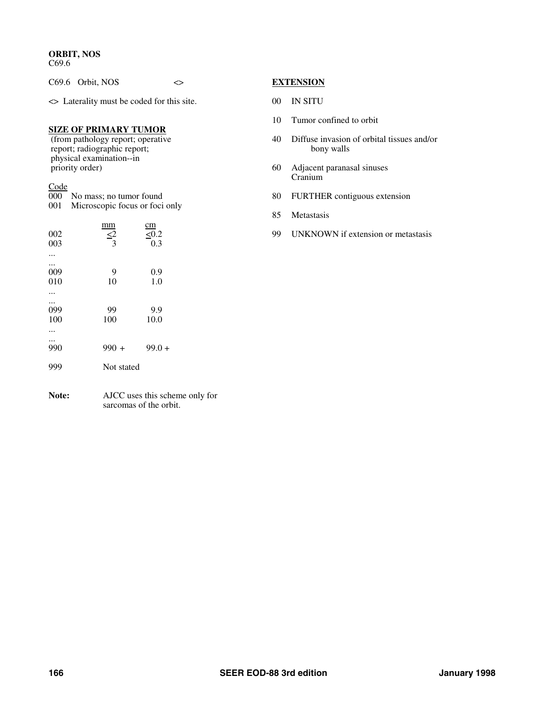#### **ORBIT, NOS** C69.6

C69.6 Orbit, NOS  $\Leftrightarrow$ 

<> Laterality must be coded for this site.

# **SIZE OF PRIMARY TUMOR**

 (from pathology report; operative report; radiographic report; physical examination--in priority order)

#### **Code**

| 000 No mass; no tumor found |  |  |
|-----------------------------|--|--|
|                             |  |  |

| 001<br>Microscopic focus or foci only |  |  |
|---------------------------------------|--|--|
|---------------------------------------|--|--|

| 002<br>003              | mm<br>$\frac{2}{3}$ | cm<br>< 0.2<br>0.3 |
|-------------------------|---------------------|--------------------|
|                         |                     |                    |
| <br>009<br>010          | 9<br>10             | 0.9<br>1.0         |
|                         |                     |                    |
| $\ddotsc$<br>099<br>100 | 99<br>100           | 9.9<br>10.0        |
|                         |                     |                    |
| <br>990                 | $990 +$             | $99.0 +$           |
| 999                     | Not stated          |                    |
|                         |                     |                    |

**Note:** AJCC uses this scheme only for sarcomas of the orbit.

## **EXTENSION**

- 00 IN SITU
- 10 Tumor confined to orbit
- 40 Diffuse invasion of orbital tissues and/or bony walls
- 60 Adjacent paranasal sinuses Cranium
- 80 FURTHER contiguous extension
- 85 Metastasis
- 99 UNKNOWN if extension or metastasis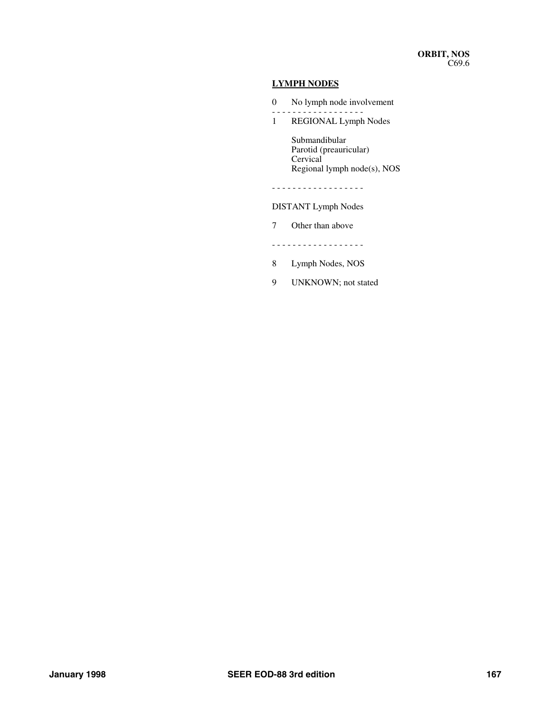# **LYMPH NODES**

- 0 No lymph node involvement
- - - - - - - - - -
- 1 REGIONAL Lymph Nodes

Submandibular Parotid (preauricular) **Cervical** Regional lymph node(s), NOS

- - - - - - - - - - - - - - - - - -

DISTANT Lymph Nodes

7 Other than above

- 8 Lymph Nodes, NOS
- 9 UNKNOWN; not stated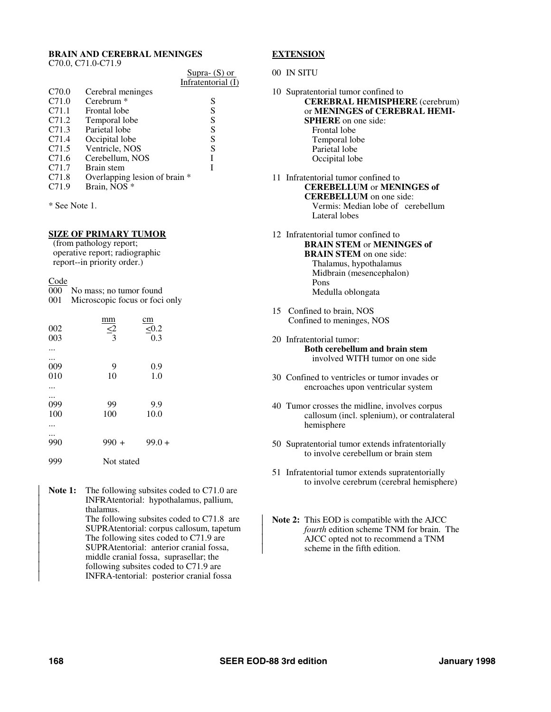## **BRAIN AND CEREBRAL MENINGES**

C70.0, C71.0-C71.9

| $Supra- (S)$ or    |
|--------------------|
| Infratentorial (I) |
|                    |
| S                  |
| S                  |
| S                  |
| S                  |
| S                  |
| S                  |
| I                  |
|                    |
|                    |
|                    |
|                    |

\* See Note 1.

# **SIZE OF PRIMARY TUMOR**

#### (from pathology report; operative report; radiographic report--in priority order.)

Code

000 No mass; no tumor found

| 001 | Microscopic focus or foci only |  |  |  |
|-----|--------------------------------|--|--|--|
|     |                                |  |  |  |

| 002<br>003             | mm<br>$\frac{2}{3}$ | cm<br>$\leq 0.2$<br>0.3 |
|------------------------|---------------------|-------------------------|
| .                      |                     |                         |
| $\cdots$<br>009<br>010 | 9<br>10             | 0.9<br>1.0              |
|                        |                     |                         |
| $\cdots$<br>099<br>100 | 99<br>100           | 9.9<br>10.0             |
|                        |                     |                         |
| $\cdots$<br>990        | $990 +$             | $99.0 +$                |
| 999                    | Not stated          |                         |

**Note 1:** The following subsites coded to C71.0 are | INFRAtentorial: hypothalamus, pallium, thalamus. The following subsites coded to C71.8 are | SUPRAtentorial: corpus callosum, tapetum The following sites coded to C71.9 are | SUPRAtentorial: anterior cranial fossa, middle cranial fossa, suprasellar; the following subsites coded to C71.9 are | INFRA-tentorial: posterior cranial fossa

## **EXTENSION**

## 00 IN SITU

- 10 Supratentorial tumor confined to **CEREBRAL HEMISPHERE** (cerebrum) or **MENINGES of CEREBRAL HEMI-SPHERE** on one side: Frontal lobe Temporal lobe Parietal lobe Occipital lobe
- 11 Infratentorial tumor confined to **CEREBELLUM** or **MENINGES of CEREBELLUM** on one side: Vermis: Median lobe of cerebellum Lateral lobes
- 12 Infratentorial tumor confined to **BRAIN STEM** or **MENINGES of BRAIN STEM** on one side: Thalamus, hypothalamus Midbrain (mesencephalon) Pons Medulla oblongata
- 15 Confined to brain, NOS Confined to meninges, NOS
- 20 Infratentorial tumor: **Both cerebellum and brain stem** involved WITH tumor on one side
- 30 Confined to ventricles or tumor invades or encroaches upon ventricular system
- 40 Tumor crosses the midline, involves corpus callosum (incl. splenium), or contralateral hemisphere
- 50 Supratentorial tumor extends infratentorially to involve cerebellum or brain stem
- 51 Infratentorial tumor extends supratentorially to involve cerebrum (cerebral hemisphere)
- | **Note 2:** This EOD is compatible with the AJCC | *fourth* edition scheme TNM for brain. The | AJCC opted not to recommend a TNM scheme in the fifth edition.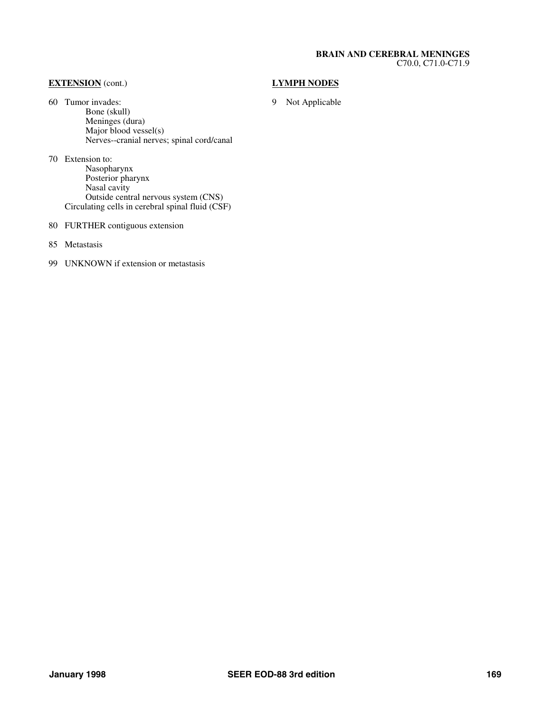#### **BRAIN AND CEREBRAL MENINGES** C70.0, C71.0-C71.9

## **EXTENSION** (cont.)

## **LYMPH NODES**

9 Not Applicable

60 Tumor invades:

Bone (skull) Meninges (dura) Major blood vessel(s) Nerves--cranial nerves; spinal cord/canal

70 Extension to:

Nasopharynx Posterior pharynx Nasal cavity Outside central nervous system (CNS) Circulating cells in cerebral spinal fluid (CSF)

- 80 FURTHER contiguous extension
- 85 Metastasis

99 UNKNOWN if extension or metastasis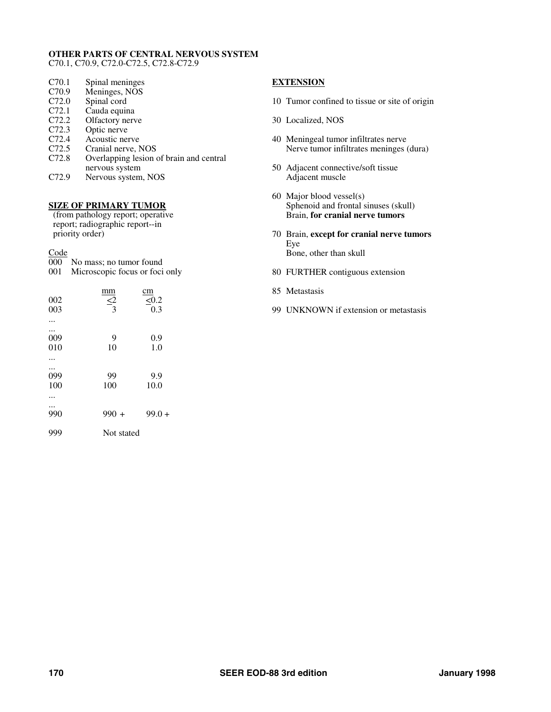# **OTHER PARTS OF CENTRAL NERVOUS SYSTEM**

C70.1, C70.9, C72.0-C72.5, C72.8-C72.9

| Spinal meninges                         |
|-----------------------------------------|
| Meninges, NOS                           |
| Spinal cord                             |
| Cauda equina                            |
| Olfactory nerve                         |
| Optic nerve                             |
| Acoustic nerve                          |
| Cranial nerve, NOS                      |
| Overlapping lesion of brain and central |
| nervous system                          |
| Nervous system, NOS                     |
|                                         |

### **SIZE OF PRIMARY TUMOR**

 (from pathology report; operative report; radiographic report--in priority order)

### Code

- 000 No mass; no tumor found
- 001 Microscopic focus or foci only

| 002            | mm<br>$\leq$ 2 | cm<br>$\leq 0.2$ |
|----------------|----------------|------------------|
| 003            | $\overline{3}$ | 0.3              |
|                |                |                  |
| <br>009<br>010 | 9<br>10        | 0.9<br>1.0       |
|                |                |                  |
| <br>099<br>100 | 99<br>100      | 9.9<br>10.0      |
|                |                |                  |
| <br>990        | $990 +$        | $99.0 +$         |
| 999            | Not stated     |                  |

- 10 Tumor confined to tissue or site of origin
- 30 Localized, NOS
- 40 Meningeal tumor infiltrates nerve Nerve tumor infiltrates meninges (dura)
- 50 Adjacent connective/soft tissue Adjacent muscle
- 60 Major blood vessel(s) Sphenoid and frontal sinuses (skull) Brain, **for cranial nerve tumors**
- 70 Brain, **except for cranial nerve tumors** Eye Bone, other than skull
- 80 FURTHER contiguous extension
- 85 Metastasis
- 99 UNKNOWN if extension or metastasis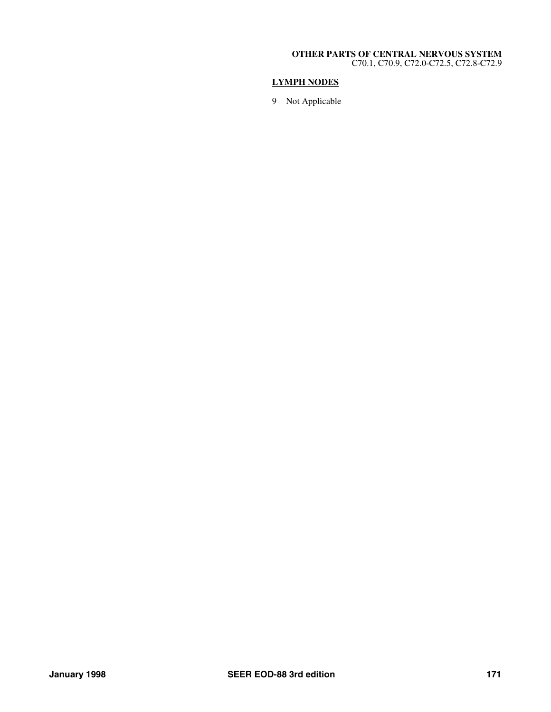#### **OTHER PARTS OF CENTRAL NERVOUS SYSTEM** C70.1, C70.9, C72.0-C72.5, C72.8-C72.9

### **LYMPH NODES**

9 Not Applicable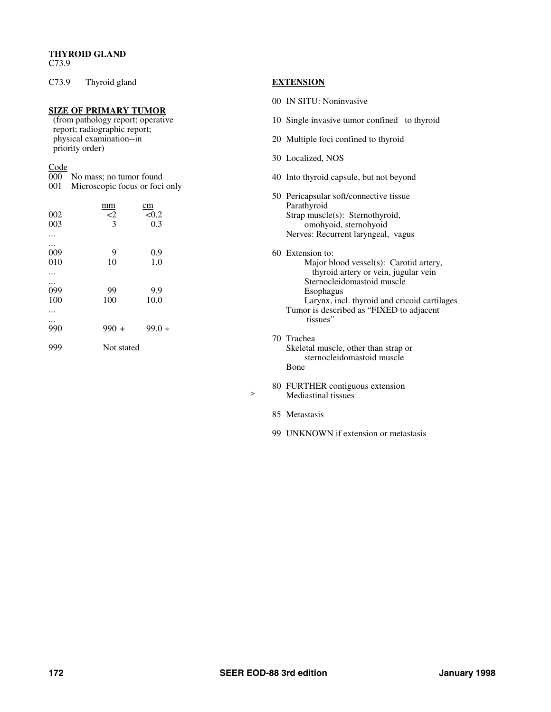#### **THYROID GLAND** C73.9

| C73.9                | Thyroid gland                                                                                      |                            |          | <b>EXTENSION</b>                                                                 |
|----------------------|----------------------------------------------------------------------------------------------------|----------------------------|----------|----------------------------------------------------------------------------------|
|                      |                                                                                                    |                            |          | 00 IN SITU: Noninvasive                                                          |
|                      | <b>SIZE OF PRIMARY TUMOR</b><br>(from pathology report; operative)<br>report; radiographic report; |                            |          | 10 Single invasive tumor confined to thyroid                                     |
| priority order)      | physical examination--in                                                                           |                            |          | 20 Multiple foci confined to thyroid                                             |
|                      |                                                                                                    |                            |          | 30 Localized, NOS                                                                |
| Code<br>000<br>001   | No mass; no tumor found<br>Microscopic focus or foci only                                          |                            |          | 40 Into thyroid capsule, but not beyond                                          |
|                      |                                                                                                    |                            |          | 50 Pericapsular soft/connective tissue<br>Parathyroid                            |
| 002                  | $\frac{\text{mm}}{\leq}$                                                                           | cm<br>$\overline{\leq}0.2$ |          | Strap muscle(s): Sternothyroid,                                                  |
| 003<br>$\cdots$      |                                                                                                    | 0.3                        |          | omohyoid, sternohyoid<br>Nerves: Recurrent laryngeal, vagus                      |
| $\cdots$<br>009      | 9                                                                                                  | 0.9                        |          | 60 Extension to:                                                                 |
| 010<br>$\cdots$      | 10                                                                                                 | 1.0                        |          | Major blood vessel(s): Carotid artery,<br>thyroid artery or vein, jugular vein   |
| $\cdots$<br>099      | 99                                                                                                 | 9.9                        |          | Sternocleidomastoid muscle<br>Esophagus                                          |
| 100                  | 100                                                                                                | 10.0                       |          | Larynx, incl. thyroid and cricoid cartilages                                     |
| $\cdots$<br>$\cdots$ |                                                                                                    |                            |          | Tumor is described as "FIXED to adjacent"<br>tissues"                            |
| 990                  | $990 +$                                                                                            | $99.0 +$                   |          |                                                                                  |
| 999                  | Not stated                                                                                         |                            |          | 70 Trachea<br>Skeletal muscle, other than strap or<br>sternocleidomastoid muscle |
|                      |                                                                                                    |                            |          | Bone                                                                             |
|                      |                                                                                                    |                            |          | 80 FURTHER contiguous extension                                                  |
|                      |                                                                                                    |                            | $\rm{>}$ | Mediastinal tissues                                                              |

85 Metastasis

99 UNKNOWN if extension or metastasis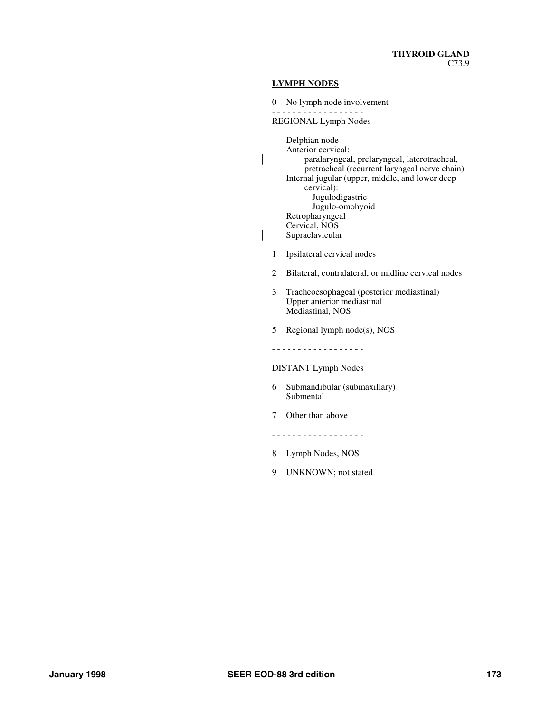### **LYMPH NODES**

0 No lymph node involvement - - - - - - - - - - - - - - - - - - REGIONAL Lymph Nodes Delphian node Anterior cervical: | paralaryngeal, prelaryngeal, laterotracheal, pretracheal (recurrent laryngeal nerve chain) Internal jugular (upper, middle, and lower deep cervical): Jugulodigastric Jugulo-omohyoid Retropharyngeal Cervical, NOS | Supraclavicular

1 Ipsilateral cervical nodes

2 Bilateral, contralateral, or midline cervical nodes

- 3 Tracheoesophageal (posterior mediastinal) Upper anterior mediastinal Mediastinal, NOS
- 5 Regional lymph node(s), NOS

- - - - - - - - - - - - - - - - - -

### DISTANT Lymph Nodes

- 6 Submandibular (submaxillary) Submental
- 7 Other than above

#### - - - - - - - - - - - - - - - - - -

- 8 Lymph Nodes, NOS
- 9 UNKNOWN; not stated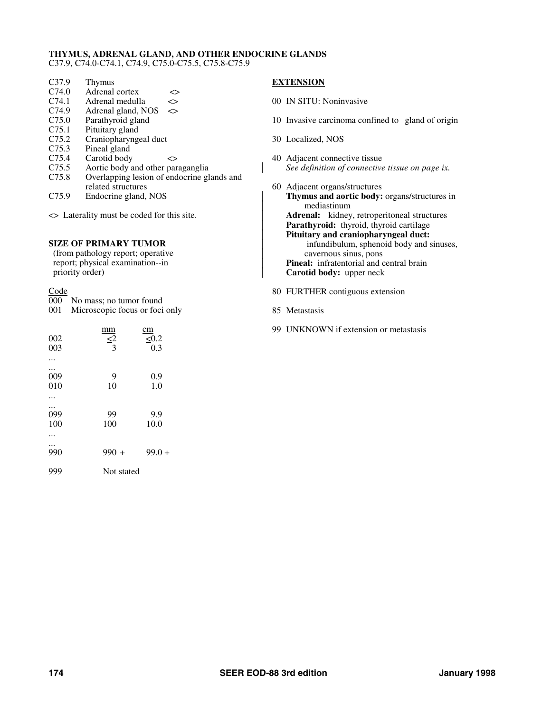### **THYMUS, ADRENAL GLAND, AND OTHER ENDOCRINE GLANDS**

C37.9, C74.0-C74.1, C74.9, C75.0-C75.5, C75.8-C75.9

C37.9 Thymus  $C74.0$  Adrenal cortex  $\leq$  $C74.1$  Adrenal medulla  $\leq$  $C74.9$  Adrenal gland, NOS  $\leq$ C75.0 Parathyroid gland C75.1 Pituitary gland<br>C75.2 Craniopharynge C75.2 Craniopharyngeal duct<br>C75.3 Pineal gland C75.3 Pineal gland<br>C75.4 Carotid body  $C75.4$  Carotid body<br> $C75.5$  Aortic body and other par C75.5 Aortic body and other paraganglia<br>C75.8 Overlapping lesion of endocrine gl Overlapping lesion of endocrine glands and related structures C75.9 Endocrine gland, NOS

<> Laterality must be coded for this site.

### **SIZE OF PRIMARY TUMOR**

 (from pathology report; operative report; physical examination--in priority order)

**Code** 

| 000 | No mass; no tumor found |  |  |  |  |
|-----|-------------------------|--|--|--|--|
|-----|-------------------------|--|--|--|--|

001 Microscopic focus or foci only

| 002<br>003             | mm<br>$\leq$ 2<br>3 | cm<br>$\leq 0.2$<br>0.3 |
|------------------------|---------------------|-------------------------|
|                        |                     |                         |
| <br>009<br>010         | 9<br>10             | 0.9<br>1.0              |
|                        |                     |                         |
| $\cdots$<br>099<br>100 | 99<br>100           | 9.9<br>10.0             |
| 990                    | $990 +$             | $99.0 +$                |
| 999                    | Not stated          |                         |

- 00 IN SITU: Noninvasive
- 10 Invasive carcinoma confined to gland of origin
- 30 Localized, NOS
- 40 Adjacent connective tissue | *See definition of connective tissue on page ix.*
- 60 Adjacent organs/structures | **Thymus and aortic body:** organs/structures in mediastinum Adrenal: kidney, retroperitoneal structures Parathyroid: thyroid, thyroid cartilage | **Pituitary and craniopharyngeal duct:** infundibulum, sphenoid body and sinuses, | cavernous sinus, pons Pineal: infratentorial and central brain | **Carotid body:** upper neck
- 80 FURTHER contiguous extension
- 85 Metastasis
- 99 UNKNOWN if extension or metastasis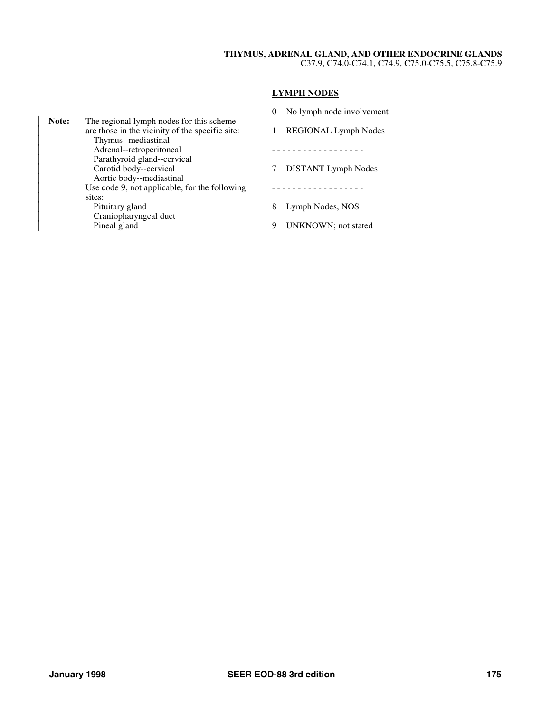# **THYMUS, ADRENAL GLAND, AND OTHER ENDOCRINE GLANDS**

C37.9, C74.0-C74.1, C74.9, C75.0-C75.5, C75.8-C75.9

# **LYMPH NODES**

| Note: | The regional lymph nodes for this scheme<br>are those in the vicinity of the specific site:<br>Thymus--mediastinal<br>Adrenal--retroperitoneal<br>Parathyroid gland--cervical<br>Carotid body--cervical<br>Aortic body--mediastinal<br>Use code 9, not applicable, for the following<br>sites:<br>Pituitary gland<br>Craniopharyngeal duct |
|-------|--------------------------------------------------------------------------------------------------------------------------------------------------------------------------------------------------------------------------------------------------------------------------------------------------------------------------------------------|
|       | Pineal gland                                                                                                                                                                                                                                                                                                                               |

# 0 No lymph node involvement - - - - - - - - - - - - - - - - - - 1 REGIONAL Lymph Nodes - - - - - - - - - - - - - - - - - - 7 DISTANT Lymph Nodes - - - - - - - - - - - - - - - - - - 8 Lymph Nodes, NOS

9 UNKNOWN; not stated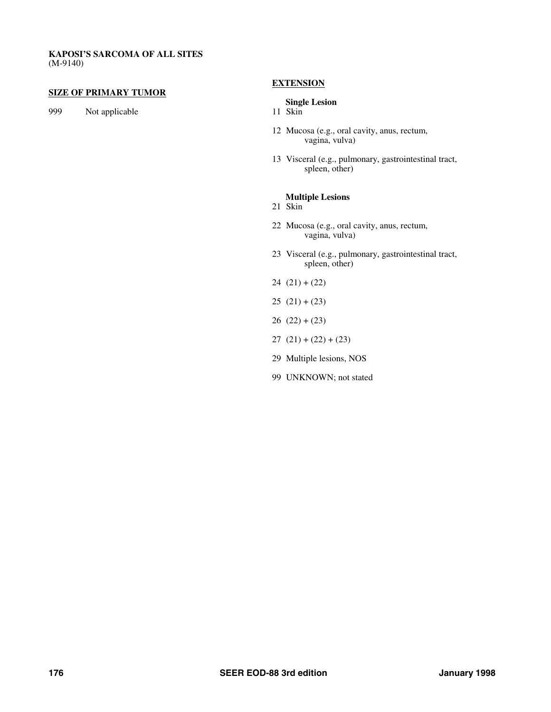#### **KAPOSI'S SARCOMA OF ALL SITES** (M-9140)

# **SIZE OF PRIMARY TUMOR**

999 Not applicable

### **EXTENSION**

#### **Single Lesion**

11 Skin

- 12 Mucosa (e.g., oral cavity, anus, rectum, vagina, vulva)
- 13 Visceral (e.g., pulmonary, gastrointestinal tract, spleen, other)

### **Multiple Lesions**

- 21 Skin
- 22 Mucosa (e.g., oral cavity, anus, rectum, vagina, vulva)
- 23 Visceral (e.g., pulmonary, gastrointestinal tract, spleen, other)
- $24(21) + (22)$
- $25(21) + (23)$
- $26(22) + (23)$
- $27(21) + (22) + (23)$
- 29 Multiple lesions, NOS
- 99 UNKNOWN; not stated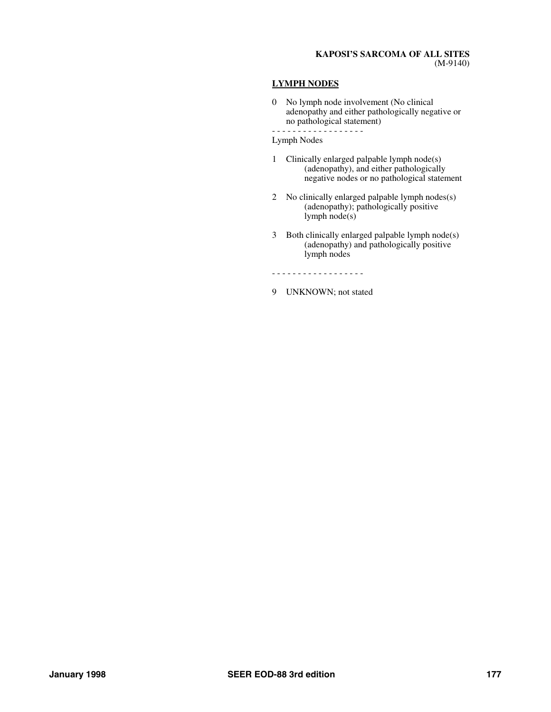#### **KAPOSI'S SARCOMA OF ALL SITES** (M-9140)

### **LYMPH NODES**

0 No lymph node involvement (No clinical adenopathy and either pathologically negative or no pathological statement)

. . . . . . <del>.</del> . . . . . . . . . . . Lymph Nodes

- 1 Clinically enlarged palpable lymph node(s) (adenopathy), and either pathologically negative nodes or no pathological statement
- 2 No clinically enlarged palpable lymph nodes(s) (adenopathy); pathologically positive lymph node(s)
- 3 Both clinically enlarged palpable lymph node(s) (adenopathy) and pathologically positive lymph nodes

- - - - - - - - - - - - - - - - - -

9 UNKNOWN; not stated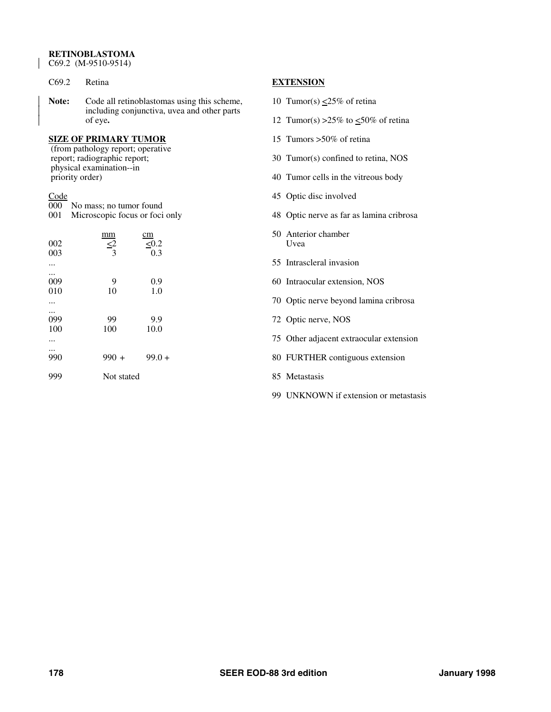### **RETINOBLASTOMA**

| C69.2 (M-9510-9514)

|  | C69.2                                                                                                            | Retina                                                    |                                                                                                       | <b>EXTENSION</b>                    |                                          |  |
|--|------------------------------------------------------------------------------------------------------------------|-----------------------------------------------------------|-------------------------------------------------------------------------------------------------------|-------------------------------------|------------------------------------------|--|
|  | Note:                                                                                                            |                                                           | Code all retinoblastomas using this scheme,<br>including conjunctiva, uvea and other parts<br>of eye. |                                     | 10 Tumor(s) $\leq$ 25% of retina         |  |
|  |                                                                                                                  |                                                           |                                                                                                       |                                     | 12 Tumor(s) > $25\%$ to <50% of retina   |  |
|  |                                                                                                                  | <b>SIZE OF PRIMARY TUMOR</b>                              |                                                                                                       |                                     | 15 Tumors > 50% of retina                |  |
|  | (from pathology report; operative<br>report; radiographic report;<br>physical examination--in<br>priority order) |                                                           |                                                                                                       | 30 Tumor(s) confined to retina, NOS |                                          |  |
|  |                                                                                                                  |                                                           |                                                                                                       | 40 Tumor cells in the vitreous body |                                          |  |
|  | Code                                                                                                             |                                                           |                                                                                                       | 45 Optic disc involved              |                                          |  |
|  | 000<br>001                                                                                                       | No mass; no tumor found<br>Microscopic focus or foci only |                                                                                                       |                                     | 48 Optic nerve as far as lamina cribrosa |  |
|  | 002<br>003                                                                                                       | <u>mm</u><br>$\frac{2}{3}$                                | cm<br><0.2<br>0.3                                                                                     |                                     | 50 Anterior chamber<br>Uvea              |  |
|  |                                                                                                                  |                                                           |                                                                                                       |                                     | 55 Intrascleral invasion                 |  |
|  | $\cdots$<br>009                                                                                                  | 9                                                         | 0.9                                                                                                   |                                     | 60 Intraocular extension, NOS            |  |
|  | 010                                                                                                              | 10                                                        | 1.0                                                                                                   |                                     | 70 Optic nerve beyond lamina cribrosa    |  |
|  | $\cdots$<br>099<br>100                                                                                           | 99<br>100                                                 | 9.9<br>10.0                                                                                           |                                     | 72 Optic nerve, NOS                      |  |

- 75 Other adjacent extraocular extension
- 80 FURTHER contiguous extension
- 85 Metastasis
- 99 UNKNOWN if extension or metastasis

... ...<sub>990</sub>

 $990 + 99.0 +$ 

999 Not stated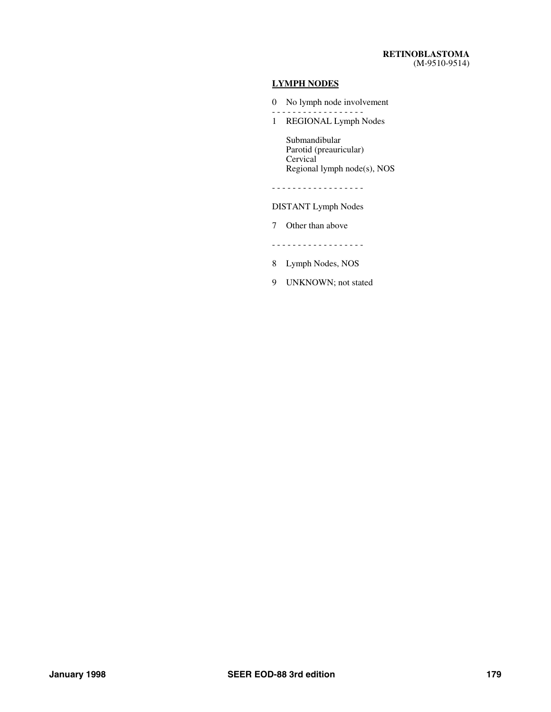### **LYMPH NODES**

- 0 No lymph node involvement
- - - - - - - - - -
- 1 REGIONAL Lymph Nodes

Submandibular Parotid (preauricular) Cervical<sup>1</sup> Regional lymph node(s), NOS

- - - - - - - - - - - - - - - - - -

DISTANT Lymph Nodes

7 Other than above

- - - - - - - - - - - - - - - - - -

- 8 Lymph Nodes, NOS
- 9 UNKNOWN; not stated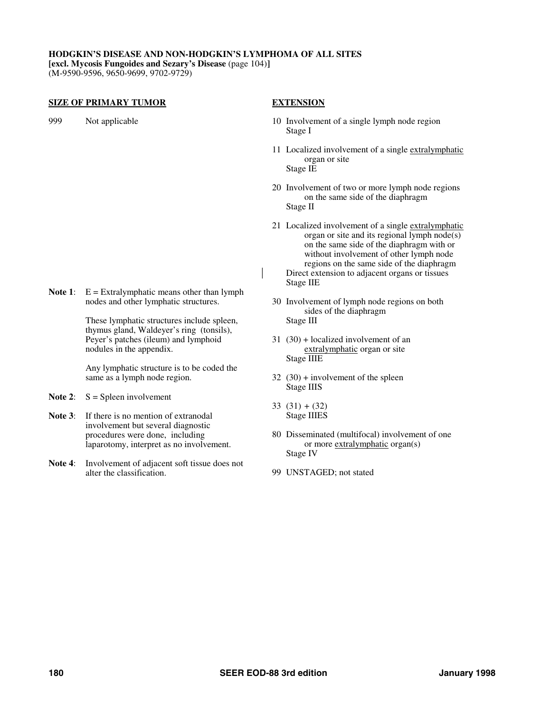### **HODGKIN'S DISEASE AND NON-HODGKIN'S LYMPHOMA OF ALL SITES**

**[excl. Mycosis Fungoides and Sezary's Disease** (page 104)**]** (M-9590-9596, 9650-9699, 9702-9729)

### **SIZE OF PRIMARY TUMOR**

999 Not applicable

**Note 1:**  $E =$  Extralymphatic means other than lymph nodes and other lymphatic structures.

> These lymphatic structures include spleen, thymus gland, Waldeyer's ring (tonsils), Peyer's patches (ileum) and lymphoid nodules in the appendix.

> Any lymphatic structure is to be coded the same as a lymph node region.

- **Note 2:**  $S = S$  pleen involvement
- **Note 3**: If there is no mention of extranodal involvement but several diagnostic procedures were done, including laparotomy, interpret as no involvement.
- **Note 4**: Involvement of adjacent soft tissue does not alter the classification.

- 10 Involvement of a single lymph node region Stage I
- 11 Localized involvement of a single extralymphatic organ or site Stage IE
- 20 Involvement of two or more lymph node regions on the same side of the diaphragm Stage II
- 21 Localized involvement of a single extralymphatic organ or site and its regional lymph node(s) on the same side of the diaphragm with or without involvement of other lymph node regions on the same side of the diaphragm | Direct extension to adjacent organs or tissues Stage IIE
	- 30 Involvement of lymph node regions on both sides of the diaphragm Stage III
	- 31 (30) + localized involvement of an extralymphatic organ or site Stage IIIE
	- 32 (30) + involvement of the spleen Stage IIIS
	- 33 (31) + (32) Stage IIIES
	- 80 Disseminated (multifocal) involvement of one or more extralymphatic organ(s) Stage IV
	- 99 UNSTAGED; not stated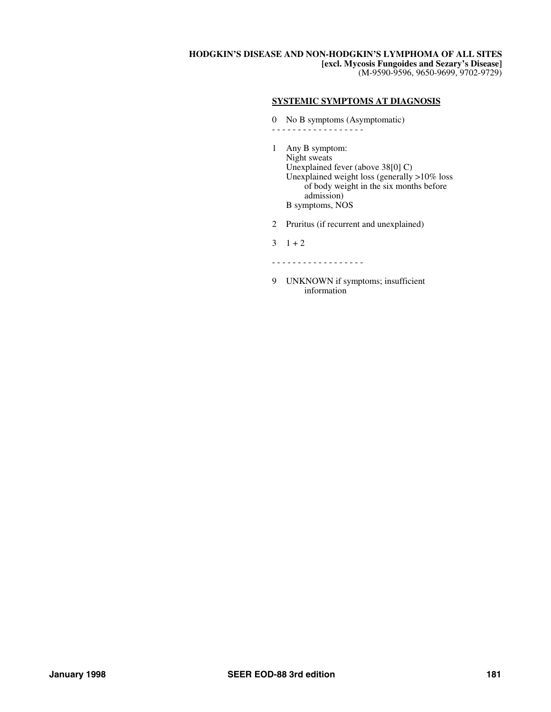**HODGKIN'S DISEASE AND NON-HODGKIN'S LYMPHOMA OF ALL SITES [excl. Mycosis Fungoides and Sezary's Disease]** (M-9590-9596, 9650-9699, 9702-9729)

#### **SYSTEMIC SYMPTOMS AT DIAGNOSIS**

- 0 No B symptoms (Asymptomatic) - - - - - - - - - - - - - - - - - -
- 1 Any B symptom: Night sweats Unexplained fever (above 38[0] C) Unexplained weight loss (generally >10% loss of body weight in the six months before admission) B symptoms, NOS
- 2 Pruritus (if recurrent and unexplained)
- $3 \t1 + 2$

- - - - - - - - - - - - - - - - - -

9 UNKNOWN if symptoms; insufficient information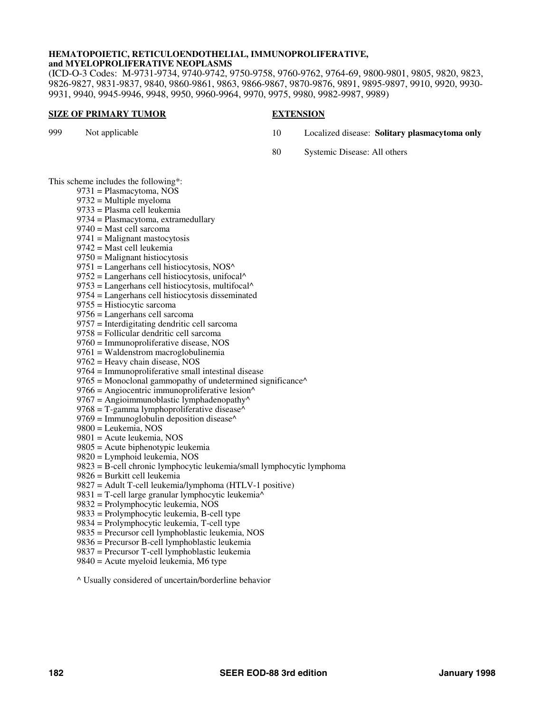# **HEMATOPOIETIC, RETICULOENDOTHELIAL, IMMUNOPROLIFERATIVE,**

**and MYELOPROLIFERATIVE NEOPLASMS**

(ICD-O-3 Codes: M-9731-9734, 9740-9742, 9750-9758, 9760-9762, 9764-69, 9800-9801, 9805, 9820, 9823, 9826-9827, 9831-9837, 9840, 9860-9861, 9863, 9866-9867, 9870-9876, 9891, 9895-9897, 9910, 9920, 9930- 9931, 9940, 9945-9946, 9948, 9950, 9960-9964, 9970, 9975, 9980, 9982-9987, 9989)

### **SIZE OF PRIMARY TUMOR**

### **EXTENSION**

999 Not applicable

- 10 Localized disease: **Solitary plasmacytoma only**
- 80 Systemic Disease: All others

This scheme includes the following\*:

- 9731 = Plasmacytoma, NOS
- 9732 = Multiple myeloma
- 9733 = Plasma cell leukemia
- 9734 = Plasmacytoma, extramedullary
- 9740 = Mast cell sarcoma
- $9741 =$ Malignant mastocytosis
- 9742 = Mast cell leukemia
- 9750 = Malignant histiocytosis
- $9751$  = Langerhans cell histiocytosis, NOS $^{\wedge}$
- $9752$  = Langerhans cell histiocytosis, unifocal<sup> $\wedge$ </sup>
- $9753$  = Langerhans cell histiocytosis, multifocal $\wedge$
- 9754 = Langerhans cell histiocytosis disseminated
- 9755 = Histiocytic sarcoma
- 9756 = Langerhans cell sarcoma
- 9757 = Interdigitating dendritic cell sarcoma
- 9758 = Follicular dendritic cell sarcoma
- 9760 = Immunoproliferative disease, NOS
- 9761 = Waldenstrom macroglobulinemia
- 9762 = Heavy chain disease, NOS
- 9764 = Immunoproliferative small intestinal disease
- $9765$  = Monoclonal gammopathy of undetermined significance $\wedge$
- $9766$  = Angiocentric immunoproliferative lesion $\wedge$
- $9767$  = Angioimmunoblastic lymphadenopathy $\wedge$
- $9768 = T$ -gamma lymphoproliferative disease $\wedge$
- $9769$  = Immunoglobulin deposition disease<sup> $\wedge$ </sup>
- 9800 = Leukemia, NOS
- 9801 = Acute leukemia, NOS
- 9805 = Acute biphenotypic leukemia
- 9820 = Lymphoid leukemia, NOS
- 9823 = B-cell chronic lymphocytic leukemia/small lymphocytic lymphoma
- 9826 = Burkitt cell leukemia
- 9827 = Adult T-cell leukemia/lymphoma (HTLV-1 positive)
- 9831 = T-cell large granular lymphocytic leukemia $\hat{ }$
- 9832 = Prolymphocytic leukemia, NOS
- 9833 = Prolymphocytic leukemia, B-cell type
- 9834 = Prolymphocytic leukemia, T-cell type
- 9835 = Precursor cell lymphoblastic leukemia, NOS
- 9836 = Precursor B-cell lymphoblastic leukemia
- 9837 = Precursor T-cell lymphoblastic leukemia
- 9840 = Acute myeloid leukemia, M6 type

^ Usually considered of uncertain/borderline behavior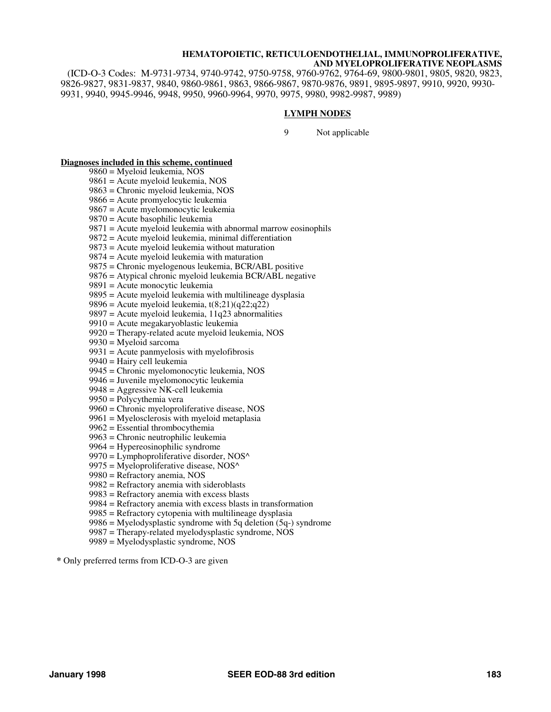### **HEMATOPOIETIC, RETICULOENDOTHELIAL, IMMUNOPROLIFERATIVE, AND MYELOPROLIFERATIVE NEOPLASMS**

(ICD-O-3 Codes: M-9731-9734, 9740-9742, 9750-9758, 9760-9762, 9764-69, 9800-9801, 9805, 9820, 9823, 9826-9827, 9831-9837, 9840, 9860-9861, 9863, 9866-9867, 9870-9876, 9891, 9895-9897, 9910, 9920, 9930- 9931, 9940, 9945-9946, 9948, 9950, 9960-9964, 9970, 9975, 9980, 9982-9987, 9989)

### **LYMPH NODES**

9 Not applicable

#### **Diagnoses included in this scheme, continued**

- 9860 = Myeloid leukemia, NOS
- 9861 = Acute myeloid leukemia, NOS
- 9863 = Chronic myeloid leukemia, NOS
- 9866 = Acute promyelocytic leukemia
- 9867 = Acute myelomonocytic leukemia
- 9870 = Acute basophilic leukemia
- 9871 = Acute myeloid leukemia with abnormal marrow eosinophils
- 9872 = Acute myeloid leukemia, minimal differentiation
- 9873 = Acute myeloid leukemia without maturation
- 9874 = Acute myeloid leukemia with maturation
- 9875 = Chronic myelogenous leukemia, BCR/ABL positive
- 9876 = Atypical chronic myeloid leukemia BCR/ABL negative
- 9891 = Acute monocytic leukemia
- 9895 = Acute myeloid leukemia with multilineage dysplasia
- 9896 = Acute myeloid leukemia,  $t(8;21)(q22;q22)$
- 9897 = Acute myeloid leukemia, 11q23 abnormalities
- 9910 = Acute megakaryoblastic leukemia
- 9920 = Therapy-related acute myeloid leukemia, NOS
- 9930 = Myeloid sarcoma
- $9931$  = Acute panmyelosis with myelofibrosis
- 9940 = Hairy cell leukemia
- 9945 = Chronic myelomonocytic leukemia, NOS
- 9946 = Juvenile myelomonocytic leukemia
- 9948 = Aggressive NK-cell leukemia
- 9950 = Polycythemia vera
- 9960 = Chronic myeloproliferative disease, NOS
- 9961 = Myelosclerosis with myeloid metaplasia
- 9962 = Essential thrombocythemia
- 9963 = Chronic neutrophilic leukemia
- 9964 = Hypereosinophilic syndrome
- $9970$  = Lymphoproliferative disorder, NOS $^{\wedge}$
- $9975 =$  Myeloproliferative disease, NOS^
- 9980 = Refractory anemia, NOS
- 9982 = Refractory anemia with sideroblasts
- 9983 = Refractory anemia with excess blasts
- 9984 = Refractory anemia with excess blasts in transformation
- 9985 = Refractory cytopenia with multilineage dysplasia
- 9986 = Myelodysplastic syndrome with 5q deletion (5q-) syndrome
- 9987 = Therapy-related myelodysplastic syndrome, NOS
- 9989 = Myelodysplastic syndrome, NOS

**\*** Only preferred terms from ICD-O-3 are given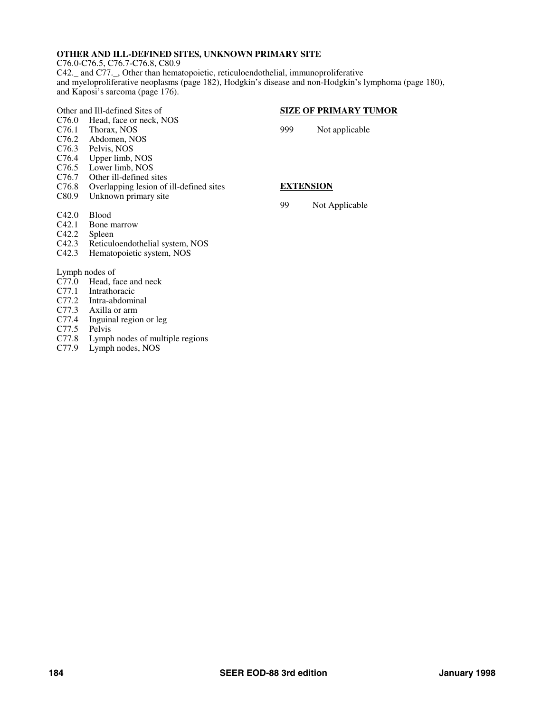### **OTHER AND ILL-DEFINED SITES, UNKNOWN PRIMARY SITE**

C76.0-C76.5, C76.7-C76.8, C80.9

C42.\_ and C77.\_, Other than hematopoietic, reticuloendothelial, immunoproliferative and myeloproliferative neoplasms (page 182), Hodgkin's disease and non-Hodgkin's lymphoma (page 180), and Kaposi's sarcoma (page 176).

- Other and Ill-defined Sites of C76.0 Head, face or neck, NOS C76.1 Thorax, NOS C76.2 Abdomen, NOS 999 Not applicable
- C76.3 Pelvis, NOS
- C76.4 Upper limb, NOS
- 
- C76.5 Lower limb, NOS<br>C76.7 Other ill-defined s
- C76.7 Other ill-defined sites<br>C76.8 Overlapping lesion of Overlapping lesion of ill-defined sites
- C80.9 Unknown primary site
- C42.0 Blood
- C42.1 Bone marrow
- C42.2 Spleen<br>C42.3 Reticul
- C42.3 Reticuloendothelial system, NOS<br>C42.3 Hematopoietic system, NOS
- Hematopoietic system, NOS

Lymph nodes of

- C77.0 Head, face and neck<br>C77.1 Intrathoracic
- C77.1 Intrathoracic<br>C77.2 Intra-abdomi
- Intra-abdominal
- C77.3 Axilla or arm
- C77.4 Inguinal region or leg
- C77.5 Pelvis
- C77.8 Lymph nodes of multiple regions
- C77.9 Lymph nodes, NOS

### **SIZE OF PRIMARY TUMOR**

### **EXTENSION**

99 Not Applicable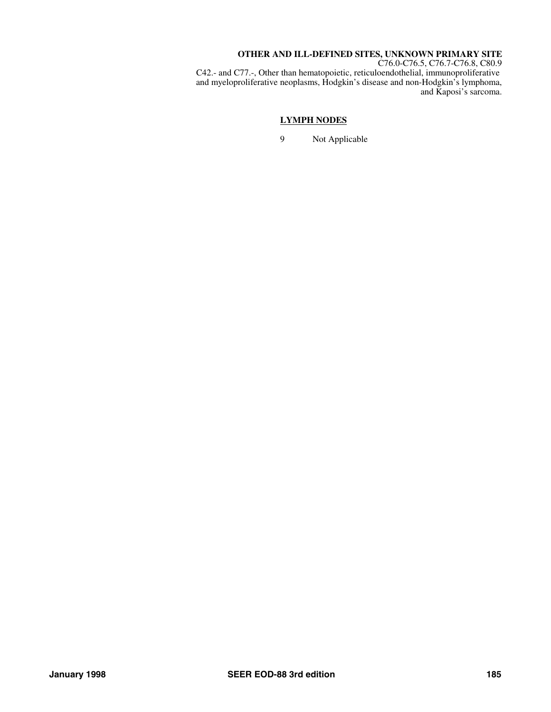# **OTHER AND ILL-DEFINED SITES, UNKNOWN PRIMARY SITE**

C76.0-C76.5, C76.7-C76.8, C80.9 C42.- and C77.-, Other than hematopoietic, reticuloendothelial, immunoproliferative and myeloproliferative neoplasms, Hodgkin's disease and non-Hodgkin's lymphoma, and Kaposi's sarcoma.

# **LYMPH NODES**

9 Not Applicable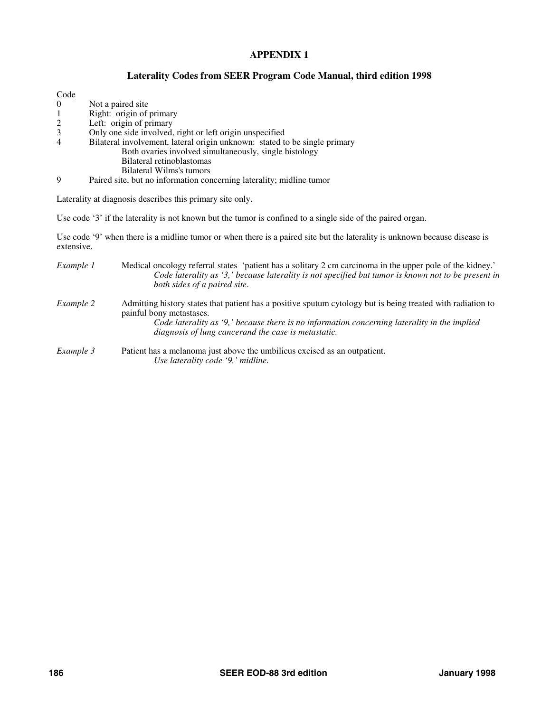# **Laterality Codes from SEER Program Code Manual, third edition 1998**

| Code                                                      |                                                                                                                                                                                                                                                  |  |  |  |  |
|-----------------------------------------------------------|--------------------------------------------------------------------------------------------------------------------------------------------------------------------------------------------------------------------------------------------------|--|--|--|--|
| $\boldsymbol{0}$                                          | Not a paired site                                                                                                                                                                                                                                |  |  |  |  |
| $\mathbf{1}$                                              | Right: origin of primary                                                                                                                                                                                                                         |  |  |  |  |
|                                                           | Left: origin of primary                                                                                                                                                                                                                          |  |  |  |  |
| $\frac{2}{3}$                                             | Only one side involved, right or left origin unspecified                                                                                                                                                                                         |  |  |  |  |
| $\overline{4}$                                            | Bilateral involvement, lateral origin unknown: stated to be single primary                                                                                                                                                                       |  |  |  |  |
|                                                           | Both ovaries involved simultaneously, single histology                                                                                                                                                                                           |  |  |  |  |
|                                                           | Bilateral retinoblastomas                                                                                                                                                                                                                        |  |  |  |  |
|                                                           | Bilateral Wilms's tumors                                                                                                                                                                                                                         |  |  |  |  |
| 9                                                         | Paired site, but no information concerning laterality; midline tumor                                                                                                                                                                             |  |  |  |  |
| Laterality at diagnosis describes this primary site only. |                                                                                                                                                                                                                                                  |  |  |  |  |
|                                                           | Use code '3' if the laterality is not known but the tumor is confined to a single side of the paired organ.                                                                                                                                      |  |  |  |  |
| extensive.                                                | Use code '9' when there is a midline tumor or when there is a paired site but the laterality is unknown because disease is                                                                                                                       |  |  |  |  |
| Example 1                                                 | Medical oncology referral states 'patient has a solitary 2 cm carcinoma in the upper pole of the kidney.'<br>Code laterality as '3,' because laterality is not specified but tumor is known not to be present in<br>both sides of a paired site. |  |  |  |  |

- *Example 2* Admitting history states that patient has a positive sputum cytology but is being treated with radiation to painful bony metastases. *Code laterality as '9,' because there is no information concerning laterality in the implied diagnosis of lung cancerand the case is metastatic.*
- *Example 3* Patient has a melanoma just above the umbilicus excised as an outpatient. *Use laterality code '9,' midline.*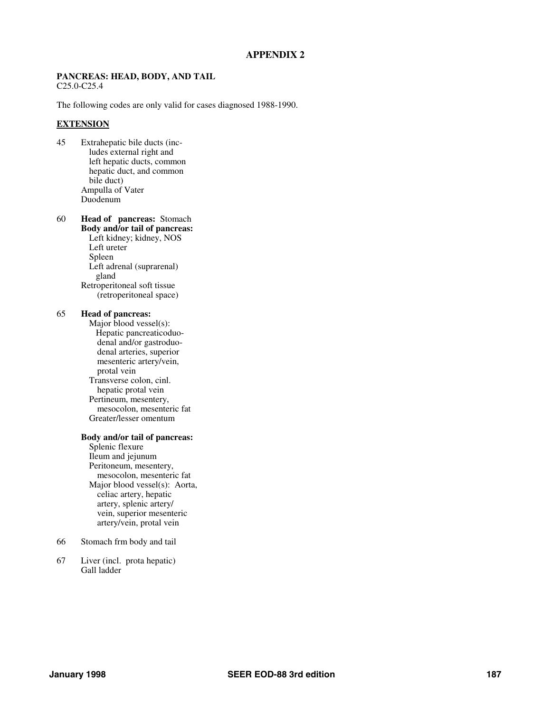#### **PANCREAS: HEAD, BODY, AND TAIL** C25.0-C25.4

The following codes are only valid for cases diagnosed 1988-1990.

### **EXTENSION**

45 Extrahepatic bile ducts (includes external right and left hepatic ducts, common hepatic duct, and common bile duct) Ampulla of Vater Duodenum

60 **Head of pancreas:** Stomach **Body and/or tail of pancreas:** Left kidney; kidney, NOS Left ureter Spleen Left adrenal (suprarenal) gland Retroperitoneal soft tissue (retroperitoneal space)

### 65 **Head of pancreas:**

Major blood vessel(s): Hepatic pancreaticoduodenal and/or gastroduodenal arteries, superior mesenteric artery/vein, protal vein Transverse colon, cinl. hepatic protal vein Pertineum, mesentery, mesocolon, mesenteric fat Greater/lesser omentum

### **Body and/or tail of pancreas:**

Splenic flexure Ileum and jejunum Peritoneum, mesentery, mesocolon, mesenteric fat Major blood vessel(s): Aorta, celiac artery, hepatic artery, splenic artery/ vein, superior mesenteric artery/vein, protal vein

- 66 Stomach frm body and tail
- 67 Liver (incl. prota hepatic) Gall ladder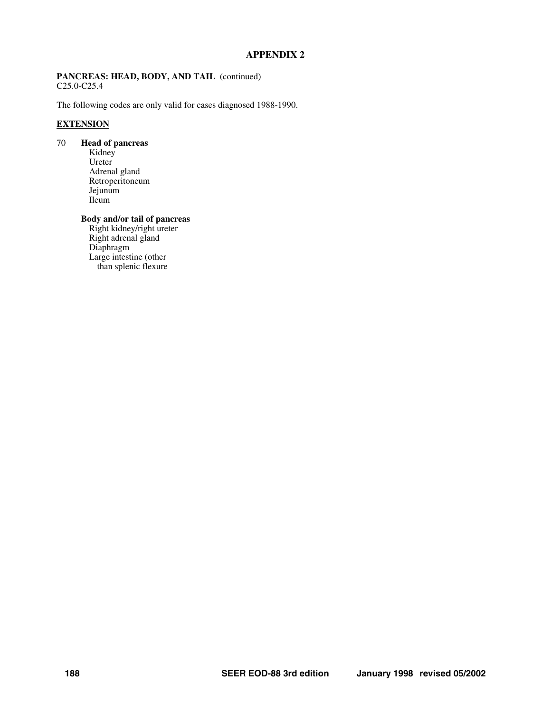### **PANCREAS: HEAD, BODY, AND TAIL** (continued) C25.0-C25.4

The following codes are only valid for cases diagnosed 1988-1990.

# **EXTENSION**

### 70 **Head of pancreas**

Kidney Ureter Adrenal gland Retroperitoneum Jejunum Ileum

### **Body and/or tail of pancreas**

Right kidney/right ureter Right adrenal gland Diaphragm Large intestine (other than splenic flexure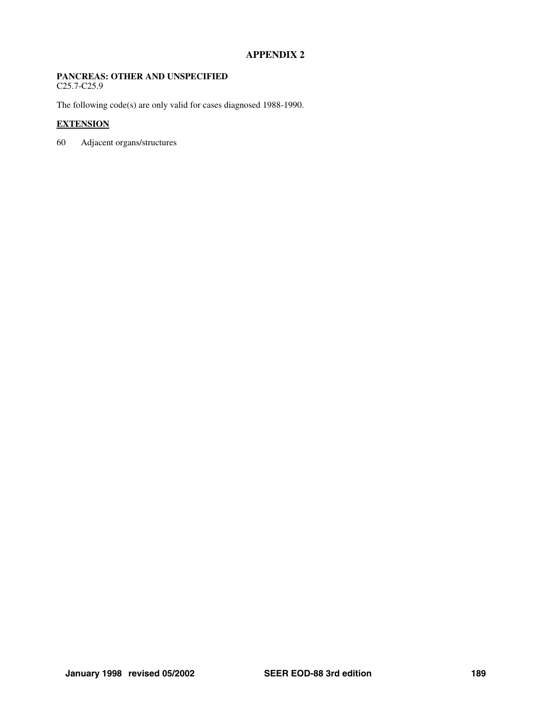# **PANCREAS: OTHER AND UNSPECIFIED**

C25.7-C25.9

The following code(s) are only valid for cases diagnosed 1988-1990.

# **EXTENSION**

60 Adjacent organs/structures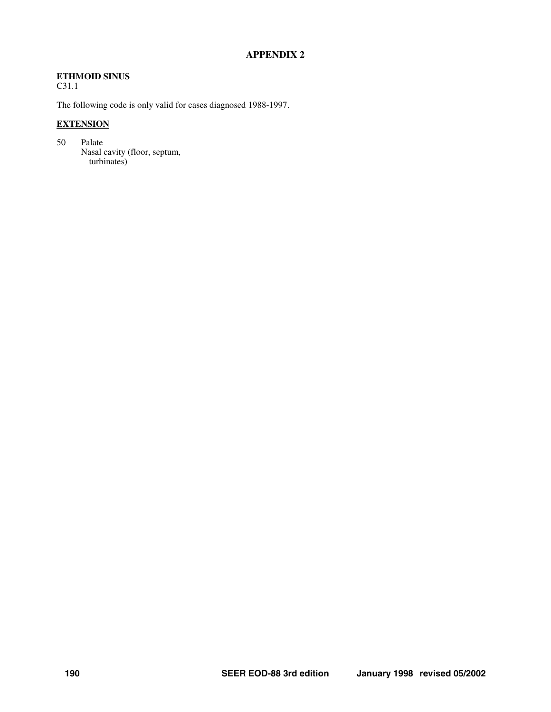# **ETHMOID SINUS**

C31.1

The following code is only valid for cases diagnosed 1988-1997.

# **EXTENSION**

50 Palate Nasal cavity (floor, septum, turbinates)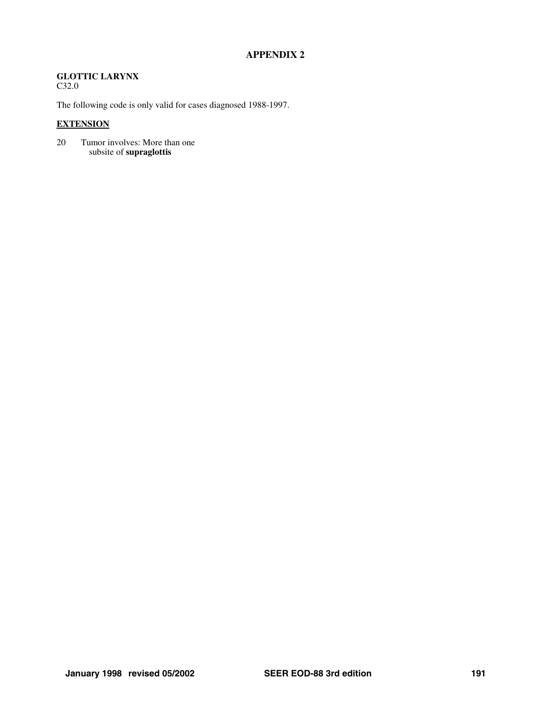# **GLOTTIC LARYNX**

C32.0

The following code is only valid for cases diagnosed 1988-1997.

# **EXTENSION**

20 Tumor involves: More than one subsite of **supraglottis**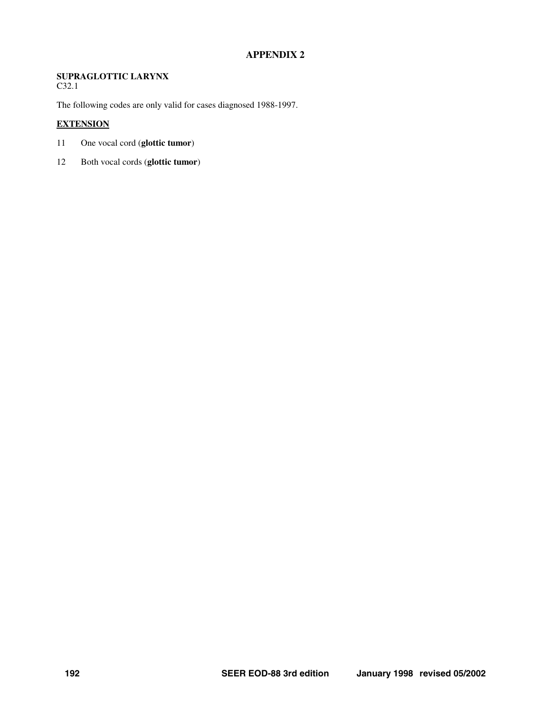# **SUPRAGLOTTIC LARYNX**

C32.1

The following codes are only valid for cases diagnosed 1988-1997.

- 11 One vocal cord (**glottic tumor**)
- 12 Both vocal cords (**glottic tumor**)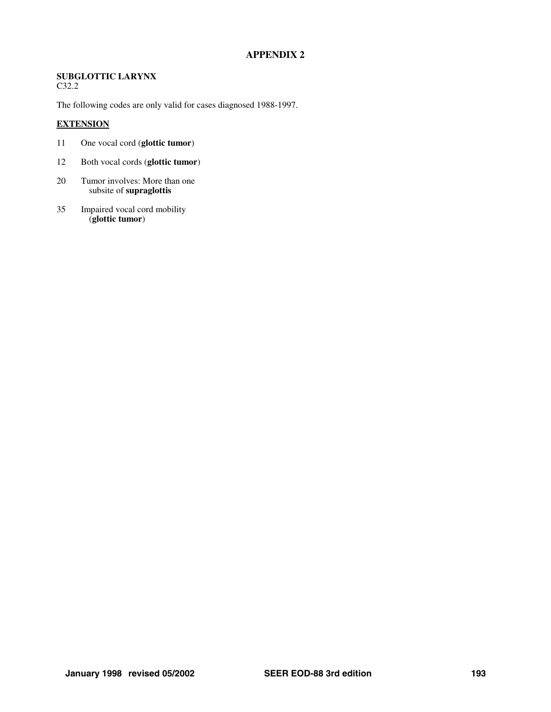### **SUBGLOTTIC LARYNX** C32.2

The following codes are only valid for cases diagnosed 1988-1997.

- 11 One vocal cord (**glottic tumor**)
- 12 Both vocal cords (**glottic tumor**)
- 20 Tumor involves: More than one subsite of **supraglottis**
- 35 Impaired vocal cord mobility (**glottic tumor**)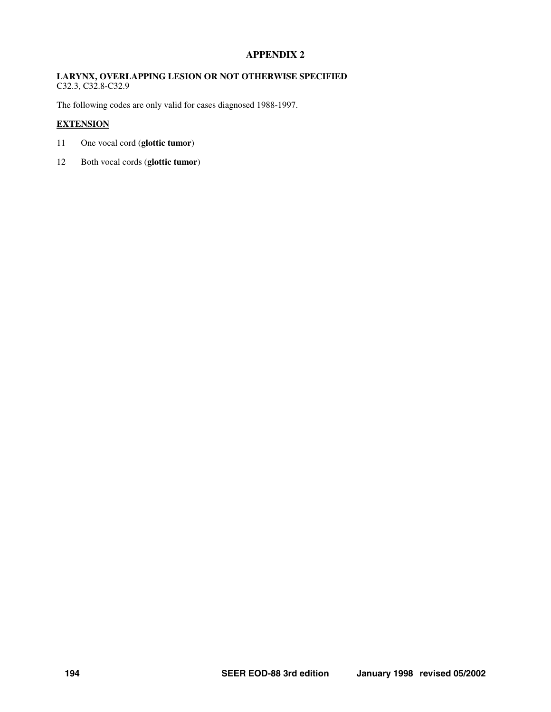### **LARYNX, OVERLAPPING LESION OR NOT OTHERWISE SPECIFIED** C32.3, C32.8-C32.9

The following codes are only valid for cases diagnosed 1988-1997.

- 11 One vocal cord (**glottic tumor**)
- 12 Both vocal cords (**glottic tumor**)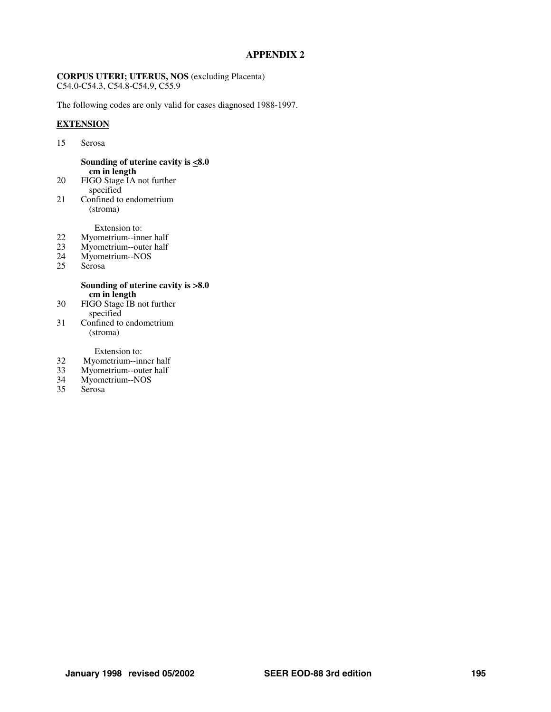**CORPUS UTERI; UTERUS, NOS** (excluding Placenta) C54.0-C54.3, C54.8-C54.9, C55.9

The following codes are only valid for cases diagnosed 1988-1997.

### **EXTENSION**

15 Serosa

### **Sounding of uterine cavity is <8.0 cm in length**

- 20 FIGO Stage IA not further specified
- 21 Confined to endometrium (stroma)

Extension to:

- 22 Myometrium--inner half<br>23 Myometrium--outer half
- 23 Myometrium--outer half<br>24 Myometrium--NOS
- 24 Myometrium--NOS<br>25 Serosa
- Serosa

#### **Sounding of uterine cavity is >8.0 cm in length**

- 30 FIGO Stage IB not further specified
- 31 Confined to endometrium (stroma)

Extension to:

- 32 Myometrium--inner half<br>33 Myometrium--outer half
- 33 Myometrium--outer half
- 34 Myometrium--NOS
- 35 Serosa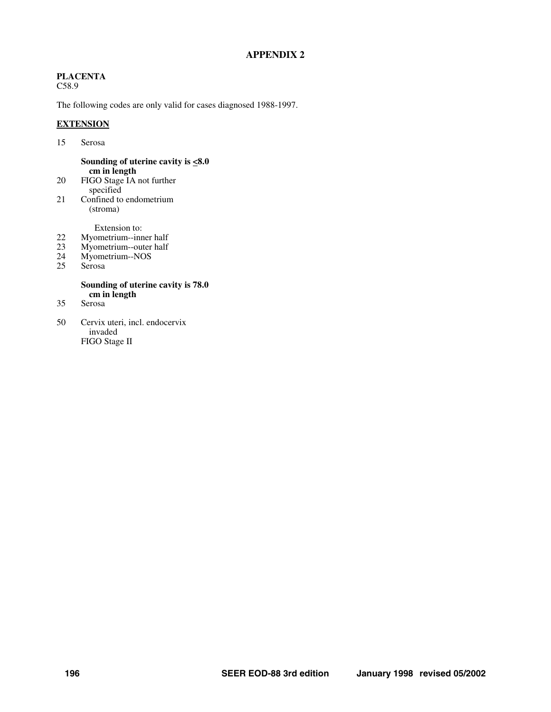# **PLACENTA**

C58.9

The following codes are only valid for cases diagnosed 1988-1997.

# **EXTENSION**

### 15 Serosa

### **Sounding of uterine cavity is <8.0 cm in length**

- 20 FIGO Stage IA not further specified
- 21 Confined to endometrium (stroma)

Extension to:

- 22 Myometrium--inner half<br>23 Myometrium--outer half
- 23 Myometrium--outer half<br>24 Myometrium--NOS
- 24 Myometrium--NOS<br>25 Serosa
- Serosa

#### **Sounding of uterine cavity is 78.0 cm in length**

- 35 Serosa
- 50 Cervix uteri, incl. endocervix invaded FIGO Stage II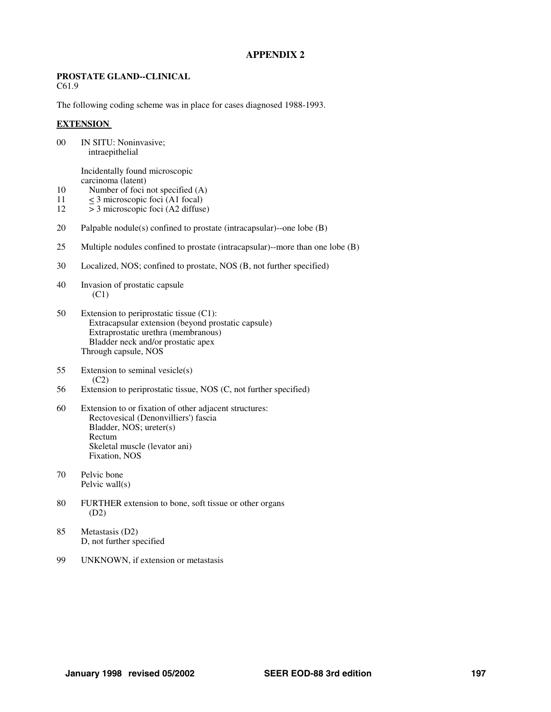### **PROSTATE GLAND--CLINICAL**

C61.9

The following coding scheme was in place for cases diagnosed 1988-1993.

### **EXTENSION**

00 IN SITU: Noninvasive; intraepithelial

> Incidentally found microscopic carcinoma (latent)

- 10 Number of foci not specified (A)
- 11  $\leq$  3 microscopic foci (A1 focal)<br>12 > 3 microscopic foci (A2 diffuse
- 12 > 3 microscopic foci (A2 diffuse)
- 20 Palpable nodule(s) confined to prostate (intracapsular)--one lobe (B)
- 25 Multiple nodules confined to prostate (intracapsular)--more than one lobe (B)
- 30 Localized, NOS; confined to prostate, NOS (B, not further specified)
- 40 Invasion of prostatic capsule (C1)
- 50 Extension to periprostatic tissue (C1): Extracapsular extension (beyond prostatic capsule) Extraprostatic urethra (membranous) Bladder neck and/or prostatic apex Through capsule, NOS
- 55 Extension to seminal vesicle(s)  $(C2)$
- 56 Extension to periprostatic tissue, NOS (C, not further specified)
- 60 Extension to or fixation of other adjacent structures: Rectovesical (Denonvilliers') fascia Bladder, NOS; ureter(s) Rectum Skeletal muscle (levator ani) Fixation, NOS
- 70 Pelvic bone Pelvic wall(s)
- 80 FURTHER extension to bone, soft tissue or other organs (D2)
- 85 Metastasis (D2) D, not further specified
- 99 UNKNOWN, if extension or metastasis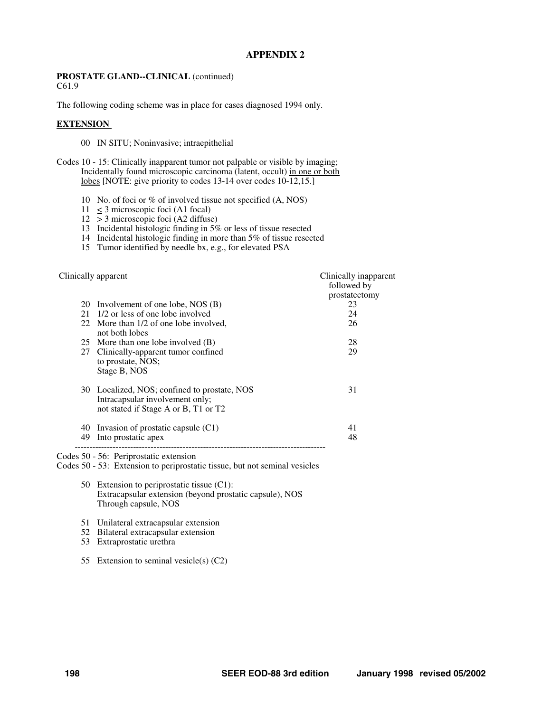# **PROSTATE GLAND--CLINICAL** (continued)

C61.9

The following coding scheme was in place for cases diagnosed 1994 only.

### **EXTENSION**

### 00 IN SITU; Noninvasive; intraepithelial

- Codes 10 15: Clinically inapparent tumor not palpable or visible by imaging; Incidentally found microscopic carcinoma (latent, occult) in one or both lobes [NOTE: give priority to codes 13-14 over codes 10-12,15.]
	- 10 No. of foci or % of involved tissue not specified (A, NOS)
	- 11  $\leq$  3 microscopic foci (A1 focal)
	- $12$  > 3 microscopic foci (A2 diffuse)
	- 13 Incidental histologic finding in 5% or less of tissue resected
	- 14 Incidental histologic finding in more than 5% of tissue resected
	- 15 Tumor identified by needle bx, e.g., for elevated PSA

| Clinically apparent | Clinically inapparent<br>followed by                                                                                    |               |
|---------------------|-------------------------------------------------------------------------------------------------------------------------|---------------|
|                     |                                                                                                                         | prostatectomy |
|                     | 20 Involvement of one lobe, NOS (B)                                                                                     | 23            |
|                     | 21 1/2 or less of one lobe involved                                                                                     | 24            |
|                     | 22 More than 1/2 of one lobe involved,<br>not both lobes                                                                | 26            |
|                     | 25 More than one lobe involved (B)                                                                                      | 28            |
| 27                  | Clinically-apparent tumor confined<br>to prostate, NOS;<br>Stage B, NOS                                                 | 29            |
|                     | 30 Localized, NOS; confined to prostate, NOS<br>Intracapsular involvement only;<br>not stated if Stage A or B, T1 or T2 | 31            |
| 40                  | Invasion of prostatic capsule $(C1)$                                                                                    | 41            |
| 49                  | Into prostatic apex                                                                                                     | 48            |
|                     | Codes 50 - 56: Periprostatic extension<br>Codes 50 - 53: Extension to periprostatic tissue, but not seminal vesicles    |               |

- 50 Extension to periprostatic tissue (C1): Extracapsular extension (beyond prostatic capsule), NOS Through capsule, NOS
- 51 Unilateral extracapsular extension
- 52 Bilateral extracapsular extension
- 53 Extraprostatic urethra
- 55 Extension to seminal vesicle(s) (C2)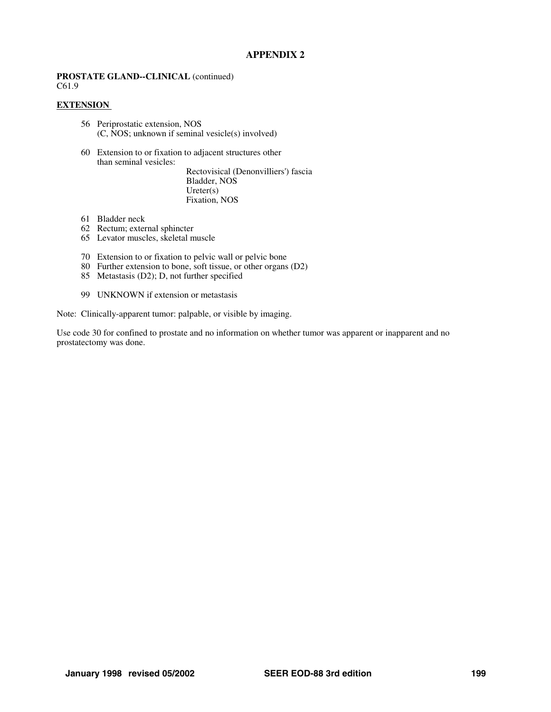### **PROSTATE GLAND--CLINICAL** (continued) C61.9

### **EXTENSION**

- 56 Periprostatic extension, NOS (C, NOS; unknown if seminal vesicle(s) involved)
- 60 Extension to or fixation to adjacent structures other than seminal vesicles:

Rectovisical (Denonvilliers') fascia Bladder, NOS Ureter(s) Fixation, NOS

- 61 Bladder neck
- 62 Rectum; external sphincter
- 65 Levator muscles, skeletal muscle
- 70 Extension to or fixation to pelvic wall or pelvic bone
- 80 Further extension to bone, soft tissue, or other organs (D2)
- 85 Metastasis (D2); D, not further specified
- 99 UNKNOWN if extension or metastasis

Note: Clinically-apparent tumor: palpable, or visible by imaging.

Use code 30 for confined to prostate and no information on whether tumor was apparent or inapparent and no prostatectomy was done.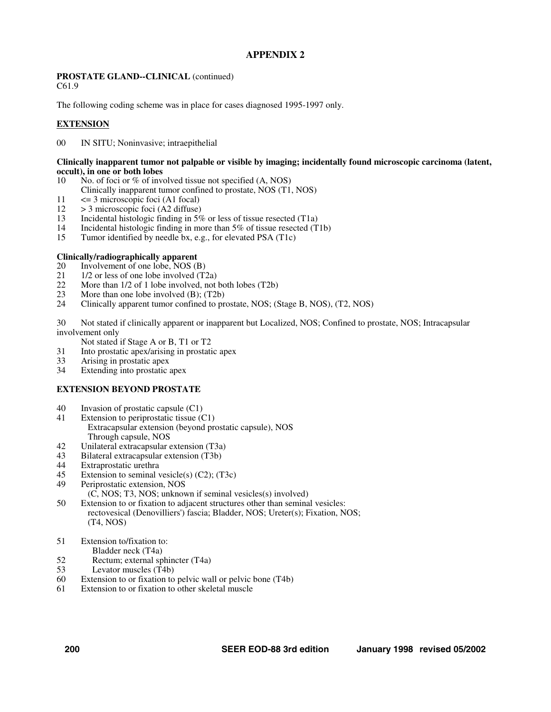# **PROSTATE GLAND--CLINICAL** (continued)

C61.9

The following coding scheme was in place for cases diagnosed 1995-1997 only.

# **EXTENSION**

00 IN SITU; Noninvasive; intraepithelial

### **Clinically inapparent tumor not palpable or visible by imaging; incidentally found microscopic carcinoma (latent, occult), in one or both lobes**

- 10 No. of foci or % of involved tissue not specified (A, NOS)
- Clinically inapparent tumor confined to prostate, NOS (T1, NOS)
- 11 <= 3 microscopic foci (A1 focal)
- $12 > 3$  microscopic foci (A2 diffuse)
- 13 Incidental histologic finding in 5% or less of tissue resected (T1a)
- 14 Incidental histologic finding in more than  $5\%$  of tissue resected (T1b) 15 Tumor identified by needle bx, e.g., for elevated PSA (T1c)
- Tumor identified by needle bx, e.g., for elevated PSA (T1c)

# **Clinically/radiographically apparent**<br>20 Involvement of one lobe, NOS (I

- 20 Involvement of one lobe, NOS (B)<br>21 1/2 or less of one lobe involved (T)
- 21 1/2 or less of one lobe involved  $(T2a)$ <br>22 More than 1/2 of 1 lobe involved, not
- 22 More than  $1/2$  of 1 lobe involved, not both lobes (T2b)<br>23 More than one lobe involved (B): (T2b)
- 23 More than one lobe involved  $(B)$ ;  $(T2b)$ <br>24 Clinically apparent tumor confined to pr
- 24 Clinically apparent tumor confined to prostate, NOS; (Stage B, NOS), (T2, NOS)

30 Not stated if clinically apparent or inapparent but Localized, NOS; Confined to prostate, NOS; Intracapsular involvement only

- Not stated if Stage A or B, T1 or T2
- 31 Into prostatic apex/arising in prostatic apex
- 33 Arising in prostatic apex<br>34 Extending into prostatic a
- Extending into prostatic apex

### **EXTENSION BEYOND PROSTATE**

- 40 Invasion of prostatic capsule (C1)
- 41 Extension to periprostatic tissue (C1) Extracapsular extension (beyond prostatic capsule), NOS Through capsule, NOS
- 
- 42 Unilateral extracapsular extension (T3a)<br>43 Bilateral extracapsular extension (T3b) 43 Bilateral extracapsular extension (T3b)<br>44 Extraprostatic urethra
- 
- 44 Extraprostatic urethra<br>45 Extension to seminal 45 Extension to seminal vesicle(s)  $(C2)$ ; (T3c)<br>49 Periprostatic extension. NOS
- Periprostatic extension, NOS
- (C, NOS; T3, NOS; unknown if seminal vesicles(s) involved) 50 Extension to or fixation to adjacent structures other than seminal vesicles:
- rectovesical (Denovilliers') fascia; Bladder, NOS; Ureter(s); Fixation, NOS; (T4, NOS)
- 51 Extension to/fixation to:
- Bladder neck (T4a)
- 52 Rectum; external sphincter (T4a)<br>53 Levator muscles (T4b)
- 53 Levator muscles (T4b)<br>60 Extension to or fixation to
- 60 Extension to or fixation to pelvic wall or pelvic bone (T4b)<br>61 Extension to or fixation to other skeletal muscle
- Extension to or fixation to other skeletal muscle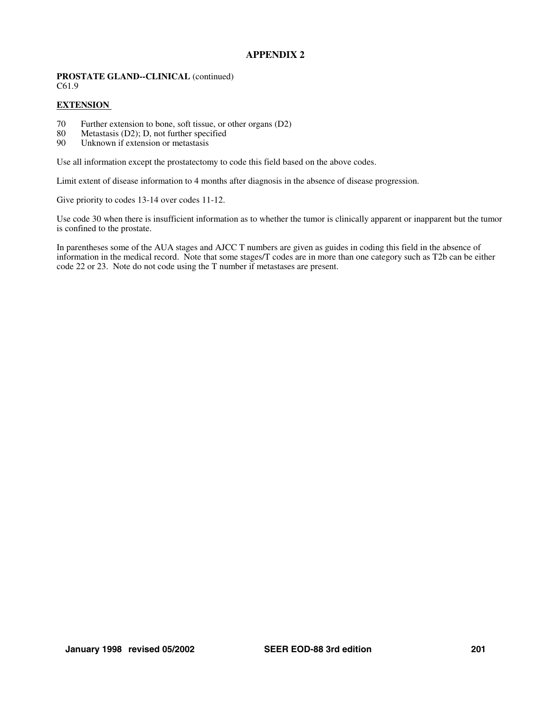### **PROSTATE GLAND--CLINICAL** (continued) C61.9

### **EXTENSION**

- 70 Further extension to bone, soft tissue, or other organs (D2)<br>80 Metastasis (D2): D. not further specified
- 80 Metastasis (D2); D, not further specified<br>90 Unknown if extension or metastasis
- Unknown if extension or metastasis

Use all information except the prostatectomy to code this field based on the above codes.

Limit extent of disease information to 4 months after diagnosis in the absence of disease progression.

Give priority to codes 13-14 over codes 11-12.

Use code 30 when there is insufficient information as to whether the tumor is clinically apparent or inapparent but the tumor is confined to the prostate.

In parentheses some of the AUA stages and AJCC T numbers are given as guides in coding this field in the absence of information in the medical record. Note that some stages/T codes are in more than one category such as T2b can be either code 22 or 23. Note do not code using the T number if metastases are present.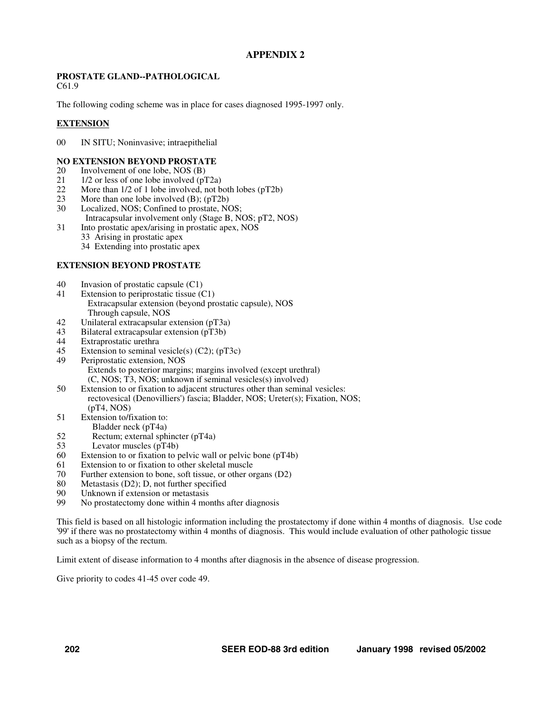# **PROSTATE GLAND--PATHOLOGICAL**

C61.9

The following coding scheme was in place for cases diagnosed 1995-1997 only.

# **EXTENSION**

00 IN SITU; Noninvasive; intraepithelial

### **NO EXTENSION BEYOND PROSTATE**

- 20 Involvement of one lobe, NOS (B)
- 21 1/2 or less of one lobe involved (pT2a)
- 22 More than 1/2 of 1 lobe involved, not both lobes (pT2b)
- 23 More than one lobe involved (B); (pT2b)
- 30 Localized, NOS; Confined to prostate, NOS; Intracapsular involvement only (Stage B, NOS; pT2, NOS)
- 31 Into prostatic apex/arising in prostatic apex, NOS
	- 33 Arising in prostatic apex
	- 34 Extending into prostatic apex

### **EXTENSION BEYOND PROSTATE**

- 40 Invasion of prostatic capsule (C1)<br>41 Extension to periprostatic tissue (
- Extension to periprostatic tissue  $(C1)$  Extracapsular extension (beyond prostatic capsule), NOS Through capsule, NOS
- 42 Unilateral extracapsular extension (pT3a)<br>43 Bilateral extracapsular extension (pT3b)
- 43 Bilateral extracapsular extension (pT3b)<br>44 Extraprostatic urethra
- Extraprostatic urethra
- 45 Extension to seminal vesicle(s) (C2); (pT3c)
- 49 Periprostatic extension, NOS Extends to posterior margins; margins involved (except urethral) (C, NOS; T3, NOS; unknown if seminal vesicles(s) involved)
- 50 Extension to or fixation to adjacent structures other than seminal vesicles: rectovesical (Denovilliers') fascia; Bladder, NOS; Ureter(s); Fixation, NOS; (pT4, NOS)
- 51 Extension to/fixation to:
- Bladder neck (pT4a)
- 52 Rectum; external sphincter (pT4a)<br>53 Levator muscles (pT4b)
- 53 Levator muscles (pT4b)<br>60 Extension to or fixation to p
- Extension to or fixation to pelvic wall or pelvic bone  $(pT4b)$
- 61 Extension to or fixation to other skeletal muscle
- 70 Further extension to bone, soft tissue, or other organs (D2)
- 80 Metastasis (D2); D, not further specified
- 90 Unknown if extension or metastasis
- 99 No prostatectomy done within 4 months after diagnosis

This field is based on all histologic information including the prostatectomy if done within 4 months of diagnosis. Use code '99' if there was no prostatectomy within 4 months of diagnosis. This would include evaluation of other pathologic tissue such as a biopsy of the rectum.

Limit extent of disease information to 4 months after diagnosis in the absence of disease progression.

Give priority to codes 41-45 over code 49.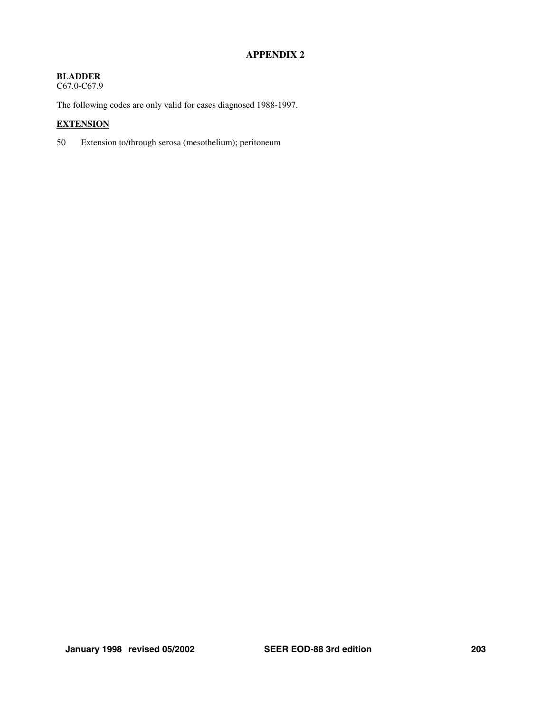# **BLADDER**

C67.0-C67.9

The following codes are only valid for cases diagnosed 1988-1997.

### **EXTENSION**

50 Extension to/through serosa (mesothelium); peritoneum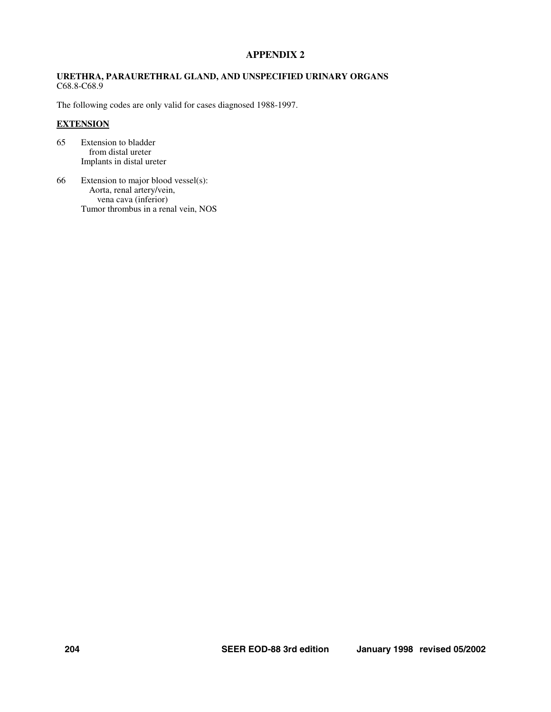#### **URETHRA, PARAURETHRAL GLAND, AND UNSPECIFIED URINARY ORGANS** C68.8-C68.9

The following codes are only valid for cases diagnosed 1988-1997.

- 65 Extension to bladder from distal ureter Implants in distal ureter
- 66 Extension to major blood vessel(s): Aorta, renal artery/vein, vena cava (inferior) Tumor thrombus in a renal vein, NOS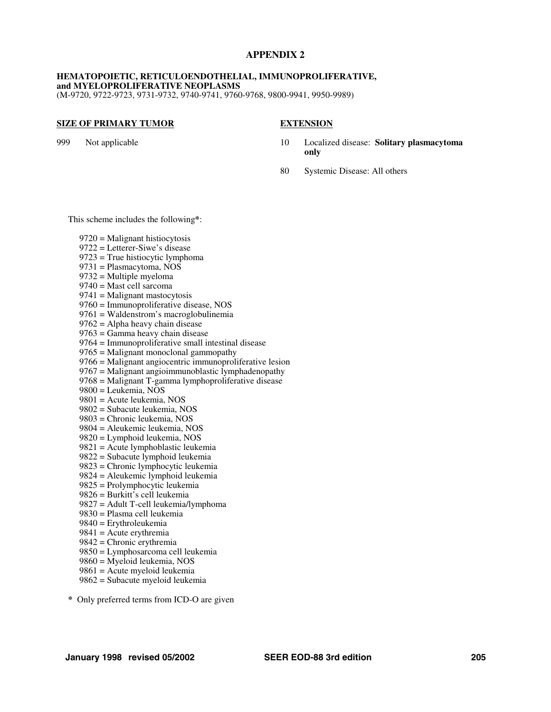# **HEMATOPOIETIC, RETICULOENDOTHELIAL, IMMUNOPROLIFERATIVE,**

**and MYELOPROLIFERATIVE NEOPLASMS**

(M-9720, 9722-9723, 9731-9732, 9740-9741, 9760-9768, 9800-9941, 9950-9989)

### **SIZE OF PRIMARY TUMOR**

### **EXTENSION**

999 Not applicable

- 10 Localized disease: **Solitary plasmacytoma only**
- 80 Systemic Disease: All others

This scheme includes the following**\***:

 9720 = Malignant histiocytosis 9722 = Letterer-Siwe's disease 9723 = True histiocytic lymphoma 9731 = Plasmacytoma, NOS 9732 = Multiple myeloma 9740 = Mast cell sarcoma 9741 = Malignant mastocytosis 9760 = Immunoproliferative disease, NOS 9761 = Waldenstrom's macroglobulinemia  $9762$  = Alpha heavy chain disease  $9763 = \text{Gamma}$  heavy chain disease 9764 = Immunoproliferative small intestinal disease 9765 = Malignant monoclonal gammopathy 9766 = Malignant angiocentric immunoproliferative lesion  $9767$  = Malignant angioimmunoblastic lymphadenopathy 9768 = Malignant T-gamma lymphoproliferative disease 9800 = Leukemia, NOS 9801 = Acute leukemia, NOS 9802 = Subacute leukemia, NOS 9803 = Chronic leukemia, NOS 9804 = Aleukemic leukemia, NOS 9820 = Lymphoid leukemia, NOS 9821 = Acute lymphoblastic leukemia 9822 = Subacute lymphoid leukemia 9823 = Chronic lymphocytic leukemia 9824 = Aleukemic lymphoid leukemia 9825 = Prolymphocytic leukemia 9826 = Burkitt's cell leukemia 9827 = Adult T-cell leukemia/lymphoma 9830 = Plasma cell leukemia 9840 = Erythroleukemia 9841 = Acute erythremia 9842 = Chronic erythremia 9850 = Lymphosarcoma cell leukemia 9860 = Myeloid leukemia, NOS 9861 = Acute myeloid leukemia 9862 = Subacute myeloid leukemia **\*** Only preferred terms from ICD-O are given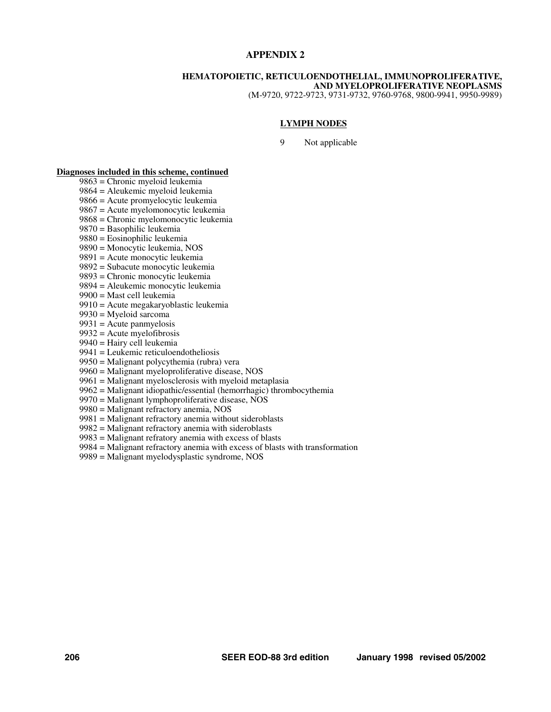### **APPENDIX 2**

# **HEMATOPOIETIC, RETICULOENDOTHELIAL, IMMUNOPROLIFERATIVE,**

**AND MYELOPROLIFERATIVE NEOPLASMS**

(M-9720, 9722-9723, 9731-9732, 9760-9768, 9800-9941, 9950-9989)

### **LYMPH NODES**

9 Not applicable

### **Diagnoses included in this scheme, continued**

9863 = Chronic myeloid leukemia

- 9864 = Aleukemic myeloid leukemia
- 9866 = Acute promyelocytic leukemia
- 9867 = Acute myelomonocytic leukemia
- 9868 = Chronic myelomonocytic leukemia
- 9870 = Basophilic leukemia
- 9880 = Eosinophilic leukemia
- 9890 = Monocytic leukemia, NOS
- 9891 = Acute monocytic leukemia
- 9892 = Subacute monocytic leukemia
- 9893 = Chronic monocytic leukemia
- 9894 = Aleukemic monocytic leukemia
- 9900 = Mast cell leukemia
- 9910 = Acute megakaryoblastic leukemia
- 9930 = Myeloid sarcoma
- $9931 = \text{Acute pannyelosis}$
- 9932 = Acute myelofibrosis
- 9940 = Hairy cell leukemia
- 9941 = Leukemic reticuloendotheliosis
- 9950 = Malignant polycythemia (rubra) vera
- 9960 = Malignant myeloproliferative disease, NOS
- 9961 = Malignant myelosclerosis with myeloid metaplasia
- 9962 = Malignant idiopathic/essential (hemorrhagic) thrombocythemia
- 9970 = Malignant lymphoproliferative disease, NOS
- 9980 = Malignant refractory anemia, NOS
- 9981 = Malignant refractory anemia without sideroblasts
- 9982 = Malignant refractory anemia with sideroblasts
- 9983 = Malignant refratory anemia with excess of blasts
- 9984 = Malignant refractory anemia with excess of blasts with transformation
- 9989 = Malignant myelodysplastic syndrome, NOS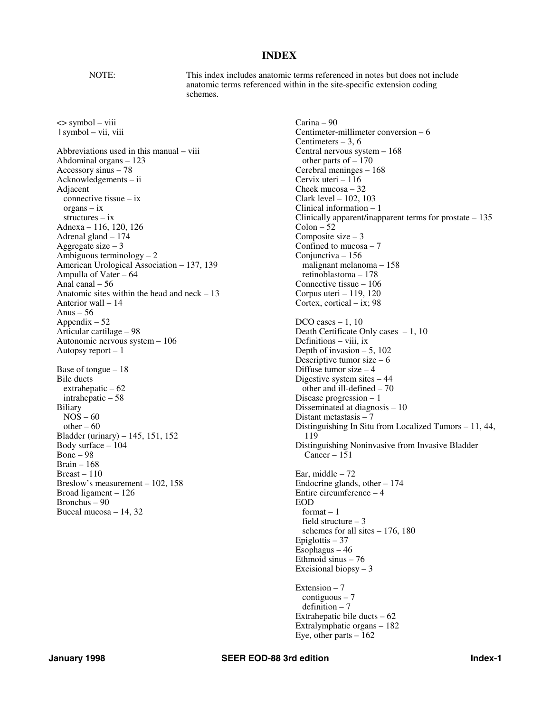## **INDEX**

NOTE: This index includes anatomic terms referenced in notes but does not include anatomic terms referenced within in the site-specific extension coding schemes.

 $\leq$  symbol – viii | symbol – vii, viii Abbreviations used in this manual – viii Abdominal organs – 123 Accessory sinus – 78 Acknowledgements – ii Adjacent connective tissue  $-$  ix organs – ix structures – ix Adnexa – 116, 120, 126 Adrenal gland – 174 Aggregate size  $-3$ Ambiguous terminology – 2 American Urological Association – 137, 139 Ampulla of Vater – 64 Anal canal – 56 Anatomic sites within the head and  $neck - 13$ Anterior wall – 14 Anus  $-56$ Appendix – 52 Articular cartilage – 98 Autonomic nervous system – 106 Autopsy report  $-1$ Base of tongue – 18 Bile ducts extrahepatic – 62 intrahepatic – 58 Biliary  $NOS - 60$ other  $-60$ Bladder (urinary) – 145, 151, 152 Body surface – 104 Bone – 98 Brain – 168 Breast – 110 Breslow's measurement – 102, 158 Broad ligament – 126 Bronchus – 90 Buccal mucosa – 14, 32

Carina – 90 Centimeter-millimeter conversion – 6 Centimeters  $-3, 6$ Central nervous system – 168 other parts of – 170 Cerebral meninges – 168 Cervix uteri – 116 Cheek mucosa – 32 Clark level – 102, 103 Clinical information – 1 Clinically apparent/inapparent terms for prostate – 135  $Colon - 52$ Composite size  $-3$ Confined to mucosa – 7 Conjunctiva – 156 malignant melanoma – 158 retinoblastoma – 178 Connective tissue – 106 Corpus uteri – 119, 120 Cortex, cortical – ix; 98  $DCO cases - 1, 10$ Death Certificate Only cases – 1, 10 Definitions – viii, ix Depth of invasion  $-5$ , 102 Descriptive tumor size  $-6$ Diffuse tumor size – 4 Digestive system sites – 44 other and ill-defined – 70 Disease progression – 1 Disseminated at diagnosis – 10 Distant metastasis – 7 Distinguishing In Situ from Localized Tumors – 11, 44, 119 Distinguishing Noninvasive from Invasive Bladder Cancer – 151 Ear, middle  $-72$ Endocrine glands, other – 174 Entire circumference – 4 EOD format  $-1$  field structure – 3 schemes for all sites – 176, 180 Epiglottis  $-37$ Esophagus – 46 Ethmoid sinus – 76 Excisional biopsy  $-3$ Extension – 7 contiguous – 7 definition – 7 Extrahepatic bile ducts – 62 Extralymphatic organs – 182 Eye, other parts  $-162$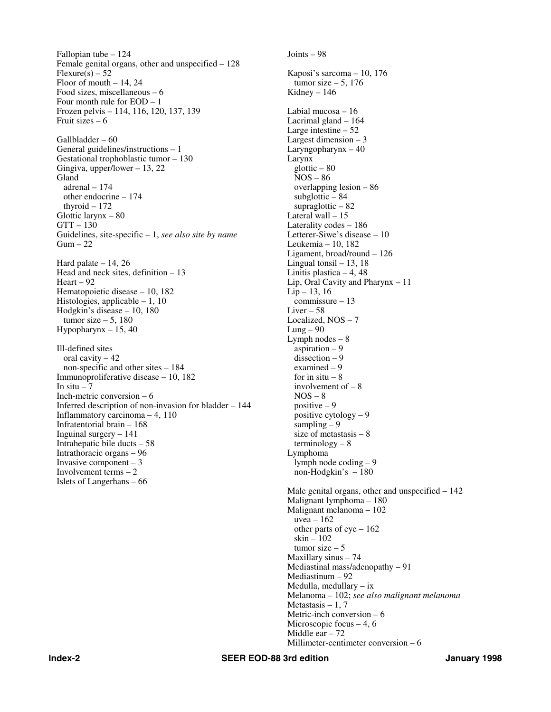Fallopian tube – 124 Female genital organs, other and unspecified – 128  $Flexure(s) - 52$ Floor of mouth – 14, 24 Food sizes, miscellaneous – 6 Four month rule for EOD – 1 Frozen pelvis – 114, 116, 120, 137, 139 Fruit sizes  $-6$ Gallbladder – 60 General guidelines/instructions – 1 Gestational trophoblastic tumor – 130 Gingiva, upper/lower – 13, 22 Gland adrenal – 174 other endocrine – 174 thyroid – 172 Glottic larynx – 80 GTT – 130 Guidelines, site-specific – 1, *see also site by name*  $Gum - 22$ Hard palate  $-14$ , 26 Head and neck sites, definition – 13 Heart  $-92$ Hematopoietic disease – 10, 182 Histologies, applicable  $-1$ , 10 Hodgkin's disease – 10, 180 tumor size  $-5$ , 180 Hypopharynx  $-15, 40$ Ill-defined sites oral cavity – 42 non-specific and other sites – 184 Immunoproliferative disease – 10, 182 In situ  $-7$ Inch-metric conversion – 6 Inferred description of non-invasion for bladder – 144 Inflammatory carcinoma – 4, 110 Infratentorial brain – 168 Inguinal surgery – 141 Intrahepatic bile ducts – 58 Intrathoracic organs – 96 Invasive component  $-3$ Involvement terms – 2 Islets of Langerhans – 66

Joints – 98 Kaposi's sarcoma – 10, 176 tumor size  $-5$ , 176 Kidney  $-146$ Labial mucosa – 16 Lacrimal gland – 164 Large intestine – 52 Largest dimension – 3 Laryngopharynx – 40 Larynx glottic  $-80$  NOS – 86 overlapping lesion – 86 subglottic – 84 supraglottic  $-82$ Lateral wall – 15 Laterality codes – 186 Letterer-Siwe's disease – 10 Leukemia – 10, 182 Ligament, broad/round – 126 Lingual tonsil – 13, 18 Linitis plastica  $-4$ , 48 Lip, Oral Cavity and Pharynx – 11  $Lip - 13, 16$  commissure – 13 Liver  $-58$ Localized, NOS – 7  $Lung - 90$ Lymph nodes  $-8$  aspiration – 9 dissection – 9 examined – 9 for in situ  $-8$  involvement of – 8  $NOS - 8$  positive – 9 positive cytology – 9 sampling – 9 size of metastasis – 8  $terminology - 8$ Lymphoma lymph node coding – 9 non-Hodgkin's – 180 Male genital organs, other and unspecified – 142 Malignant lymphoma – 180 Malignant melanoma – 102 uvea – 162 other parts of eye – 162 skin – 102 tumor size  $-5$ Maxillary sinus – 74 Mediastinal mass/adenopathy – 91 Mediastinum – 92 Medulla, medullary  $-$  ix Melanoma – 102; *see also malignant melanoma* Metastasis  $-1, 7$ Metric-inch conversion – 6 Microscopic focus  $-4$ , 6 Middle ear – 72 Millimeter-centimeter conversion – 6

**Index-2 SEER EOD-88 3rd edition SEER 2001-88 3rd edition** January 1998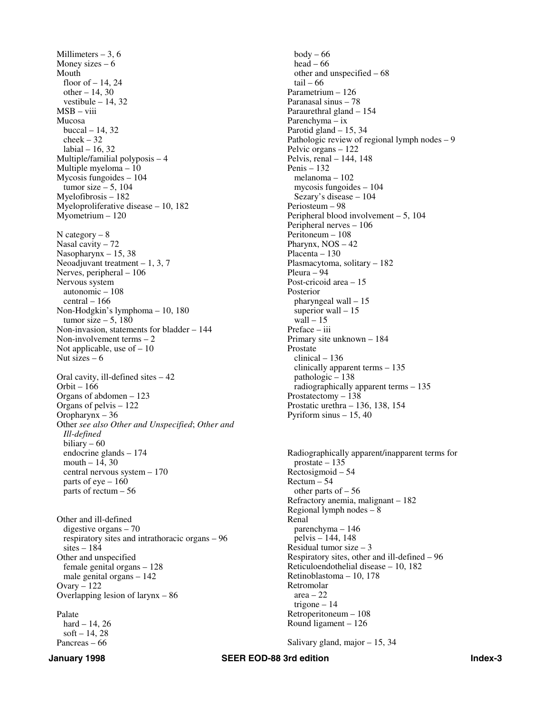Millimeters  $-3, 6$ Money sizes  $-6$ Mouth floor of  $-14$ , 24  $other - 14, 30$ vestibule  $-14, 32$ MSB – viii Mucosa buccal – 14, 32  $check - 32$  labial – 16, 32 Multiple/familial polyposis – 4 Multiple myeloma – 10 Mycosis fungoides – 104 tumor size  $-5$ , 104 Myelofibrosis – 182 Myeloproliferative disease – 10, 182 Myometrium – 120  $N$  category  $-8$ Nasal cavity – 72 Nasopharynx  $-15, 38$ Neoadjuvant treatment  $-1, 3, 7$ Nerves, peripheral – 106 Nervous system autonomic – 108 central – 166 Non-Hodgkin's lymphoma – 10, 180 tumor size  $-5$ , 180 Non-invasion, statements for bladder – 144 Non-involvement terms – 2 Not applicable, use of  $-10$ Nut sizes  $-6$ Oral cavity, ill-defined sites – 42 Orbit  $-166$ Organs of abdomen – 123 Organs of pelvis – 122 Oropharynx – 36 Other *see also Other and Unspecified*; *Other and Ill-defined* biliary – 60 endocrine glands – 174 mouth – 14, 30 central nervous system – 170 parts of eye – 160 parts of rectum – 56 Other and ill-defined digestive organs – 70 respiratory sites and intrathoracic organs – 96 sites  $-184$ Other and unspecified female genital organs – 128 male genital organs – 142 Ovary – 122 Overlapping lesion of larynx – 86 Palate hard  $-14$ , 26  $soft - 14, 28$ Pancreas – 66

 $head - 66$  other and unspecified – 68 tail  $-66$ Parametrium – 126 Paranasal sinus – 78 Paraurethral gland – 154 Parenchyma – ix Parotid gland – 15, 34 Pathologic review of regional lymph nodes – 9 Pelvic organs – 122 Pelvis, renal – 144, 148 Penis – 132 melanoma – 102 mycosis fungoides – 104 Sezary's disease – 104 Periosteum – 98 Peripheral blood involvement – 5, 104 Peripheral nerves – 106 Peritoneum – 108 Pharynx, NOS – 42 Placenta – 130 Plasmacytoma, solitary – 182 Pleura – 94 Post-cricoid area – 15 Posterior pharyngeal wall – 15 superior wall  $-15$ wall  $-15$ Preface – iii Primary site unknown – 184 Prostate clinical – 136 clinically apparent terms – 135 pathologic – 138 radiographically apparent terms – 135 Prostatectomy – 138 Prostatic urethra – 136, 138, 154 Pyriform sinus – 15, 40

 $body - 66$ 

Radiographically apparent/inapparent terms for prostate – 135 Rectosigmoid – 54 Rectum – 54 other parts of – 56 Refractory anemia, malignant – 182 Regional lymph nodes – 8 Renal parenchyma – 146 pelvis – 144, 148 Residual tumor size  $-3$ Respiratory sites, other and ill-defined – 96 Reticuloendothelial disease – 10, 182 Retinoblastoma – 10, 178 Retromolar  $area - 22$  trigone – 14 Retroperitoneum – 108 Round ligament – 126

Salivary gland, major – 15, 34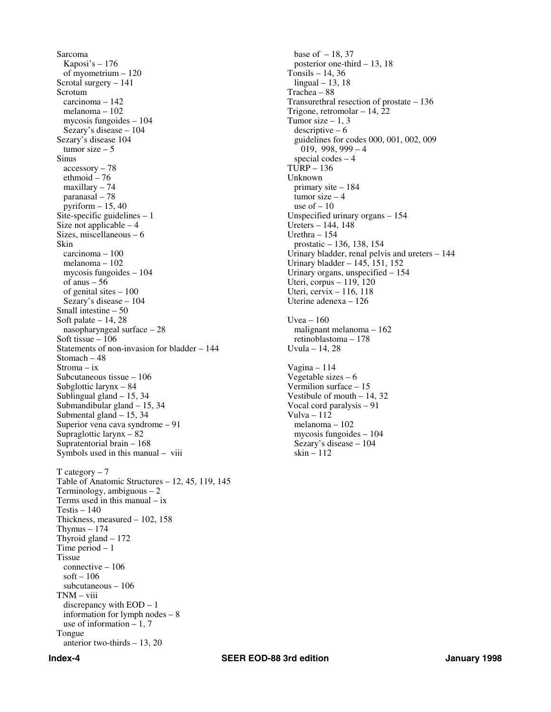Sarcoma Kaposi's – 176 of myometrium – 120 Scrotal surgery – 141 Scrotum carcinoma – 142 melanoma – 102 mycosis fungoides – 104 Sezary's disease – 104 Sezary's disease 104 tumor size  $-5$ Sinus accessory – 78 ethmoid – 76 maxillary – 74 paranasal – 78 pyriform  $-15, 40$ Site-specific guidelines – 1 Size not applicable  $-4$ Sizes, miscellaneous – 6 Skin carcinoma – 100 melanoma – 102 mycosis fungoides – 104 of anus – 56 of genital sites – 100 Sezary's disease – 104 Small intestine – 50 Soft palate  $-14$ , 28 nasopharyngeal surface – 28 Soft tissue – 106 Statements of non-invasion for bladder – 144 Stomach – 48 Stroma – ix Subcutaneous tissue – 106 Subglottic larynx – 84 Sublingual gland – 15, 34 Submandibular gland – 15, 34 Submental gland  $-15$ , 34 Superior vena cava syndrome – 91 Supraglottic larynx – 82 Supratentorial brain – 168 Symbols used in this manual – viii T category  $-7$ Table of Anatomic Structures – 12, 45, 119, 145 Terminology, ambiguous – 2 Terms used in this manual – ix Testis  $-140$ Thickness, measured – 102, 158 Thymus – 174 Thyroid gland – 172 Time period – 1 Tissue connective – 106 soft  $-106$  subcutaneous – 106 TNM – viii discrepancy with EOD – 1 information for lymph nodes – 8 use of information  $-1$ , 7 Tongue anterior two-thirds – 13, 20

base of  $-18, 37$  posterior one-third – 13, 18 Tonsils – 14, 36 lingual – 13, 18 Trachea – 88 Transurethral resection of prostate – 136 Trigone, retromolar – 14, 22 Tumor size  $-1, 3$  $descriptive - 6$  guidelines for codes 000, 001, 002, 009 019, 998, 999  $-4$ special codes  $-4$ TURP – 136 Unknown primary site – 184 tumor size – 4 use of  $-10$ Unspecified urinary organs – 154 Ureters – 144, 148 Urethra – 154 prostatic – 136, 138, 154 Urinary bladder, renal pelvis and ureters – 144 Urinary bladder – 145, 151, 152 Urinary organs, unspecified – 154 Uteri, corpus – 119, 120 Uteri, cervix – 116, 118 Uterine adenexa – 126 Uvea – 160 malignant melanoma – 162 retinoblastoma – 178 Uvula – 14, 28 Vagina – 114 Vegetable sizes – 6 Vermilion surface – 15 Vestibule of mouth – 14, 32 Vocal cord paralysis – 91 Vulva – 112 melanoma – 102 mycosis fungoides – 104 Sezary's disease – 104

skin – 112